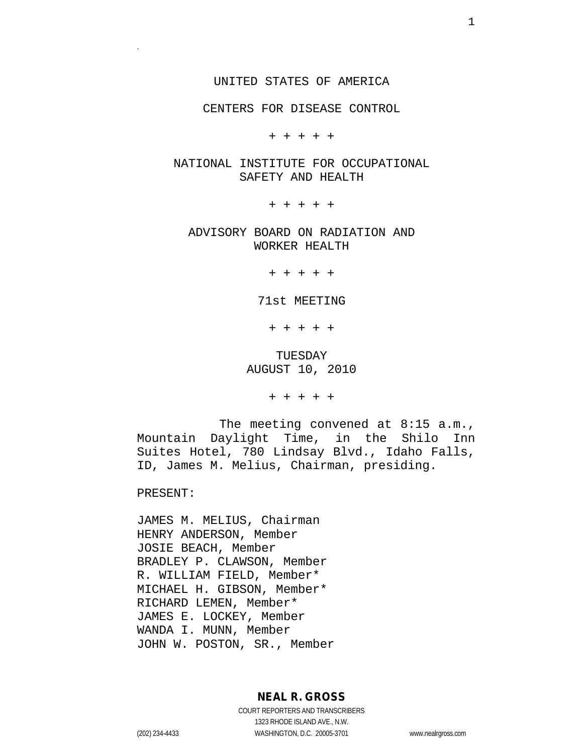#### UNITED STATES OF AMERICA

#### CENTERS FOR DISEASE CONTROL

+ + + + +

#### NATIONAL INSTITUTE FOR OCCUPATIONAL SAFETY AND HEALTH

+ + + + +

ADVISORY BOARD ON RADIATION AND WORKER HEALTH

+ + + + +

71st MEETING

+ + + + +

TUESDAY AUGUST 10, 2010

+ + + + +

The meeting convened at 8:15 a.m., Mountain Daylight Time, in the Shilo Inn Suites Hotel, 780 Lindsay Blvd., Idaho Falls, ID, James M. Melius, Chairman, presiding.

PRESENT:

.

JAMES M. MELIUS, Chairman HENRY ANDERSON, Member JOSIE BEACH, Member BRADLEY P. CLAWSON, Member R. WILLIAM FIELD, Member\* MICHAEL H. GIBSON, Member\* RICHARD LEMEN, Member\* JAMES E. LOCKEY, Member WANDA I. MUNN, Member JOHN W. POSTON, SR., Member

### **NEAL R. GROSS**

COURT REPORTERS AND TRANSCRIBERS 1323 RHODE ISLAND AVE., N.W. (202) 234-4433 WASHINGTON, D.C. 20005-3701 www.nealrgross.com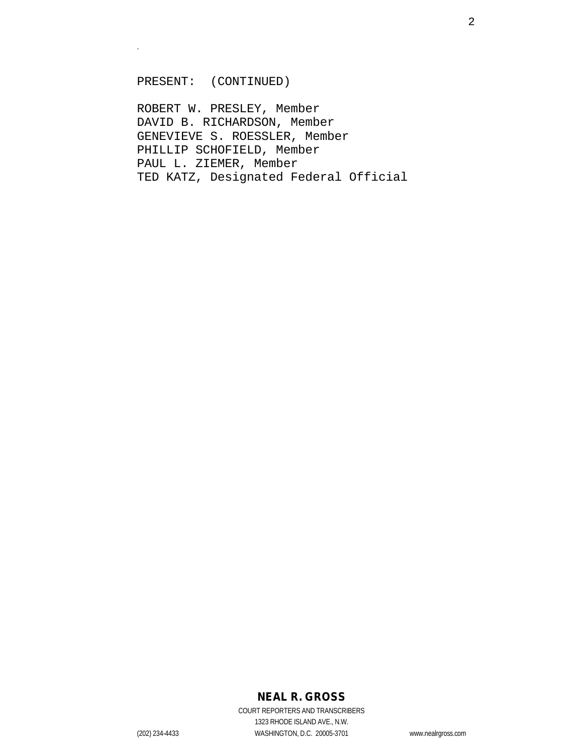#### PRESENT: (CONTINUED)

.

ROBERT W. PRESLEY, Member DAVID B. RICHARDSON, Member GENEVIEVE S. ROESSLER, Member PHILLIP SCHOFIELD, Member PAUL L. ZIEMER, Member TED KATZ, Designated Federal Official

# **NEAL R. GROSS**

COURT REPORTERS AND TRANSCRIBERS 1323 RHODE ISLAND AVE., N.W. (202) 234-4433 WASHINGTON, D.C. 20005-3701 www.nealrgross.com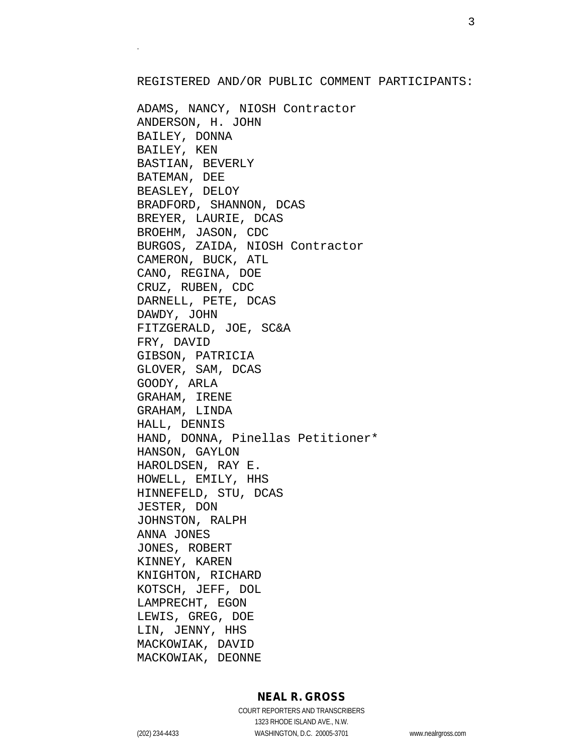#### REGISTERED AND/OR PUBLIC COMMENT PARTICIPANTS:

ADAMS, NANCY, NIOSH Contractor ANDERSON, H. JOHN BAILEY, DONNA BAILEY, KEN BASTIAN, BEVERLY BATEMAN, DEE BEASLEY, DELOY BRADFORD, SHANNON, DCAS BREYER, LAURIE, DCAS BROEHM, JASON, CDC BURGOS, ZAIDA, NIOSH Contractor CAMERON, BUCK, ATL CANO, REGINA, DOE CRUZ, RUBEN, CDC DARNELL, PETE, DCAS DAWDY, JOHN FITZGERALD, JOE, SC&A FRY, DAVID GIBSON, PATRICIA GLOVER, SAM, DCAS GOODY, ARLA GRAHAM, IRENE GRAHAM, LINDA HALL, DENNIS HAND, DONNA, Pinellas Petitioner\* HANSON, GAYLON HAROLDSEN, RAY E. HOWELL, EMILY, HHS HINNEFELD, STU, DCAS JESTER, DON JOHNSTON, RALPH ANNA JONES JONES, ROBERT KINNEY, KAREN KNIGHTON, RICHARD KOTSCH, JEFF, DOL LAMPRECHT, EGON LEWIS, GREG, DOE LIN, JENNY, HHS MACKOWIAK, DAVID MACKOWIAK, DEONNE

## **NEAL R. GROSS**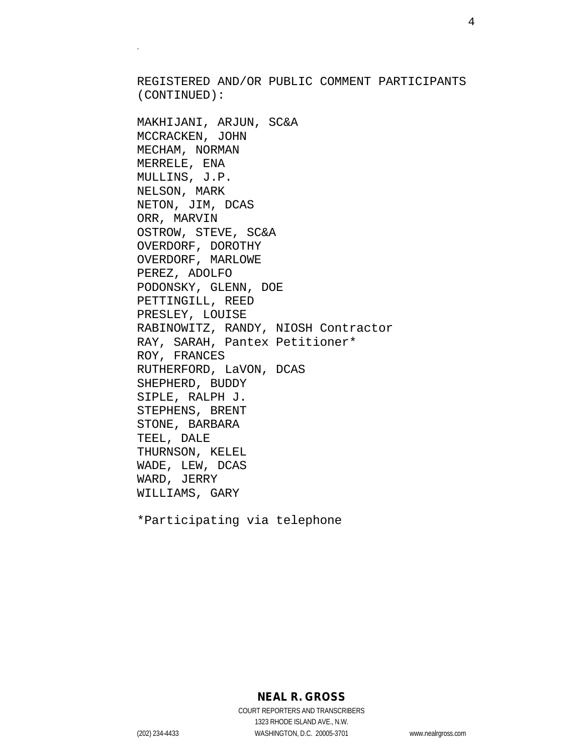REGISTERED AND/OR PUBLIC COMMENT PARTICIPANTS (CONTINUED):

MAKHIJANI, ARJUN, SC&A MCCRACKEN, JOHN MECHAM, NORMAN MERRELE, ENA MULLINS, J.P. NELSON, MARK NETON, JIM, DCAS ORR, MARVIN OSTROW, STEVE, SC&A OVERDORF, DOROTHY OVERDORF, MARLOWE PEREZ, ADOLFO PODONSKY, GLENN, DOE PETTINGILL, REED PRESLEY, LOUISE RABINOWITZ, RANDY, NIOSH Contractor RAY, SARAH, Pantex Petitioner\* ROY, FRANCES RUTHERFORD, LaVON, DCAS SHEPHERD, BUDDY SIPLE, RALPH J. STEPHENS, BRENT STONE, BARBARA TEEL, DALE THURNSON, KELEL WADE, LEW, DCAS WARD, JERRY WILLIAMS, GARY

\*Participating via telephone

**NEAL R. GROSS**

COURT REPORTERS AND TRANSCRIBERS 1323 RHODE ISLAND AVE., N.W. (202) 234-4433 WASHINGTON, D.C. 20005-3701 www.nealrgross.com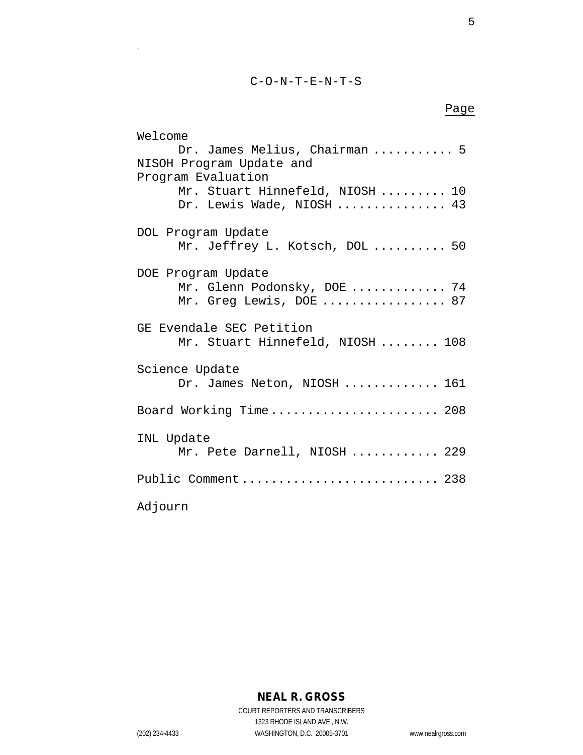C-O-N-T-E-N-T-S

# Page

| Welcome                          |
|----------------------------------|
| Dr. James Melius, Chairman  5    |
| NISOH Program Update and         |
| Program Evaluation               |
| Mr. Stuart Hinnefeld, NIOSH  10  |
| Dr. Lewis Wade, NIOSH  43        |
|                                  |
| DOL Program Update               |
| Mr. Jeffrey L. Kotsch, DOL  50   |
|                                  |
| DOE Program Update               |
| Mr. Glenn Podonsky, DOE  74      |
|                                  |
| Mr. Greg Lewis, DOE  87          |
| GE Evendale SEC Petition         |
|                                  |
| Mr. Stuart Hinnefeld, NIOSH  108 |
| Science Update                   |
| Dr. James Neton, NIOSH  161      |
|                                  |
| Board Working Time 208           |
|                                  |
| INL Update                       |
| Mr. Pete Darnell, NIOSH  229     |
|                                  |
| Public Comment 238               |
|                                  |
| Adjourn                          |
|                                  |

5

COURT REPORTERS AND TRANSCRIBERS 1323 RHODE ISLAND AVE., N.W. (202) 234-4433 WASHINGTON, D.C. 20005-3701 www.nealrgross.com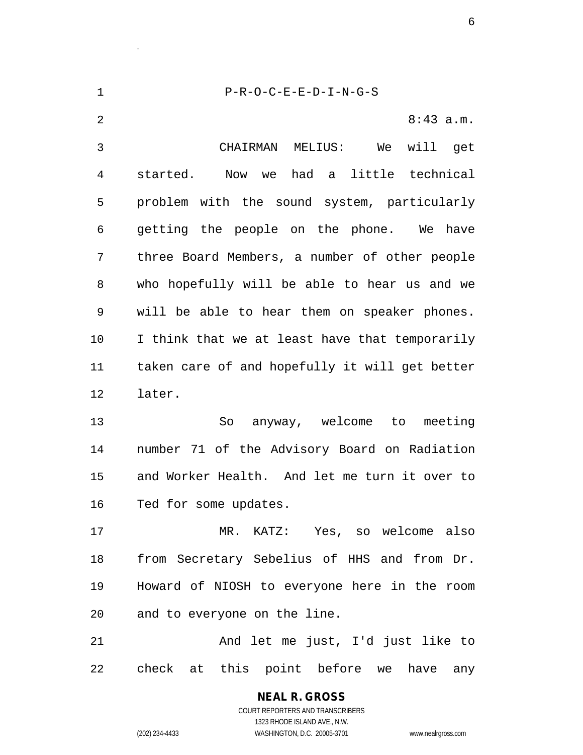P-R-O-C-E-E-D-I-N-G-S 2 8:43 a.m. CHAIRMAN MELIUS: We will get started. Now we had a little technical problem with the sound system, particularly getting the people on the phone. We have three Board Members, a number of other people who hopefully will be able to hear us and we will be able to hear them on speaker phones. I think that we at least have that temporarily taken care of and hopefully it will get better later. So anyway, welcome to meeting number 71 of the Advisory Board on Radiation and Worker Health. And let me turn it over to Ted for some updates. MR. KATZ: Yes, so welcome also from Secretary Sebelius of HHS and from Dr. Howard of NIOSH to everyone here in the room and to everyone on the line. And let me just, I'd just like to check at this point before we have any

> COURT REPORTERS AND TRANSCRIBERS 1323 RHODE ISLAND AVE., N.W. (202) 234-4433 WASHINGTON, D.C. 20005-3701 www.nealrgross.com

**NEAL R. GROSS**

.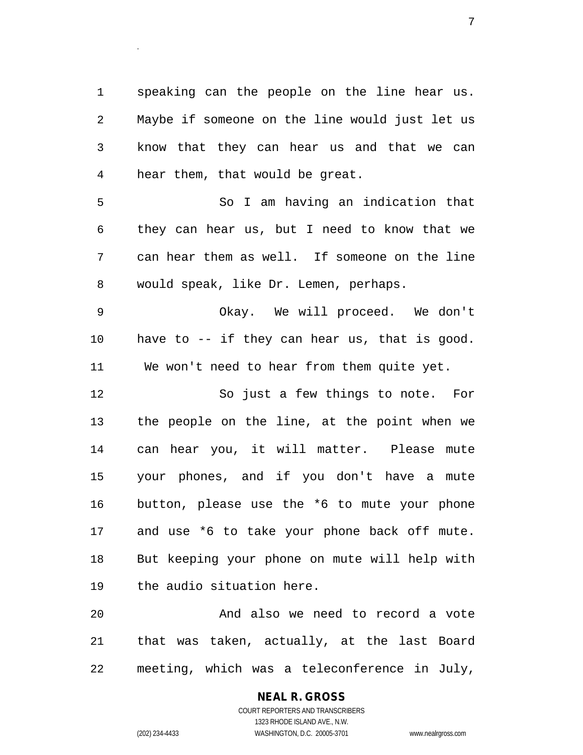speaking can the people on the line hear us. Maybe if someone on the line would just let us know that they can hear us and that we can hear them, that would be great.

 So I am having an indication that they can hear us, but I need to know that we can hear them as well. If someone on the line would speak, like Dr. Lemen, perhaps.

 Okay. We will proceed. We don't have to -- if they can hear us, that is good. We won't need to hear from them quite yet.

 So just a few things to note. For the people on the line, at the point when we can hear you, it will matter. Please mute your phones, and if you don't have a mute button, please use the \*6 to mute your phone and use \*6 to take your phone back off mute. But keeping your phone on mute will help with the audio situation here.

 And also we need to record a vote that was taken, actually, at the last Board meeting, which was a teleconference in July,

# **NEAL R. GROSS**

COURT REPORTERS AND TRANSCRIBERS 1323 RHODE ISLAND AVE., N.W. (202) 234-4433 WASHINGTON, D.C. 20005-3701 www.nealrgross.com

.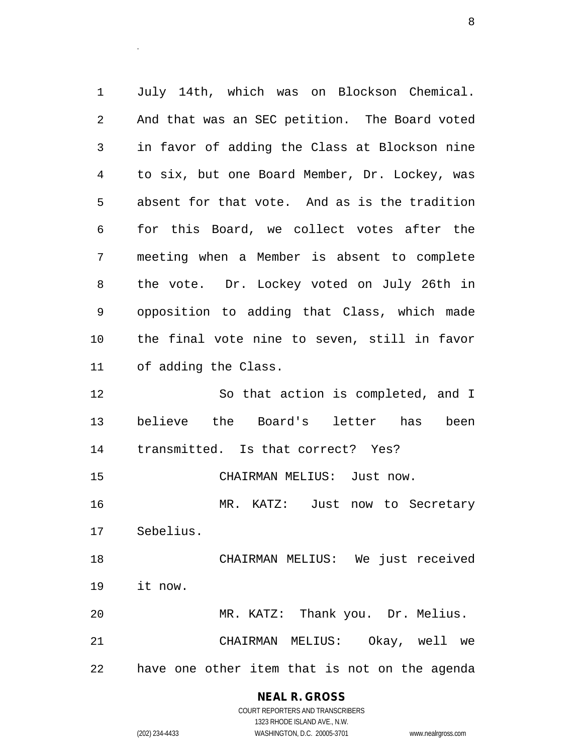July 14th, which was on Blockson Chemical. And that was an SEC petition. The Board voted in favor of adding the Class at Blockson nine to six, but one Board Member, Dr. Lockey, was absent for that vote. And as is the tradition for this Board, we collect votes after the meeting when a Member is absent to complete the vote. Dr. Lockey voted on July 26th in opposition to adding that Class, which made the final vote nine to seven, still in favor of adding the Class. So that action is completed, and I believe the Board's letter has been transmitted. Is that correct? Yes? CHAIRMAN MELIUS: Just now.

 MR. KATZ: Just now to Secretary Sebelius.

 CHAIRMAN MELIUS: We just received it now. MR. KATZ: Thank you. Dr. Melius.

 CHAIRMAN MELIUS: Okay, well we have one other item that is not on the agenda

# **NEAL R. GROSS**

.

COURT REPORTERS AND TRANSCRIBERS 1323 RHODE ISLAND AVE., N.W. (202) 234-4433 WASHINGTON, D.C. 20005-3701 www.nealrgross.com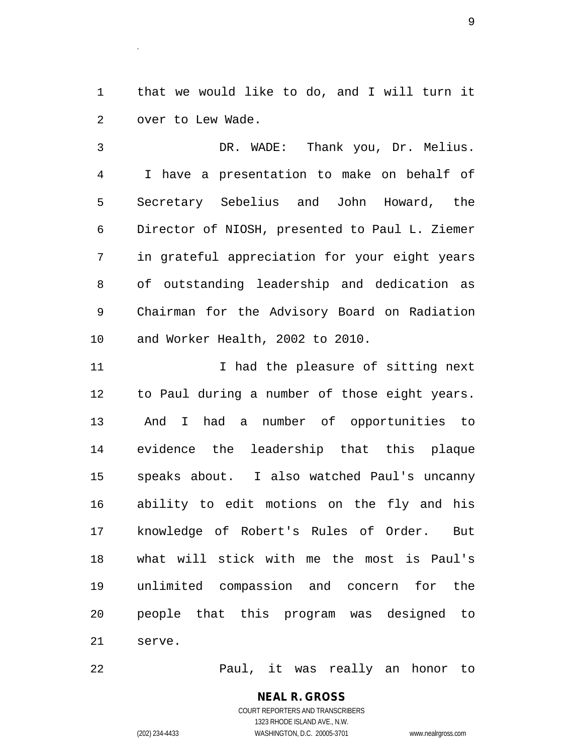that we would like to do, and I will turn it over to Lew Wade.

 DR. WADE: Thank you, Dr. Melius. I have a presentation to make on behalf of Secretary Sebelius and John Howard, the Director of NIOSH, presented to Paul L. Ziemer in grateful appreciation for your eight years of outstanding leadership and dedication as Chairman for the Advisory Board on Radiation and Worker Health, 2002 to 2010.

11 11 12 I had the pleasure of sitting next to Paul during a number of those eight years. And I had a number of opportunities to evidence the leadership that this plaque speaks about. I also watched Paul's uncanny ability to edit motions on the fly and his knowledge of Robert's Rules of Order. But what will stick with me the most is Paul's unlimited compassion and concern for the people that this program was designed to serve.

Paul, it was really an honor to

**NEAL R. GROSS** COURT REPORTERS AND TRANSCRIBERS 1323 RHODE ISLAND AVE., N.W. (202) 234-4433 WASHINGTON, D.C. 20005-3701 www.nealrgross.com

.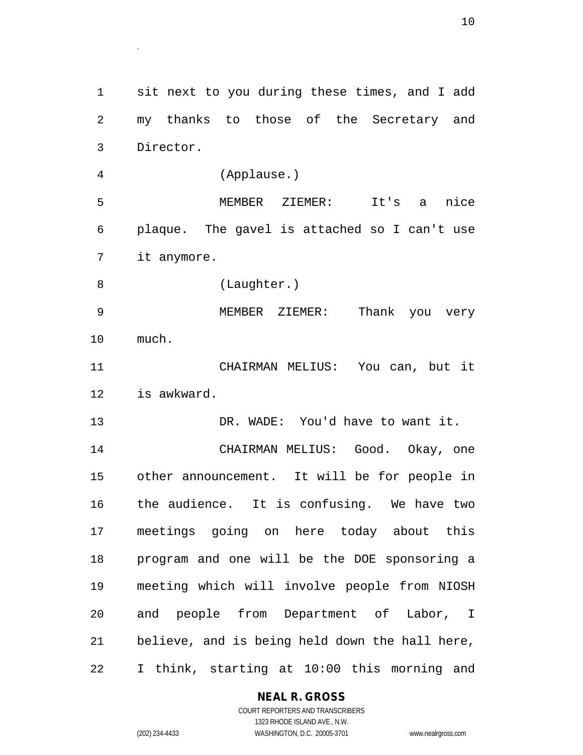sit next to you during these times, and I add my thanks to those of the Secretary and Director. (Applause.) MEMBER ZIEMER: It's a nice plaque. The gavel is attached so I can't use it anymore. (Laughter.) MEMBER ZIEMER: Thank you very much. CHAIRMAN MELIUS: You can, but it is awkward. DR. WADE: You'd have to want it. CHAIRMAN MELIUS: Good. Okay, one other announcement. It will be for people in the audience. It is confusing. We have two meetings going on here today about this program and one will be the DOE sponsoring a meeting which will involve people from NIOSH and people from Department of Labor, I believe, and is being held down the hall here, I think, starting at 10:00 this morning and

#### **NEAL R. GROSS**

COURT REPORTERS AND TRANSCRIBERS 1323 RHODE ISLAND AVE., N.W. (202) 234-4433 WASHINGTON, D.C. 20005-3701 www.nealrgross.com

.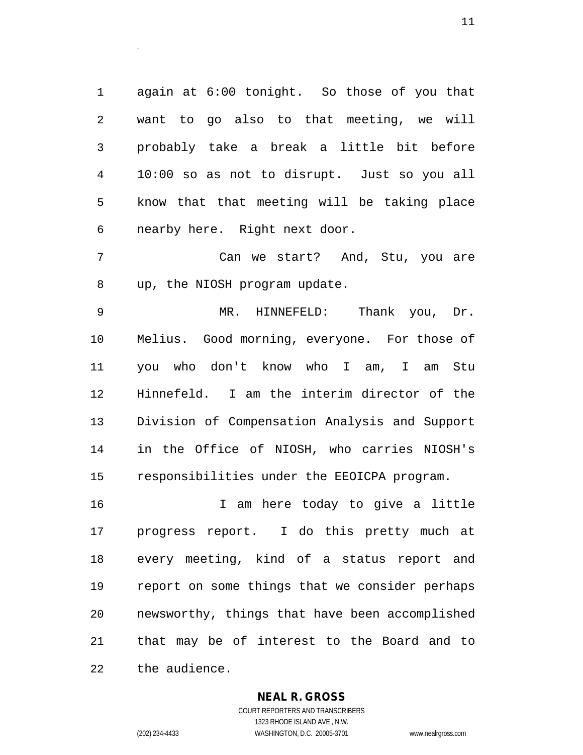again at 6:00 tonight. So those of you that want to go also to that meeting, we will probably take a break a little bit before 10:00 so as not to disrupt. Just so you all know that that meeting will be taking place nearby here. Right next door.

 Can we start? And, Stu, you are up, the NIOSH program update.

 MR. HINNEFELD: Thank you, Dr. Melius. Good morning, everyone. For those of you who don't know who I am, I am Stu Hinnefeld. I am the interim director of the Division of Compensation Analysis and Support in the Office of NIOSH, who carries NIOSH's responsibilities under the EEOICPA program.

 I am here today to give a little progress report. I do this pretty much at every meeting, kind of a status report and report on some things that we consider perhaps newsworthy, things that have been accomplished that may be of interest to the Board and to the audience.

#### **NEAL R. GROSS**

.

COURT REPORTERS AND TRANSCRIBERS 1323 RHODE ISLAND AVE., N.W. (202) 234-4433 WASHINGTON, D.C. 20005-3701 www.nealrgross.com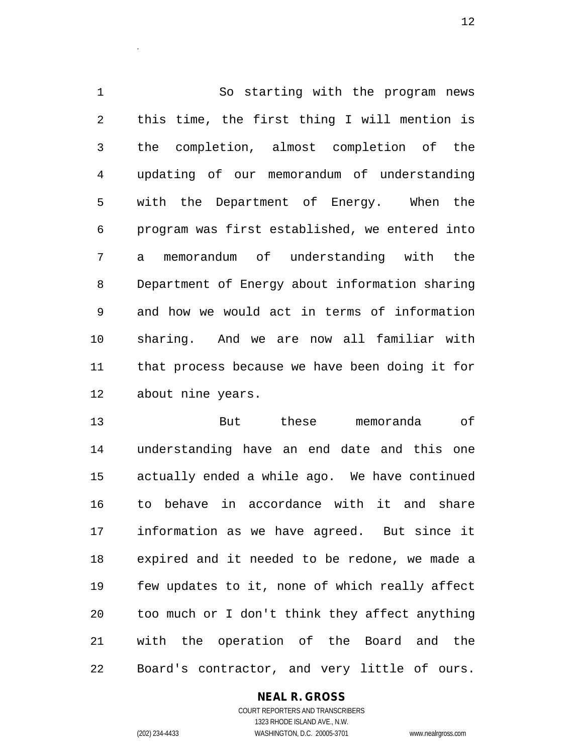So starting with the program news this time, the first thing I will mention is the completion, almost completion of the updating of our memorandum of understanding with the Department of Energy. When the program was first established, we entered into a memorandum of understanding with the Department of Energy about information sharing and how we would act in terms of information sharing. And we are now all familiar with that process because we have been doing it for about nine years.

 But these memoranda of understanding have an end date and this one actually ended a while ago. We have continued to behave in accordance with it and share information as we have agreed. But since it expired and it needed to be redone, we made a few updates to it, none of which really affect too much or I don't think they affect anything with the operation of the Board and the Board's contractor, and very little of ours.

### **NEAL R. GROSS**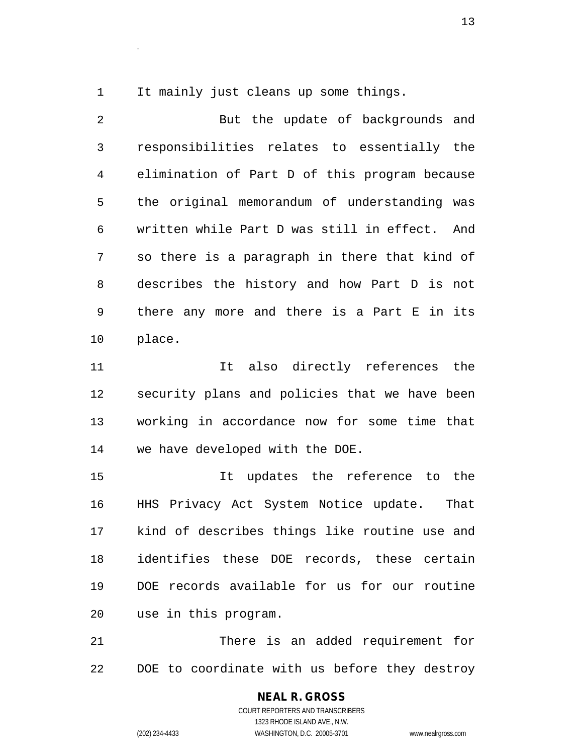It mainly just cleans up some things.

.

 But the update of backgrounds and responsibilities relates to essentially the elimination of Part D of this program because the original memorandum of understanding was written while Part D was still in effect. And so there is a paragraph in there that kind of describes the history and how Part D is not there any more and there is a Part E in its place.

 It also directly references the security plans and policies that we have been working in accordance now for some time that we have developed with the DOE.

 It updates the reference to the HHS Privacy Act System Notice update. That kind of describes things like routine use and identifies these DOE records, these certain DOE records available for us for our routine use in this program.

 There is an added requirement for DOE to coordinate with us before they destroy

> **NEAL R. GROSS** COURT REPORTERS AND TRANSCRIBERS 1323 RHODE ISLAND AVE., N.W. (202) 234-4433 WASHINGTON, D.C. 20005-3701 www.nealrgross.com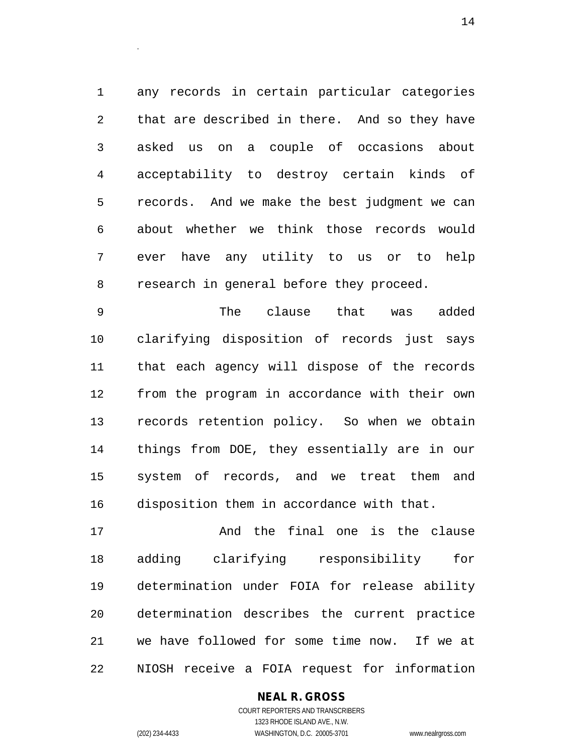any records in certain particular categories that are described in there. And so they have asked us on a couple of occasions about acceptability to destroy certain kinds of records. And we make the best judgment we can about whether we think those records would ever have any utility to us or to help research in general before they proceed.

 The clause that was added clarifying disposition of records just says that each agency will dispose of the records from the program in accordance with their own records retention policy. So when we obtain things from DOE, they essentially are in our system of records, and we treat them and disposition them in accordance with that.

 And the final one is the clause adding clarifying responsibility for determination under FOIA for release ability determination describes the current practice we have followed for some time now. If we at NIOSH receive a FOIA request for information

### **NEAL R. GROSS**

COURT REPORTERS AND TRANSCRIBERS 1323 RHODE ISLAND AVE., N.W. (202) 234-4433 WASHINGTON, D.C. 20005-3701 www.nealrgross.com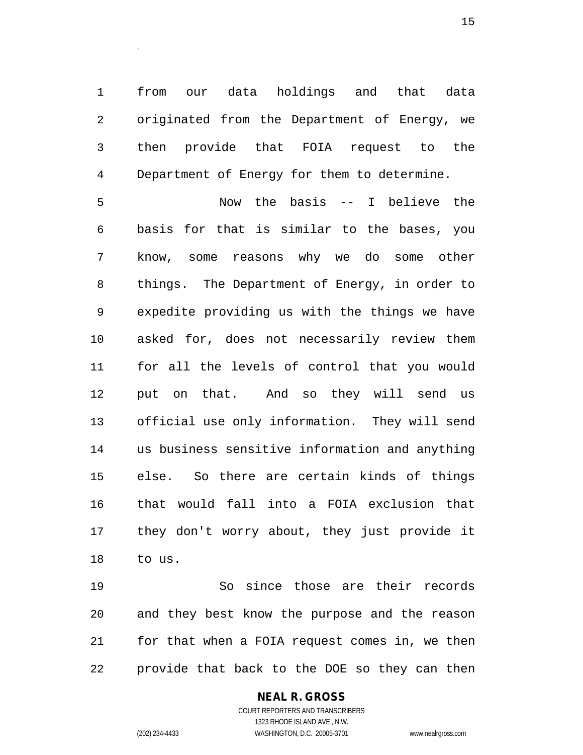from our data holdings and that data originated from the Department of Energy, we then provide that FOIA request to the Department of Energy for them to determine.

.

 Now the basis -- I believe the basis for that is similar to the bases, you know, some reasons why we do some other things. The Department of Energy, in order to expedite providing us with the things we have asked for, does not necessarily review them for all the levels of control that you would put on that. And so they will send us official use only information. They will send us business sensitive information and anything else. So there are certain kinds of things that would fall into a FOIA exclusion that they don't worry about, they just provide it to us.

 So since those are their records and they best know the purpose and the reason for that when a FOIA request comes in, we then provide that back to the DOE so they can then

### **NEAL R. GROSS**

COURT REPORTERS AND TRANSCRIBERS 1323 RHODE ISLAND AVE., N.W. (202) 234-4433 WASHINGTON, D.C. 20005-3701 www.nealrgross.com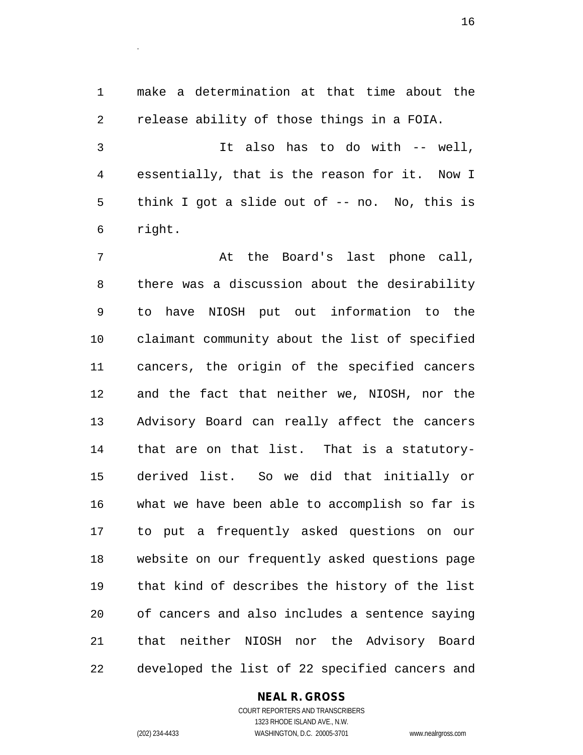make a determination at that time about the release ability of those things in a FOIA.

 It also has to do with -- well, essentially, that is the reason for it. Now I think I got a slide out of -- no. No, this is right.

 At the Board's last phone call, there was a discussion about the desirability to have NIOSH put out information to the claimant community about the list of specified cancers, the origin of the specified cancers and the fact that neither we, NIOSH, nor the Advisory Board can really affect the cancers that are on that list. That is a statutory- derived list. So we did that initially or what we have been able to accomplish so far is to put a frequently asked questions on our website on our frequently asked questions page that kind of describes the history of the list of cancers and also includes a sentence saying that neither NIOSH nor the Advisory Board developed the list of 22 specified cancers and

### **NEAL R. GROSS**

COURT REPORTERS AND TRANSCRIBERS 1323 RHODE ISLAND AVE., N.W. (202) 234-4433 WASHINGTON, D.C. 20005-3701 www.nealrgross.com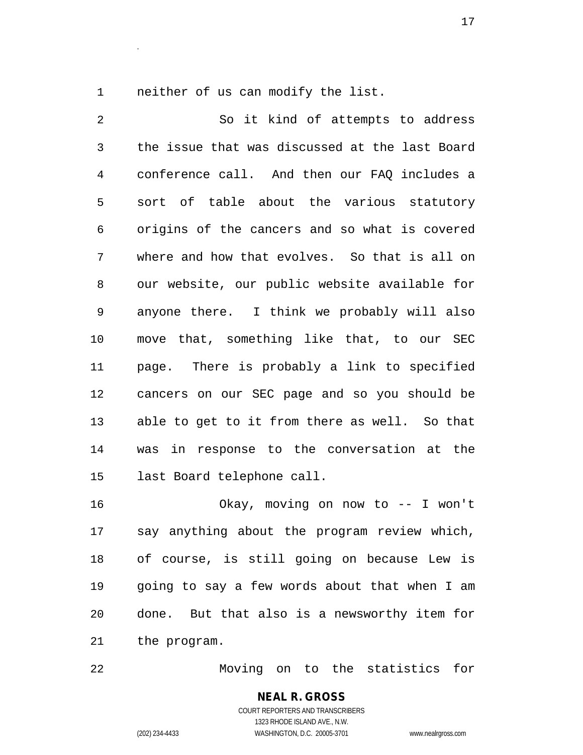neither of us can modify the list.

.

 So it kind of attempts to address the issue that was discussed at the last Board conference call. And then our FAQ includes a sort of table about the various statutory origins of the cancers and so what is covered where and how that evolves. So that is all on our website, our public website available for anyone there. I think we probably will also move that, something like that, to our SEC page. There is probably a link to specified cancers on our SEC page and so you should be able to get to it from there as well. So that was in response to the conversation at the last Board telephone call.

 Okay, moving on now to -- I won't say anything about the program review which, of course, is still going on because Lew is going to say a few words about that when I am done. But that also is a newsworthy item for the program.

Moving on to the statistics for

**NEAL R. GROSS** COURT REPORTERS AND TRANSCRIBERS 1323 RHODE ISLAND AVE., N.W. (202) 234-4433 WASHINGTON, D.C. 20005-3701 www.nealrgross.com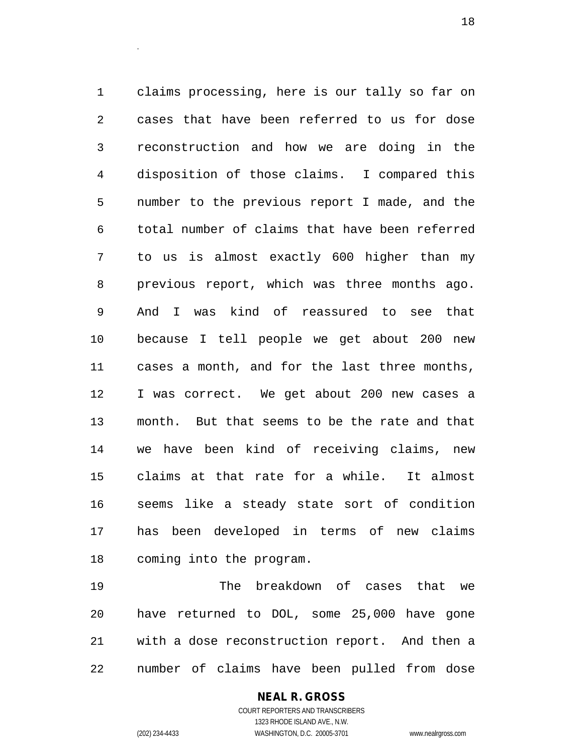claims processing, here is our tally so far on cases that have been referred to us for dose reconstruction and how we are doing in the disposition of those claims. I compared this number to the previous report I made, and the total number of claims that have been referred to us is almost exactly 600 higher than my previous report, which was three months ago. And I was kind of reassured to see that because I tell people we get about 200 new cases a month, and for the last three months, I was correct. We get about 200 new cases a month. But that seems to be the rate and that we have been kind of receiving claims, new claims at that rate for a while. It almost seems like a steady state sort of condition has been developed in terms of new claims coming into the program.

 The breakdown of cases that we have returned to DOL, some 25,000 have gone with a dose reconstruction report. And then a number of claims have been pulled from dose

### **NEAL R. GROSS**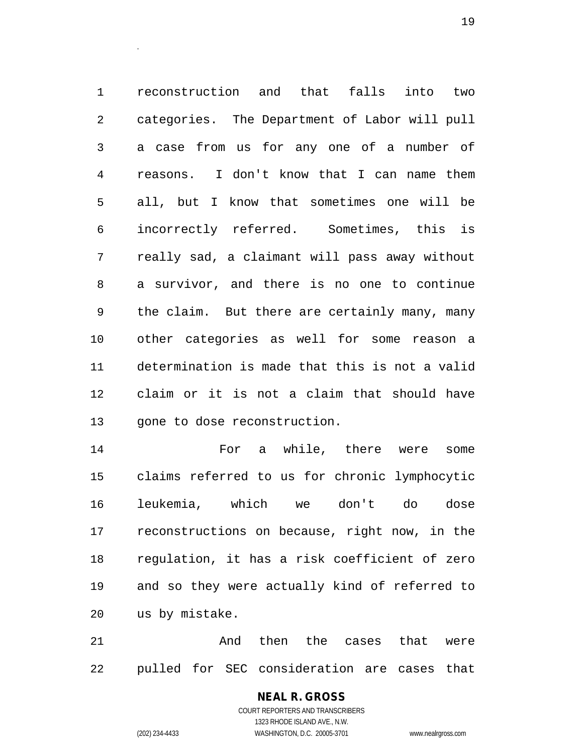reconstruction and that falls into two categories. The Department of Labor will pull a case from us for any one of a number of reasons. I don't know that I can name them all, but I know that sometimes one will be incorrectly referred. Sometimes, this is really sad, a claimant will pass away without a survivor, and there is no one to continue the claim. But there are certainly many, many other categories as well for some reason a determination is made that this is not a valid claim or it is not a claim that should have gone to dose reconstruction.

 For a while, there were some claims referred to us for chronic lymphocytic leukemia, which we don't do dose reconstructions on because, right now, in the regulation, it has a risk coefficient of zero and so they were actually kind of referred to us by mistake.

 And then the cases that were pulled for SEC consideration are cases that

# **NEAL R. GROSS**

COURT REPORTERS AND TRANSCRIBERS 1323 RHODE ISLAND AVE., N.W. (202) 234-4433 WASHINGTON, D.C. 20005-3701 www.nealrgross.com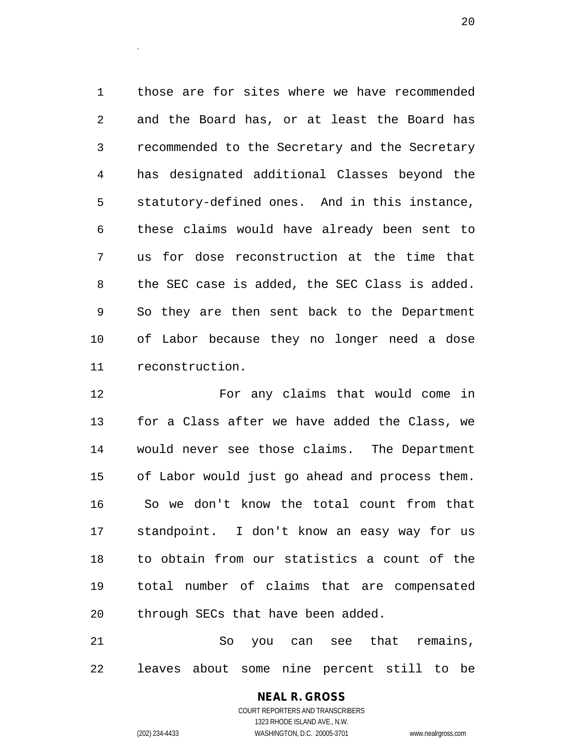those are for sites where we have recommended and the Board has, or at least the Board has recommended to the Secretary and the Secretary has designated additional Classes beyond the statutory-defined ones. And in this instance, these claims would have already been sent to us for dose reconstruction at the time that the SEC case is added, the SEC Class is added. So they are then sent back to the Department of Labor because they no longer need a dose reconstruction.

 For any claims that would come in for a Class after we have added the Class, we would never see those claims. The Department of Labor would just go ahead and process them. So we don't know the total count from that standpoint. I don't know an easy way for us to obtain from our statistics a count of the total number of claims that are compensated through SECs that have been added.

 So you can see that remains, leaves about some nine percent still to be

# **NEAL R. GROSS** COURT REPORTERS AND TRANSCRIBERS

.

1323 RHODE ISLAND AVE., N.W. (202) 234-4433 WASHINGTON, D.C. 20005-3701 www.nealrgross.com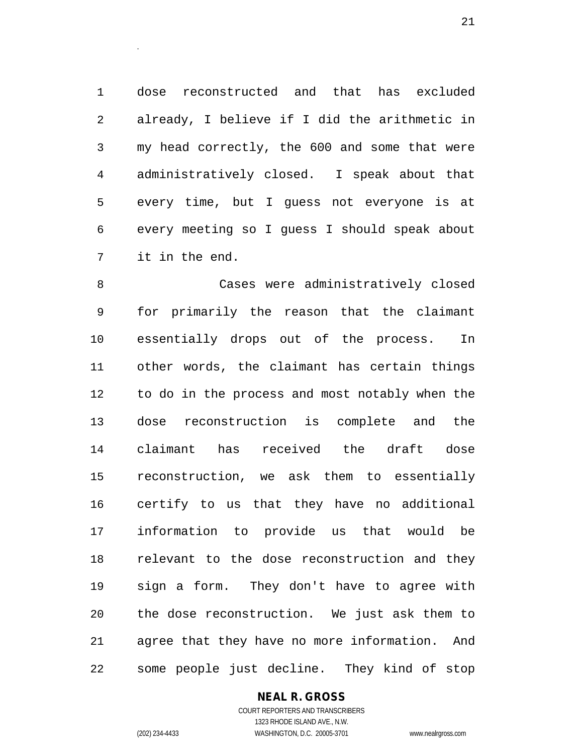dose reconstructed and that has excluded already, I believe if I did the arithmetic in my head correctly, the 600 and some that were administratively closed. I speak about that every time, but I guess not everyone is at every meeting so I guess I should speak about it in the end.

 Cases were administratively closed for primarily the reason that the claimant essentially drops out of the process. In other words, the claimant has certain things to do in the process and most notably when the dose reconstruction is complete and the claimant has received the draft dose reconstruction, we ask them to essentially certify to us that they have no additional information to provide us that would be relevant to the dose reconstruction and they sign a form. They don't have to agree with the dose reconstruction. We just ask them to agree that they have no more information. And some people just decline. They kind of stop

**NEAL R. GROSS**

.

COURT REPORTERS AND TRANSCRIBERS 1323 RHODE ISLAND AVE., N.W. (202) 234-4433 WASHINGTON, D.C. 20005-3701 www.nealrgross.com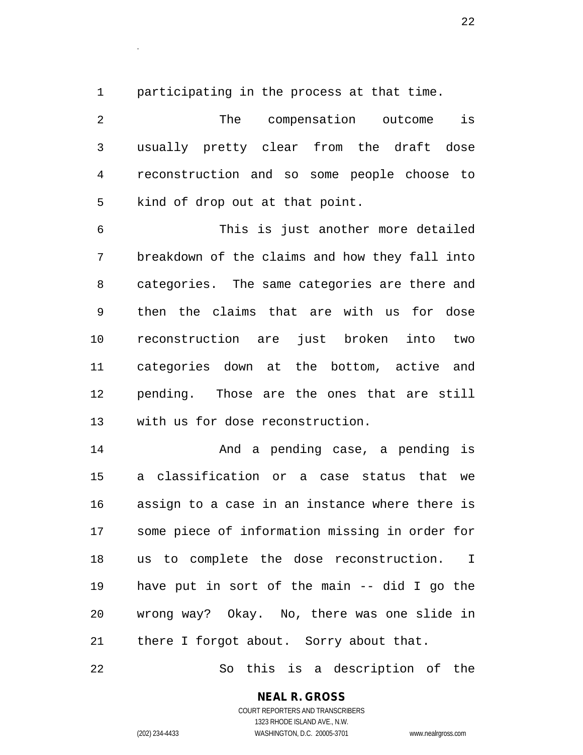participating in the process at that time.

.

 The compensation outcome is usually pretty clear from the draft dose reconstruction and so some people choose to kind of drop out at that point.

 This is just another more detailed breakdown of the claims and how they fall into categories. The same categories are there and then the claims that are with us for dose reconstruction are just broken into two categories down at the bottom, active and pending. Those are the ones that are still with us for dose reconstruction.

 And a pending case, a pending is a classification or a case status that we assign to a case in an instance where there is some piece of information missing in order for us to complete the dose reconstruction. I have put in sort of the main -- did I go the wrong way? Okay. No, there was one slide in there I forgot about. Sorry about that.

So this is a description of the

# **NEAL R. GROSS**

COURT REPORTERS AND TRANSCRIBERS 1323 RHODE ISLAND AVE., N.W. (202) 234-4433 WASHINGTON, D.C. 20005-3701 www.nealrgross.com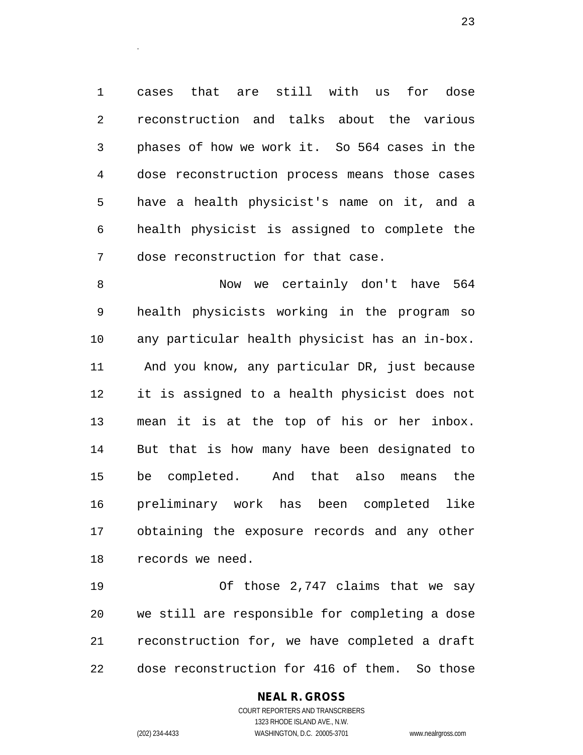cases that are still with us for dose reconstruction and talks about the various phases of how we work it. So 564 cases in the dose reconstruction process means those cases have a health physicist's name on it, and a health physicist is assigned to complete the dose reconstruction for that case.

 Now we certainly don't have 564 health physicists working in the program so any particular health physicist has an in-box. And you know, any particular DR, just because it is assigned to a health physicist does not mean it is at the top of his or her inbox. But that is how many have been designated to be completed. And that also means the preliminary work has been completed like obtaining the exposure records and any other records we need.

 Of those 2,747 claims that we say we still are responsible for completing a dose reconstruction for, we have completed a draft dose reconstruction for 416 of them. So those

### **NEAL R. GROSS**

.

COURT REPORTERS AND TRANSCRIBERS 1323 RHODE ISLAND AVE., N.W. (202) 234-4433 WASHINGTON, D.C. 20005-3701 www.nealrgross.com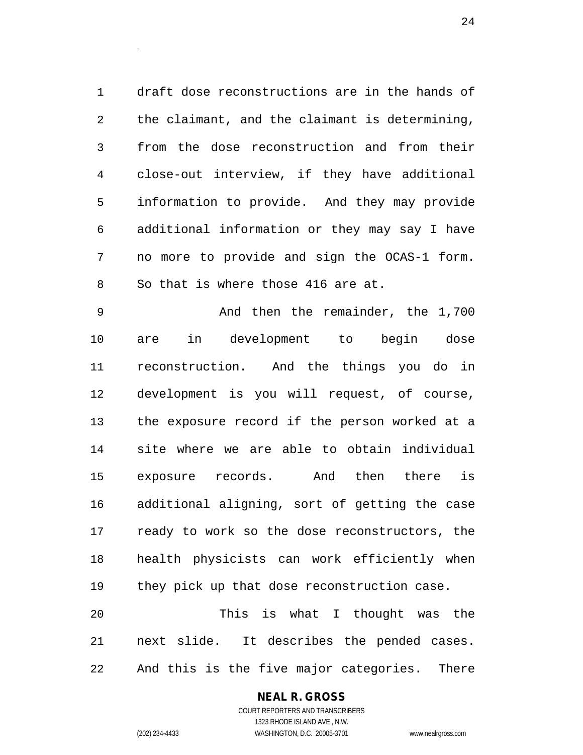draft dose reconstructions are in the hands of the claimant, and the claimant is determining, from the dose reconstruction and from their close-out interview, if they have additional information to provide. And they may provide additional information or they may say I have no more to provide and sign the OCAS-1 form. So that is where those 416 are at.

 And then the remainder, the 1,700 are in development to begin dose reconstruction. And the things you do in development is you will request, of course, the exposure record if the person worked at a site where we are able to obtain individual exposure records. And then there is additional aligning, sort of getting the case ready to work so the dose reconstructors, the health physicists can work efficiently when they pick up that dose reconstruction case. This is what I thought was the

 next slide. It describes the pended cases. And this is the five major categories. There

### **NEAL R. GROSS**

.

COURT REPORTERS AND TRANSCRIBERS 1323 RHODE ISLAND AVE., N.W. (202) 234-4433 WASHINGTON, D.C. 20005-3701 www.nealrgross.com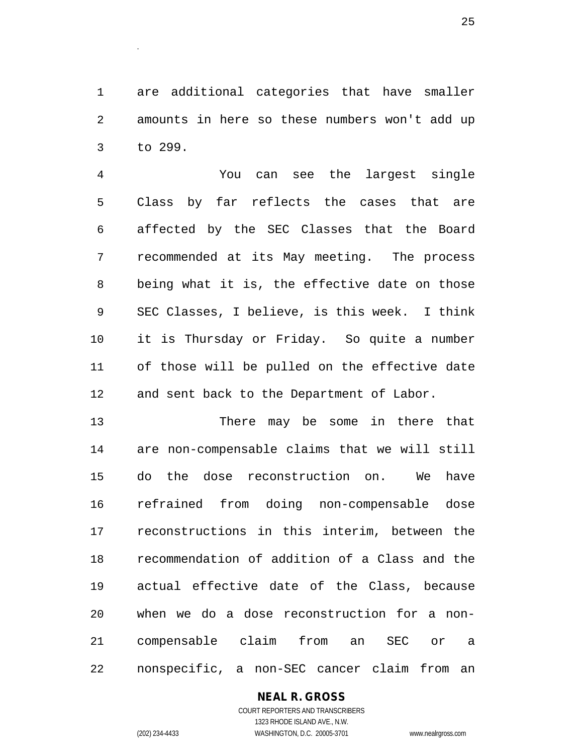are additional categories that have smaller amounts in here so these numbers won't add up to 299.

 You can see the largest single Class by far reflects the cases that are affected by the SEC Classes that the Board recommended at its May meeting. The process being what it is, the effective date on those SEC Classes, I believe, is this week. I think it is Thursday or Friday. So quite a number of those will be pulled on the effective date and sent back to the Department of Labor.

13 There may be some in there that are non-compensable claims that we will still do the dose reconstruction on. We have refrained from doing non-compensable dose reconstructions in this interim, between the recommendation of addition of a Class and the actual effective date of the Class, because when we do a dose reconstruction for a non- compensable claim from an SEC or a nonspecific, a non-SEC cancer claim from an

### **NEAL R. GROSS**

.

COURT REPORTERS AND TRANSCRIBERS 1323 RHODE ISLAND AVE., N.W. (202) 234-4433 WASHINGTON, D.C. 20005-3701 www.nealrgross.com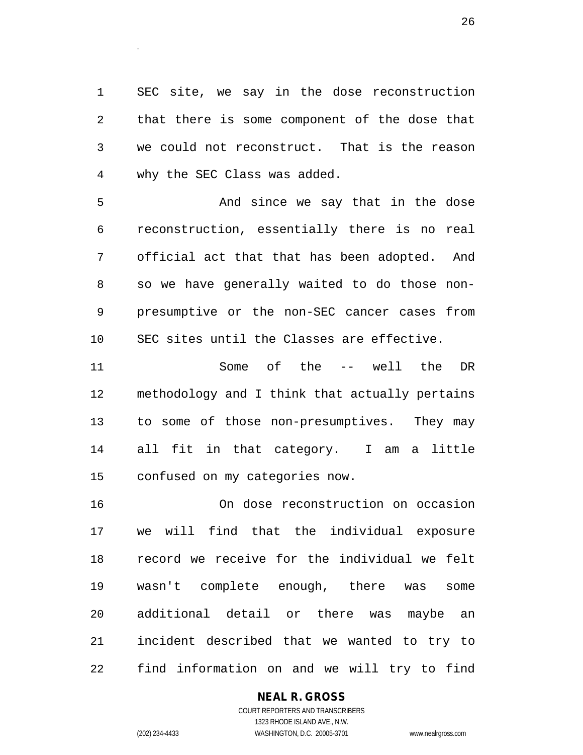SEC site, we say in the dose reconstruction that there is some component of the dose that we could not reconstruct. That is the reason why the SEC Class was added.

5 And since we say that in the dose reconstruction, essentially there is no real official act that that has been adopted. And so we have generally waited to do those non- presumptive or the non-SEC cancer cases from SEC sites until the Classes are effective.

 Some of the -- well the DR methodology and I think that actually pertains to some of those non-presumptives. They may all fit in that category. I am a little confused on my categories now.

 On dose reconstruction on occasion we will find that the individual exposure record we receive for the individual we felt wasn't complete enough, there was some additional detail or there was maybe an incident described that we wanted to try to find information on and we will try to find

### **NEAL R. GROSS**

COURT REPORTERS AND TRANSCRIBERS 1323 RHODE ISLAND AVE., N.W. (202) 234-4433 WASHINGTON, D.C. 20005-3701 www.nealrgross.com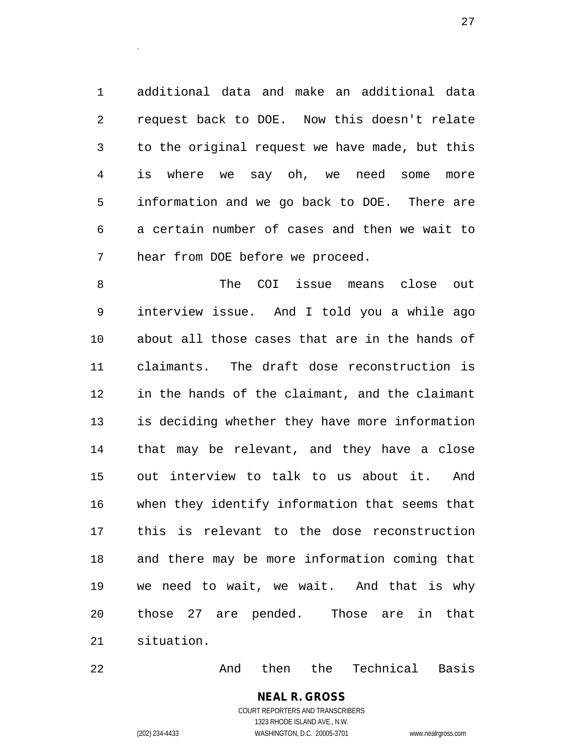additional data and make an additional data request back to DOE. Now this doesn't relate to the original request we have made, but this is where we say oh, we need some more information and we go back to DOE. There are a certain number of cases and then we wait to hear from DOE before we proceed.

 The COI issue means close out interview issue. And I told you a while ago about all those cases that are in the hands of claimants. The draft dose reconstruction is in the hands of the claimant, and the claimant is deciding whether they have more information that may be relevant, and they have a close out interview to talk to us about it. And when they identify information that seems that this is relevant to the dose reconstruction and there may be more information coming that we need to wait, we wait. And that is why those 27 are pended. Those are in that situation.

And then the Technical Basis

**NEAL R. GROSS** COURT REPORTERS AND TRANSCRIBERS 1323 RHODE ISLAND AVE., N.W. (202) 234-4433 WASHINGTON, D.C. 20005-3701 www.nealrgross.com

.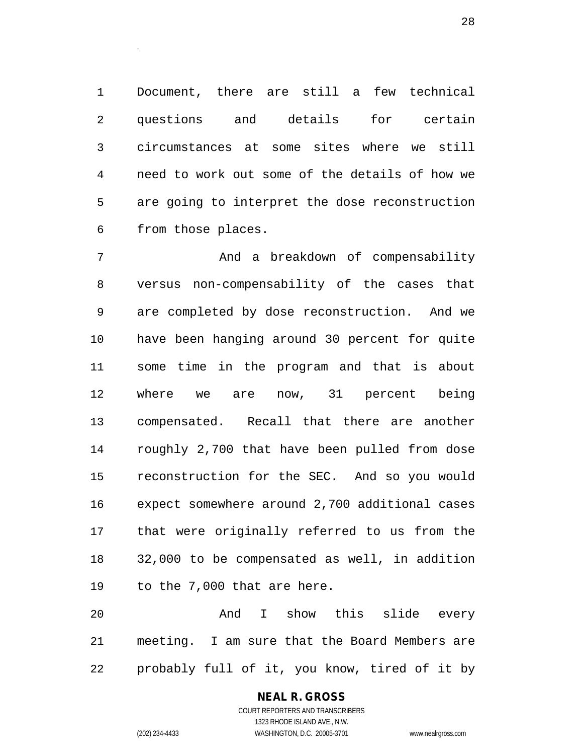Document, there are still a few technical questions and details for certain circumstances at some sites where we still need to work out some of the details of how we are going to interpret the dose reconstruction from those places.

 And a breakdown of compensability versus non-compensability of the cases that are completed by dose reconstruction. And we have been hanging around 30 percent for quite some time in the program and that is about where we are now, 31 percent being compensated. Recall that there are another roughly 2,700 that have been pulled from dose reconstruction for the SEC. And so you would expect somewhere around 2,700 additional cases that were originally referred to us from the 32,000 to be compensated as well, in addition to the 7,000 that are here.

 And I show this slide every meeting. I am sure that the Board Members are probably full of it, you know, tired of it by

> COURT REPORTERS AND TRANSCRIBERS 1323 RHODE ISLAND AVE., N.W. (202) 234-4433 WASHINGTON, D.C. 20005-3701 www.nealrgross.com

**NEAL R. GROSS**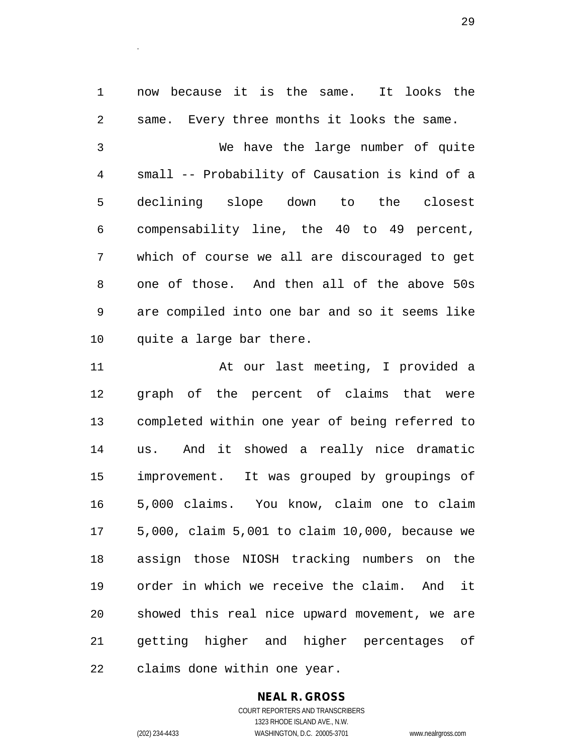now because it is the same. It looks the same. Every three months it looks the same.

 We have the large number of quite small -- Probability of Causation is kind of a declining slope down to the closest compensability line, the 40 to 49 percent, which of course we all are discouraged to get one of those. And then all of the above 50s are compiled into one bar and so it seems like quite a large bar there.

 At our last meeting, I provided a graph of the percent of claims that were completed within one year of being referred to us. And it showed a really nice dramatic improvement. It was grouped by groupings of 5,000 claims. You know, claim one to claim 5,000, claim 5,001 to claim 10,000, because we assign those NIOSH tracking numbers on the order in which we receive the claim. And it showed this real nice upward movement, we are getting higher and higher percentages of claims done within one year.

### **NEAL R. GROSS**

COURT REPORTERS AND TRANSCRIBERS 1323 RHODE ISLAND AVE., N.W. (202) 234-4433 WASHINGTON, D.C. 20005-3701 www.nealrgross.com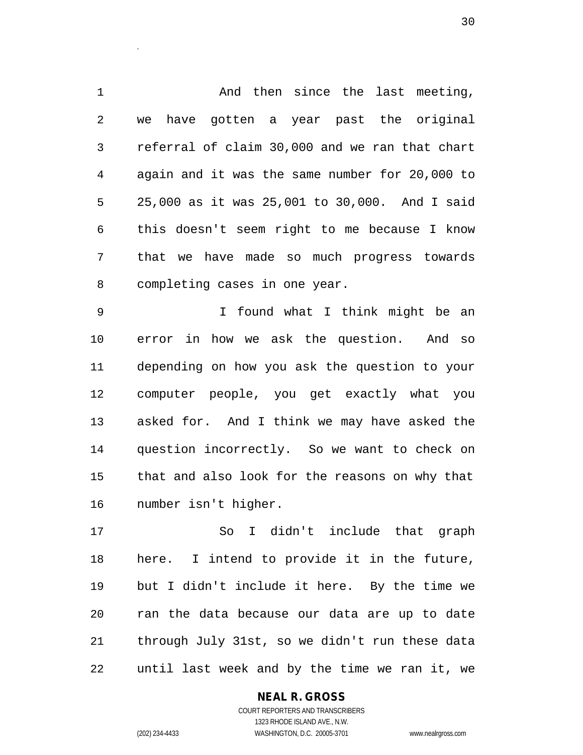And then since the last meeting, we have gotten a year past the original referral of claim 30,000 and we ran that chart again and it was the same number for 20,000 to 25,000 as it was 25,001 to 30,000. And I said this doesn't seem right to me because I know that we have made so much progress towards completing cases in one year.

 I found what I think might be an error in how we ask the question. And so depending on how you ask the question to your computer people, you get exactly what you asked for. And I think we may have asked the question incorrectly. So we want to check on that and also look for the reasons on why that number isn't higher.

 So I didn't include that graph here. I intend to provide it in the future, but I didn't include it here. By the time we ran the data because our data are up to date through July 31st, so we didn't run these data until last week and by the time we ran it, we

### **NEAL R. GROSS**

COURT REPORTERS AND TRANSCRIBERS 1323 RHODE ISLAND AVE., N.W. (202) 234-4433 WASHINGTON, D.C. 20005-3701 www.nealrgross.com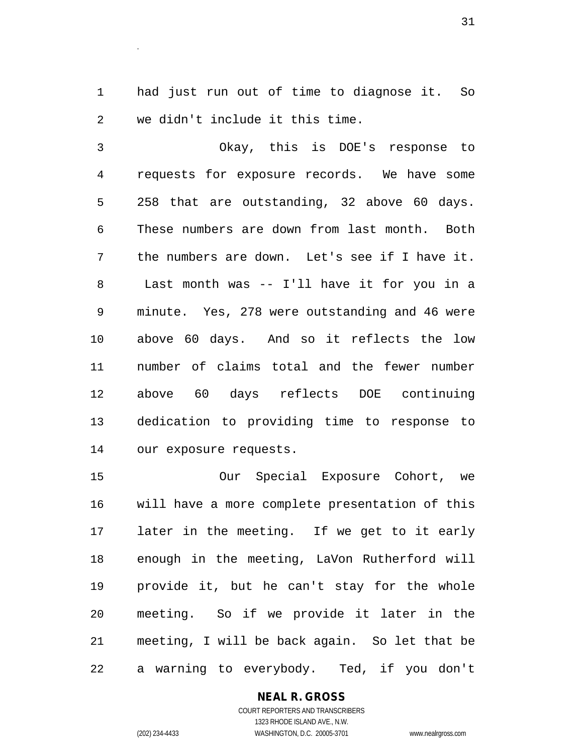had just run out of time to diagnose it. So we didn't include it this time.

 Okay, this is DOE's response to requests for exposure records. We have some 258 that are outstanding, 32 above 60 days. These numbers are down from last month. Both the numbers are down. Let's see if I have it. Last month was -- I'll have it for you in a minute. Yes, 278 were outstanding and 46 were above 60 days. And so it reflects the low number of claims total and the fewer number above 60 days reflects DOE continuing dedication to providing time to response to our exposure requests.

 Our Special Exposure Cohort, we will have a more complete presentation of this later in the meeting. If we get to it early enough in the meeting, LaVon Rutherford will provide it, but he can't stay for the whole meeting. So if we provide it later in the meeting, I will be back again. So let that be a warning to everybody. Ted, if you don't

> **NEAL R. GROSS** COURT REPORTERS AND TRANSCRIBERS 1323 RHODE ISLAND AVE., N.W. (202) 234-4433 WASHINGTON, D.C. 20005-3701 www.nealrgross.com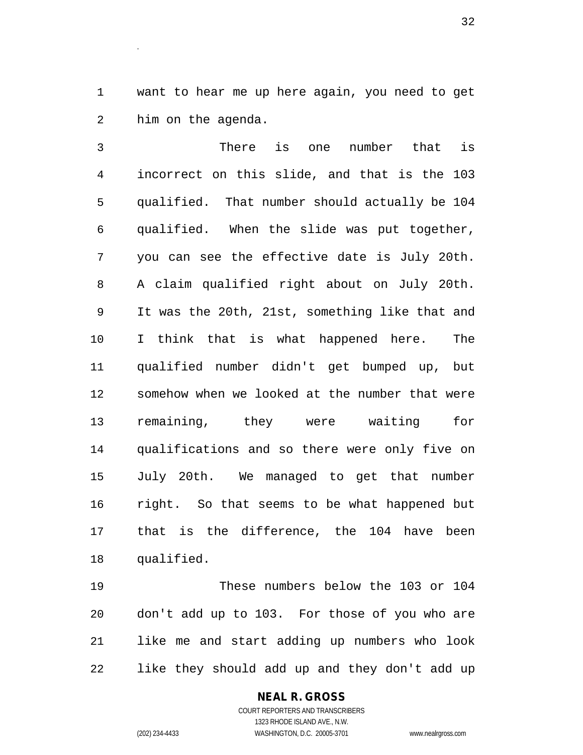want to hear me up here again, you need to get him on the agenda.

.

 There is one number that is incorrect on this slide, and that is the 103 qualified. That number should actually be 104 qualified. When the slide was put together, you can see the effective date is July 20th. A claim qualified right about on July 20th. It was the 20th, 21st, something like that and I think that is what happened here. The qualified number didn't get bumped up, but somehow when we looked at the number that were remaining, they were waiting for qualifications and so there were only five on July 20th. We managed to get that number right. So that seems to be what happened but that is the difference, the 104 have been qualified.

 These numbers below the 103 or 104 don't add up to 103. For those of you who are like me and start adding up numbers who look like they should add up and they don't add up

#### **NEAL R. GROSS**

COURT REPORTERS AND TRANSCRIBERS 1323 RHODE ISLAND AVE., N.W. (202) 234-4433 WASHINGTON, D.C. 20005-3701 www.nealrgross.com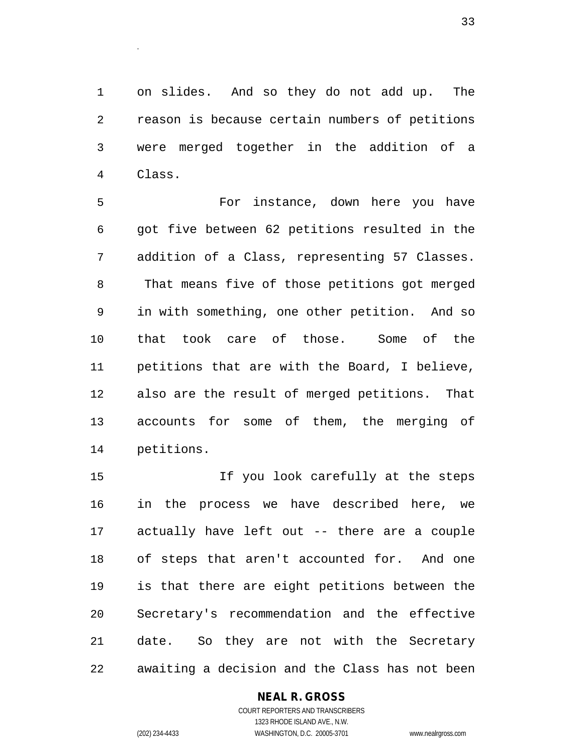on slides. And so they do not add up. The reason is because certain numbers of petitions were merged together in the addition of a Class.

 For instance, down here you have got five between 62 petitions resulted in the addition of a Class, representing 57 Classes. That means five of those petitions got merged in with something, one other petition. And so that took care of those. Some of the petitions that are with the Board, I believe, also are the result of merged petitions. That accounts for some of them, the merging of petitions.

 If you look carefully at the steps in the process we have described here, we actually have left out -- there are a couple of steps that aren't accounted for. And one is that there are eight petitions between the Secretary's recommendation and the effective date. So they are not with the Secretary awaiting a decision and the Class has not been

### **NEAL R. GROSS**

COURT REPORTERS AND TRANSCRIBERS 1323 RHODE ISLAND AVE., N.W. (202) 234-4433 WASHINGTON, D.C. 20005-3701 www.nealrgross.com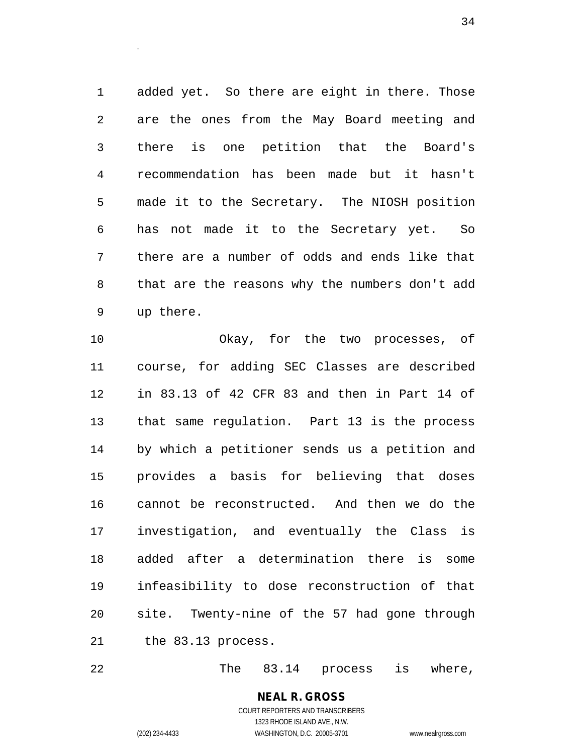added yet. So there are eight in there. Those are the ones from the May Board meeting and there is one petition that the Board's recommendation has been made but it hasn't made it to the Secretary. The NIOSH position has not made it to the Secretary yet. So there are a number of odds and ends like that that are the reasons why the numbers don't add up there.

 Okay, for the two processes, of course, for adding SEC Classes are described in 83.13 of 42 CFR 83 and then in Part 14 of that same regulation. Part 13 is the process by which a petitioner sends us a petition and provides a basis for believing that doses cannot be reconstructed. And then we do the investigation, and eventually the Class is added after a determination there is some infeasibility to dose reconstruction of that site. Twenty-nine of the 57 had gone through the 83.13 process.

The 83.14 process is where,

**NEAL R. GROSS** COURT REPORTERS AND TRANSCRIBERS 1323 RHODE ISLAND AVE., N.W. (202) 234-4433 WASHINGTON, D.C. 20005-3701 www.nealrgross.com

.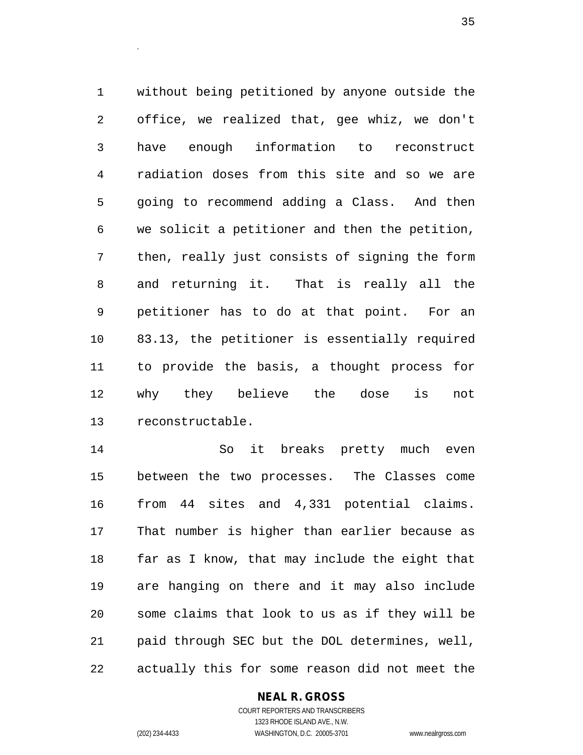without being petitioned by anyone outside the office, we realized that, gee whiz, we don't have enough information to reconstruct radiation doses from this site and so we are going to recommend adding a Class. And then we solicit a petitioner and then the petition, then, really just consists of signing the form and returning it. That is really all the petitioner has to do at that point. For an 83.13, the petitioner is essentially required to provide the basis, a thought process for why they believe the dose is not reconstructable.

 So it breaks pretty much even between the two processes. The Classes come from 44 sites and 4,331 potential claims. That number is higher than earlier because as far as I know, that may include the eight that are hanging on there and it may also include some claims that look to us as if they will be paid through SEC but the DOL determines, well, actually this for some reason did not meet the

### **NEAL R. GROSS**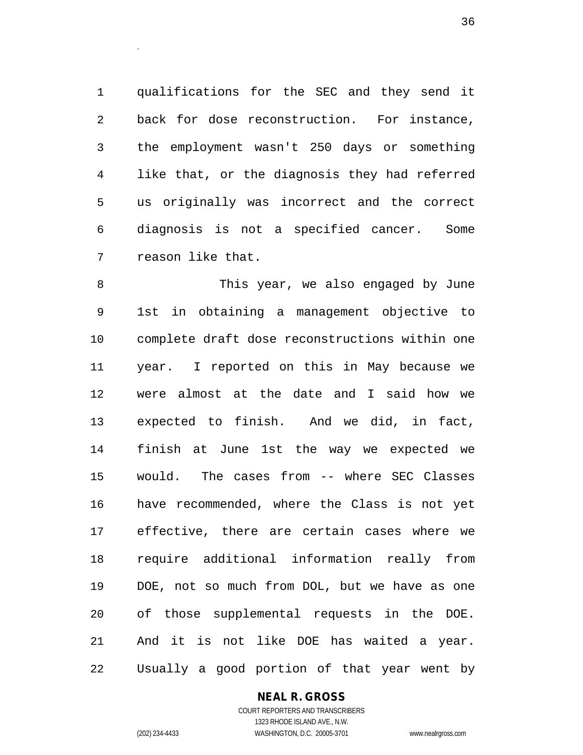qualifications for the SEC and they send it back for dose reconstruction. For instance, the employment wasn't 250 days or something like that, or the diagnosis they had referred us originally was incorrect and the correct diagnosis is not a specified cancer. Some reason like that.

.

 This year, we also engaged by June 1st in obtaining a management objective to complete draft dose reconstructions within one year. I reported on this in May because we were almost at the date and I said how we expected to finish. And we did, in fact, finish at June 1st the way we expected we would. The cases from -- where SEC Classes have recommended, where the Class is not yet effective, there are certain cases where we require additional information really from DOE, not so much from DOL, but we have as one of those supplemental requests in the DOE. And it is not like DOE has waited a year. Usually a good portion of that year went by

#### **NEAL R. GROSS**

COURT REPORTERS AND TRANSCRIBERS 1323 RHODE ISLAND AVE., N.W. (202) 234-4433 WASHINGTON, D.C. 20005-3701 www.nealrgross.com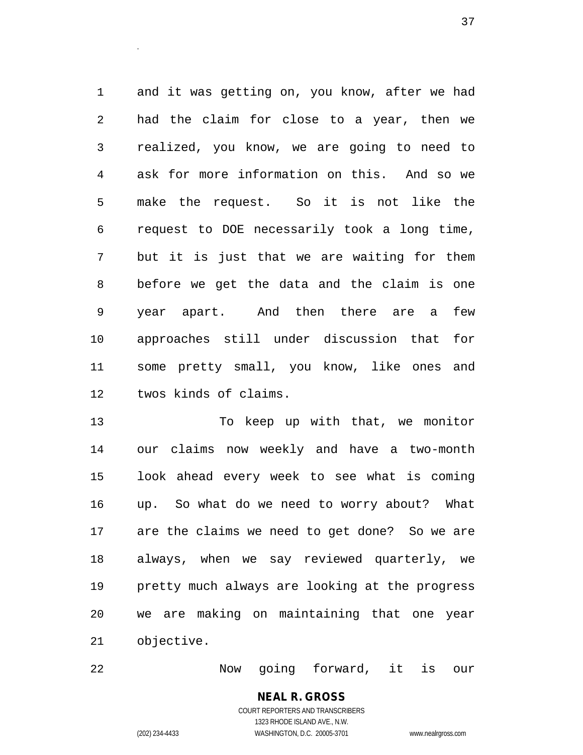and it was getting on, you know, after we had had the claim for close to a year, then we realized, you know, we are going to need to ask for more information on this. And so we make the request. So it is not like the request to DOE necessarily took a long time, but it is just that we are waiting for them before we get the data and the claim is one year apart. And then there are a few approaches still under discussion that for some pretty small, you know, like ones and twos kinds of claims.

 To keep up with that, we monitor our claims now weekly and have a two-month look ahead every week to see what is coming up. So what do we need to worry about? What are the claims we need to get done? So we are always, when we say reviewed quarterly, we pretty much always are looking at the progress we are making on maintaining that one year objective.

Now going forward, it is our

# **NEAL R. GROSS**

.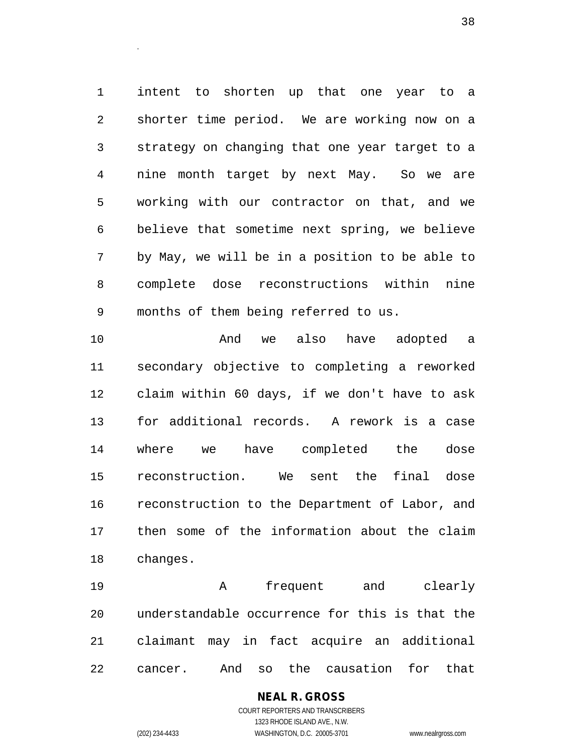intent to shorten up that one year to a shorter time period. We are working now on a strategy on changing that one year target to a nine month target by next May. So we are working with our contractor on that, and we believe that sometime next spring, we believe by May, we will be in a position to be able to complete dose reconstructions within nine months of them being referred to us.

 And we also have adopted a secondary objective to completing a reworked claim within 60 days, if we don't have to ask for additional records. A rework is a case where we have completed the dose reconstruction. We sent the final dose reconstruction to the Department of Labor, and then some of the information about the claim changes.

 A frequent and clearly understandable occurrence for this is that the claimant may in fact acquire an additional cancer. And so the causation for that

> **NEAL R. GROSS** COURT REPORTERS AND TRANSCRIBERS 1323 RHODE ISLAND AVE., N.W. (202) 234-4433 WASHINGTON, D.C. 20005-3701 www.nealrgross.com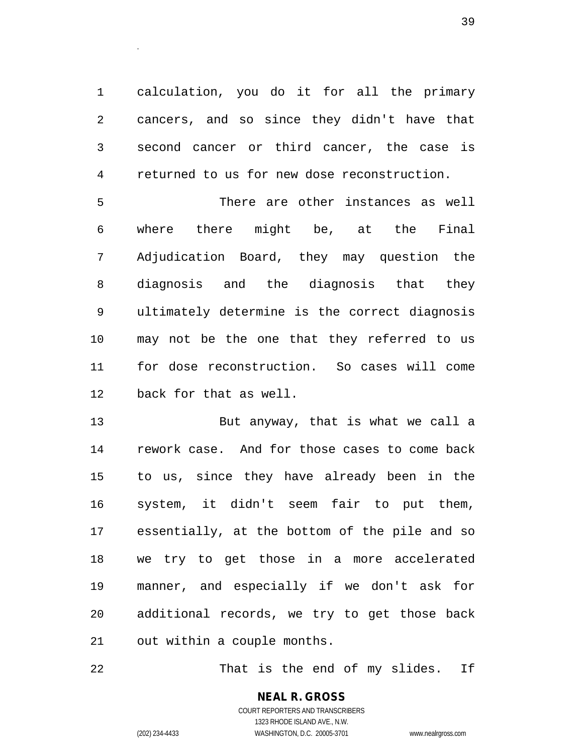calculation, you do it for all the primary cancers, and so since they didn't have that second cancer or third cancer, the case is returned to us for new dose reconstruction.

 There are other instances as well where there might be, at the Final Adjudication Board, they may question the diagnosis and the diagnosis that they ultimately determine is the correct diagnosis may not be the one that they referred to us for dose reconstruction. So cases will come back for that as well.

 But anyway, that is what we call a rework case. And for those cases to come back to us, since they have already been in the system, it didn't seem fair to put them, essentially, at the bottom of the pile and so we try to get those in a more accelerated manner, and especially if we don't ask for additional records, we try to get those back out within a couple months.

22 That is the end of my slides. If

**NEAL R. GROSS** COURT REPORTERS AND TRANSCRIBERS 1323 RHODE ISLAND AVE., N.W. (202) 234-4433 WASHINGTON, D.C. 20005-3701 www.nealrgross.com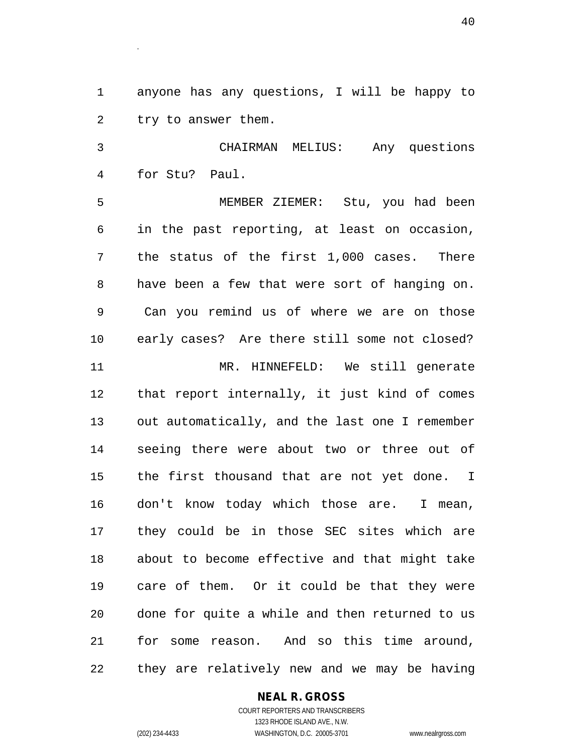anyone has any questions, I will be happy to try to answer them.

 CHAIRMAN MELIUS: Any questions for Stu? Paul.

 MEMBER ZIEMER: Stu, you had been in the past reporting, at least on occasion, the status of the first 1,000 cases. There have been a few that were sort of hanging on. Can you remind us of where we are on those early cases? Are there still some not closed? MR. HINNEFELD: We still generate that report internally, it just kind of comes out automatically, and the last one I remember seeing there were about two or three out of the first thousand that are not yet done. I don't know today which those are. I mean, they could be in those SEC sites which are about to become effective and that might take care of them. Or it could be that they were done for quite a while and then returned to us for some reason. And so this time around, they are relatively new and we may be having

#### **NEAL R. GROSS**

COURT REPORTERS AND TRANSCRIBERS 1323 RHODE ISLAND AVE., N.W. (202) 234-4433 WASHINGTON, D.C. 20005-3701 www.nealrgross.com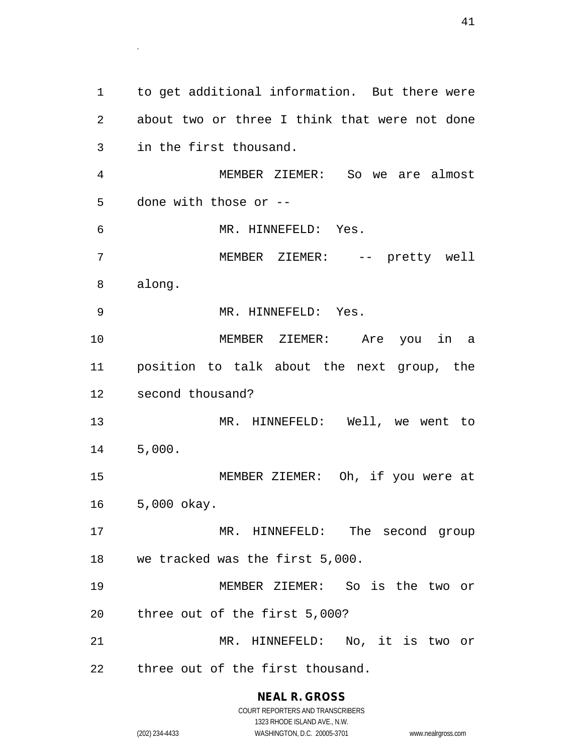to get additional information. But there were about two or three I think that were not done in the first thousand. MEMBER ZIEMER: So we are almost done with those or -- MR. HINNEFELD: Yes. MEMBER ZIEMER: -- pretty well along. MR. HINNEFELD: Yes. MEMBER ZIEMER: Are you in a position to talk about the next group, the second thousand? MR. HINNEFELD: Well, we went to 5,000. MEMBER ZIEMER: Oh, if you were at 5,000 okay. MR. HINNEFELD: The second group we tracked was the first 5,000. MEMBER ZIEMER: So is the two or three out of the first 5,000? MR. HINNEFELD: No, it is two or three out of the first thousand.

> **NEAL R. GROSS** COURT REPORTERS AND TRANSCRIBERS

> > 1323 RHODE ISLAND AVE., N.W.

.

(202) 234-4433 WASHINGTON, D.C. 20005-3701 www.nealrgross.com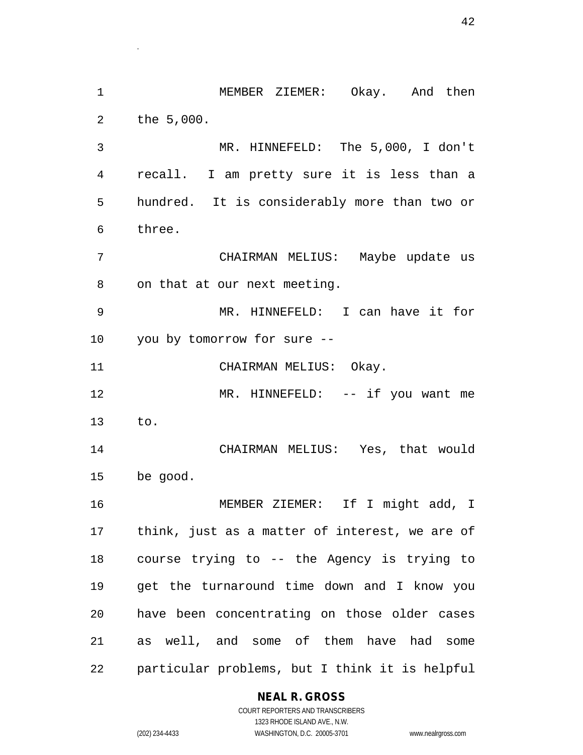MEMBER ZIEMER: Okay. And then the 5,000. MR. HINNEFELD: The 5,000, I don't recall. I am pretty sure it is less than a hundred. It is considerably more than two or three. CHAIRMAN MELIUS: Maybe update us on that at our next meeting. MR. HINNEFELD: I can have it for you by tomorrow for sure -- 11 CHAIRMAN MELIUS: Okay. 12 MR. HINNEFELD: -- if you want me to. CHAIRMAN MELIUS: Yes, that would be good. MEMBER ZIEMER: If I might add, I think, just as a matter of interest, we are of course trying to -- the Agency is trying to get the turnaround time down and I know you have been concentrating on those older cases as well, and some of them have had some particular problems, but I think it is helpful

#### **NEAL R. GROSS**

.

COURT REPORTERS AND TRANSCRIBERS 1323 RHODE ISLAND AVE., N.W. (202) 234-4433 WASHINGTON, D.C. 20005-3701 www.nealrgross.com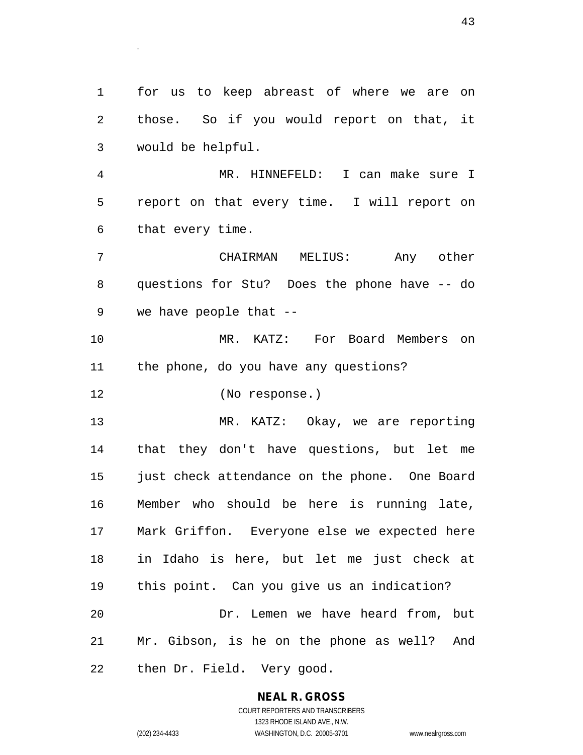for us to keep abreast of where we are on those. So if you would report on that, it would be helpful.

 MR. HINNEFELD: I can make sure I report on that every time. I will report on that every time.

 CHAIRMAN MELIUS: Any other questions for Stu? Does the phone have -- do we have people that --

 MR. KATZ: For Board Members on the phone, do you have any questions?

(No response.)

.

 MR. KATZ: Okay, we are reporting that they don't have questions, but let me just check attendance on the phone. One Board Member who should be here is running late, Mark Griffon. Everyone else we expected here in Idaho is here, but let me just check at this point. Can you give us an indication? Dr. Lemen we have heard from, but Mr. Gibson, is he on the phone as well? And then Dr. Field. Very good.

# **NEAL R. GROSS**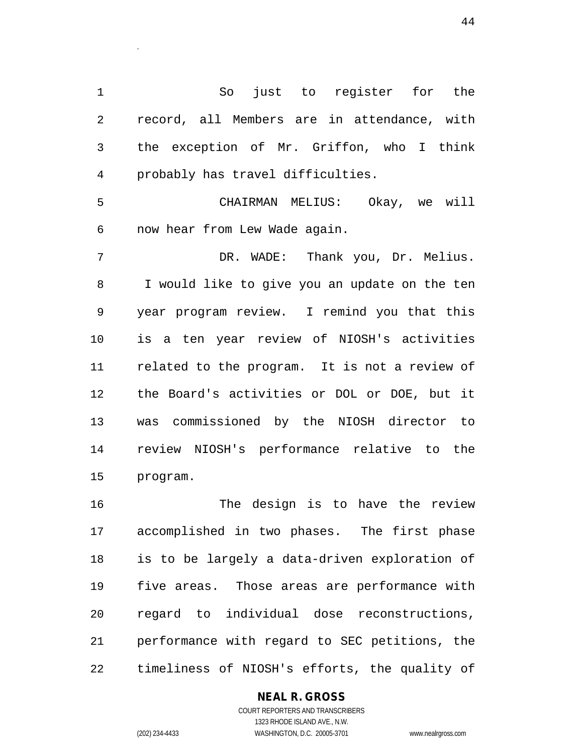So just to register for the record, all Members are in attendance, with the exception of Mr. Griffon, who I think probably has travel difficulties.

 CHAIRMAN MELIUS: Okay, we will now hear from Lew Wade again.

 DR. WADE: Thank you, Dr. Melius. I would like to give you an update on the ten year program review. I remind you that this is a ten year review of NIOSH's activities related to the program. It is not a review of the Board's activities or DOL or DOE, but it was commissioned by the NIOSH director to review NIOSH's performance relative to the program.

16 The design is to have the review accomplished in two phases. The first phase is to be largely a data-driven exploration of five areas. Those areas are performance with regard to individual dose reconstructions, performance with regard to SEC petitions, the timeliness of NIOSH's efforts, the quality of

#### **NEAL R. GROSS**

.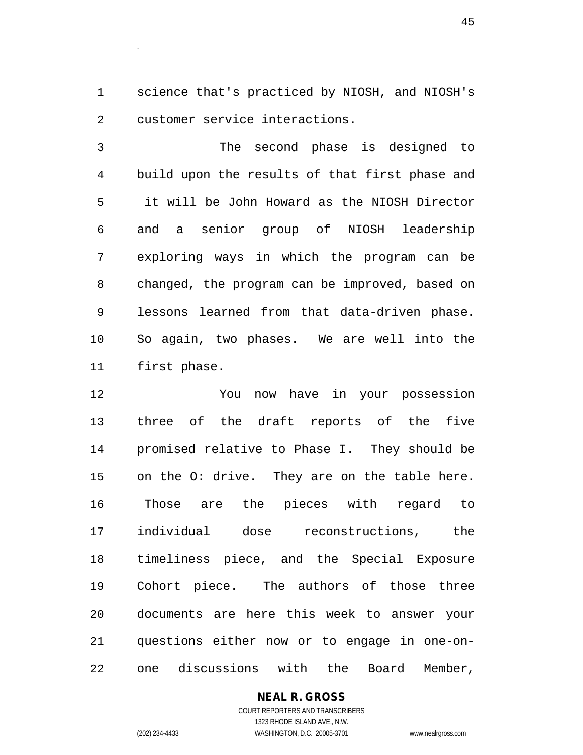science that's practiced by NIOSH, and NIOSH's customer service interactions.

 The second phase is designed to build upon the results of that first phase and it will be John Howard as the NIOSH Director and a senior group of NIOSH leadership exploring ways in which the program can be changed, the program can be improved, based on lessons learned from that data-driven phase. So again, two phases. We are well into the first phase.

 You now have in your possession three of the draft reports of the five promised relative to Phase I. They should be on the O: drive. They are on the table here. Those are the pieces with regard to individual dose reconstructions, the timeliness piece, and the Special Exposure Cohort piece. The authors of those three documents are here this week to answer your questions either now or to engage in one-on-one discussions with the Board Member,

**NEAL R. GROSS**

.

COURT REPORTERS AND TRANSCRIBERS 1323 RHODE ISLAND AVE., N.W. (202) 234-4433 WASHINGTON, D.C. 20005-3701 www.nealrgross.com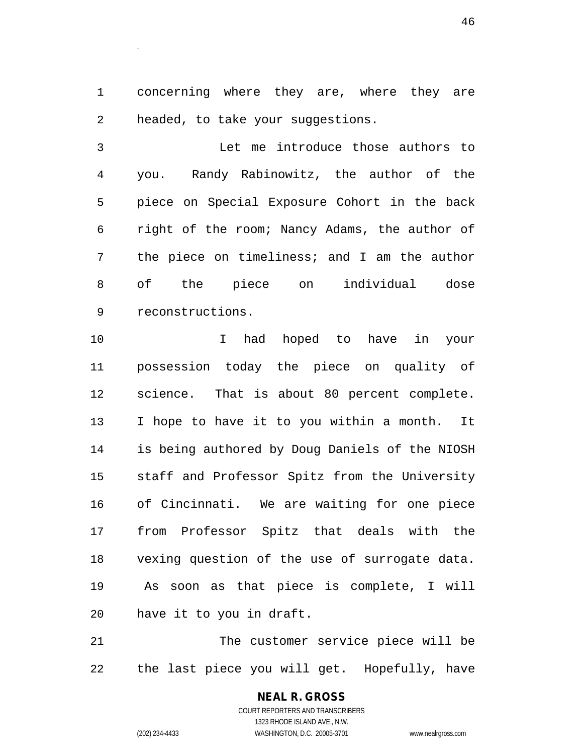concerning where they are, where they are headed, to take your suggestions.

 Let me introduce those authors to you. Randy Rabinowitz, the author of the piece on Special Exposure Cohort in the back right of the room; Nancy Adams, the author of the piece on timeliness; and I am the author of the piece on individual dose reconstructions.

 I had hoped to have in your possession today the piece on quality of science. That is about 80 percent complete. I hope to have it to you within a month. It is being authored by Doug Daniels of the NIOSH staff and Professor Spitz from the University of Cincinnati. We are waiting for one piece from Professor Spitz that deals with the vexing question of the use of surrogate data. As soon as that piece is complete, I will have it to you in draft.

 The customer service piece will be the last piece you will get. Hopefully, have

> **NEAL R. GROSS** COURT REPORTERS AND TRANSCRIBERS 1323 RHODE ISLAND AVE., N.W. (202) 234-4433 WASHINGTON, D.C. 20005-3701 www.nealrgross.com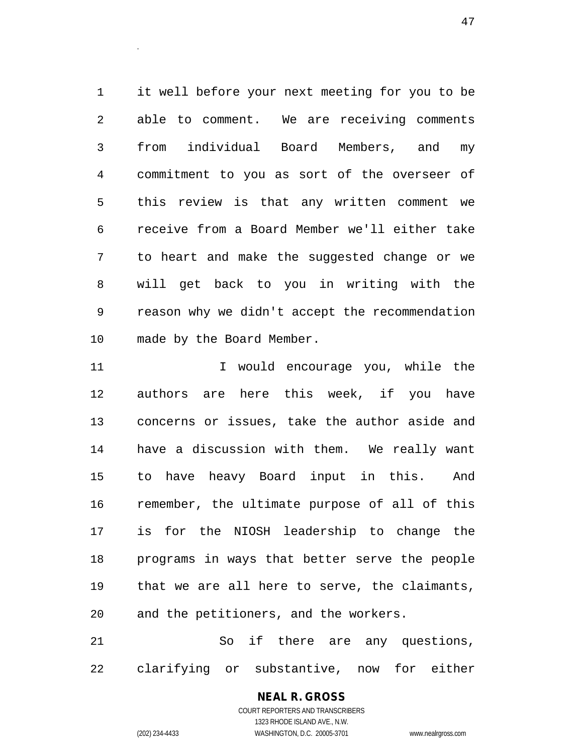it well before your next meeting for you to be able to comment. We are receiving comments from individual Board Members, and my commitment to you as sort of the overseer of this review is that any written comment we receive from a Board Member we'll either take to heart and make the suggested change or we will get back to you in writing with the reason why we didn't accept the recommendation made by the Board Member.

11 11 I would encourage you, while the authors are here this week, if you have concerns or issues, take the author aside and have a discussion with them. We really want to have heavy Board input in this. And remember, the ultimate purpose of all of this is for the NIOSH leadership to change the programs in ways that better serve the people that we are all here to serve, the claimants, and the petitioners, and the workers.

 So if there are any questions, clarifying or substantive, now for either

## **NEAL R. GROSS**

.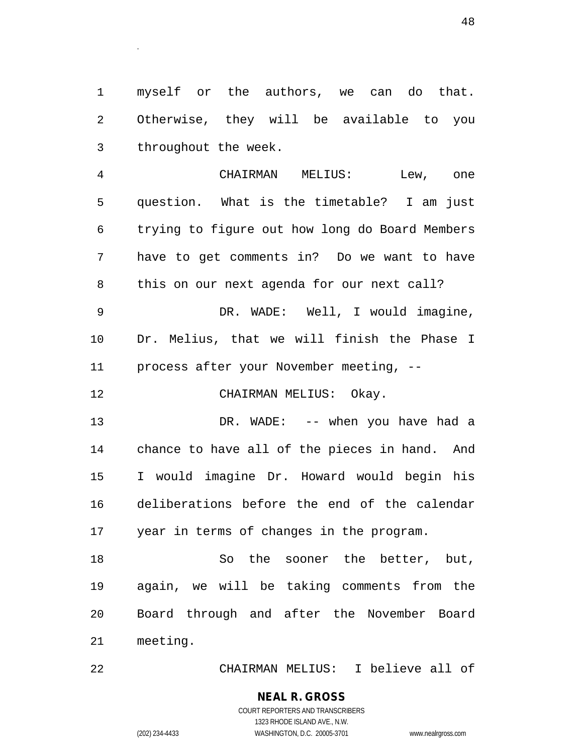myself or the authors, we can do that. Otherwise, they will be available to you throughout the week.

 CHAIRMAN MELIUS: Lew, one question. What is the timetable? I am just trying to figure out how long do Board Members have to get comments in? Do we want to have this on our next agenda for our next call? DR. WADE: Well, I would imagine, Dr. Melius, that we will finish the Phase I process after your November meeting, -- 12 CHAIRMAN MELIUS: Okay. 13 DR. WADE: -- when you have had a

 chance to have all of the pieces in hand. And I would imagine Dr. Howard would begin his deliberations before the end of the calendar year in terms of changes in the program.

 So the sooner the better, but, again, we will be taking comments from the Board through and after the November Board meeting.

CHAIRMAN MELIUS: I believe all of

### **NEAL R. GROSS**

.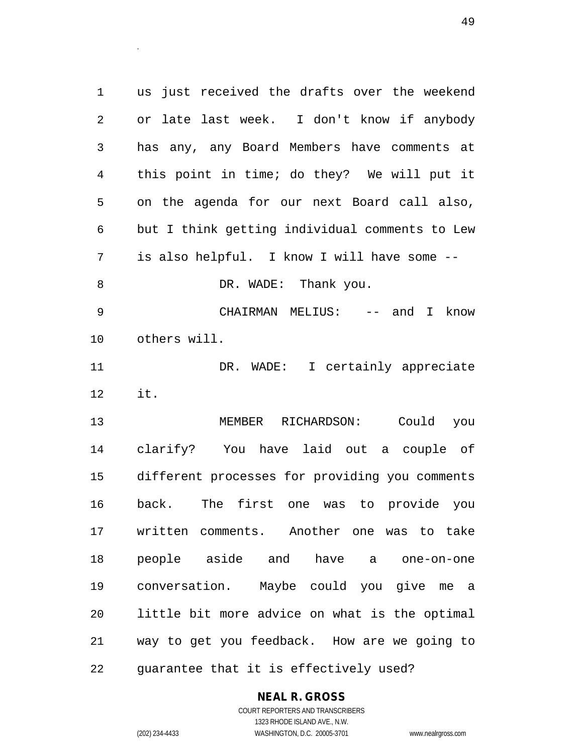us just received the drafts over the weekend or late last week. I don't know if anybody has any, any Board Members have comments at this point in time; do they? We will put it on the agenda for our next Board call also, but I think getting individual comments to Lew is also helpful. I know I will have some -- 8 DR. WADE: Thank you. CHAIRMAN MELIUS: -- and I know others will. 11 DR. WADE: I certainly appreciate it. MEMBER RICHARDSON: Could you clarify? You have laid out a couple of different processes for providing you comments back. The first one was to provide you written comments. Another one was to take people aside and have a one-on-one conversation. Maybe could you give me a little bit more advice on what is the optimal way to get you feedback. How are we going to guarantee that it is effectively used?

#### **NEAL R. GROSS** COURT REPORTERS AND TRANSCRIBERS

1323 RHODE ISLAND AVE., N.W.

.

(202) 234-4433 WASHINGTON, D.C. 20005-3701 www.nealrgross.com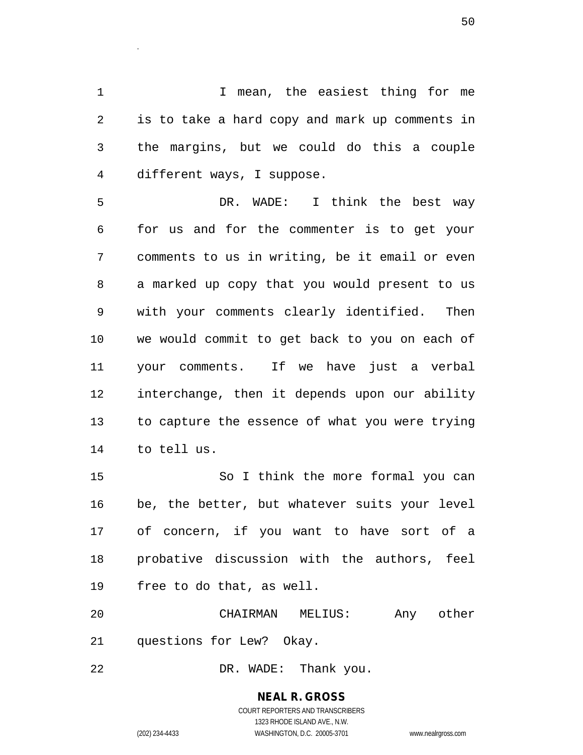I mean, the easiest thing for me is to take a hard copy and mark up comments in the margins, but we could do this a couple different ways, I suppose.

 DR. WADE: I think the best way for us and for the commenter is to get your comments to us in writing, be it email or even a marked up copy that you would present to us with your comments clearly identified. Then we would commit to get back to you on each of your comments. If we have just a verbal interchange, then it depends upon our ability to capture the essence of what you were trying to tell us.

 So I think the more formal you can be, the better, but whatever suits your level of concern, if you want to have sort of a probative discussion with the authors, feel free to do that, as well.

 CHAIRMAN MELIUS: Any other questions for Lew? Okay.

DR. WADE: Thank you.

**NEAL R. GROSS** COURT REPORTERS AND TRANSCRIBERS 1323 RHODE ISLAND AVE., N.W. (202) 234-4433 WASHINGTON, D.C. 20005-3701 www.nealrgross.com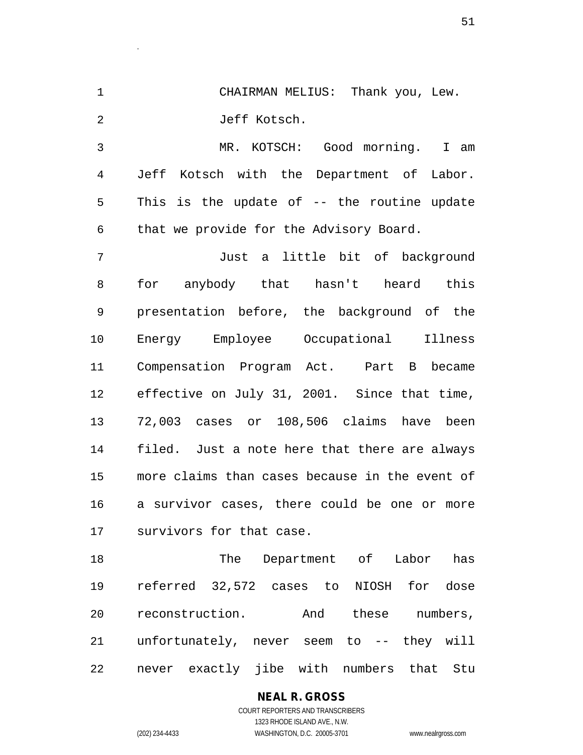CHAIRMAN MELIUS: Thank you, Lew. Jeff Kotsch.

.

 MR. KOTSCH: Good morning. I am Jeff Kotsch with the Department of Labor. This is the update of -- the routine update that we provide for the Advisory Board.

 Just a little bit of background for anybody that hasn't heard this presentation before, the background of the Energy Employee Occupational Illness Compensation Program Act. Part B became effective on July 31, 2001. Since that time, 72,003 cases or 108,506 claims have been filed. Just a note here that there are always more claims than cases because in the event of a survivor cases, there could be one or more survivors for that case.

 The Department of Labor has referred 32,572 cases to NIOSH for dose reconstruction. And these numbers, unfortunately, never seem to -- they will never exactly jibe with numbers that Stu

## **NEAL R. GROSS**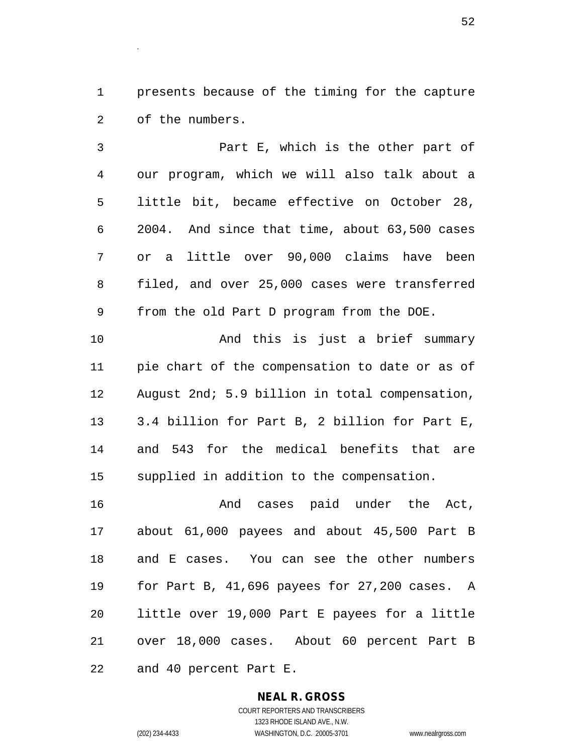presents because of the timing for the capture of the numbers.

 Part E, which is the other part of our program, which we will also talk about a little bit, became effective on October 28, 2004. And since that time, about 63,500 cases or a little over 90,000 claims have been filed, and over 25,000 cases were transferred from the old Part D program from the DOE.

 And this is just a brief summary pie chart of the compensation to date or as of August 2nd; 5.9 billion in total compensation, 3.4 billion for Part B, 2 billion for Part E, and 543 for the medical benefits that are supplied in addition to the compensation.

 And cases paid under the Act, about 61,000 payees and about 45,500 Part B and E cases. You can see the other numbers for Part B, 41,696 payees for 27,200 cases. A little over 19,000 Part E payees for a little over 18,000 cases. About 60 percent Part B and 40 percent Part E.

> **NEAL R. GROSS** COURT REPORTERS AND TRANSCRIBERS 1323 RHODE ISLAND AVE., N.W. (202) 234-4433 WASHINGTON, D.C. 20005-3701 www.nealrgross.com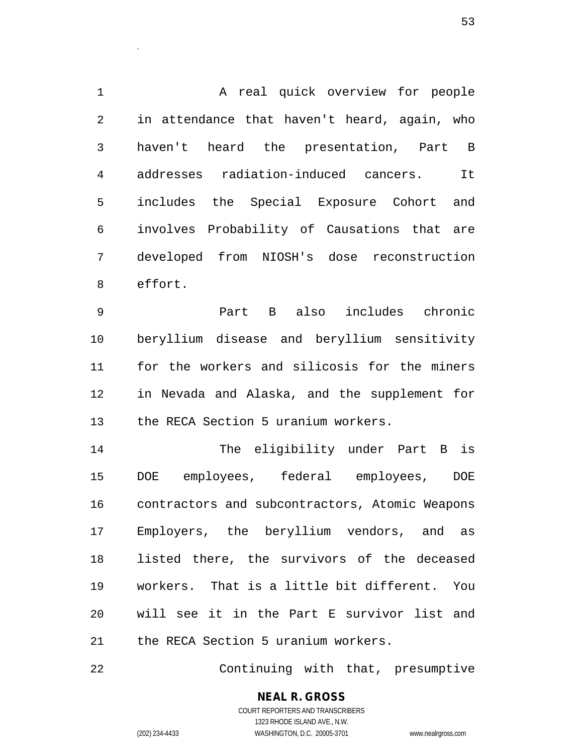1 A real quick overview for people in attendance that haven't heard, again, who haven't heard the presentation, Part B addresses radiation-induced cancers. It includes the Special Exposure Cohort and involves Probability of Causations that are developed from NIOSH's dose reconstruction effort.

 Part B also includes chronic beryllium disease and beryllium sensitivity for the workers and silicosis for the miners in Nevada and Alaska, and the supplement for the RECA Section 5 uranium workers.

 The eligibility under Part B is DOE employees, federal employees, DOE contractors and subcontractors, Atomic Weapons Employers, the beryllium vendors, and as listed there, the survivors of the deceased workers. That is a little bit different. You will see it in the Part E survivor list and the RECA Section 5 uranium workers.

Continuing with that, presumptive

# **NEAL R. GROSS**

.

COURT REPORTERS AND TRANSCRIBERS 1323 RHODE ISLAND AVE., N.W. (202) 234-4433 WASHINGTON, D.C. 20005-3701 www.nealrgross.com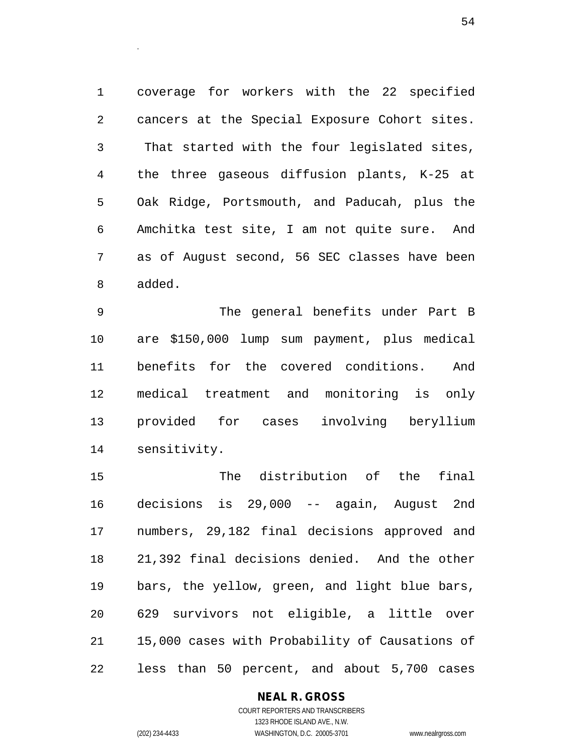coverage for workers with the 22 specified cancers at the Special Exposure Cohort sites. That started with the four legislated sites, the three gaseous diffusion plants, K-25 at Oak Ridge, Portsmouth, and Paducah, plus the Amchitka test site, I am not quite sure. And as of August second, 56 SEC classes have been added.

 The general benefits under Part B are \$150,000 lump sum payment, plus medical benefits for the covered conditions. And medical treatment and monitoring is only provided for cases involving beryllium sensitivity.

 The distribution of the final decisions is 29,000 -- again, August 2nd numbers, 29,182 final decisions approved and 21,392 final decisions denied. And the other bars, the yellow, green, and light blue bars, 629 survivors not eligible, a little over 15,000 cases with Probability of Causations of less than 50 percent, and about 5,700 cases

#### **NEAL R. GROSS**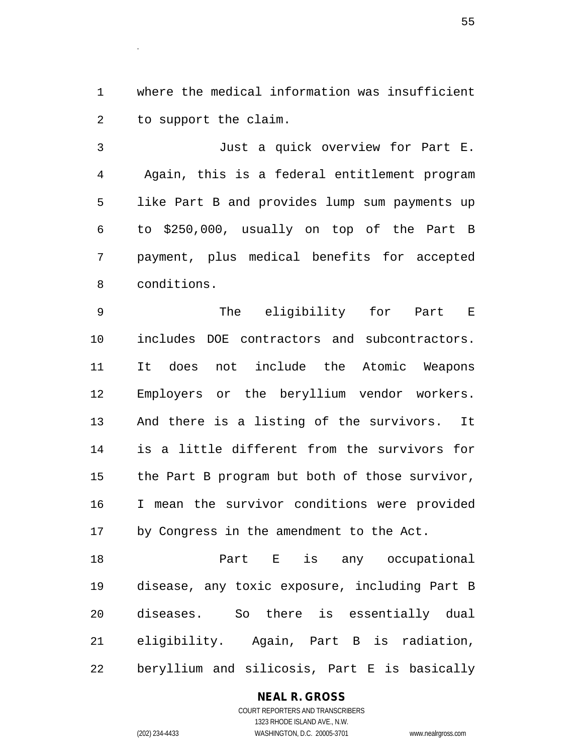where the medical information was insufficient to support the claim.

.

 Just a quick overview for Part E. Again, this is a federal entitlement program like Part B and provides lump sum payments up to \$250,000, usually on top of the Part B payment, plus medical benefits for accepted conditions.

 The eligibility for Part E includes DOE contractors and subcontractors. It does not include the Atomic Weapons Employers or the beryllium vendor workers. And there is a listing of the survivors. It is a little different from the survivors for the Part B program but both of those survivor, I mean the survivor conditions were provided by Congress in the amendment to the Act.

 Part E is any occupational disease, any toxic exposure, including Part B diseases. So there is essentially dual eligibility. Again, Part B is radiation, beryllium and silicosis, Part E is basically

#### **NEAL R. GROSS**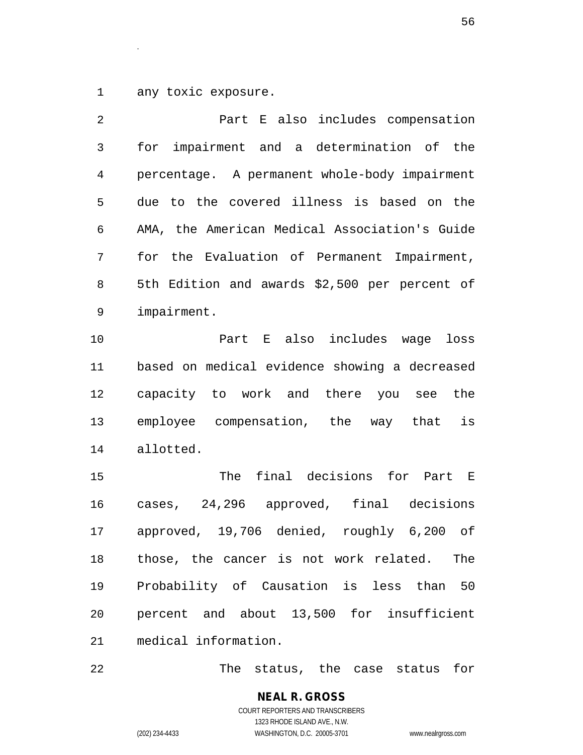any toxic exposure.

.

| 2  | Part E also includes compensation             |
|----|-----------------------------------------------|
| 3  | impairment and a determination of the<br>for  |
| 4  | percentage. A permanent whole-body impairment |
| 5  | due to the covered illness is based on the    |
| 6  | AMA, the American Medical Association's Guide |
| 7  | for the Evaluation of Permanent Impairment,   |
| 8  | 5th Edition and awards \$2,500 per percent of |
| 9  | impairment.                                   |
| 10 | Part E also includes wage loss                |
| 11 | based on medical evidence showing a decreased |
| 12 | capacity to work and there you see the        |
| 13 | employee compensation, the way that<br>is     |
| 14 | allotted.                                     |
| 15 | final decisions for<br>The<br>Part E          |
| 16 | cases, 24,296 approved, final decisions       |
| 17 | approved, 19,706 denied, roughly 6,200 of     |
| 18 | those, the cancer is not work related.<br>The |
| 19 | Probability of Causation is less than 50      |
| 20 | percent and about 13,500 for insufficient     |

medical information.

The status, the case status for

**NEAL R. GROSS** COURT REPORTERS AND TRANSCRIBERS 1323 RHODE ISLAND AVE., N.W. (202) 234-4433 WASHINGTON, D.C. 20005-3701 www.nealrgross.com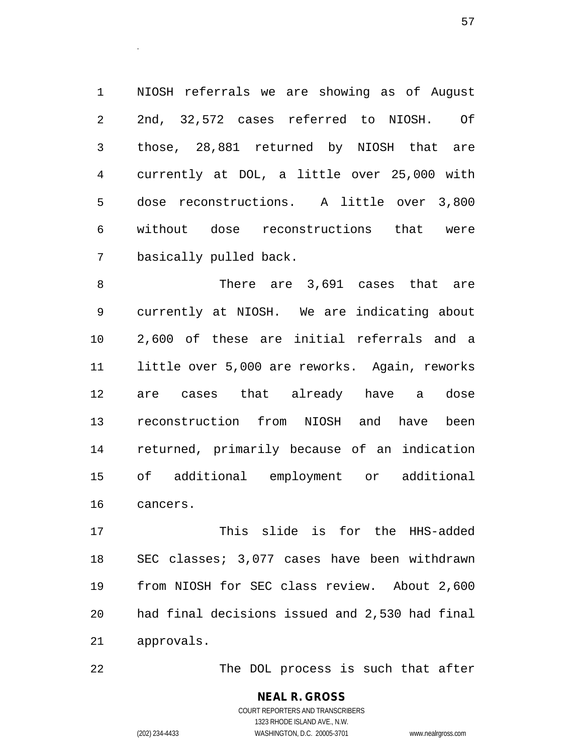NIOSH referrals we are showing as of August 2nd, 32,572 cases referred to NIOSH. Of those, 28,881 returned by NIOSH that are currently at DOL, a little over 25,000 with dose reconstructions. A little over 3,800 without dose reconstructions that were basically pulled back.

 There are 3,691 cases that are currently at NIOSH. We are indicating about 2,600 of these are initial referrals and a little over 5,000 are reworks. Again, reworks are cases that already have a dose reconstruction from NIOSH and have been returned, primarily because of an indication of additional employment or additional cancers.

 This slide is for the HHS-added SEC classes; 3,077 cases have been withdrawn from NIOSH for SEC class review. About 2,600 had final decisions issued and 2,530 had final approvals.

22 The DOL process is such that after

**NEAL R. GROSS** COURT REPORTERS AND TRANSCRIBERS 1323 RHODE ISLAND AVE., N.W. (202) 234-4433 WASHINGTON, D.C. 20005-3701 www.nealrgross.com

.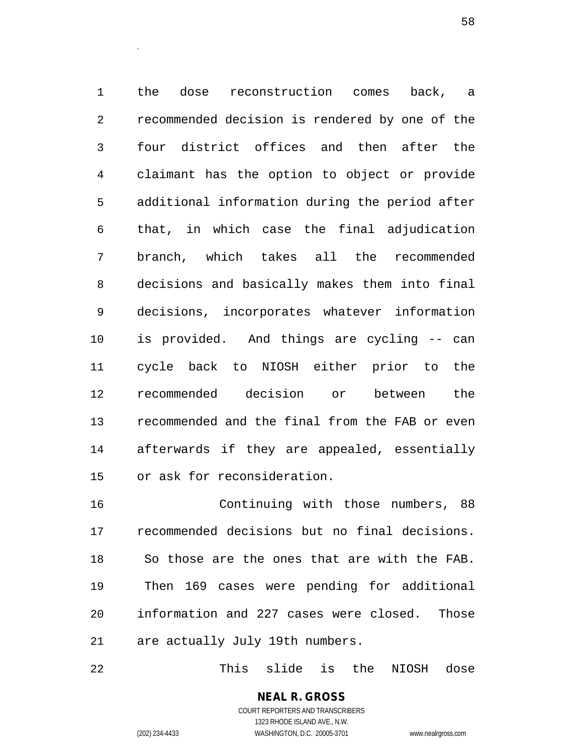the dose reconstruction comes back, a recommended decision is rendered by one of the four district offices and then after the claimant has the option to object or provide additional information during the period after that, in which case the final adjudication branch, which takes all the recommended decisions and basically makes them into final decisions, incorporates whatever information is provided. And things are cycling -- can cycle back to NIOSH either prior to the recommended decision or between the recommended and the final from the FAB or even afterwards if they are appealed, essentially or ask for reconsideration.

 Continuing with those numbers, 88 recommended decisions but no final decisions. So those are the ones that are with the FAB. Then 169 cases were pending for additional information and 227 cases were closed. Those are actually July 19th numbers.

This slide is the NIOSH dose

**NEAL R. GROSS** COURT REPORTERS AND TRANSCRIBERS 1323 RHODE ISLAND AVE., N.W.

.

(202) 234-4433 WASHINGTON, D.C. 20005-3701 www.nealrgross.com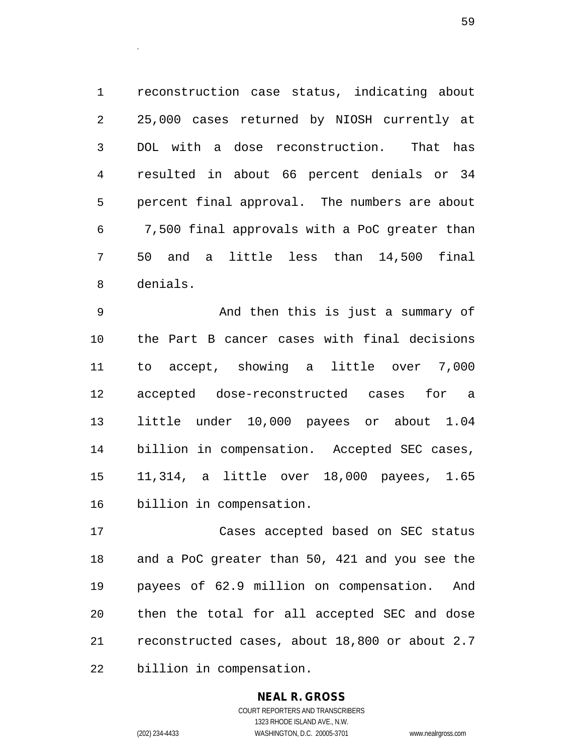reconstruction case status, indicating about 25,000 cases returned by NIOSH currently at DOL with a dose reconstruction. That has resulted in about 66 percent denials or 34 percent final approval. The numbers are about 7,500 final approvals with a PoC greater than 50 and a little less than 14,500 final denials.

 And then this is just a summary of the Part B cancer cases with final decisions to accept, showing a little over 7,000 accepted dose-reconstructed cases for a little under 10,000 payees or about 1.04 billion in compensation. Accepted SEC cases, 11,314, a little over 18,000 payees, 1.65 billion in compensation.

 Cases accepted based on SEC status and a PoC greater than 50, 421 and you see the payees of 62.9 million on compensation. And then the total for all accepted SEC and dose reconstructed cases, about 18,800 or about 2.7 billion in compensation.

# **NEAL R. GROSS**

.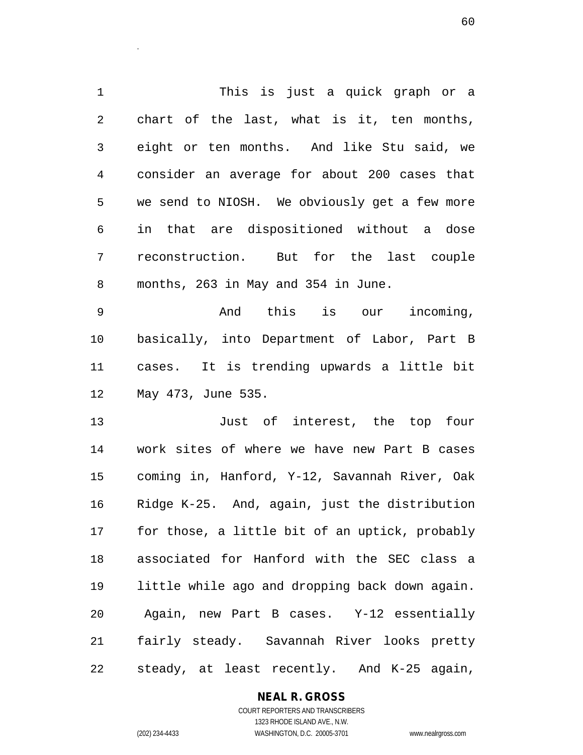This is just a quick graph or a chart of the last, what is it, ten months, eight or ten months. And like Stu said, we consider an average for about 200 cases that we send to NIOSH. We obviously get a few more in that are dispositioned without a dose reconstruction. But for the last couple months, 263 in May and 354 in June. And this is our incoming,

.

 basically, into Department of Labor, Part B cases. It is trending upwards a little bit May 473, June 535.

 Just of interest, the top four work sites of where we have new Part B cases coming in, Hanford, Y-12, Savannah River, Oak Ridge K-25. And, again, just the distribution for those, a little bit of an uptick, probably associated for Hanford with the SEC class a little while ago and dropping back down again. Again, new Part B cases. Y-12 essentially fairly steady. Savannah River looks pretty steady, at least recently. And K-25 again,

#### **NEAL R. GROSS**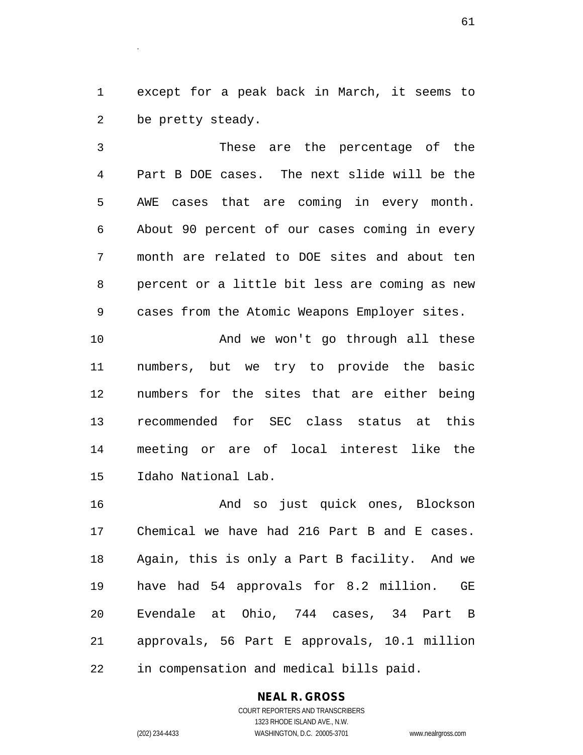except for a peak back in March, it seems to be pretty steady.

 These are the percentage of the Part B DOE cases. The next slide will be the AWE cases that are coming in every month. About 90 percent of our cases coming in every month are related to DOE sites and about ten percent or a little bit less are coming as new cases from the Atomic Weapons Employer sites.

10 And we won't go through all these numbers, but we try to provide the basic numbers for the sites that are either being recommended for SEC class status at this meeting or are of local interest like the Idaho National Lab.

 And so just quick ones, Blockson Chemical we have had 216 Part B and E cases. Again, this is only a Part B facility. And we have had 54 approvals for 8.2 million. GE Evendale at Ohio, 744 cases, 34 Part B approvals, 56 Part E approvals, 10.1 million in compensation and medical bills paid.

#### **NEAL R. GROSS**

COURT REPORTERS AND TRANSCRIBERS 1323 RHODE ISLAND AVE., N.W. (202) 234-4433 WASHINGTON, D.C. 20005-3701 www.nealrgross.com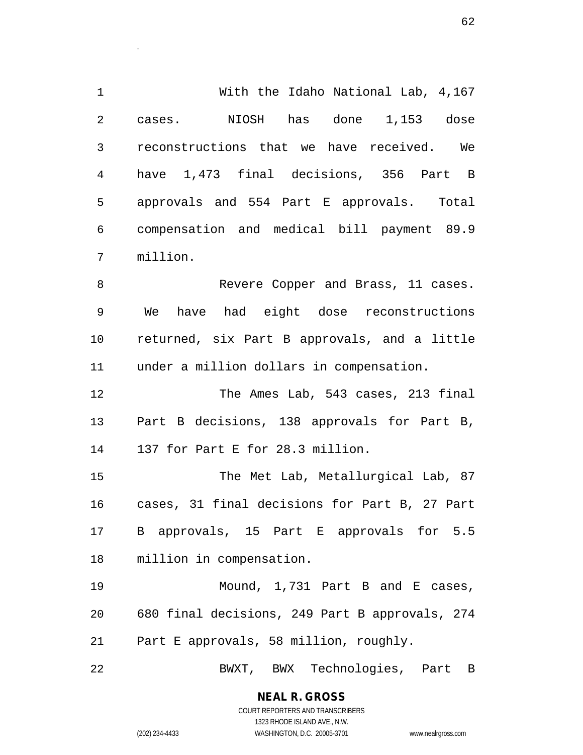With the Idaho National Lab, 4,167 cases. NIOSH has done 1,153 dose reconstructions that we have received. We have 1,473 final decisions, 356 Part B approvals and 554 Part E approvals. Total compensation and medical bill payment 89.9 million.

 Revere Copper and Brass, 11 cases. We have had eight dose reconstructions returned, six Part B approvals, and a little under a million dollars in compensation.

 The Ames Lab, 543 cases, 213 final Part B decisions, 138 approvals for Part B, 137 for Part E for 28.3 million.

15 The Met Lab, Metallurgical Lab, 87 cases, 31 final decisions for Part B, 27 Part B approvals, 15 Part E approvals for 5.5 million in compensation.

19 Mound, 1,731 Part B and E cases, 680 final decisions, 249 Part B approvals, 274 Part E approvals, 58 million, roughly.

BWXT, BWX Technologies, Part B

**NEAL R. GROSS** COURT REPORTERS AND TRANSCRIBERS

1323 RHODE ISLAND AVE., N.W.

.

(202) 234-4433 WASHINGTON, D.C. 20005-3701 www.nealrgross.com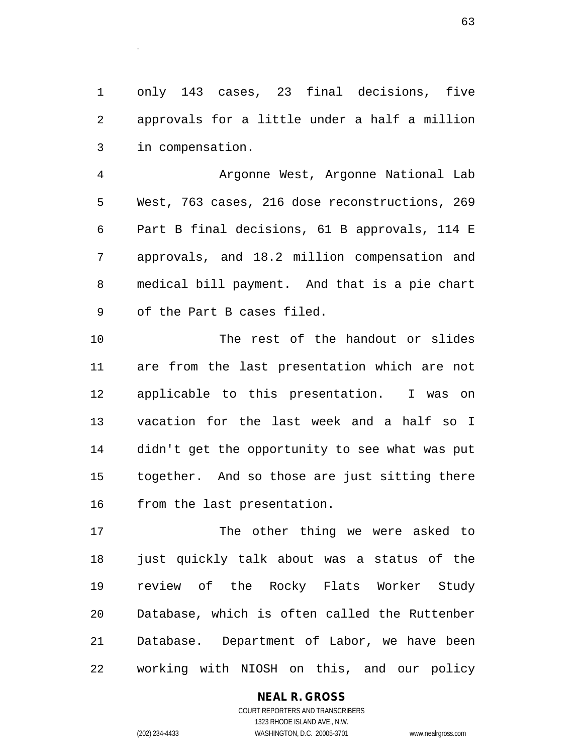only 143 cases, 23 final decisions, five approvals for a little under a half a million in compensation.

 Argonne West, Argonne National Lab West, 763 cases, 216 dose reconstructions, 269 Part B final decisions, 61 B approvals, 114 E approvals, and 18.2 million compensation and medical bill payment. And that is a pie chart of the Part B cases filed.

 The rest of the handout or slides are from the last presentation which are not applicable to this presentation. I was on vacation for the last week and a half so I didn't get the opportunity to see what was put together. And so those are just sitting there from the last presentation.

 The other thing we were asked to just quickly talk about was a status of the review of the Rocky Flats Worker Study Database, which is often called the Ruttenber Database. Department of Labor, we have been working with NIOSH on this, and our policy

#### **NEAL R. GROSS**

.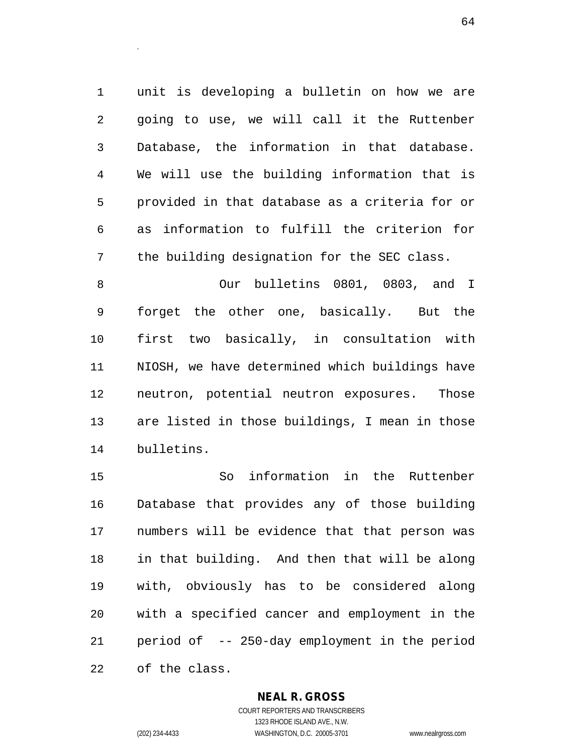unit is developing a bulletin on how we are going to use, we will call it the Ruttenber Database, the information in that database. We will use the building information that is provided in that database as a criteria for or as information to fulfill the criterion for the building designation for the SEC class.

 Our bulletins 0801, 0803, and I forget the other one, basically. But the first two basically, in consultation with NIOSH, we have determined which buildings have neutron, potential neutron exposures. Those are listed in those buildings, I mean in those bulletins.

 So information in the Ruttenber Database that provides any of those building numbers will be evidence that that person was in that building. And then that will be along with, obviously has to be considered along with a specified cancer and employment in the period of -- 250-day employment in the period of the class.

#### **NEAL R. GROSS**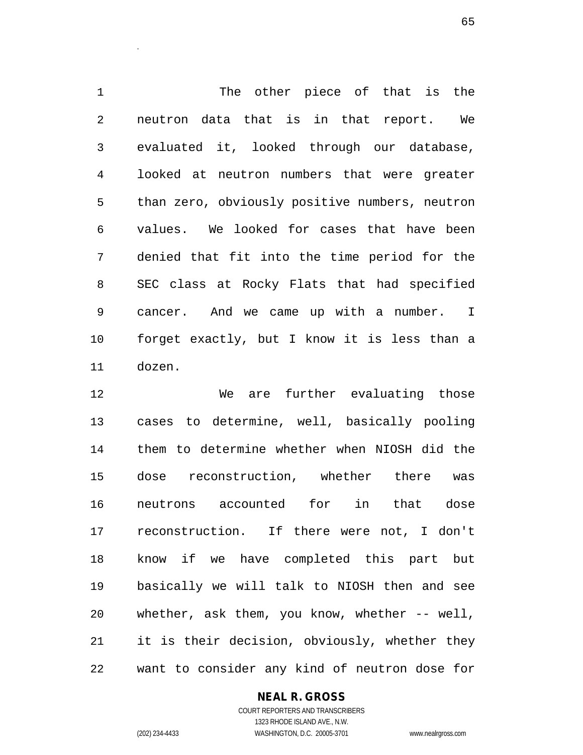The other piece of that is the neutron data that is in that report. We evaluated it, looked through our database, looked at neutron numbers that were greater than zero, obviously positive numbers, neutron values. We looked for cases that have been denied that fit into the time period for the SEC class at Rocky Flats that had specified cancer. And we came up with a number. I forget exactly, but I know it is less than a dozen.

 We are further evaluating those cases to determine, well, basically pooling them to determine whether when NIOSH did the dose reconstruction, whether there was neutrons accounted for in that dose reconstruction. If there were not, I don't know if we have completed this part but basically we will talk to NIOSH then and see whether, ask them, you know, whether -- well, it is their decision, obviously, whether they want to consider any kind of neutron dose for

#### **NEAL R. GROSS**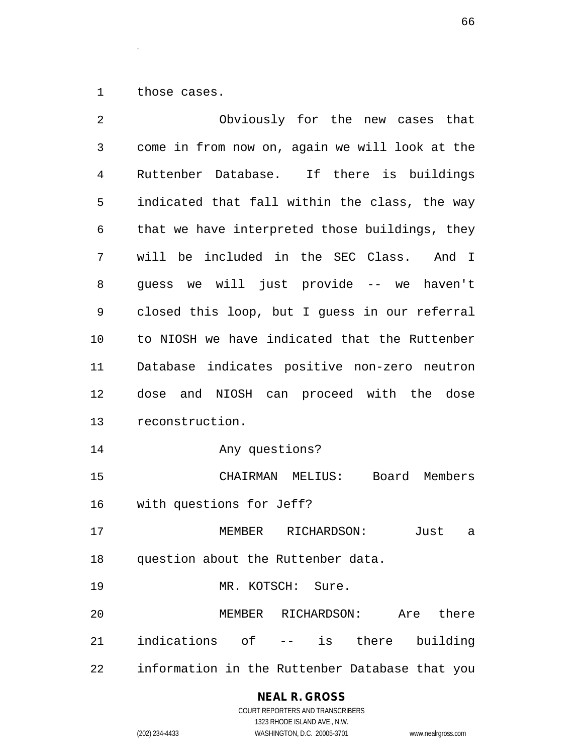those cases.

.

| 2  | Obviously for the new cases that               |
|----|------------------------------------------------|
| 3  | come in from now on, again we will look at the |
| 4  | Ruttenber Database. If there is buildings      |
| 5  | indicated that fall within the class, the way  |
| 6  | that we have interpreted those buildings, they |
| 7  | will be included in the SEC Class. And I       |
| 8  | guess we will just provide -- we<br>haven't    |
| 9  | closed this loop, but I quess in our referral  |
| 10 | to NIOSH we have indicated that the Ruttenber  |
| 11 | Database indicates positive non-zero neutron   |
| 12 | and NIOSH can proceed with the dose<br>dose    |
| 13 | reconstruction.                                |
| 14 | Any questions?                                 |
| 15 | CHAIRMAN MELIUS: Board Members                 |
| 16 | with questions for Jeff?                       |
| 17 | MEMBER<br>RICHARDSON:<br>Just<br>a             |
| 18 | question about the Ruttenber data.             |
| 19 | MR. KOTSCH: Sure.                              |
| 20 | MEMBER RICHARDSON: Are there                   |
| 21 | indications of -- is there<br>building         |
| 22 | information in the Ruttenber Database that you |

**NEAL R. GROSS**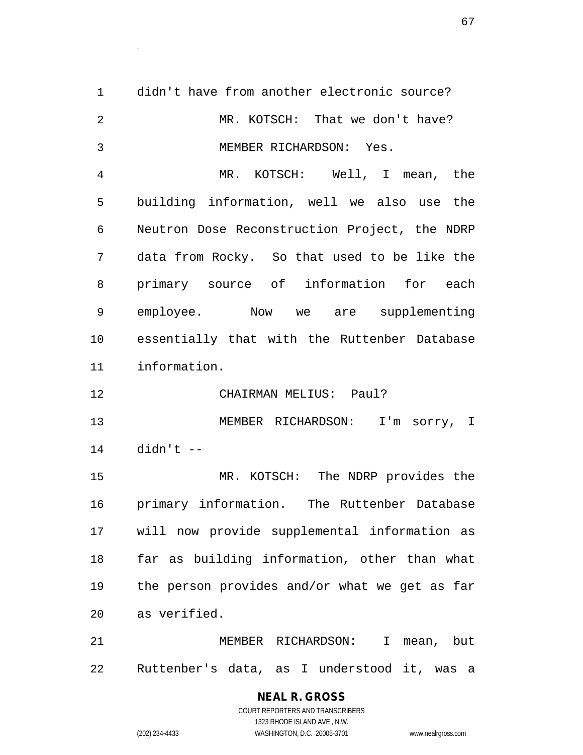didn't have from another electronic source? MR. KOTSCH: That we don't have? MEMBER RICHARDSON: Yes. MR. KOTSCH: Well, I mean, the building information, well we also use the Neutron Dose Reconstruction Project, the NDRP data from Rocky. So that used to be like the primary source of information for each employee. Now we are supplementing essentially that with the Ruttenber Database information. CHAIRMAN MELIUS: Paul? MEMBER RICHARDSON: I'm sorry, I didn't -- MR. KOTSCH: The NDRP provides the primary information. The Ruttenber Database will now provide supplemental information as far as building information, other than what the person provides and/or what we get as far as verified. MEMBER RICHARDSON: I mean, but Ruttenber's data, as I understood it, was a

> **NEAL R. GROSS** COURT REPORTERS AND TRANSCRIBERS 1323 RHODE ISLAND AVE., N.W. (202) 234-4433 WASHINGTON, D.C. 20005-3701 www.nealrgross.com

.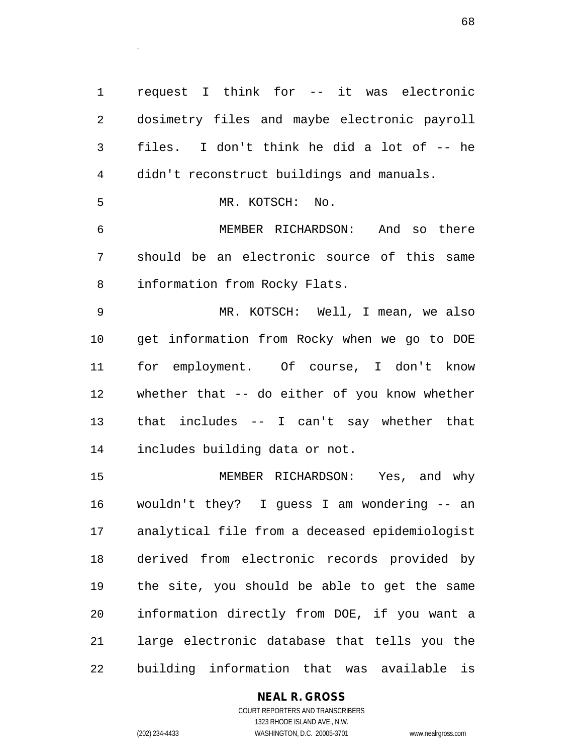request I think for -- it was electronic dosimetry files and maybe electronic payroll files. I don't think he did a lot of -- he didn't reconstruct buildings and manuals. MR. KOTSCH: No. MEMBER RICHARDSON: And so there should be an electronic source of this same information from Rocky Flats. MR. KOTSCH: Well, I mean, we also get information from Rocky when we go to DOE for employment. Of course, I don't know whether that -- do either of you know whether that includes -- I can't say whether that includes building data or not. MEMBER RICHARDSON: Yes, and why wouldn't they? I guess I am wondering -- an analytical file from a deceased epidemiologist derived from electronic records provided by the site, you should be able to get the same information directly from DOE, if you want a large electronic database that tells you the

building information that was available is

#### **NEAL R. GROSS**

COURT REPORTERS AND TRANSCRIBERS 1323 RHODE ISLAND AVE., N.W. (202) 234-4433 WASHINGTON, D.C. 20005-3701 www.nealrgross.com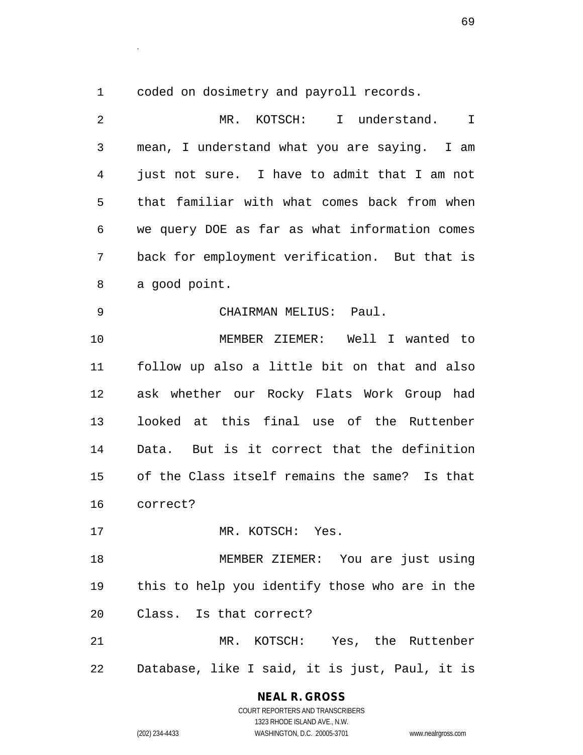coded on dosimetry and payroll records.

.

| 2  | MR. KOTSCH: I understand.<br>I                 |
|----|------------------------------------------------|
| 3  | mean, I understand what you are saying. I am   |
| 4  | just not sure. I have to admit that I am not   |
| 5  | that familiar with what comes back from when   |
| 6  | we query DOE as far as what information comes  |
| 7  | back for employment verification. But that is  |
| 8  | a good point.                                  |
| 9  | CHAIRMAN MELIUS: Paul.                         |
| 10 | MEMBER ZIEMER: Well I wanted to                |
| 11 | follow up also a little bit on that and also   |
| 12 | ask whether our Rocky Flats Work Group had     |
| 13 | looked at this final use of the Ruttenber      |
| 14 | Data. But is it correct that the definition    |
| 15 | of the Class itself remains the same? Is that  |
| 16 | correct?                                       |
| 17 | MR. KOTSCH: Yes.                               |
| 18 | MEMBER ZIEMER: You are just using              |
| 19 | this to help you identify those who are in the |
| 20 | Class. Is that correct?                        |
| 21 | MR. KOTSCH: Yes, the Ruttenber                 |
| 22 | Database, like I said, it is just, Paul, it is |

**NEAL R. GROSS** COURT REPORTERS AND TRANSCRIBERS

1323 RHODE ISLAND AVE., N.W.

(202) 234-4433 WASHINGTON, D.C. 20005-3701 www.nealrgross.com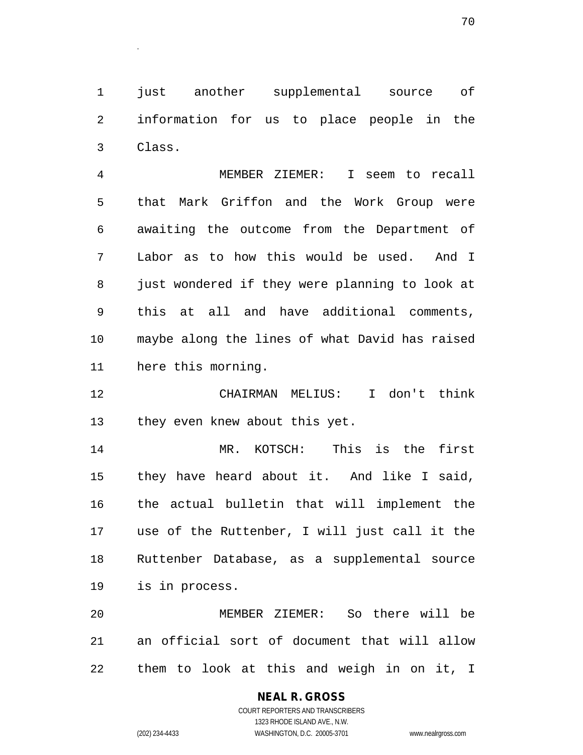just another supplemental source of information for us to place people in the Class.

 MEMBER ZIEMER: I seem to recall that Mark Griffon and the Work Group were awaiting the outcome from the Department of Labor as to how this would be used. And I just wondered if they were planning to look at this at all and have additional comments, maybe along the lines of what David has raised here this morning.

 CHAIRMAN MELIUS: I don't think they even knew about this yet.

 MR. KOTSCH: This is the first they have heard about it. And like I said, the actual bulletin that will implement the use of the Ruttenber, I will just call it the Ruttenber Database, as a supplemental source is in process.

 MEMBER ZIEMER: So there will be an official sort of document that will allow them to look at this and weigh in on it, I

.

(202) 234-4433 WASHINGTON, D.C. 20005-3701 www.nealrgross.com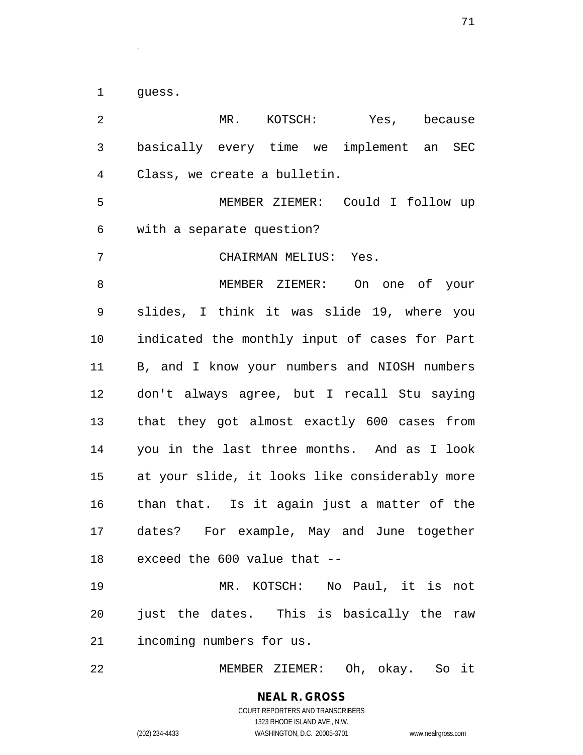guess.

.

 MR. KOTSCH: Yes, because basically every time we implement an SEC Class, we create a bulletin. MEMBER ZIEMER: Could I follow up with a separate question? CHAIRMAN MELIUS: Yes. MEMBER ZIEMER: On one of your slides, I think it was slide 19, where you indicated the monthly input of cases for Part B, and I know your numbers and NIOSH numbers don't always agree, but I recall Stu saying that they got almost exactly 600 cases from you in the last three months. And as I look at your slide, it looks like considerably more than that. Is it again just a matter of the dates? For example, May and June together exceed the 600 value that -- MR. KOTSCH: No Paul, it is not just the dates. This is basically the raw incoming numbers for us. MEMBER ZIEMER: Oh, okay. So it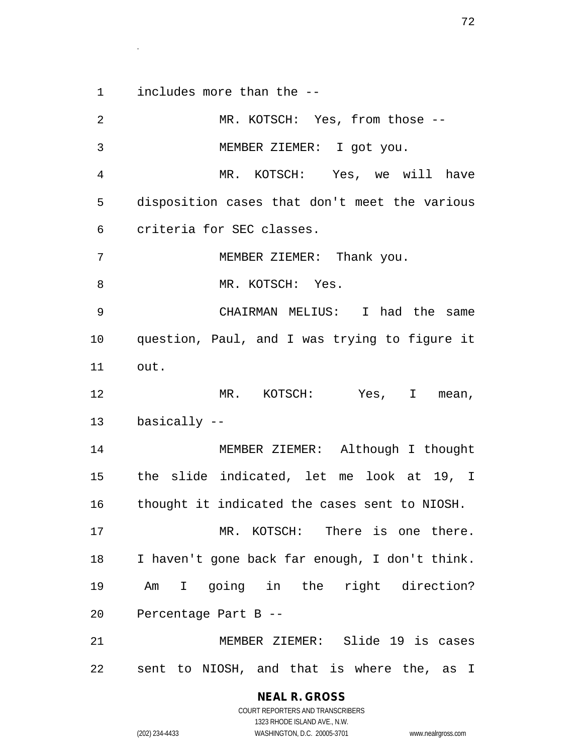includes more than the --

.

| 2  | MR. KOTSCH: Yes, from those --                 |
|----|------------------------------------------------|
| 3  | MEMBER ZIEMER: I got you.                      |
| 4  | MR. KOTSCH: Yes, we will have                  |
| 5  | disposition cases that don't meet the various  |
| 6  | criteria for SEC classes.                      |
| 7  | MEMBER ZIEMER: Thank you.                      |
| 8  | MR. KOTSCH: Yes.                               |
| 9  | CHAIRMAN MELIUS: I had the same                |
| 10 | question, Paul, and I was trying to figure it  |
| 11 | out.                                           |
| 12 | MR. KOTSCH: Yes, I mean,                       |
| 13 | basically --                                   |
| 14 | MEMBER ZIEMER: Although I thought              |
| 15 | the slide indicated, let me look at 19, I      |
| 16 | thought it indicated the cases sent to NIOSH.  |
| 17 | MR. KOTSCH: There is one there.                |
| 18 | I haven't gone back far enough, I don't think. |
| 19 | Am I going in the right direction?             |
| 20 | Percentage Part B --                           |
| 21 | MEMBER ZIEMER: Slide 19 is cases               |
| 22 | sent to NIOSH, and that is where the, as I     |

**NEAL R. GROSS**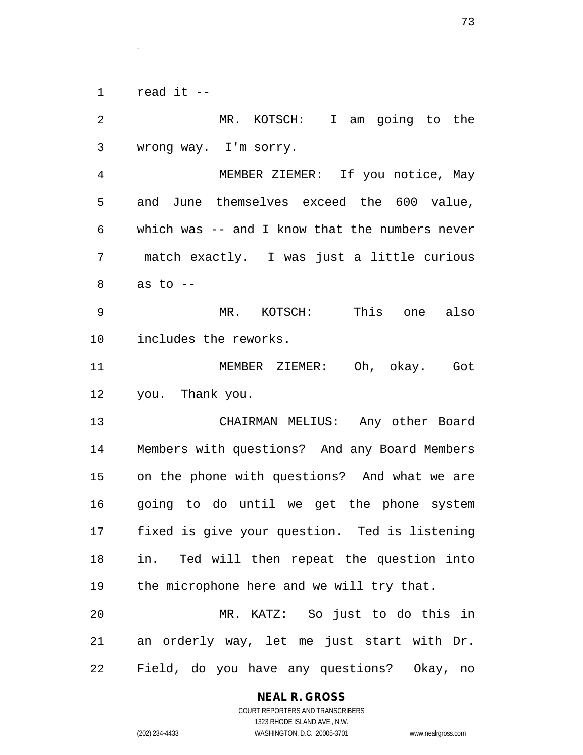read it --

.

 MR. KOTSCH: I am going to the wrong way. I'm sorry. MEMBER ZIEMER: If you notice, May and June themselves exceed the 600 value, which was -- and I know that the numbers never match exactly. I was just a little curious as to  $-$  MR. KOTSCH: This one also includes the reworks. MEMBER ZIEMER: Oh, okay. Got you. Thank you. CHAIRMAN MELIUS: Any other Board Members with questions? And any Board Members on the phone with questions? And what we are going to do until we get the phone system fixed is give your question. Ted is listening in. Ted will then repeat the question into the microphone here and we will try that. MR. KATZ: So just to do this in an orderly way, let me just start with Dr. Field, do you have any questions? Okay, no

### **NEAL R. GROSS**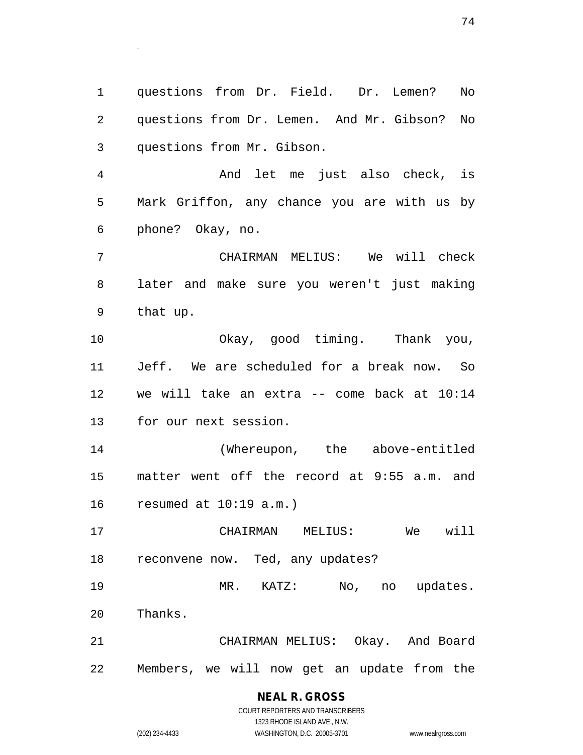questions from Dr. Field. Dr. Lemen? No questions from Dr. Lemen. And Mr. Gibson? No questions from Mr. Gibson.

 And let me just also check, is Mark Griffon, any chance you are with us by phone? Okay, no.

 CHAIRMAN MELIUS: We will check later and make sure you weren't just making that up.

 Okay, good timing. Thank you, Jeff. We are scheduled for a break now. So we will take an extra -- come back at 10:14 for our next session.

 (Whereupon, the above-entitled matter went off the record at 9:55 a.m. and resumed at 10:19 a.m.)

 CHAIRMAN MELIUS: We will reconvene now. Ted, any updates?

 MR. KATZ: No, no updates. Thanks.

 CHAIRMAN MELIUS: Okay. And Board Members, we will now get an update from the

> **NEAL R. GROSS** COURT REPORTERS AND TRANSCRIBERS

.

1323 RHODE ISLAND AVE., N.W. (202) 234-4433 WASHINGTON, D.C. 20005-3701 www.nealrgross.com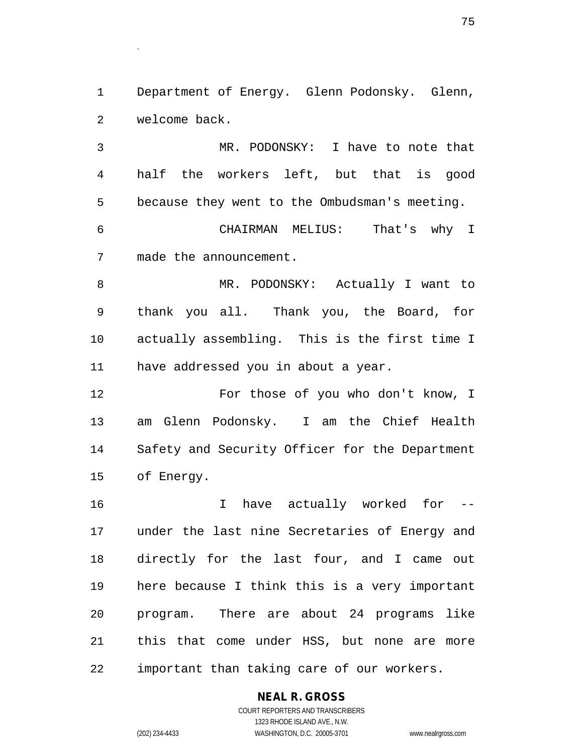Department of Energy. Glenn Podonsky. Glenn, welcome back.

.

 MR. PODONSKY: I have to note that half the workers left, but that is good because they went to the Ombudsman's meeting.

 CHAIRMAN MELIUS: That's why I made the announcement.

 MR. PODONSKY: Actually I want to thank you all. Thank you, the Board, for actually assembling. This is the first time I have addressed you in about a year.

 For those of you who don't know, I am Glenn Podonsky. I am the Chief Health Safety and Security Officer for the Department of Energy.

16 10 I have actually worked for  $-$  under the last nine Secretaries of Energy and directly for the last four, and I came out here because I think this is a very important program. There are about 24 programs like this that come under HSS, but none are more important than taking care of our workers.

## **NEAL R. GROSS**

COURT REPORTERS AND TRANSCRIBERS 1323 RHODE ISLAND AVE., N.W. (202) 234-4433 WASHINGTON, D.C. 20005-3701 www.nealrgross.com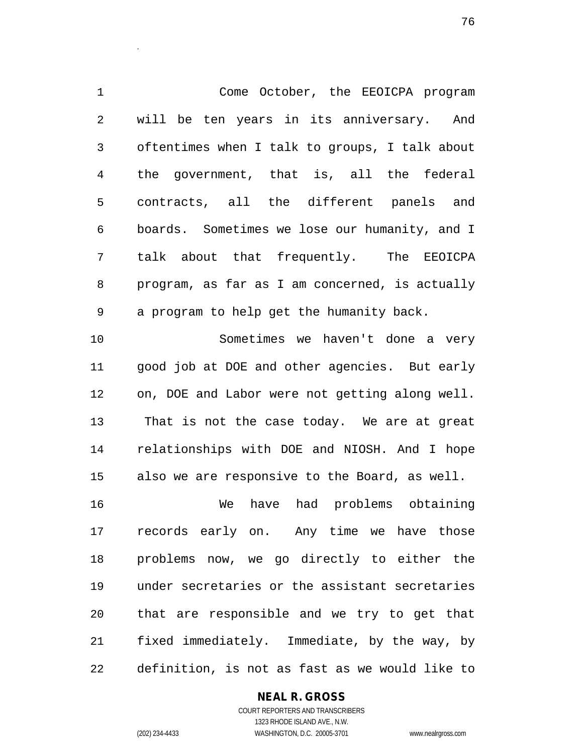Come October, the EEOICPA program will be ten years in its anniversary. And oftentimes when I talk to groups, I talk about the government, that is, all the federal contracts, all the different panels and boards. Sometimes we lose our humanity, and I talk about that frequently. The EEOICPA program, as far as I am concerned, is actually a program to help get the humanity back. Sometimes we haven't done a very good job at DOE and other agencies. But early on, DOE and Labor were not getting along well.

 That is not the case today. We are at great relationships with DOE and NIOSH. And I hope also we are responsive to the Board, as well.

 We have had problems obtaining records early on. Any time we have those problems now, we go directly to either the under secretaries or the assistant secretaries that are responsible and we try to get that fixed immediately. Immediate, by the way, by definition, is not as fast as we would like to

## **NEAL R. GROSS**

.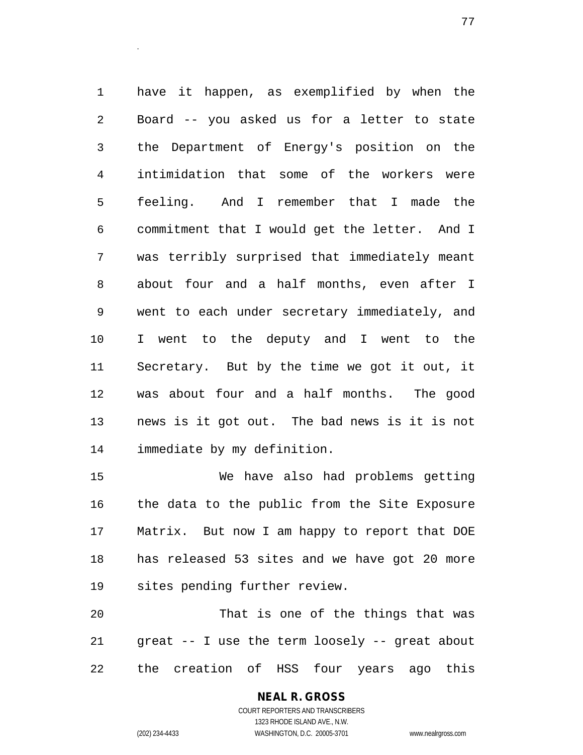have it happen, as exemplified by when the Board -- you asked us for a letter to state the Department of Energy's position on the intimidation that some of the workers were feeling. And I remember that I made the commitment that I would get the letter. And I was terribly surprised that immediately meant about four and a half months, even after I went to each under secretary immediately, and I went to the deputy and I went to the Secretary. But by the time we got it out, it was about four and a half months. The good news is it got out. The bad news is it is not immediate by my definition.

 We have also had problems getting the data to the public from the Site Exposure Matrix. But now I am happy to report that DOE has released 53 sites and we have got 20 more sites pending further review.

 That is one of the things that was great -- I use the term loosely -- great about the creation of HSS four years ago this

> **NEAL R. GROSS** COURT REPORTERS AND TRANSCRIBERS 1323 RHODE ISLAND AVE., N.W. (202) 234-4433 WASHINGTON, D.C. 20005-3701 www.nealrgross.com

.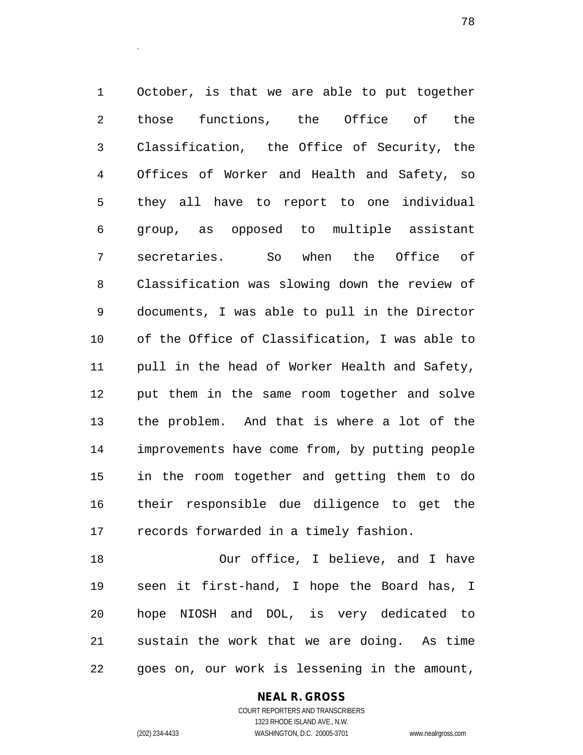October, is that we are able to put together those functions, the Office of the Classification, the Office of Security, the Offices of Worker and Health and Safety, so they all have to report to one individual group, as opposed to multiple assistant secretaries. So when the Office of Classification was slowing down the review of documents, I was able to pull in the Director of the Office of Classification, I was able to pull in the head of Worker Health and Safety, put them in the same room together and solve the problem. And that is where a lot of the improvements have come from, by putting people in the room together and getting them to do their responsible due diligence to get the records forwarded in a timely fashion.

 Our office, I believe, and I have seen it first-hand, I hope the Board has, I hope NIOSH and DOL, is very dedicated to sustain the work that we are doing. As time goes on, our work is lessening in the amount,

**NEAL R. GROSS**

.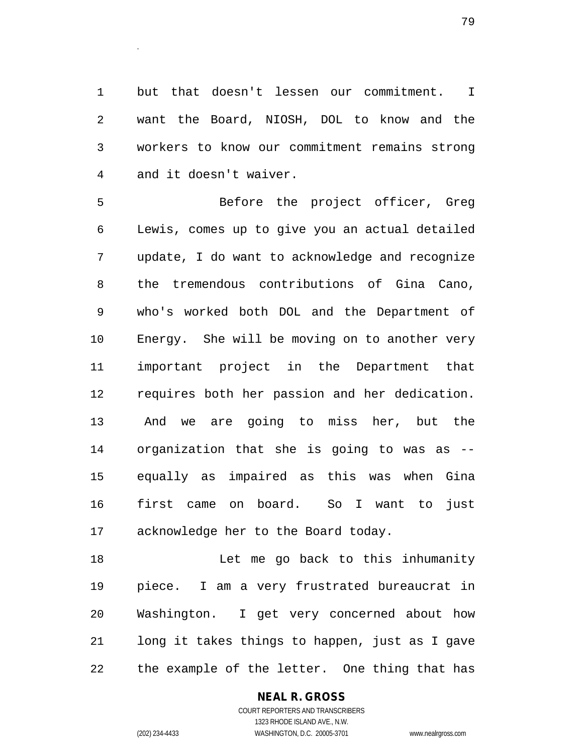but that doesn't lessen our commitment. I want the Board, NIOSH, DOL to know and the workers to know our commitment remains strong and it doesn't waiver.

 Before the project officer, Greg Lewis, comes up to give you an actual detailed update, I do want to acknowledge and recognize the tremendous contributions of Gina Cano, who's worked both DOL and the Department of Energy. She will be moving on to another very important project in the Department that requires both her passion and her dedication. And we are going to miss her, but the organization that she is going to was as -- equally as impaired as this was when Gina first came on board. So I want to just acknowledge her to the Board today.

18 Let me go back to this inhumanity piece. I am a very frustrated bureaucrat in Washington. I get very concerned about how long it takes things to happen, just as I gave the example of the letter. One thing that has

### **NEAL R. GROSS**

COURT REPORTERS AND TRANSCRIBERS 1323 RHODE ISLAND AVE., N.W. (202) 234-4433 WASHINGTON, D.C. 20005-3701 www.nealrgross.com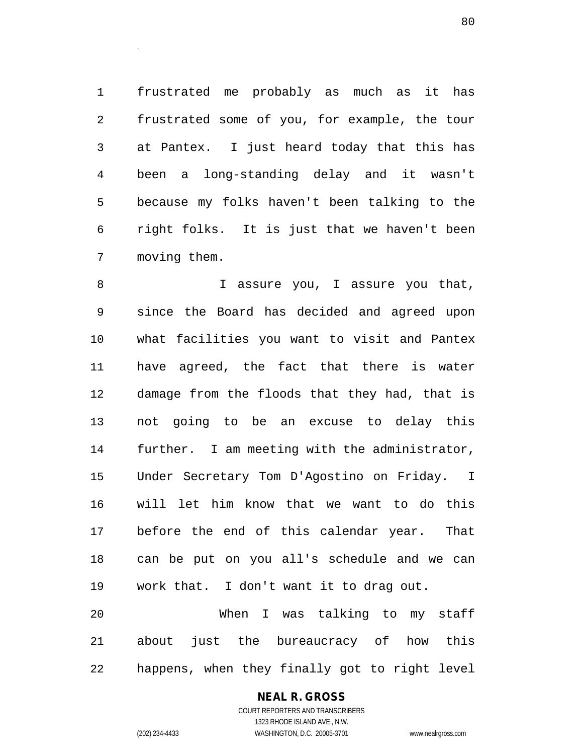frustrated me probably as much as it has frustrated some of you, for example, the tour at Pantex. I just heard today that this has been a long-standing delay and it wasn't because my folks haven't been talking to the right folks. It is just that we haven't been moving them.

.

8 I assure you, I assure you that, since the Board has decided and agreed upon what facilities you want to visit and Pantex have agreed, the fact that there is water damage from the floods that they had, that is not going to be an excuse to delay this further. I am meeting with the administrator, Under Secretary Tom D'Agostino on Friday. I will let him know that we want to do this before the end of this calendar year. That can be put on you all's schedule and we can work that. I don't want it to drag out. When I was talking to my staff

 about just the bureaucracy of how this happens, when they finally got to right level

### **NEAL R. GROSS** COURT REPORTERS AND TRANSCRIBERS

1323 RHODE ISLAND AVE., N.W. (202) 234-4433 WASHINGTON, D.C. 20005-3701 www.nealrgross.com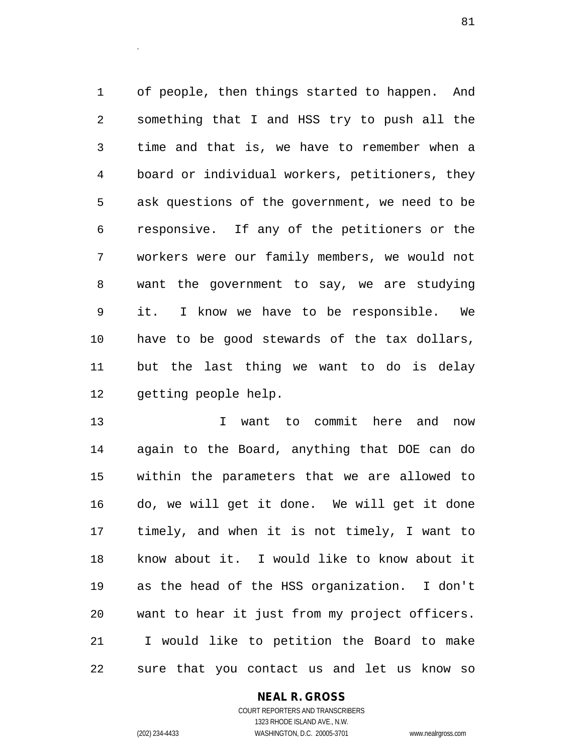of people, then things started to happen. And something that I and HSS try to push all the time and that is, we have to remember when a board or individual workers, petitioners, they ask questions of the government, we need to be responsive. If any of the petitioners or the workers were our family members, we would not want the government to say, we are studying it. I know we have to be responsible. We have to be good stewards of the tax dollars, but the last thing we want to do is delay getting people help.

 I want to commit here and now again to the Board, anything that DOE can do within the parameters that we are allowed to do, we will get it done. We will get it done timely, and when it is not timely, I want to know about it. I would like to know about it as the head of the HSS organization. I don't want to hear it just from my project officers. I would like to petition the Board to make sure that you contact us and let us know so

## **NEAL R. GROSS**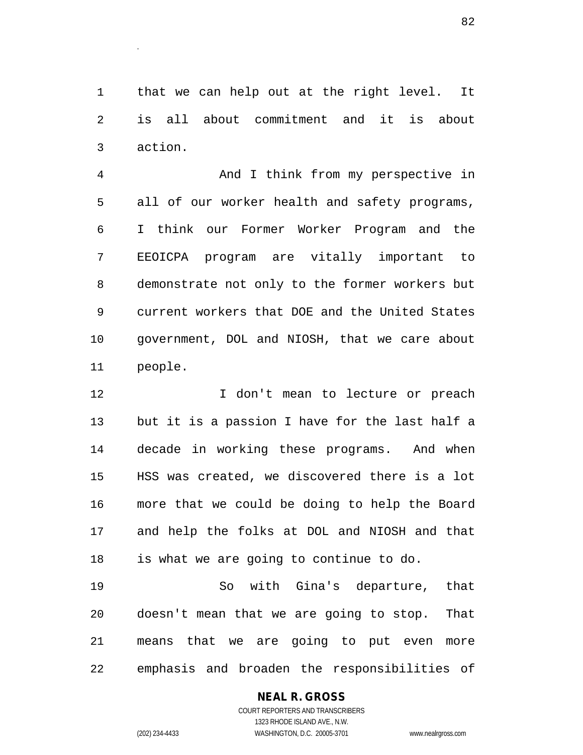that we can help out at the right level. It is all about commitment and it is about action.

 And I think from my perspective in all of our worker health and safety programs, I think our Former Worker Program and the EEOICPA program are vitally important to demonstrate not only to the former workers but current workers that DOE and the United States government, DOL and NIOSH, that we care about people.

12 12 I don't mean to lecture or preach but it is a passion I have for the last half a decade in working these programs. And when HSS was created, we discovered there is a lot more that we could be doing to help the Board and help the folks at DOL and NIOSH and that is what we are going to continue to do.

 So with Gina's departure, that doesn't mean that we are going to stop. That means that we are going to put even more emphasis and broaden the responsibilities of

## **NEAL R. GROSS**

COURT REPORTERS AND TRANSCRIBERS 1323 RHODE ISLAND AVE., N.W. (202) 234-4433 WASHINGTON, D.C. 20005-3701 www.nealrgross.com

.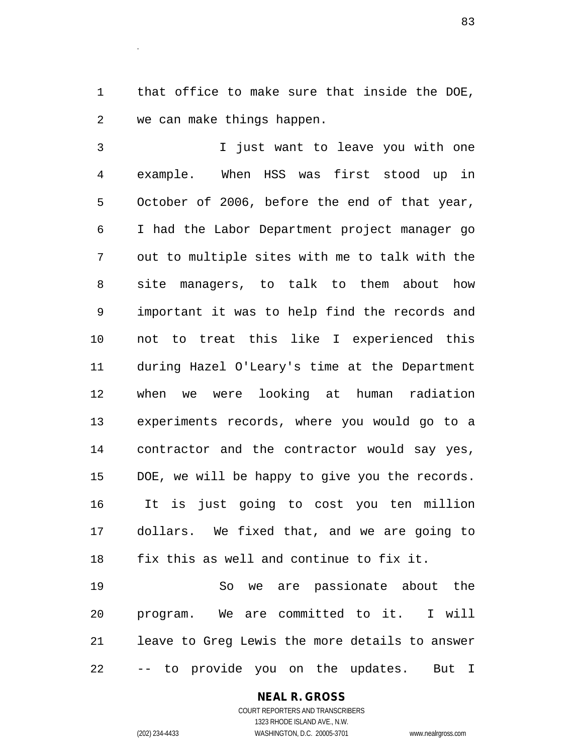that office to make sure that inside the DOE, we can make things happen.

.

 I just want to leave you with one example. When HSS was first stood up in October of 2006, before the end of that year, I had the Labor Department project manager go out to multiple sites with me to talk with the site managers, to talk to them about how important it was to help find the records and not to treat this like I experienced this during Hazel O'Leary's time at the Department when we were looking at human radiation experiments records, where you would go to a contractor and the contractor would say yes, DOE, we will be happy to give you the records. It is just going to cost you ten million dollars. We fixed that, and we are going to fix this as well and continue to fix it.

 So we are passionate about the program. We are committed to it. I will leave to Greg Lewis the more details to answer -- to provide you on the updates. But I

## **NEAL R. GROSS**

COURT REPORTERS AND TRANSCRIBERS 1323 RHODE ISLAND AVE., N.W. (202) 234-4433 WASHINGTON, D.C. 20005-3701 www.nealrgross.com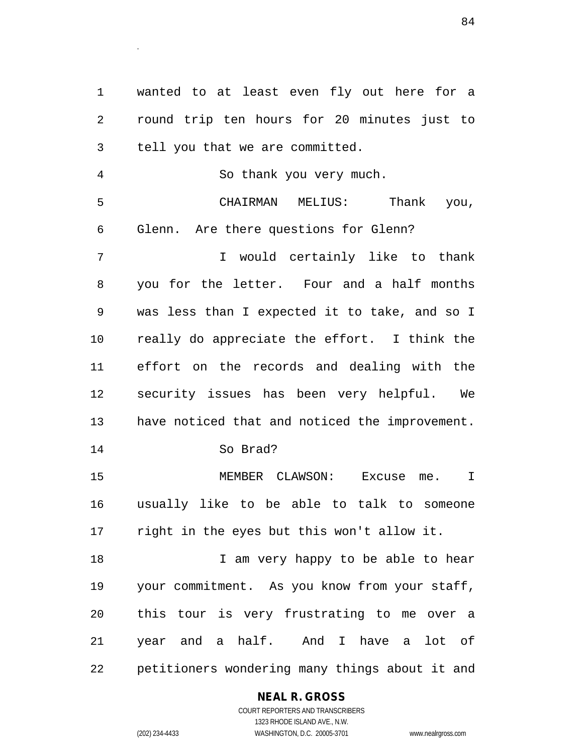wanted to at least even fly out here for a round trip ten hours for 20 minutes just to tell you that we are committed. So thank you very much. CHAIRMAN MELIUS: Thank you, Glenn. Are there questions for Glenn? I would certainly like to thank you for the letter. Four and a half months was less than I expected it to take, and so I really do appreciate the effort. I think the effort on the records and dealing with the security issues has been very helpful. We have noticed that and noticed the improvement. So Brad? MEMBER CLAWSON: Excuse me. I usually like to be able to talk to someone right in the eyes but this won't allow it. 18 I am very happy to be able to hear your commitment. As you know from your staff, this tour is very frustrating to me over a year and a half. And I have a lot of petitioners wondering many things about it and

## **NEAL R. GROSS**

.

COURT REPORTERS AND TRANSCRIBERS 1323 RHODE ISLAND AVE., N.W. (202) 234-4433 WASHINGTON, D.C. 20005-3701 www.nealrgross.com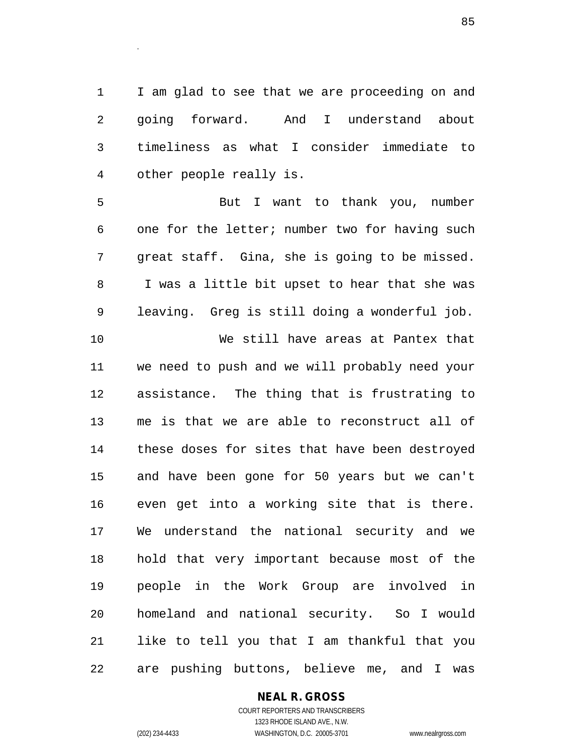I am glad to see that we are proceeding on and going forward. And I understand about timeliness as what I consider immediate to other people really is.

 But I want to thank you, number one for the letter; number two for having such great staff. Gina, she is going to be missed. I was a little bit upset to hear that she was leaving. Greg is still doing a wonderful job. We still have areas at Pantex that we need to push and we will probably need your assistance. The thing that is frustrating to me is that we are able to reconstruct all of these doses for sites that have been destroyed and have been gone for 50 years but we can't even get into a working site that is there. We understand the national security and we hold that very important because most of the people in the Work Group are involved in homeland and national security. So I would like to tell you that I am thankful that you are pushing buttons, believe me, and I was

**NEAL R. GROSS**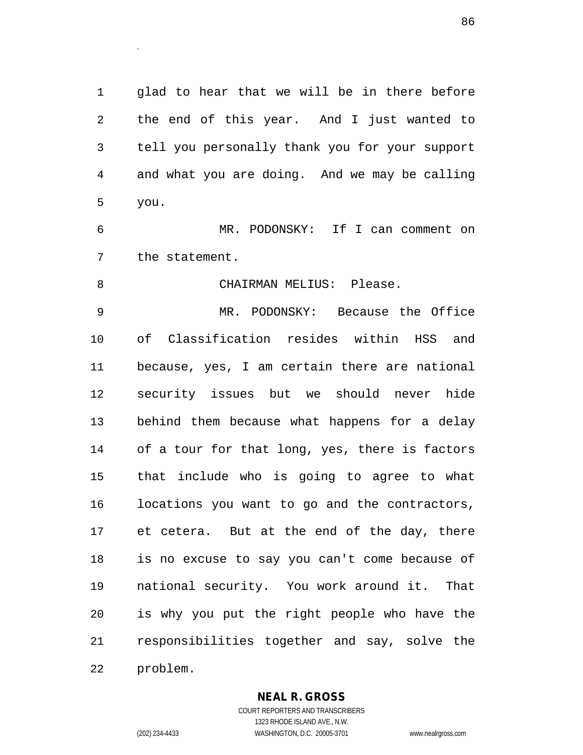glad to hear that we will be in there before the end of this year. And I just wanted to tell you personally thank you for your support and what you are doing. And we may be calling you.

 MR. PODONSKY: If I can comment on the statement.

CHAIRMAN MELIUS: Please.

 MR. PODONSKY: Because the Office of Classification resides within HSS and because, yes, I am certain there are national security issues but we should never hide behind them because what happens for a delay of a tour for that long, yes, there is factors that include who is going to agree to what locations you want to go and the contractors, et cetera. But at the end of the day, there is no excuse to say you can't come because of national security. You work around it. That is why you put the right people who have the responsibilities together and say, solve the

problem.

.

### **NEAL R. GROSS**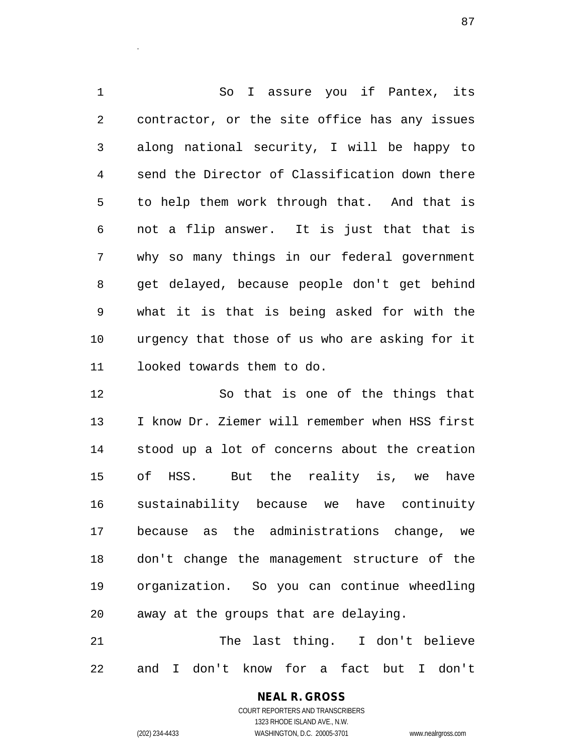So I assure you if Pantex, its contractor, or the site office has any issues along national security, I will be happy to send the Director of Classification down there to help them work through that. And that is not a flip answer. It is just that that is why so many things in our federal government get delayed, because people don't get behind what it is that is being asked for with the urgency that those of us who are asking for it looked towards them to do.

 So that is one of the things that I know Dr. Ziemer will remember when HSS first stood up a lot of concerns about the creation of HSS. But the reality is, we have sustainability because we have continuity because as the administrations change, we don't change the management structure of the organization. So you can continue wheedling away at the groups that are delaying.

 The last thing. I don't believe and I don't know for a fact but I don't

.

(202) 234-4433 WASHINGTON, D.C. 20005-3701 www.nealrgross.com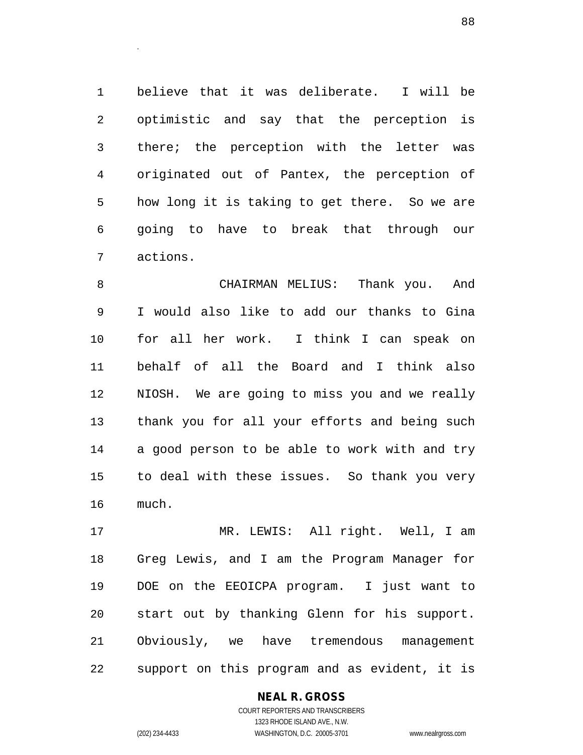believe that it was deliberate. I will be optimistic and say that the perception is there; the perception with the letter was originated out of Pantex, the perception of how long it is taking to get there. So we are going to have to break that through our actions.

 CHAIRMAN MELIUS: Thank you. And I would also like to add our thanks to Gina for all her work. I think I can speak on behalf of all the Board and I think also NIOSH. We are going to miss you and we really thank you for all your efforts and being such a good person to be able to work with and try to deal with these issues. So thank you very much.

 MR. LEWIS: All right. Well, I am Greg Lewis, and I am the Program Manager for DOE on the EEOICPA program. I just want to start out by thanking Glenn for his support. Obviously, we have tremendous management support on this program and as evident, it is

## **NEAL R. GROSS**

COURT REPORTERS AND TRANSCRIBERS 1323 RHODE ISLAND AVE., N.W. (202) 234-4433 WASHINGTON, D.C. 20005-3701 www.nealrgross.com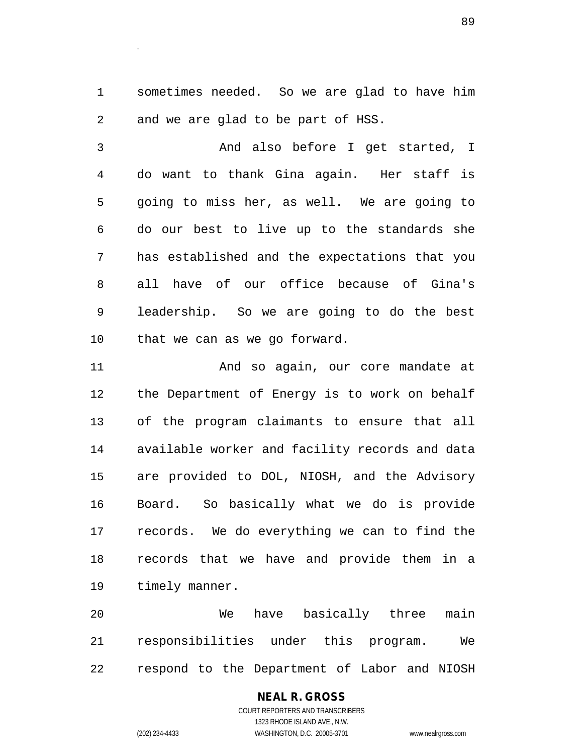sometimes needed. So we are glad to have him and we are glad to be part of HSS.

.

 And also before I get started, I do want to thank Gina again. Her staff is going to miss her, as well. We are going to do our best to live up to the standards she has established and the expectations that you all have of our office because of Gina's leadership. So we are going to do the best that we can as we go forward.

 And so again, our core mandate at the Department of Energy is to work on behalf of the program claimants to ensure that all available worker and facility records and data are provided to DOL, NIOSH, and the Advisory Board. So basically what we do is provide records. We do everything we can to find the records that we have and provide them in a timely manner.

 We have basically three main responsibilities under this program. We respond to the Department of Labor and NIOSH

# **NEAL R. GROSS**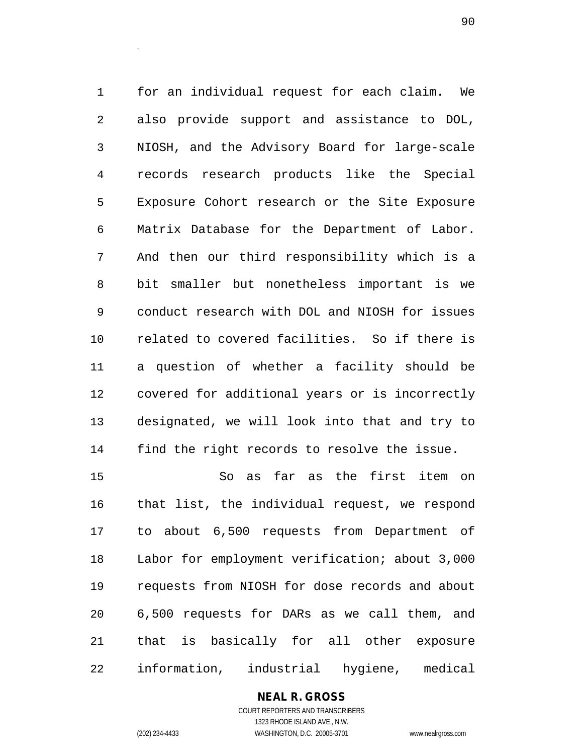for an individual request for each claim. We also provide support and assistance to DOL, NIOSH, and the Advisory Board for large-scale records research products like the Special Exposure Cohort research or the Site Exposure Matrix Database for the Department of Labor. And then our third responsibility which is a bit smaller but nonetheless important is we conduct research with DOL and NIOSH for issues related to covered facilities. So if there is a question of whether a facility should be covered for additional years or is incorrectly designated, we will look into that and try to find the right records to resolve the issue.

 So as far as the first item on that list, the individual request, we respond to about 6,500 requests from Department of Labor for employment verification; about 3,000 requests from NIOSH for dose records and about 6,500 requests for DARs as we call them, and that is basically for all other exposure information, industrial hygiene, medical

# **NEAL R. GROSS**

.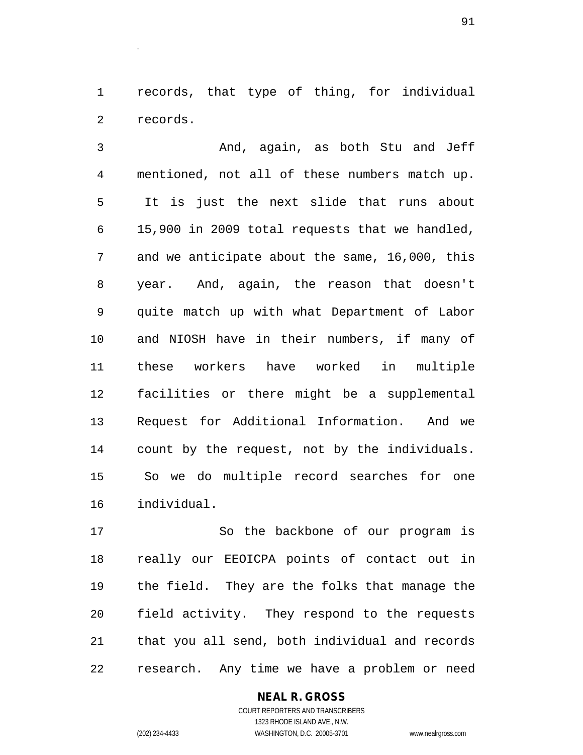records, that type of thing, for individual records.

 And, again, as both Stu and Jeff mentioned, not all of these numbers match up. It is just the next slide that runs about 15,900 in 2009 total requests that we handled, and we anticipate about the same, 16,000, this year. And, again, the reason that doesn't quite match up with what Department of Labor and NIOSH have in their numbers, if many of these workers have worked in multiple facilities or there might be a supplemental Request for Additional Information. And we count by the request, not by the individuals. So we do multiple record searches for one individual.

 So the backbone of our program is really our EEOICPA points of contact out in the field. They are the folks that manage the field activity. They respond to the requests that you all send, both individual and records research. Any time we have a problem or need

### **NEAL R. GROSS**

COURT REPORTERS AND TRANSCRIBERS 1323 RHODE ISLAND AVE., N.W. (202) 234-4433 WASHINGTON, D.C. 20005-3701 www.nealrgross.com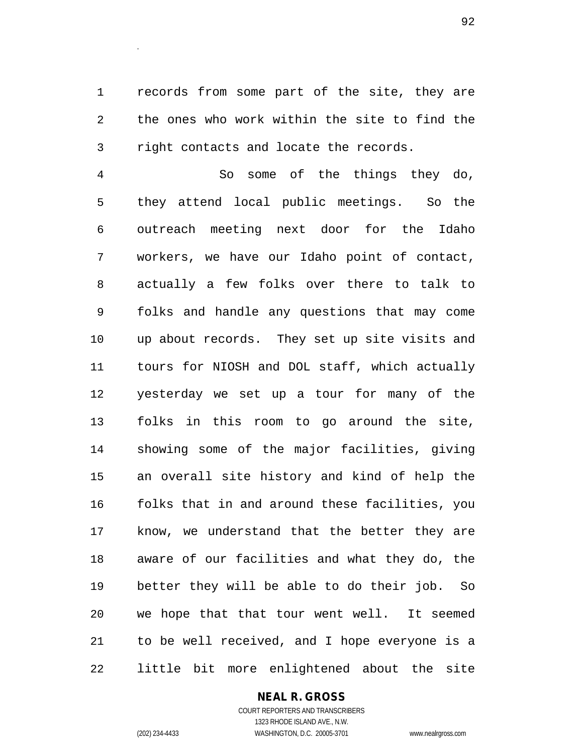records from some part of the site, they are the ones who work within the site to find the right contacts and locate the records.

 So some of the things they do, they attend local public meetings. So the outreach meeting next door for the Idaho workers, we have our Idaho point of contact, actually a few folks over there to talk to folks and handle any questions that may come up about records. They set up site visits and tours for NIOSH and DOL staff, which actually yesterday we set up a tour for many of the folks in this room to go around the site, showing some of the major facilities, giving an overall site history and kind of help the folks that in and around these facilities, you know, we understand that the better they are aware of our facilities and what they do, the better they will be able to do their job. So we hope that that tour went well. It seemed to be well received, and I hope everyone is a little bit more enlightened about the site

### **NEAL R. GROSS**

COURT REPORTERS AND TRANSCRIBERS 1323 RHODE ISLAND AVE., N.W. (202) 234-4433 WASHINGTON, D.C. 20005-3701 www.nealrgross.com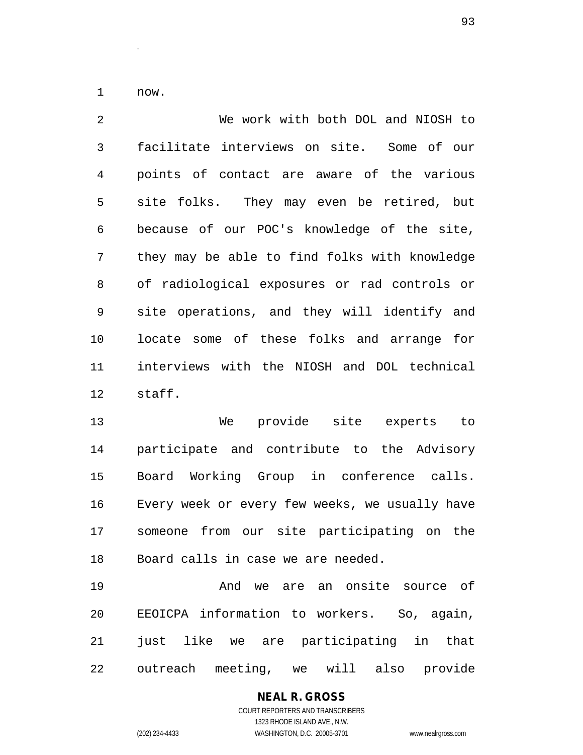now.

.

 We work with both DOL and NIOSH to facilitate interviews on site. Some of our points of contact are aware of the various site folks. They may even be retired, but because of our POC's knowledge of the site, they may be able to find folks with knowledge of radiological exposures or rad controls or site operations, and they will identify and locate some of these folks and arrange for interviews with the NIOSH and DOL technical staff.

 We provide site experts to participate and contribute to the Advisory Board Working Group in conference calls. Every week or every few weeks, we usually have someone from our site participating on the Board calls in case we are needed.

 And we are an onsite source of EEOICPA information to workers. So, again, 21 just like we are participating in that outreach meeting, we will also provide

# **NEAL R. GROSS**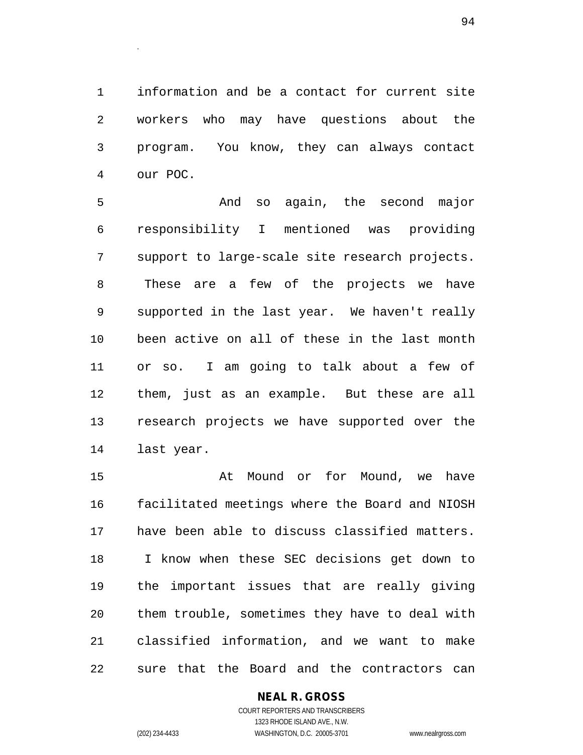information and be a contact for current site workers who may have questions about the program. You know, they can always contact our POC.

 And so again, the second major responsibility I mentioned was providing support to large-scale site research projects. These are a few of the projects we have supported in the last year. We haven't really been active on all of these in the last month or so. I am going to talk about a few of them, just as an example. But these are all research projects we have supported over the last year.

15 At Mound or for Mound, we have facilitated meetings where the Board and NIOSH have been able to discuss classified matters. I know when these SEC decisions get down to the important issues that are really giving them trouble, sometimes they have to deal with classified information, and we want to make sure that the Board and the contractors can

## **NEAL R. GROSS**

COURT REPORTERS AND TRANSCRIBERS 1323 RHODE ISLAND AVE., N.W. (202) 234-4433 WASHINGTON, D.C. 20005-3701 www.nealrgross.com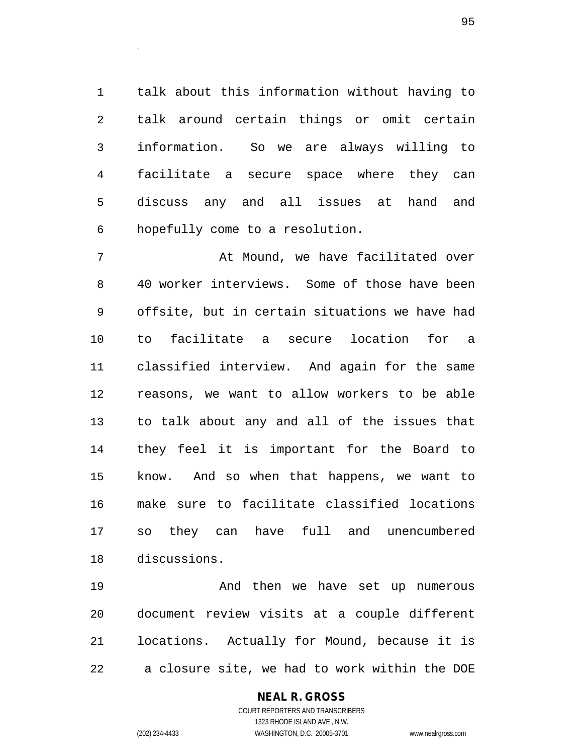talk about this information without having to talk around certain things or omit certain information. So we are always willing to facilitate a secure space where they can discuss any and all issues at hand and hopefully come to a resolution.

 At Mound, we have facilitated over 40 worker interviews. Some of those have been offsite, but in certain situations we have had to facilitate a secure location for a classified interview. And again for the same reasons, we want to allow workers to be able to talk about any and all of the issues that they feel it is important for the Board to know. And so when that happens, we want to make sure to facilitate classified locations so they can have full and unencumbered discussions.

19 And then we have set up numerous document review visits at a couple different locations. Actually for Mound, because it is a closure site, we had to work within the DOE

## **NEAL R. GROSS**

.

COURT REPORTERS AND TRANSCRIBERS 1323 RHODE ISLAND AVE., N.W. (202) 234-4433 WASHINGTON, D.C. 20005-3701 www.nealrgross.com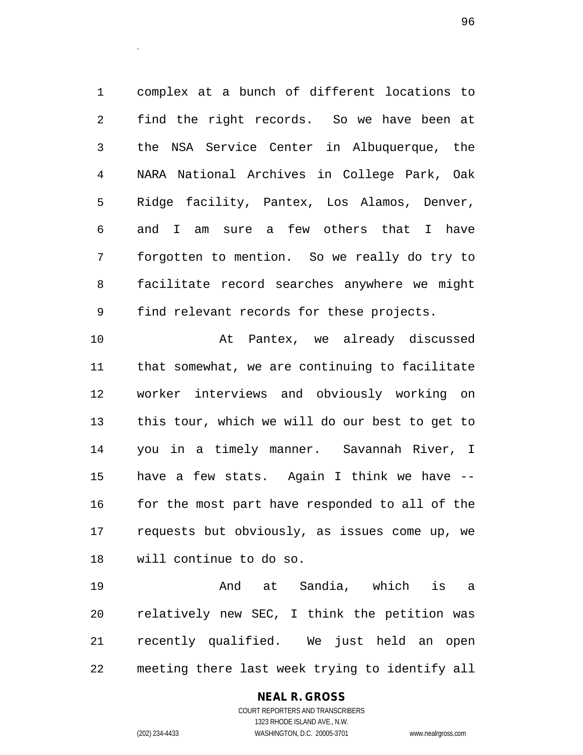complex at a bunch of different locations to find the right records. So we have been at the NSA Service Center in Albuquerque, the NARA National Archives in College Park, Oak Ridge facility, Pantex, Los Alamos, Denver, and I am sure a few others that I have forgotten to mention. So we really do try to facilitate record searches anywhere we might find relevant records for these projects.

 At Pantex, we already discussed that somewhat, we are continuing to facilitate worker interviews and obviously working on this tour, which we will do our best to get to you in a timely manner. Savannah River, I have a few stats. Again I think we have -- 16 for the most part have responded to all of the requests but obviously, as issues come up, we will continue to do so.

 And at Sandia, which is a relatively new SEC, I think the petition was recently qualified. We just held an open meeting there last week trying to identify all

> **NEAL R. GROSS** COURT REPORTERS AND TRANSCRIBERS 1323 RHODE ISLAND AVE., N.W. (202) 234-4433 WASHINGTON, D.C. 20005-3701 www.nealrgross.com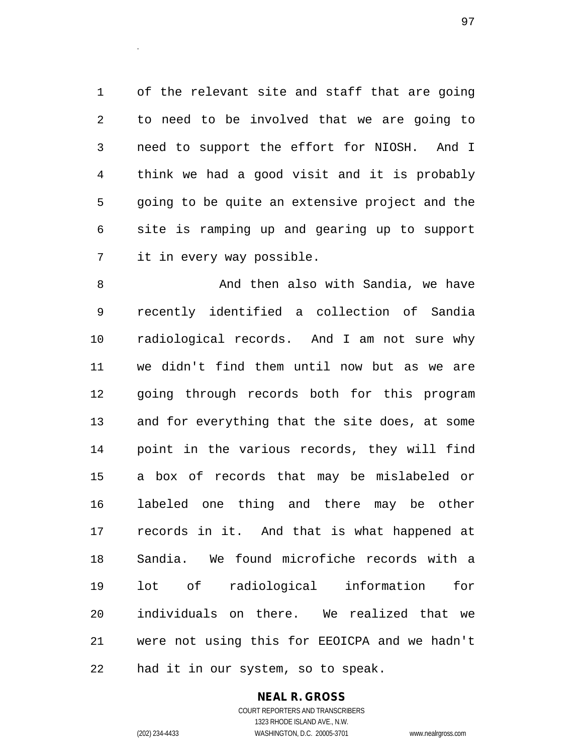of the relevant site and staff that are going to need to be involved that we are going to need to support the effort for NIOSH. And I think we had a good visit and it is probably going to be quite an extensive project and the site is ramping up and gearing up to support it in every way possible.

8 And then also with Sandia, we have recently identified a collection of Sandia radiological records. And I am not sure why we didn't find them until now but as we are going through records both for this program and for everything that the site does, at some point in the various records, they will find a box of records that may be mislabeled or labeled one thing and there may be other records in it. And that is what happened at Sandia. We found microfiche records with a lot of radiological information for individuals on there. We realized that we were not using this for EEOICPA and we hadn't had it in our system, so to speak.

> **NEAL R. GROSS** COURT REPORTERS AND TRANSCRIBERS

.

1323 RHODE ISLAND AVE., N.W. (202) 234-4433 WASHINGTON, D.C. 20005-3701 www.nealrgross.com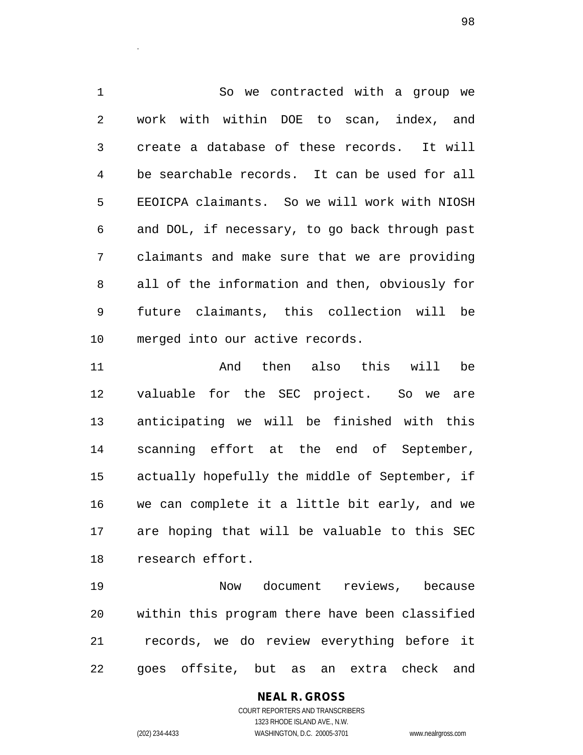So we contracted with a group we work with within DOE to scan, index, and create a database of these records. It will be searchable records. It can be used for all EEOICPA claimants. So we will work with NIOSH and DOL, if necessary, to go back through past claimants and make sure that we are providing all of the information and then, obviously for future claimants, this collection will be merged into our active records.

 And then also this will be valuable for the SEC project. So we are anticipating we will be finished with this scanning effort at the end of September, actually hopefully the middle of September, if we can complete it a little bit early, and we are hoping that will be valuable to this SEC research effort.

 Now document reviews, because within this program there have been classified records, we do review everything before it goes offsite, but as an extra check and

# **NEAL R. GROSS**

.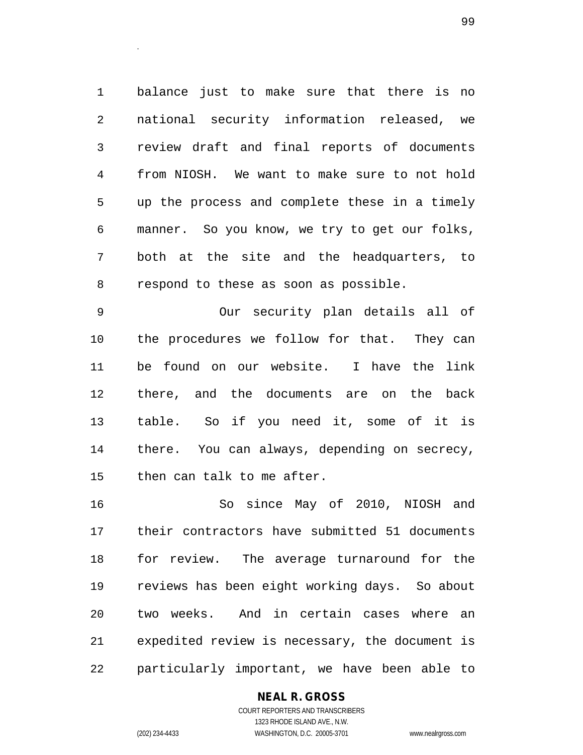balance just to make sure that there is no national security information released, we review draft and final reports of documents from NIOSH. We want to make sure to not hold up the process and complete these in a timely manner. So you know, we try to get our folks, both at the site and the headquarters, to respond to these as soon as possible.

 Our security plan details all of the procedures we follow for that. They can be found on our website. I have the link there, and the documents are on the back table. So if you need it, some of it is there. You can always, depending on secrecy, then can talk to me after.

 So since May of 2010, NIOSH and their contractors have submitted 51 documents for review. The average turnaround for the reviews has been eight working days. So about two weeks. And in certain cases where an expedited review is necessary, the document is particularly important, we have been able to

**NEAL R. GROSS**

.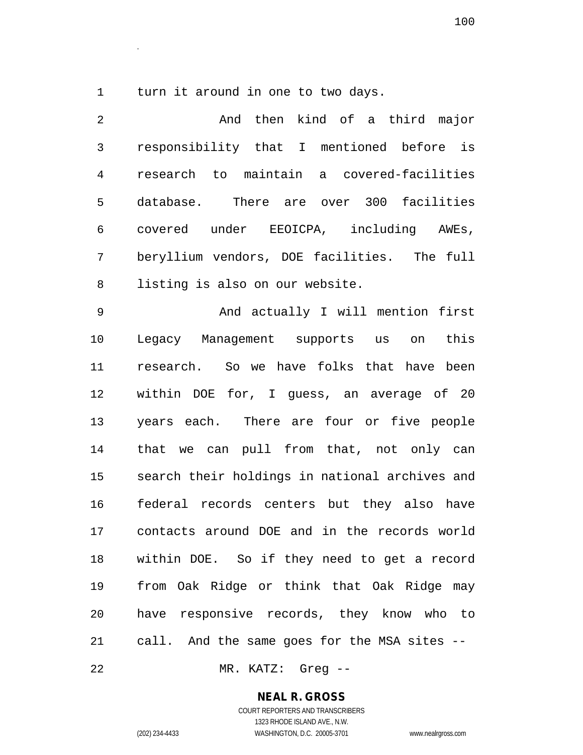turn it around in one to two days.

.

 And then kind of a third major responsibility that I mentioned before is research to maintain a covered-facilities database. There are over 300 facilities covered under EEOICPA, including AWEs, beryllium vendors, DOE facilities. The full listing is also on our website.

 And actually I will mention first Legacy Management supports us on this research. So we have folks that have been within DOE for, I guess, an average of 20 years each. There are four or five people that we can pull from that, not only can search their holdings in national archives and federal records centers but they also have contacts around DOE and in the records world within DOE. So if they need to get a record from Oak Ridge or think that Oak Ridge may have responsive records, they know who to call. And the same goes for the MSA sites --

MR. KATZ: Greg --

### **NEAL R. GROSS**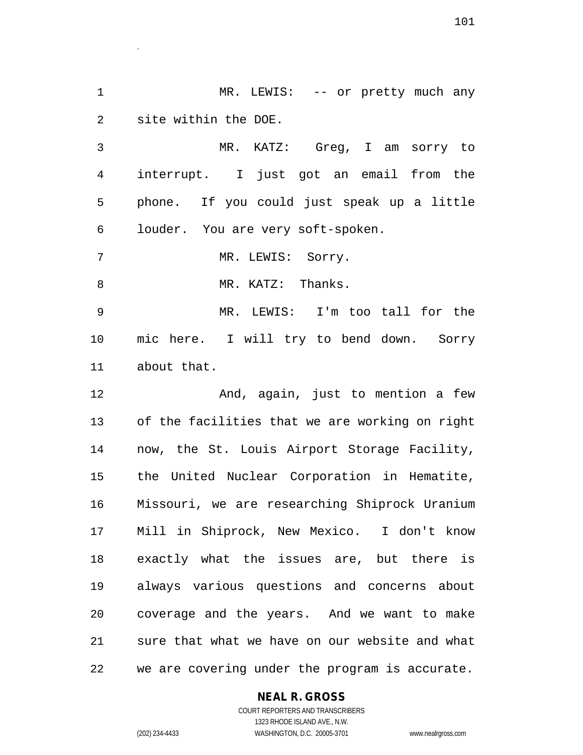1 MR. LEWIS: -- or pretty much any site within the DOE.

 MR. KATZ: Greg, I am sorry to interrupt. I just got an email from the phone. If you could just speak up a little louder. You are very soft-spoken.

7 MR. LEWIS: Sorry.

.

8 MR. KATZ: Thanks.

 MR. LEWIS: I'm too tall for the mic here. I will try to bend down. Sorry about that.

12 And, again, just to mention a few of the facilities that we are working on right now, the St. Louis Airport Storage Facility, the United Nuclear Corporation in Hematite, Missouri, we are researching Shiprock Uranium Mill in Shiprock, New Mexico. I don't know exactly what the issues are, but there is always various questions and concerns about coverage and the years. And we want to make sure that what we have on our website and what we are covering under the program is accurate.

## **NEAL R. GROSS**

COURT REPORTERS AND TRANSCRIBERS 1323 RHODE ISLAND AVE., N.W. (202) 234-4433 WASHINGTON, D.C. 20005-3701 www.nealrgross.com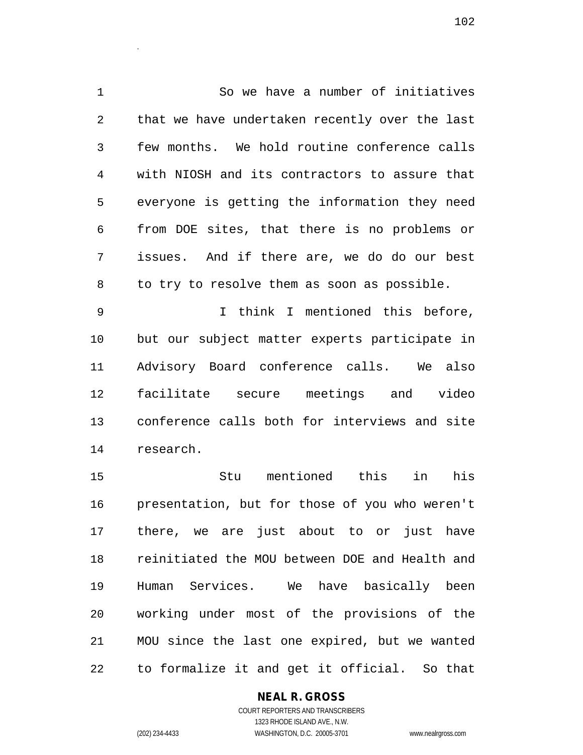So we have a number of initiatives that we have undertaken recently over the last few months. We hold routine conference calls with NIOSH and its contractors to assure that everyone is getting the information they need from DOE sites, that there is no problems or issues. And if there are, we do do our best to try to resolve them as soon as possible.

 I think I mentioned this before, but our subject matter experts participate in Advisory Board conference calls. We also facilitate secure meetings and video conference calls both for interviews and site research.

 Stu mentioned this in his presentation, but for those of you who weren't there, we are just about to or just have reinitiated the MOU between DOE and Health and Human Services. We have basically been working under most of the provisions of the MOU since the last one expired, but we wanted to formalize it and get it official. So that

## **NEAL R. GROSS**

.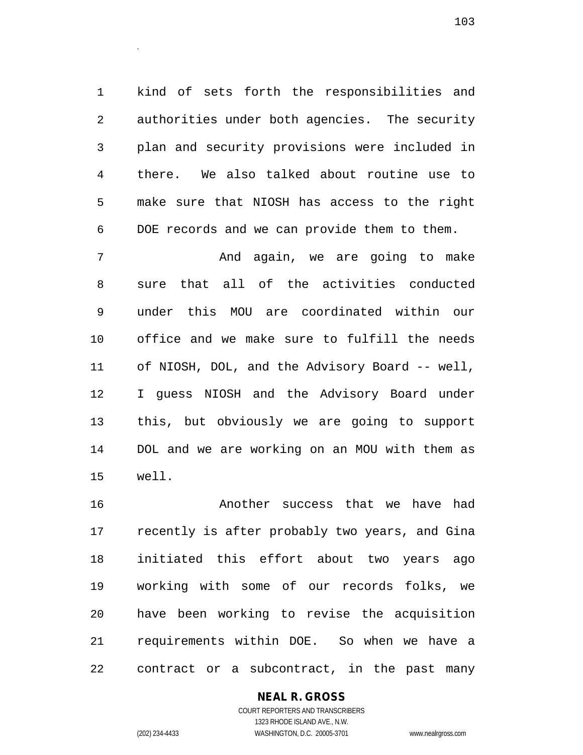kind of sets forth the responsibilities and authorities under both agencies. The security plan and security provisions were included in there. We also talked about routine use to make sure that NIOSH has access to the right DOE records and we can provide them to them.

 And again, we are going to make sure that all of the activities conducted under this MOU are coordinated within our office and we make sure to fulfill the needs of NIOSH, DOL, and the Advisory Board -- well, I guess NIOSH and the Advisory Board under this, but obviously we are going to support DOL and we are working on an MOU with them as well.

 Another success that we have had recently is after probably two years, and Gina initiated this effort about two years ago working with some of our records folks, we have been working to revise the acquisition requirements within DOE. So when we have a contract or a subcontract, in the past many

## **NEAL R. GROSS**

COURT REPORTERS AND TRANSCRIBERS 1323 RHODE ISLAND AVE., N.W. (202) 234-4433 WASHINGTON, D.C. 20005-3701 www.nealrgross.com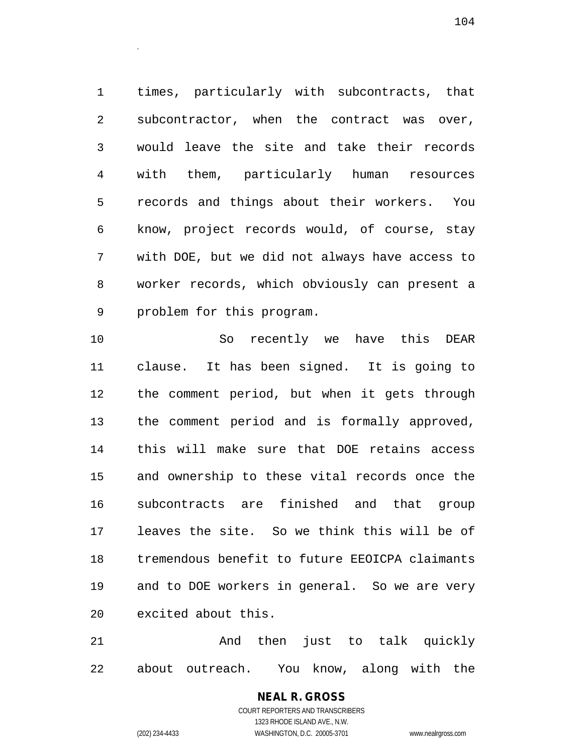times, particularly with subcontracts, that subcontractor, when the contract was over, would leave the site and take their records with them, particularly human resources records and things about their workers. You know, project records would, of course, stay with DOE, but we did not always have access to worker records, which obviously can present a problem for this program.

 So recently we have this DEAR clause. It has been signed. It is going to the comment period, but when it gets through the comment period and is formally approved, this will make sure that DOE retains access and ownership to these vital records once the subcontracts are finished and that group leaves the site. So we think this will be of tremendous benefit to future EEOICPA claimants and to DOE workers in general. So we are very excited about this.

21 And then just to talk quickly about outreach. You know, along with the

# **NEAL R. GROSS**

.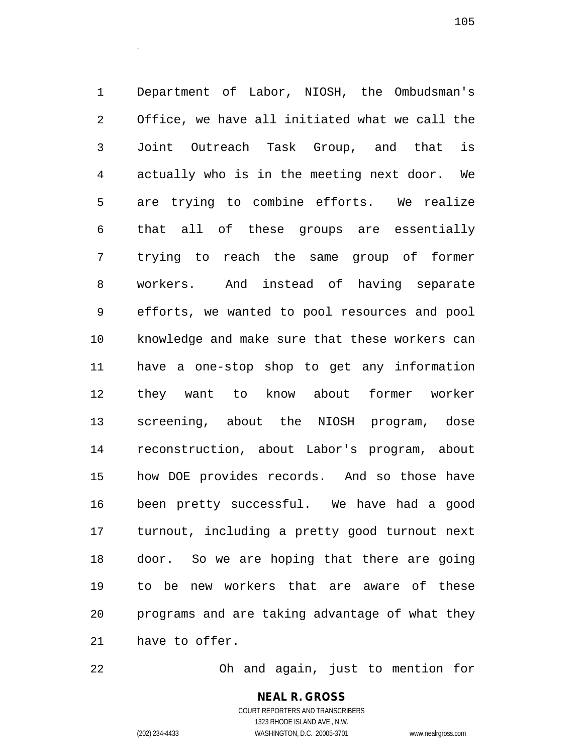Department of Labor, NIOSH, the Ombudsman's Office, we have all initiated what we call the Joint Outreach Task Group, and that is actually who is in the meeting next door. We are trying to combine efforts. We realize that all of these groups are essentially trying to reach the same group of former workers. And instead of having separate efforts, we wanted to pool resources and pool knowledge and make sure that these workers can have a one-stop shop to get any information they want to know about former worker screening, about the NIOSH program, dose reconstruction, about Labor's program, about how DOE provides records. And so those have been pretty successful. We have had a good turnout, including a pretty good turnout next door. So we are hoping that there are going to be new workers that are aware of these programs and are taking advantage of what they have to offer.

Oh and again, just to mention for

### **NEAL R. GROSS** COURT REPORTERS AND TRANSCRIBERS

.

1323 RHODE ISLAND AVE., N.W. (202) 234-4433 WASHINGTON, D.C. 20005-3701 www.nealrgross.com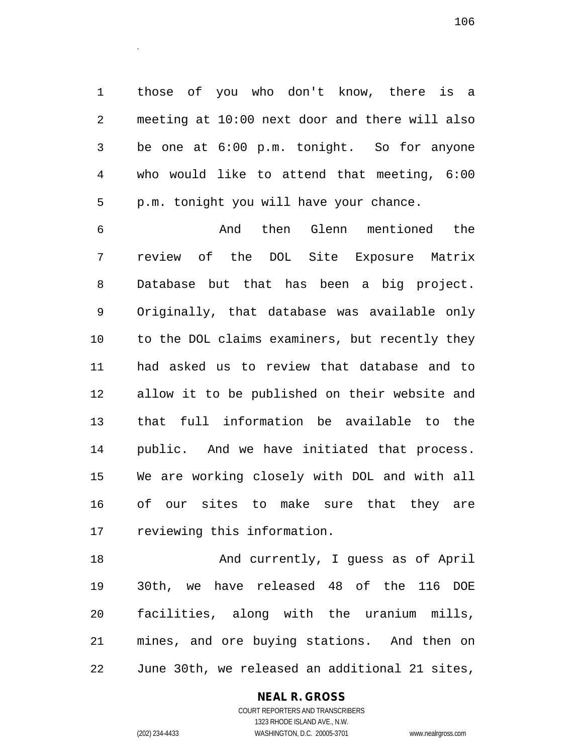those of you who don't know, there is a meeting at 10:00 next door and there will also be one at 6:00 p.m. tonight. So for anyone who would like to attend that meeting, 6:00 p.m. tonight you will have your chance.

.

 And then Glenn mentioned the review of the DOL Site Exposure Matrix Database but that has been a big project. Originally, that database was available only to the DOL claims examiners, but recently they had asked us to review that database and to allow it to be published on their website and that full information be available to the public. And we have initiated that process. We are working closely with DOL and with all of our sites to make sure that they are reviewing this information.

18 And currently, I guess as of April 30th, we have released 48 of the 116 DOE facilities, along with the uranium mills, mines, and ore buying stations. And then on June 30th, we released an additional 21 sites,

### **NEAL R. GROSS** COURT REPORTERS AND TRANSCRIBERS

1323 RHODE ISLAND AVE., N.W.

(202) 234-4433 WASHINGTON, D.C. 20005-3701 www.nealrgross.com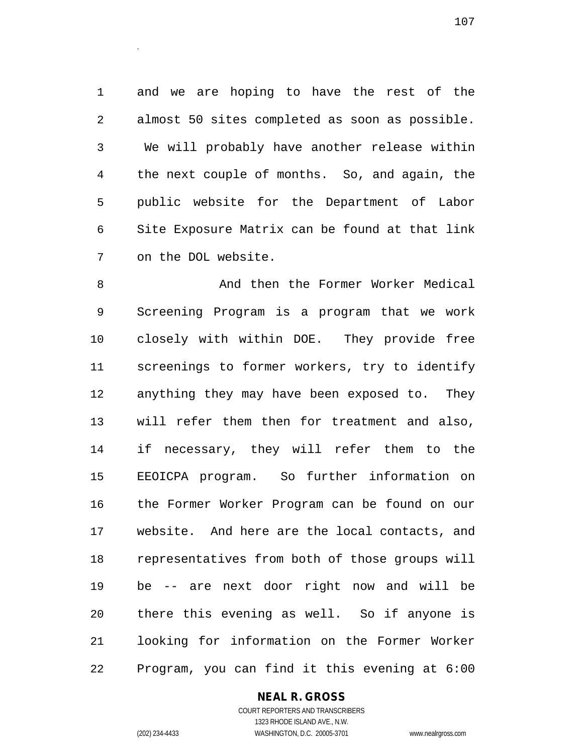and we are hoping to have the rest of the almost 50 sites completed as soon as possible. We will probably have another release within the next couple of months. So, and again, the public website for the Department of Labor Site Exposure Matrix can be found at that link on the DOL website.

.

8 And then the Former Worker Medical Screening Program is a program that we work closely with within DOE. They provide free screenings to former workers, try to identify anything they may have been exposed to. They will refer them then for treatment and also, if necessary, they will refer them to the EEOICPA program. So further information on the Former Worker Program can be found on our website. And here are the local contacts, and representatives from both of those groups will be -- are next door right now and will be there this evening as well. So if anyone is looking for information on the Former Worker Program, you can find it this evening at 6:00

### **NEAL R. GROSS** COURT REPORTERS AND TRANSCRIBERS

1323 RHODE ISLAND AVE., N.W. (202) 234-4433 WASHINGTON, D.C. 20005-3701 www.nealrgross.com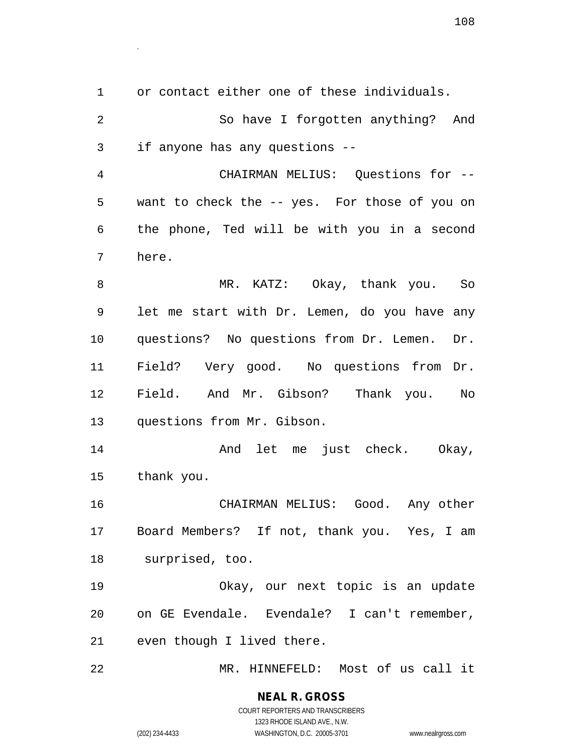or contact either one of these individuals. So have I forgotten anything? And if anyone has any questions -- CHAIRMAN MELIUS: Questions for -- want to check the -- yes. For those of you on the phone, Ted will be with you in a second here. MR. KATZ: Okay, thank you. So let me start with Dr. Lemen, do you have any questions? No questions from Dr. Lemen. Dr. Field? Very good. No questions from Dr. Field. And Mr. Gibson? Thank you. No questions from Mr. Gibson. And let me just check. Okay, thank you. CHAIRMAN MELIUS: Good. Any other Board Members? If not, thank you. Yes, I am surprised, too. Okay, our next topic is an update on GE Evendale. Evendale? I can't remember, even though I lived there. MR. HINNEFELD: Most of us call it

### **NEAL R. GROSS** COURT REPORTERS AND TRANSCRIBERS 1323 RHODE ISLAND AVE., N.W. (202) 234-4433 WASHINGTON, D.C. 20005-3701 www.nealrgross.com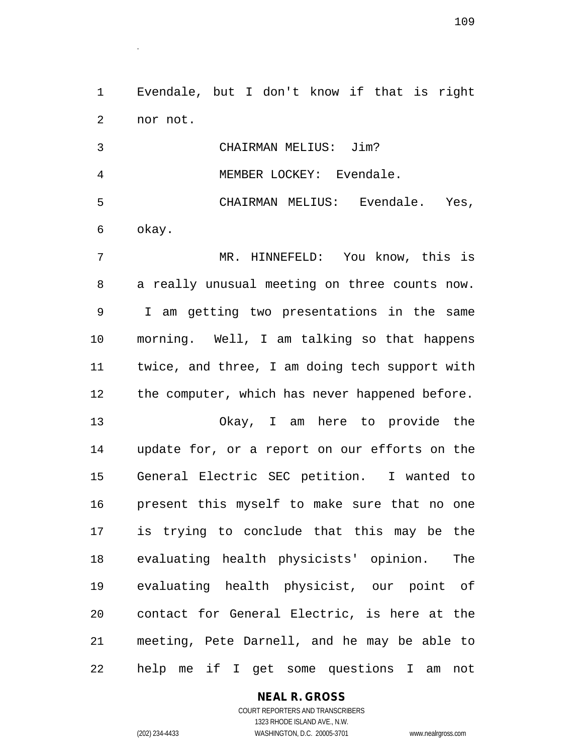Evendale, but I don't know if that is right nor not.

.

 CHAIRMAN MELIUS: Jim? MEMBER LOCKEY: Evendale. CHAIRMAN MELIUS: Evendale. Yes, okay. MR. HINNEFELD: You know, this is a really unusual meeting on three counts now. I am getting two presentations in the same

 morning. Well, I am talking so that happens twice, and three, I am doing tech support with the computer, which has never happened before.

 Okay, I am here to provide the update for, or a report on our efforts on the General Electric SEC petition. I wanted to present this myself to make sure that no one is trying to conclude that this may be the evaluating health physicists' opinion. The evaluating health physicist, our point of contact for General Electric, is here at the meeting, Pete Darnell, and he may be able to help me if I get some questions I am not

**NEAL R. GROSS**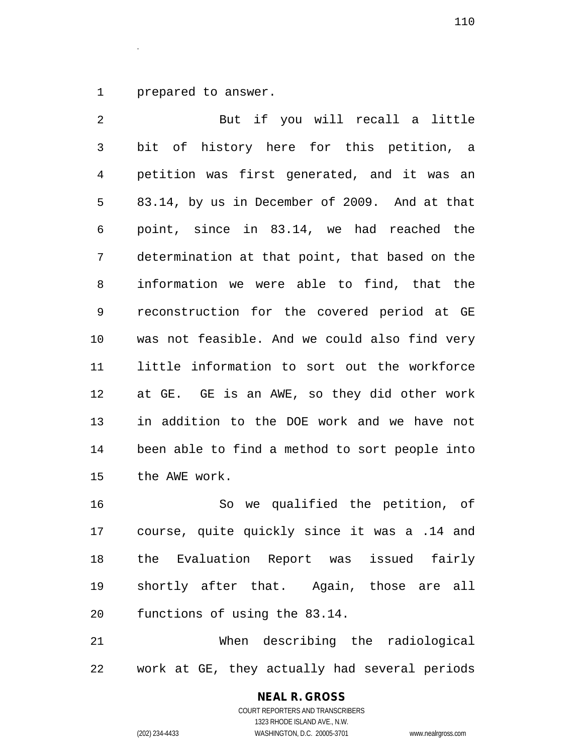prepared to answer.

.

 But if you will recall a little bit of history here for this petition, a petition was first generated, and it was an 83.14, by us in December of 2009. And at that point, since in 83.14, we had reached the determination at that point, that based on the information we were able to find, that the reconstruction for the covered period at GE was not feasible. And we could also find very little information to sort out the workforce at GE. GE is an AWE, so they did other work in addition to the DOE work and we have not been able to find a method to sort people into the AWE work.

 So we qualified the petition, of course, quite quickly since it was a .14 and the Evaluation Report was issued fairly shortly after that. Again, those are all functions of using the 83.14.

 When describing the radiological work at GE, they actually had several periods

#### **NEAL R. GROSS** COURT REPORTERS AND TRANSCRIBERS

1323 RHODE ISLAND AVE., N.W. (202) 234-4433 WASHINGTON, D.C. 20005-3701 www.nealrgross.com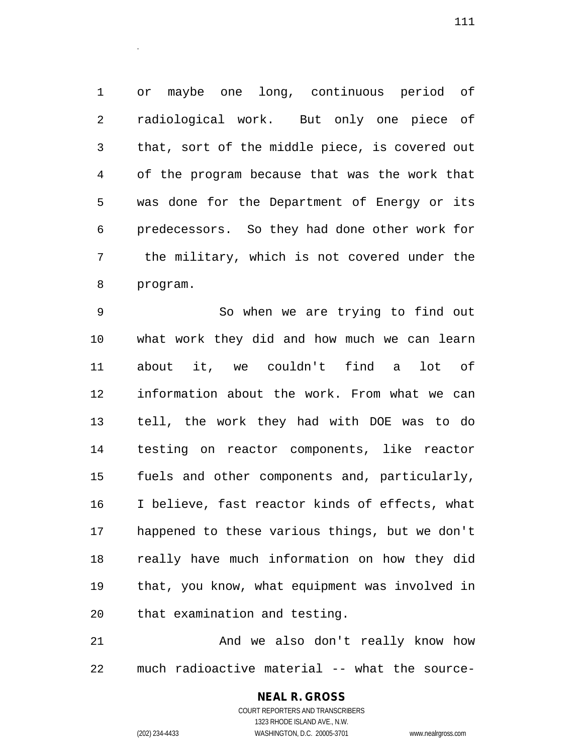or maybe one long, continuous period of radiological work. But only one piece of that, sort of the middle piece, is covered out of the program because that was the work that was done for the Department of Energy or its predecessors. So they had done other work for the military, which is not covered under the program.

 So when we are trying to find out what work they did and how much we can learn about it, we couldn't find a lot of information about the work. From what we can tell, the work they had with DOE was to do testing on reactor components, like reactor fuels and other components and, particularly, I believe, fast reactor kinds of effects, what happened to these various things, but we don't really have much information on how they did that, you know, what equipment was involved in that examination and testing.

 And we also don't really know how much radioactive material -- what the source-

## **NEAL R. GROSS**

.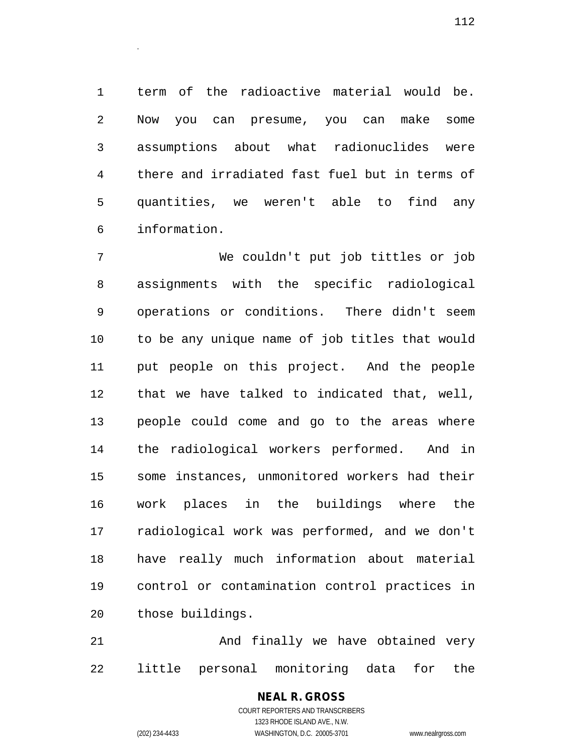term of the radioactive material would be. Now you can presume, you can make some assumptions about what radionuclides were there and irradiated fast fuel but in terms of quantities, we weren't able to find any information.

 We couldn't put job tittles or job assignments with the specific radiological operations or conditions. There didn't seem to be any unique name of job titles that would put people on this project. And the people that we have talked to indicated that, well, people could come and go to the areas where the radiological workers performed. And in some instances, unmonitored workers had their work places in the buildings where the radiological work was performed, and we don't have really much information about material control or contamination control practices in those buildings.

 And finally we have obtained very little personal monitoring data for the

#### COURT REPORTERS AND TRANSCRIBERS 1323 RHODE ISLAND AVE., N.W. (202) 234-4433 WASHINGTON, D.C. 20005-3701 www.nealrgross.com

**NEAL R. GROSS**

.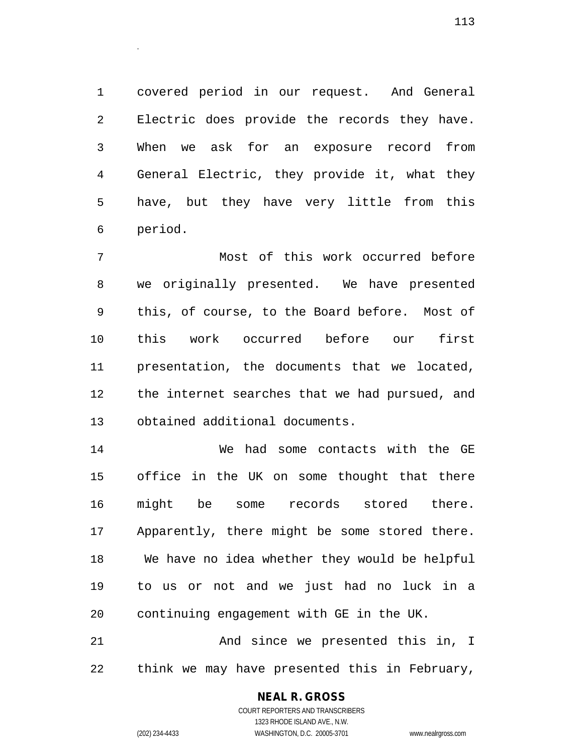covered period in our request. And General Electric does provide the records they have. When we ask for an exposure record from General Electric, they provide it, what they have, but they have very little from this period.

 Most of this work occurred before we originally presented. We have presented this, of course, to the Board before. Most of this work occurred before our first presentation, the documents that we located, the internet searches that we had pursued, and obtained additional documents.

 We had some contacts with the GE office in the UK on some thought that there might be some records stored there. Apparently, there might be some stored there. We have no idea whether they would be helpful to us or not and we just had no luck in a continuing engagement with GE in the UK.

 And since we presented this in, I think we may have presented this in February,

#### **NEAL R. GROSS**

.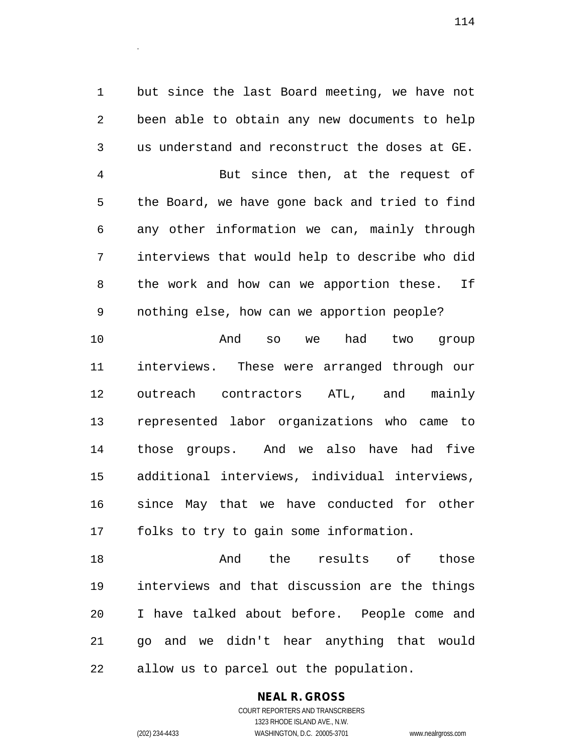but since the last Board meeting, we have not been able to obtain any new documents to help us understand and reconstruct the doses at GE. But since then, at the request of the Board, we have gone back and tried to find any other information we can, mainly through interviews that would help to describe who did the work and how can we apportion these. If nothing else, how can we apportion people?

.

 And so we had two group interviews. These were arranged through our outreach contractors ATL, and mainly represented labor organizations who came to those groups. And we also have had five additional interviews, individual interviews, since May that we have conducted for other folks to try to gain some information.

18 and the results of those interviews and that discussion are the things I have talked about before. People come and go and we didn't hear anything that would allow us to parcel out the population.

#### **NEAL R. GROSS** COURT REPORTERS AND TRANSCRIBERS

1323 RHODE ISLAND AVE., N.W. (202) 234-4433 WASHINGTON, D.C. 20005-3701 www.nealrgross.com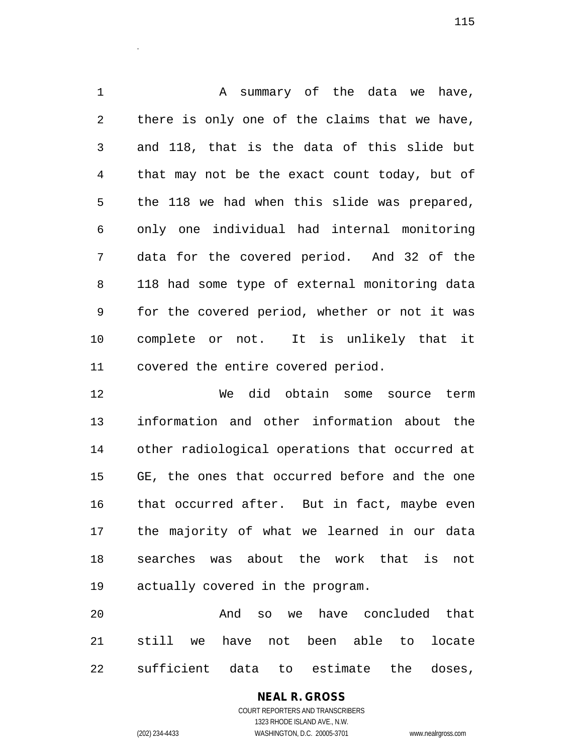1 A summary of the data we have, there is only one of the claims that we have, and 118, that is the data of this slide but that may not be the exact count today, but of the 118 we had when this slide was prepared, only one individual had internal monitoring data for the covered period. And 32 of the 118 had some type of external monitoring data for the covered period, whether or not it was complete or not. It is unlikely that it covered the entire covered period.

 We did obtain some source term information and other information about the other radiological operations that occurred at GE, the ones that occurred before and the one that occurred after. But in fact, maybe even the majority of what we learned in our data searches was about the work that is not actually covered in the program.

 And so we have concluded that still we have not been able to locate sufficient data to estimate the doses,

> **NEAL R. GROSS** COURT REPORTERS AND TRANSCRIBERS 1323 RHODE ISLAND AVE., N.W. (202) 234-4433 WASHINGTON, D.C. 20005-3701 www.nealrgross.com

.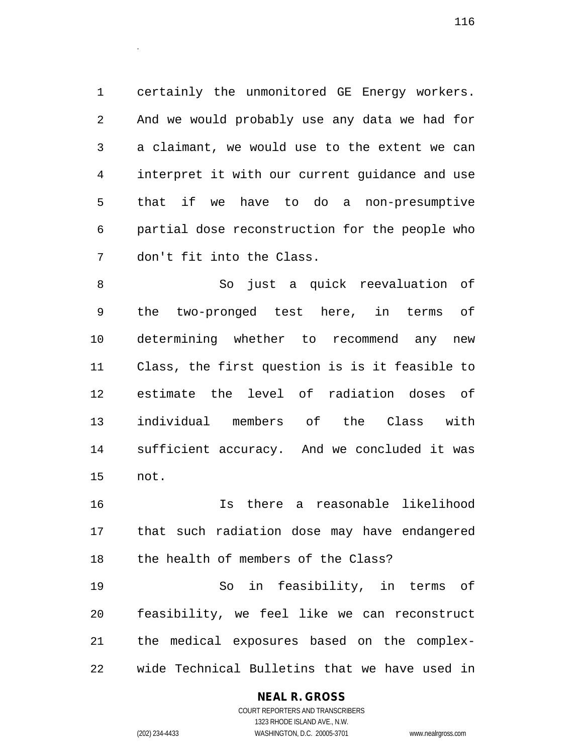certainly the unmonitored GE Energy workers. And we would probably use any data we had for a claimant, we would use to the extent we can interpret it with our current guidance and use that if we have to do a non-presumptive partial dose reconstruction for the people who don't fit into the Class.

 So just a quick reevaluation of the two-pronged test here, in terms of determining whether to recommend any new Class, the first question is is it feasible to estimate the level of radiation doses of individual members of the Class with sufficient accuracy. And we concluded it was not.

 Is there a reasonable likelihood that such radiation dose may have endangered the health of members of the Class?

 So in feasibility, in terms of feasibility, we feel like we can reconstruct the medical exposures based on the complex-wide Technical Bulletins that we have used in

#### **NEAL R. GROSS**

.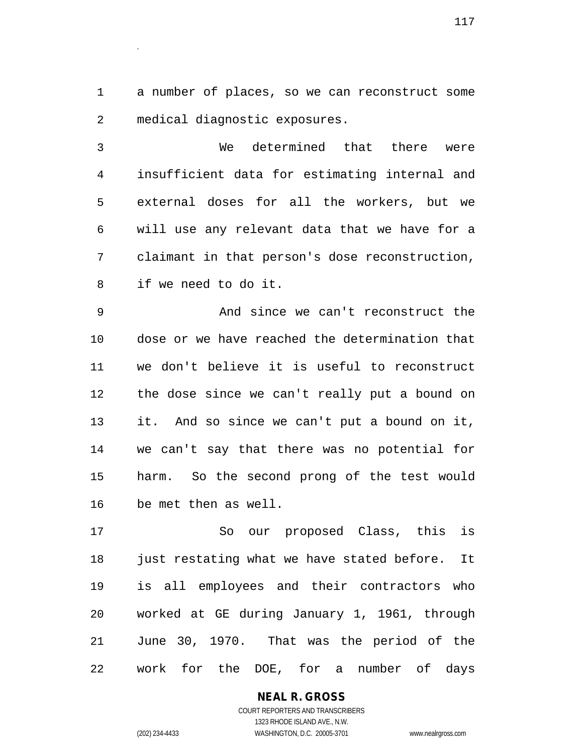a number of places, so we can reconstruct some medical diagnostic exposures.

.

 We determined that there were insufficient data for estimating internal and external doses for all the workers, but we will use any relevant data that we have for a claimant in that person's dose reconstruction, if we need to do it.

 And since we can't reconstruct the dose or we have reached the determination that we don't believe it is useful to reconstruct the dose since we can't really put a bound on it. And so since we can't put a bound on it, we can't say that there was no potential for harm. So the second prong of the test would be met then as well.

 So our proposed Class, this is just restating what we have stated before. It is all employees and their contractors who worked at GE during January 1, 1961, through June 30, 1970. That was the period of the work for the DOE, for a number of days

#### **NEAL R. GROSS**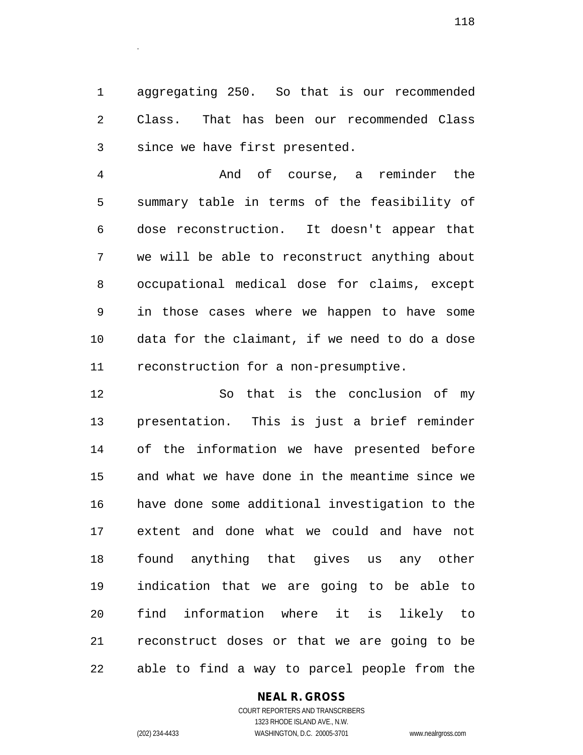aggregating 250. So that is our recommended Class. That has been our recommended Class since we have first presented.

 And of course, a reminder the summary table in terms of the feasibility of dose reconstruction. It doesn't appear that we will be able to reconstruct anything about occupational medical dose for claims, except in those cases where we happen to have some data for the claimant, if we need to do a dose reconstruction for a non-presumptive.

 So that is the conclusion of my presentation. This is just a brief reminder of the information we have presented before and what we have done in the meantime since we have done some additional investigation to the extent and done what we could and have not found anything that gives us any other indication that we are going to be able to find information where it is likely to reconstruct doses or that we are going to be able to find a way to parcel people from the

#### **NEAL R. GROSS**

COURT REPORTERS AND TRANSCRIBERS 1323 RHODE ISLAND AVE., N.W. (202) 234-4433 WASHINGTON, D.C. 20005-3701 www.nealrgross.com

.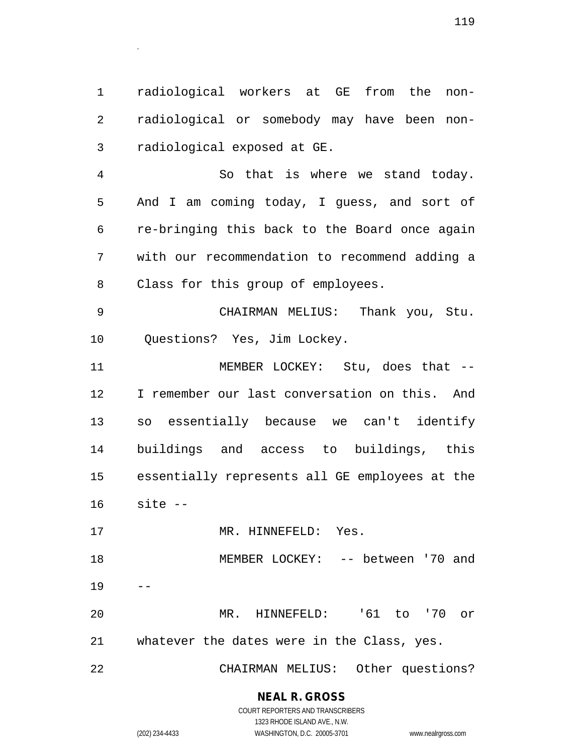radiological workers at GE from the non- radiological or somebody may have been non-radiological exposed at GE.

 So that is where we stand today. And I am coming today, I guess, and sort of re-bringing this back to the Board once again with our recommendation to recommend adding a Class for this group of employees.

 CHAIRMAN MELIUS: Thank you, Stu. Questions? Yes, Jim Lockey.

11 MEMBER LOCKEY: Stu, does that -- I remember our last conversation on this. And so essentially because we can't identify buildings and access to buildings, this essentially represents all GE employees at the site --

17 MR. HINNEFELD: Yes.

18 MEMBER LOCKEY: -- between '70 and 

 MR. HINNEFELD: '61 to '70 or whatever the dates were in the Class, yes.

CHAIRMAN MELIUS: Other questions?

### **NEAL R. GROSS**

.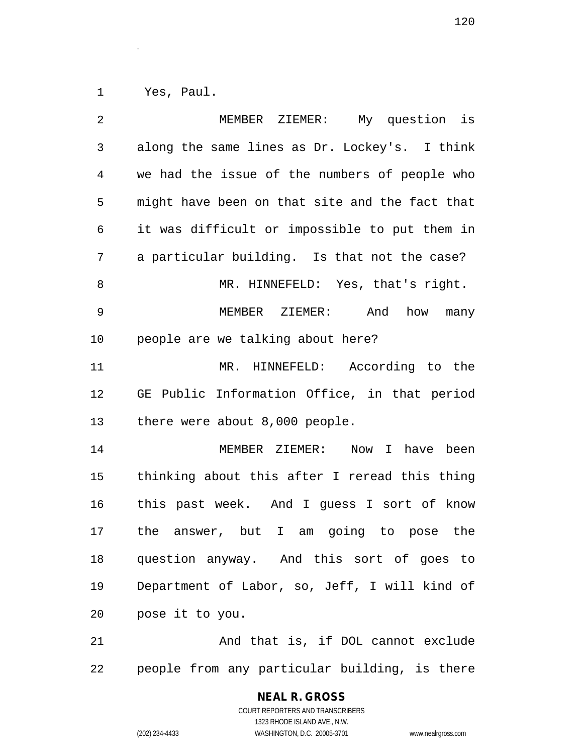Yes, Paul.

.

| $\overline{2}$ | MEMBER ZIEMER: My question is                  |
|----------------|------------------------------------------------|
| 3              | along the same lines as Dr. Lockey's. I think  |
| 4              | we had the issue of the numbers of people who  |
| 5              | might have been on that site and the fact that |
| 6              | it was difficult or impossible to put them in  |
| 7              | a particular building. Is that not the case?   |
| 8              | MR. HINNEFELD: Yes, that's right.              |
| 9              | MEMBER ZIEMER: And how many                    |
| 10             | people are we talking about here?              |
| 11             | MR. HINNEFELD: According to the                |
| 12             | GE Public Information Office, in that period   |
| 13             | there were about 8,000 people.                 |
| 14             | MEMBER ZIEMER: Now I have been                 |
| 15             | thinking about this after I reread this thing  |
| 16             | this past week. And I guess I sort of know     |
| 17             | the answer, but I am going to pose the         |
| 18             | question anyway. And this sort of goes to      |
| 19             | Department of Labor, so, Jeff, I will kind of  |
| 20             | pose it to you.                                |
| 21             | And that is, if DOL cannot exclude             |
| 22             | people from any particular building, is there  |

# **NEAL R. GROSS**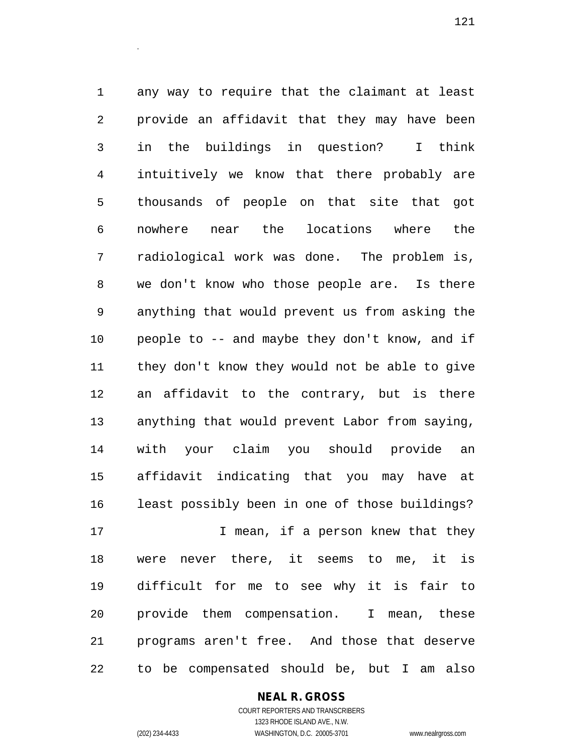any way to require that the claimant at least provide an affidavit that they may have been in the buildings in question? I think intuitively we know that there probably are thousands of people on that site that got nowhere near the locations where the radiological work was done. The problem is, we don't know who those people are. Is there anything that would prevent us from asking the people to -- and maybe they don't know, and if they don't know they would not be able to give an affidavit to the contrary, but is there anything that would prevent Labor from saying, with your claim you should provide an affidavit indicating that you may have at least possibly been in one of those buildings? **I** mean, if a person knew that they were never there, it seems to me, it is difficult for me to see why it is fair to provide them compensation. I mean, these programs aren't free. And those that deserve

to be compensated should be, but I am also

**NEAL R. GROSS**

COURT REPORTERS AND TRANSCRIBERS 1323 RHODE ISLAND AVE., N.W. (202) 234-4433 WASHINGTON, D.C. 20005-3701 www.nealrgross.com

.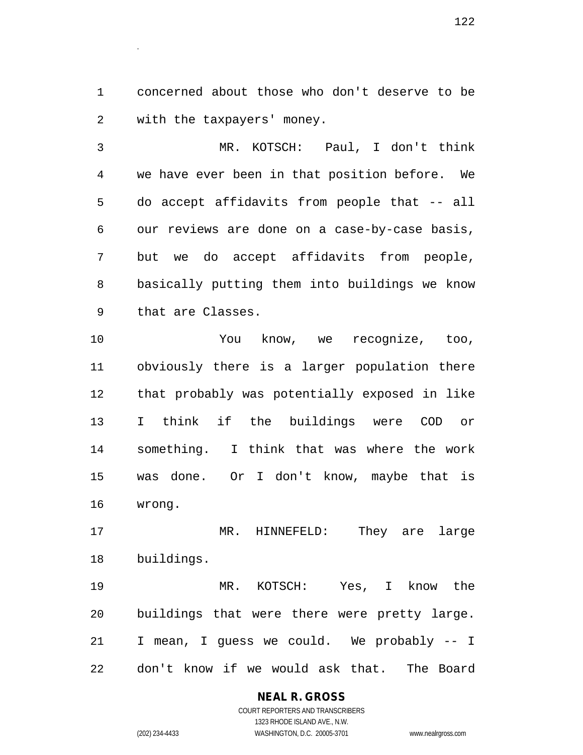concerned about those who don't deserve to be with the taxpayers' money.

 MR. KOTSCH: Paul, I don't think we have ever been in that position before. We do accept affidavits from people that -- all our reviews are done on a case-by-case basis, but we do accept affidavits from people, basically putting them into buildings we know that are Classes.

 You know, we recognize, too, obviously there is a larger population there that probably was potentially exposed in like I think if the buildings were COD or something. I think that was where the work was done. Or I don't know, maybe that is wrong.

 MR. HINNEFELD: They are large buildings.

 MR. KOTSCH: Yes, I know the buildings that were there were pretty large. I mean, I guess we could. We probably -- I don't know if we would ask that. The Board

## **NEAL R. GROSS**

.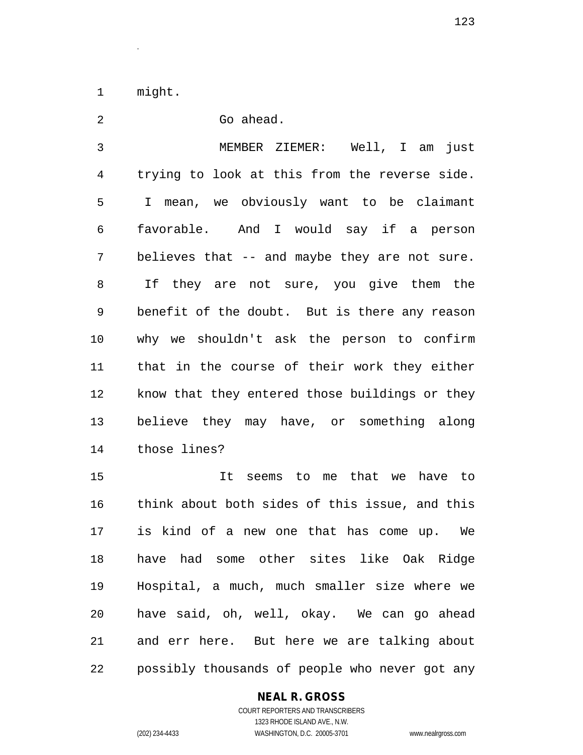might.

.

 Go ahead. MEMBER ZIEMER: Well, I am just trying to look at this from the reverse side. I mean, we obviously want to be claimant favorable. And I would say if a person believes that -- and maybe they are not sure. If they are not sure, you give them the benefit of the doubt. But is there any reason why we shouldn't ask the person to confirm that in the course of their work they either know that they entered those buildings or they believe they may have, or something along those lines?

 It seems to me that we have to think about both sides of this issue, and this is kind of a new one that has come up. We have had some other sites like Oak Ridge Hospital, a much, much smaller size where we have said, oh, well, okay. We can go ahead and err here. But here we are talking about possibly thousands of people who never got any

#### **NEAL R. GROSS**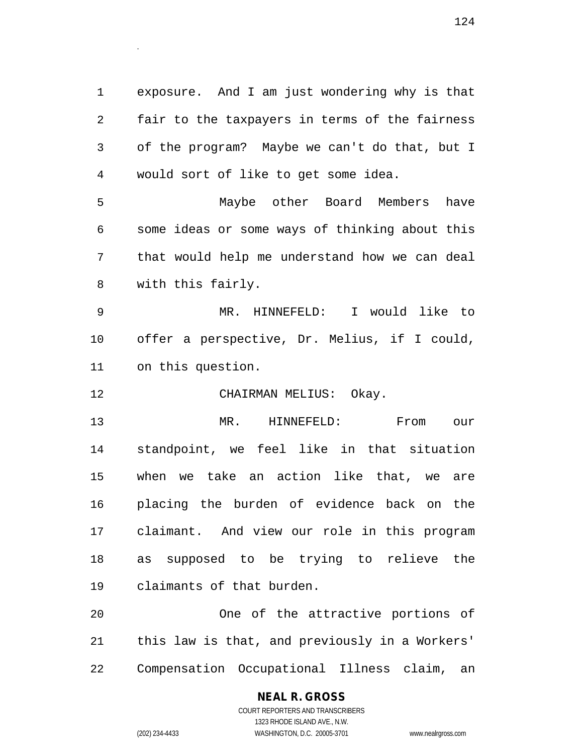exposure. And I am just wondering why is that fair to the taxpayers in terms of the fairness of the program? Maybe we can't do that, but I would sort of like to get some idea.

 Maybe other Board Members have some ideas or some ways of thinking about this that would help me understand how we can deal with this fairly.

 MR. HINNEFELD: I would like to offer a perspective, Dr. Melius, if I could, on this question.

CHAIRMAN MELIUS: Okay.

 MR. HINNEFELD: From our standpoint, we feel like in that situation when we take an action like that, we are placing the burden of evidence back on the claimant. And view our role in this program as supposed to be trying to relieve the claimants of that burden.

 One of the attractive portions of this law is that, and previously in a Workers' Compensation Occupational Illness claim, an

### **NEAL R. GROSS**

.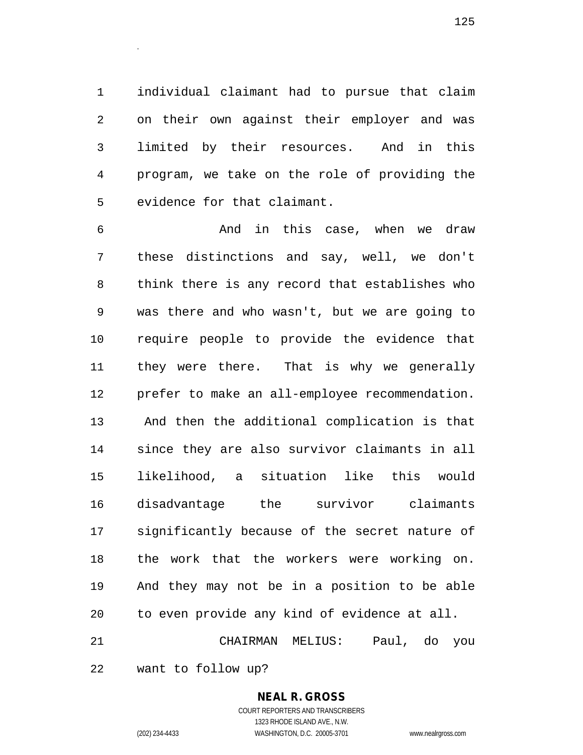individual claimant had to pursue that claim on their own against their employer and was limited by their resources. And in this program, we take on the role of providing the evidence for that claimant.

 And in this case, when we draw these distinctions and say, well, we don't think there is any record that establishes who was there and who wasn't, but we are going to require people to provide the evidence that they were there. That is why we generally prefer to make an all-employee recommendation. And then the additional complication is that since they are also survivor claimants in all likelihood, a situation like this would disadvantage the survivor claimants significantly because of the secret nature of the work that the workers were working on. And they may not be in a position to be able to even provide any kind of evidence at all. CHAIRMAN MELIUS: Paul, do you

want to follow up?

#### **NEAL R. GROSS**

.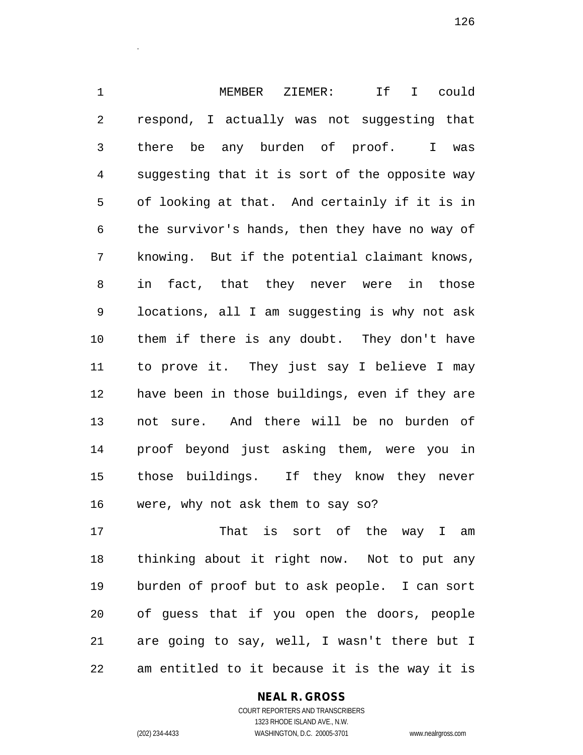MEMBER ZIEMER: If I could respond, I actually was not suggesting that there be any burden of proof. I was suggesting that it is sort of the opposite way of looking at that. And certainly if it is in the survivor's hands, then they have no way of knowing. But if the potential claimant knows, in fact, that they never were in those locations, all I am suggesting is why not ask them if there is any doubt. They don't have to prove it. They just say I believe I may have been in those buildings, even if they are not sure. And there will be no burden of proof beyond just asking them, were you in those buildings. If they know they never were, why not ask them to say so?

17 That is sort of the way I am thinking about it right now. Not to put any burden of proof but to ask people. I can sort of guess that if you open the doors, people are going to say, well, I wasn't there but I am entitled to it because it is the way it is

#### **NEAL R. GROSS**

.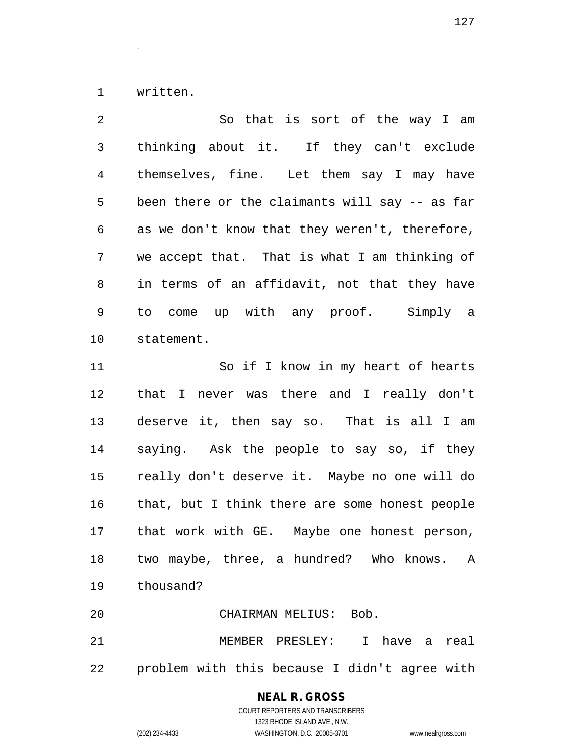written.

.

 So that is sort of the way I am thinking about it. If they can't exclude themselves, fine. Let them say I may have been there or the claimants will say -- as far as we don't know that they weren't, therefore, we accept that. That is what I am thinking of in terms of an affidavit, not that they have to come up with any proof. Simply a statement. So if I know in my heart of hearts that I never was there and I really don't deserve it, then say so. That is all I am saying. Ask the people to say so, if they really don't deserve it. Maybe no one will do that, but I think there are some honest people that work with GE. Maybe one honest person, two maybe, three, a hundred? Who knows. A thousand? CHAIRMAN MELIUS: Bob. MEMBER PRESLEY: I have a real problem with this because I didn't agree with

#### **NEAL R. GROSS** COURT REPORTERS AND TRANSCRIBERS

1323 RHODE ISLAND AVE., N.W.

(202) 234-4433 WASHINGTON, D.C. 20005-3701 www.nealrgross.com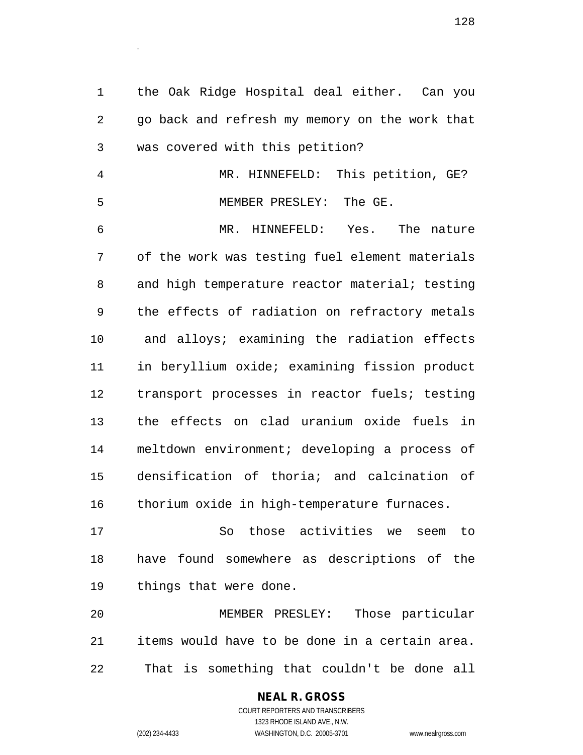the Oak Ridge Hospital deal either. Can you go back and refresh my memory on the work that was covered with this petition?

 MR. HINNEFELD: This petition, GE? MEMBER PRESLEY: The GE.

 MR. HINNEFELD: Yes. The nature of the work was testing fuel element materials 8 and high temperature reactor material; testing the effects of radiation on refractory metals and alloys; examining the radiation effects in beryllium oxide; examining fission product transport processes in reactor fuels; testing the effects on clad uranium oxide fuels in meltdown environment; developing a process of densification of thoria; and calcination of thorium oxide in high-temperature furnaces.

 So those activities we seem to have found somewhere as descriptions of the things that were done.

 MEMBER PRESLEY: Those particular items would have to be done in a certain area. That is something that couldn't be done all

## **NEAL R. GROSS**

.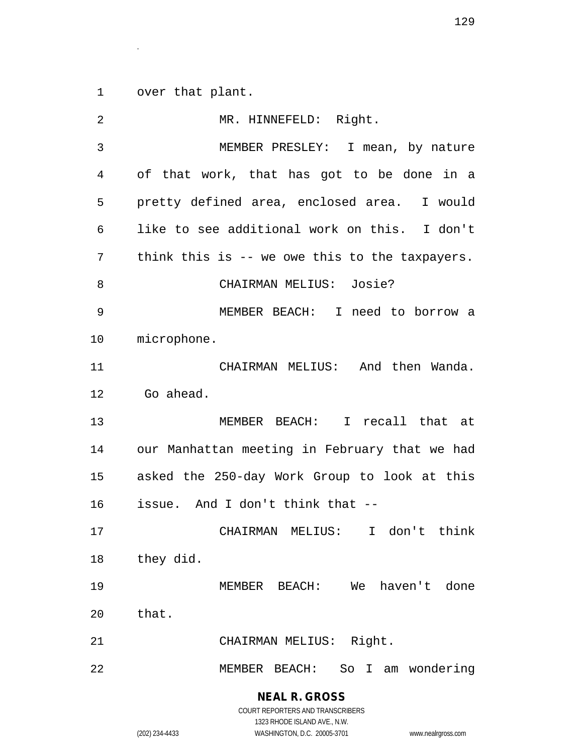over that plant.

.

| 2  | MR. HINNEFELD: Right.                          |
|----|------------------------------------------------|
| 3  | MEMBER PRESLEY: I mean, by nature              |
| 4  | of that work, that has got to be done in a     |
| 5  | pretty defined area, enclosed area. I would    |
| 6  | like to see additional work on this. I don't   |
| 7  | think this is -- we owe this to the taxpayers. |
| 8  | CHAIRMAN MELIUS: Josie?                        |
| 9  | MEMBER BEACH: I need to borrow a               |
| 10 | microphone.                                    |
| 11 | CHAIRMAN MELIUS: And then Wanda.               |
| 12 | Go ahead.                                      |
| 13 | MEMBER BEACH: I recall that at                 |
| 14 | our Manhattan meeting in February that we had  |
| 15 | asked the 250-day Work Group to look at this   |
| 16 | issue. And I don't think that --               |
| 17 | CHAIRMAN MELIUS: I don't think                 |
| 18 | they did.                                      |
| 19 | MEMBER BEACH: We haven't done                  |
| 20 | that.                                          |
| 21 | CHAIRMAN MELIUS: Right.                        |
| 22 | MEMBER BEACH: So I am wondering                |
|    | <b>NEAL R. GROSS</b>                           |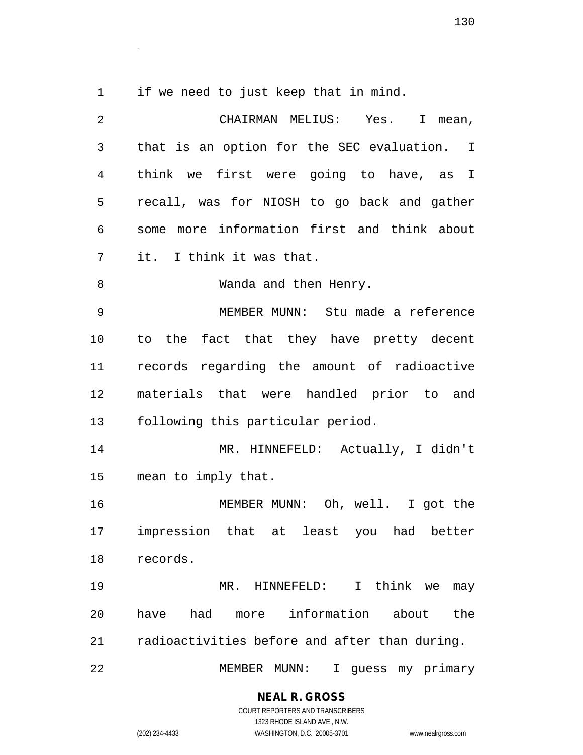.

if we need to just keep that in mind.

| $\overline{2}$ | CHAIRMAN MELIUS: Yes. I mean,                 |
|----------------|-----------------------------------------------|
| $\mathfrak{Z}$ | that is an option for the SEC evaluation. I   |
| 4              | think we first were going to have, as I       |
| 5              | recall, was for NIOSH to go back and gather   |
| 6              | some more information first and think about   |
| 7              | it. I think it was that.                      |
| 8              | Wanda and then Henry.                         |
| $\mathsf 9$    | MEMBER MUNN: Stu made a reference             |
| 10             | to the fact that they have pretty decent      |
| 11             | records regarding the amount of radioactive   |
| 12             | materials that were handled prior to and      |
| 13             | following this particular period.             |
| 14             | MR. HINNEFELD: Actually, I didn't             |
| 15             | mean to imply that.                           |
| 16             | MEMBER MUNN: Oh, well. I got the              |
| 17             | impression that at least you had better       |
|                | 18 records.                                   |
| 19             | MR. HINNEFELD: I think we may                 |
| 20             | have had more information about the           |
| 21             | radioactivities before and after than during. |
| 22             | MEMBER MUNN: I guess my primary               |

#### **NEAL R. GROSS**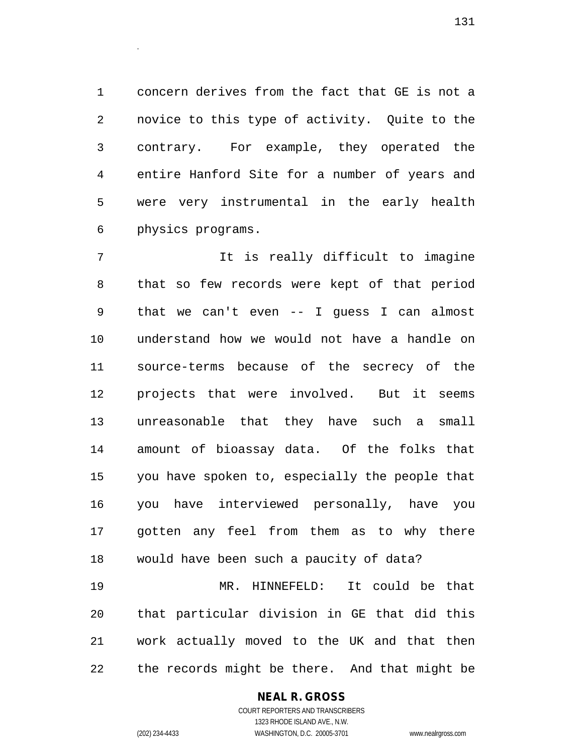concern derives from the fact that GE is not a novice to this type of activity. Quite to the contrary. For example, they operated the entire Hanford Site for a number of years and were very instrumental in the early health physics programs.

 It is really difficult to imagine that so few records were kept of that period that we can't even -- I guess I can almost understand how we would not have a handle on source-terms because of the secrecy of the projects that were involved. But it seems unreasonable that they have such a small amount of bioassay data. Of the folks that you have spoken to, especially the people that you have interviewed personally, have you gotten any feel from them as to why there would have been such a paucity of data?

 MR. HINNEFELD: It could be that that particular division in GE that did this work actually moved to the UK and that then the records might be there. And that might be

#### **NEAL R. GROSS**

.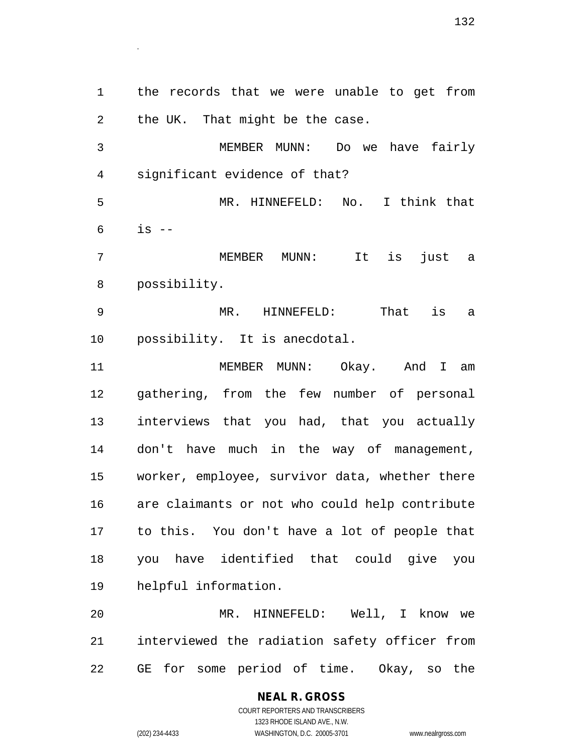the records that we were unable to get from the UK. That might be the case. MEMBER MUNN: Do we have fairly significant evidence of that? MR. HINNEFELD: No. I think that is  $-$  MEMBER MUNN: It is just a possibility. MR. HINNEFELD: That is a possibility. It is anecdotal. 11 MEMBER MUNN: Okay. And I am

 MR. HINNEFELD: Well, I know we interviewed the radiation safety officer from GE for some period of time. Okay, so the

> COURT REPORTERS AND TRANSCRIBERS 1323 RHODE ISLAND AVE., N.W. (202) 234-4433 WASHINGTON, D.C. 20005-3701 www.nealrgross.com

**NEAL R. GROSS**

.

 gathering, from the few number of personal interviews that you had, that you actually don't have much in the way of management, worker, employee, survivor data, whether there are claimants or not who could help contribute to this. You don't have a lot of people that you have identified that could give you helpful information.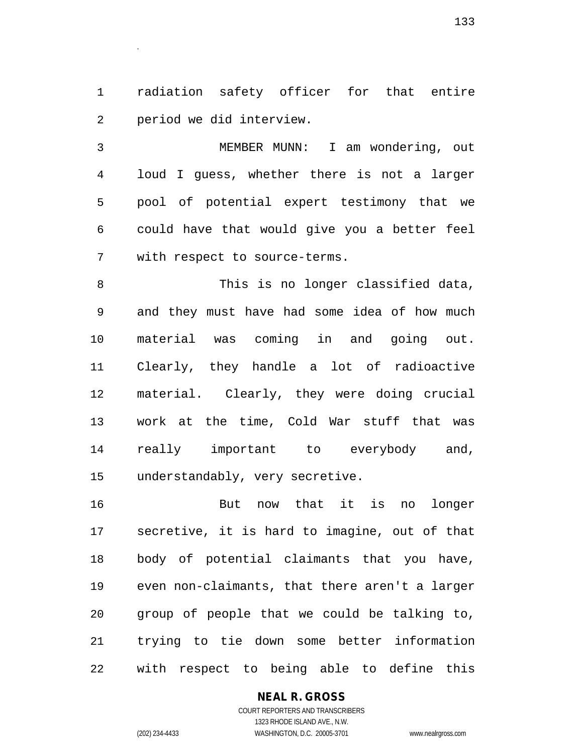radiation safety officer for that entire period we did interview.

.

 MEMBER MUNN: I am wondering, out loud I guess, whether there is not a larger pool of potential expert testimony that we could have that would give you a better feel with respect to source-terms.

 This is no longer classified data, and they must have had some idea of how much material was coming in and going out. Clearly, they handle a lot of radioactive material. Clearly, they were doing crucial work at the time, Cold War stuff that was really important to everybody and, understandably, very secretive.

 But now that it is no longer secretive, it is hard to imagine, out of that body of potential claimants that you have, even non-claimants, that there aren't a larger group of people that we could be talking to, trying to tie down some better information with respect to being able to define this

#### **NEAL R. GROSS**

COURT REPORTERS AND TRANSCRIBERS 1323 RHODE ISLAND AVE., N.W. (202) 234-4433 WASHINGTON, D.C. 20005-3701 www.nealrgross.com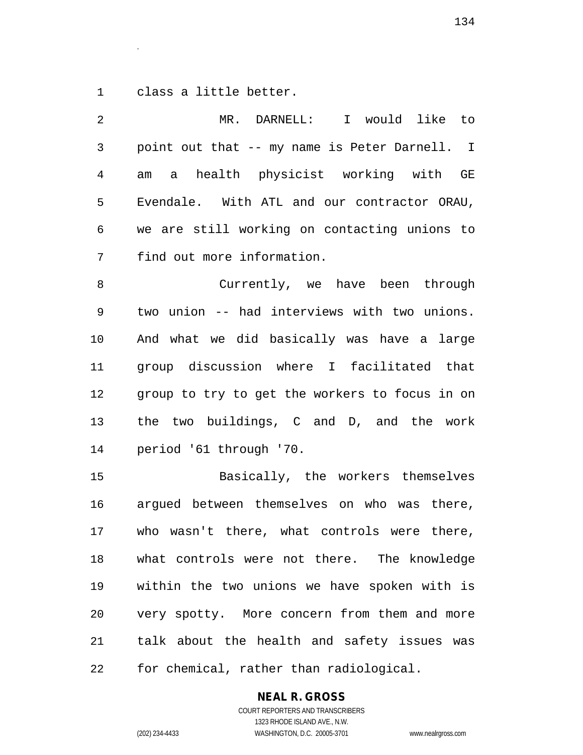class a little better.

.

| 2  | I would like to<br>MR. DARNELL:                |
|----|------------------------------------------------|
| 3  | point out that -- my name is Peter Darnell. I  |
| 4  | am a health physicist working with GE          |
| 5  | Evendale. With ATL and our contractor ORAU,    |
| 6  | we are still working on contacting unions to   |
| 7  | find out more information.                     |
| 8  | Currently, we have been through                |
| 9  | two union -- had interviews with two unions.   |
| 10 | And what we did basically was have a large     |
| 11 | group discussion where I facilitated that      |
| 12 | group to try to get the workers to focus in on |
| 13 | the two buildings, C and D, and the work       |
| 14 | period '61 through '70.                        |
| 15 | Basically, the workers themselves              |
| 16 | argued between themselves on who was there,    |
| 17 | who wasn't there, what controls were there,    |
| 18 | what controls were not there. The knowledge    |
| 19 | within the two unions we have spoken with is   |
| 20 | very spotty. More concern from them and more   |
| 21 | talk about the health and safety issues was    |
| 22 | for chemical, rather than radiological.        |

**NEAL R. GROSS**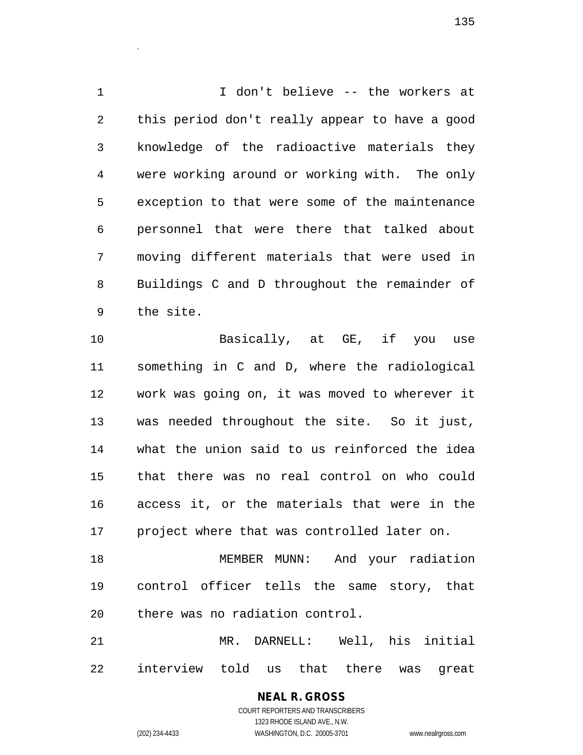I don't believe -- the workers at this period don't really appear to have a good knowledge of the radioactive materials they were working around or working with. The only exception to that were some of the maintenance personnel that were there that talked about moving different materials that were used in Buildings C and D throughout the remainder of the site.

 Basically, at GE, if you use something in C and D, where the radiological work was going on, it was moved to wherever it was needed throughout the site. So it just, what the union said to us reinforced the idea that there was no real control on who could access it, or the materials that were in the project where that was controlled later on.

 MEMBER MUNN: And your radiation control officer tells the same story, that there was no radiation control.

 MR. DARNELL: Well, his initial interview told us that there was great

> **NEAL R. GROSS** COURT REPORTERS AND TRANSCRIBERS 1323 RHODE ISLAND AVE., N.W. (202) 234-4433 WASHINGTON, D.C. 20005-3701 www.nealrgross.com

.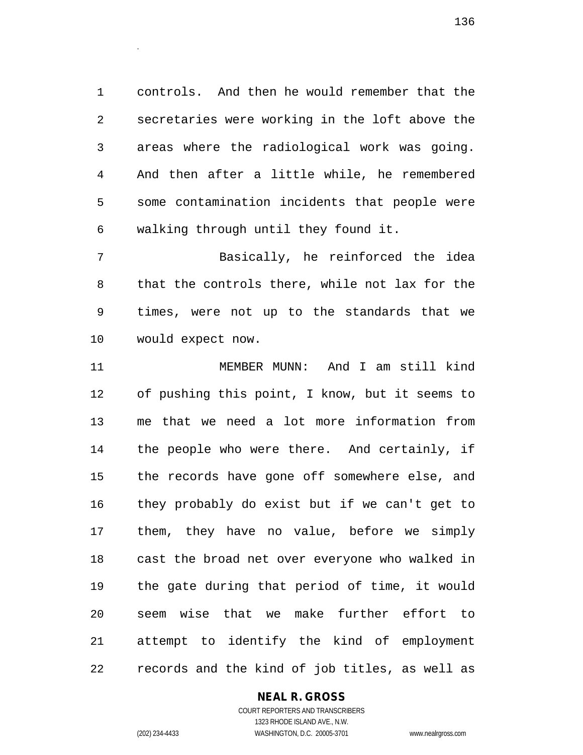controls. And then he would remember that the secretaries were working in the loft above the areas where the radiological work was going. And then after a little while, he remembered some contamination incidents that people were walking through until they found it.

 Basically, he reinforced the idea that the controls there, while not lax for the times, were not up to the standards that we would expect now.

 MEMBER MUNN: And I am still kind of pushing this point, I know, but it seems to me that we need a lot more information from the people who were there. And certainly, if the records have gone off somewhere else, and they probably do exist but if we can't get to them, they have no value, before we simply cast the broad net over everyone who walked in the gate during that period of time, it would seem wise that we make further effort to attempt to identify the kind of employment records and the kind of job titles, as well as

#### **NEAL R. GROSS**

COURT REPORTERS AND TRANSCRIBERS 1323 RHODE ISLAND AVE., N.W. (202) 234-4433 WASHINGTON, D.C. 20005-3701 www.nealrgross.com

.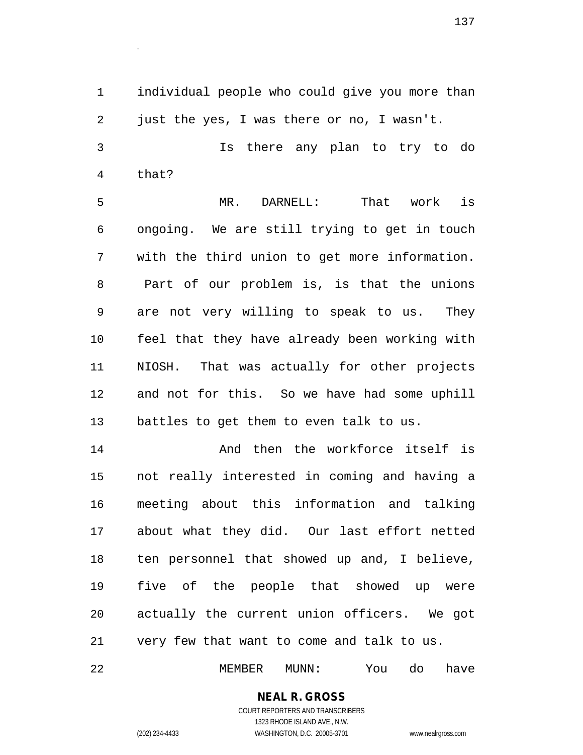individual people who could give you more than just the yes, I was there or no, I wasn't.

 Is there any plan to try to do that?

 MR. DARNELL: That work is ongoing. We are still trying to get in touch with the third union to get more information. Part of our problem is, is that the unions are not very willing to speak to us. They feel that they have already been working with NIOSH. That was actually for other projects and not for this. So we have had some uphill battles to get them to even talk to us.

 And then the workforce itself is not really interested in coming and having a meeting about this information and talking about what they did. Our last effort netted ten personnel that showed up and, I believe, five of the people that showed up were actually the current union officers. We got very few that want to come and talk to us.

MEMBER MUNN: You do have

## **NEAL R. GROSS**

.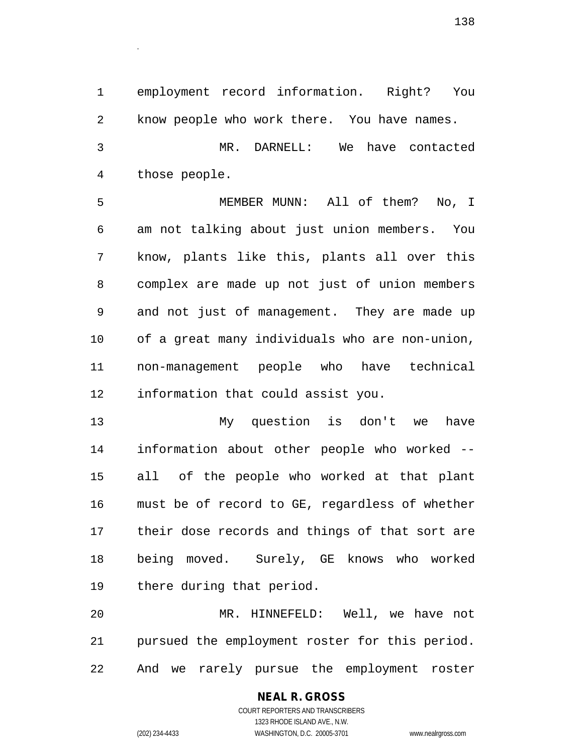employment record information. Right? You know people who work there. You have names. MR. DARNELL: We have contacted

those people.

.

 MEMBER MUNN: All of them? No, I am not talking about just union members. You know, plants like this, plants all over this complex are made up not just of union members and not just of management. They are made up of a great many individuals who are non-union, non-management people who have technical information that could assist you.

 My question is don't we have information about other people who worked -- all of the people who worked at that plant must be of record to GE, regardless of whether their dose records and things of that sort are being moved. Surely, GE knows who worked there during that period.

 MR. HINNEFELD: Well, we have not pursued the employment roster for this period. And we rarely pursue the employment roster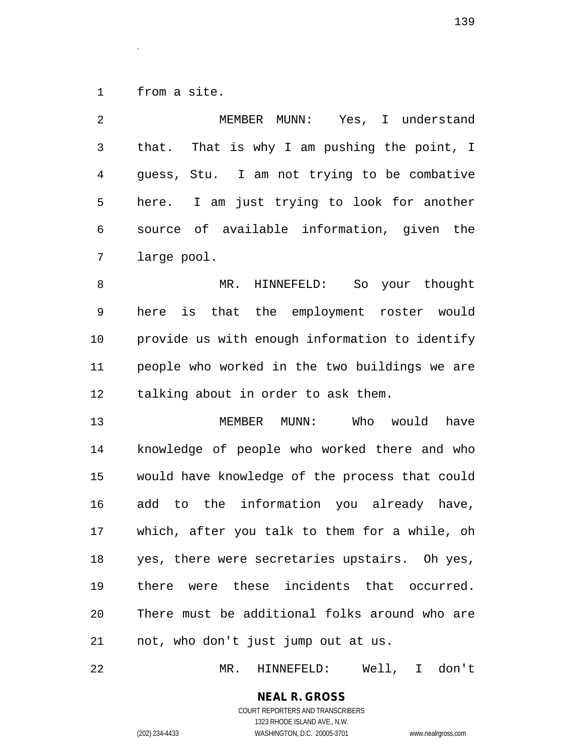from a site.

.

| 2            | MEMBER MUNN: Yes, I understand                 |
|--------------|------------------------------------------------|
| $\mathsf{3}$ | that. That is why I am pushing the point, I    |
| 4            | guess, Stu. I am not trying to be combative    |
| 5            | I am just trying to look for another<br>here.  |
| 6            | source of available information, given the     |
| 7            | large pool.                                    |
| 8            | HINNEFELD: So your thought<br>MR.              |
| 9            | is that the employment roster would<br>here    |
| 10           | provide us with enough information to identify |
| 11           | people who worked in the two buildings we are  |
| 12           | talking about in order to ask them.            |
| 13           | MEMBER MUNN:<br>Who would<br>have              |
| 14           | knowledge of people who worked there and who   |
| 15           | would have knowledge of the process that could |
| 16           | add to the information you already have,       |
| 17           | which, after you talk to them for a while, oh  |
| 18           | yes, there were secretaries upstairs. Oh yes,  |
| 19           | there were these incidents that occurred.      |
| 20           | There must be additional folks around who are  |
| 21           | not, who don't just jump out at us.            |
|              |                                                |

MR. HINNEFELD: Well, I don't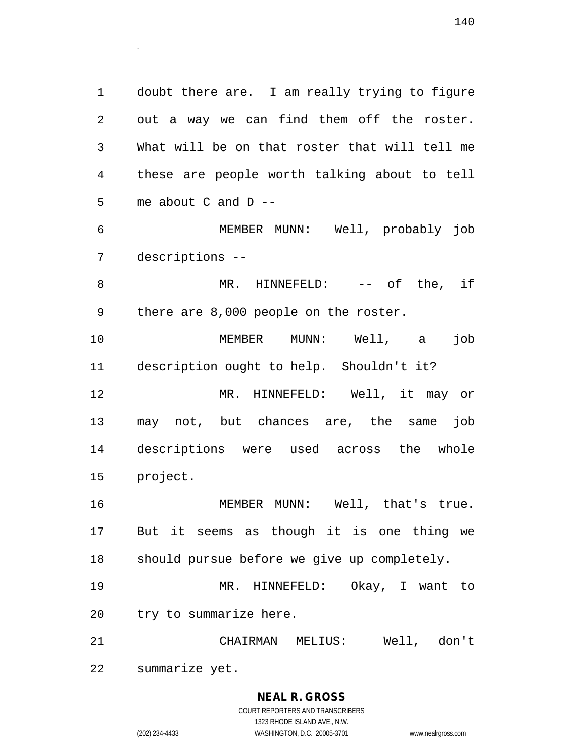doubt there are. I am really trying to figure out a way we can find them off the roster. What will be on that roster that will tell me these are people worth talking about to tell me about C and D -- MEMBER MUNN: Well, probably job

descriptions --

.

8 MR. HINNEFELD: -- of the, if there are 8,000 people on the roster.

 MEMBER MUNN: Well, a job description ought to help. Shouldn't it? MR. HINNEFELD: Well, it may or may not, but chances are, the same job descriptions were used across the whole project.

 MEMBER MUNN: Well, that's true. But it seems as though it is one thing we should pursue before we give up completely.

 MR. HINNEFELD: Okay, I want to try to summarize here.

 CHAIRMAN MELIUS: Well, don't summarize yet.

#### **NEAL R. GROSS** COURT REPORTERS AND TRANSCRIBERS

1323 RHODE ISLAND AVE., N.W. (202) 234-4433 WASHINGTON, D.C. 20005-3701 www.nealrgross.com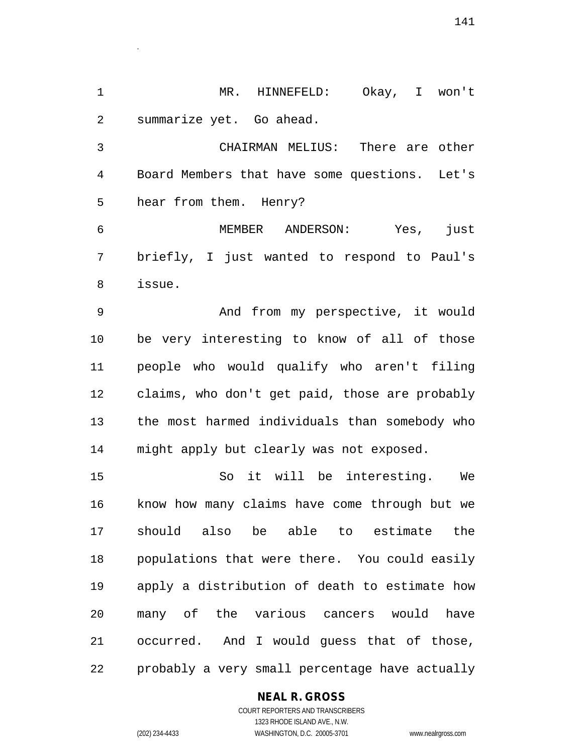MR. HINNEFELD: Okay, I won't summarize yet. Go ahead.

 CHAIRMAN MELIUS: There are other Board Members that have some questions. Let's hear from them. Henry?

 MEMBER ANDERSON: Yes, just briefly, I just wanted to respond to Paul's issue.

 And from my perspective, it would be very interesting to know of all of those people who would qualify who aren't filing claims, who don't get paid, those are probably the most harmed individuals than somebody who might apply but clearly was not exposed.

 So it will be interesting. We know how many claims have come through but we should also be able to estimate the populations that were there. You could easily apply a distribution of death to estimate how many of the various cancers would have occurred. And I would guess that of those, probably a very small percentage have actually

#### **NEAL R. GROSS**

COURT REPORTERS AND TRANSCRIBERS 1323 RHODE ISLAND AVE., N.W. (202) 234-4433 WASHINGTON, D.C. 20005-3701 www.nealrgross.com

.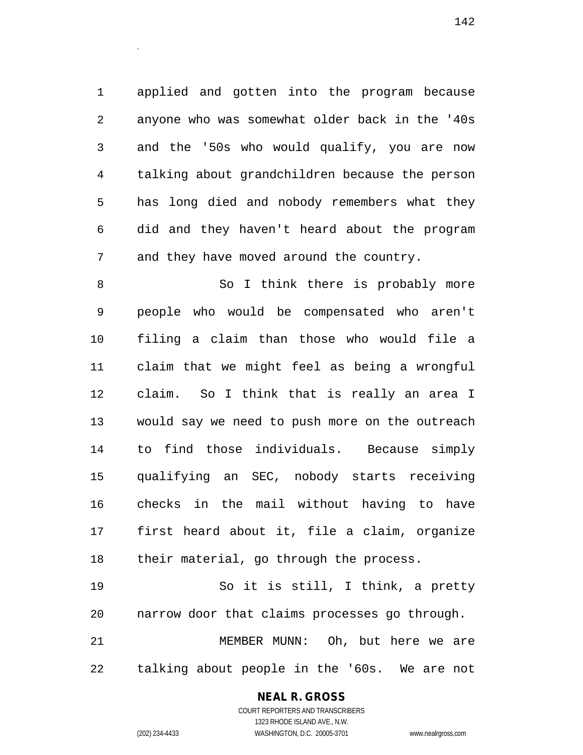applied and gotten into the program because anyone who was somewhat older back in the '40s and the '50s who would qualify, you are now talking about grandchildren because the person has long died and nobody remembers what they did and they haven't heard about the program and they have moved around the country.

8 So I think there is probably more people who would be compensated who aren't filing a claim than those who would file a claim that we might feel as being a wrongful claim. So I think that is really an area I would say we need to push more on the outreach to find those individuals. Because simply qualifying an SEC, nobody starts receiving checks in the mail without having to have first heard about it, file a claim, organize their material, go through the process.

 So it is still, I think, a pretty narrow door that claims processes go through. MEMBER MUNN: Oh, but here we are talking about people in the '60s. We are not

#### **NEAL R. GROSS**

.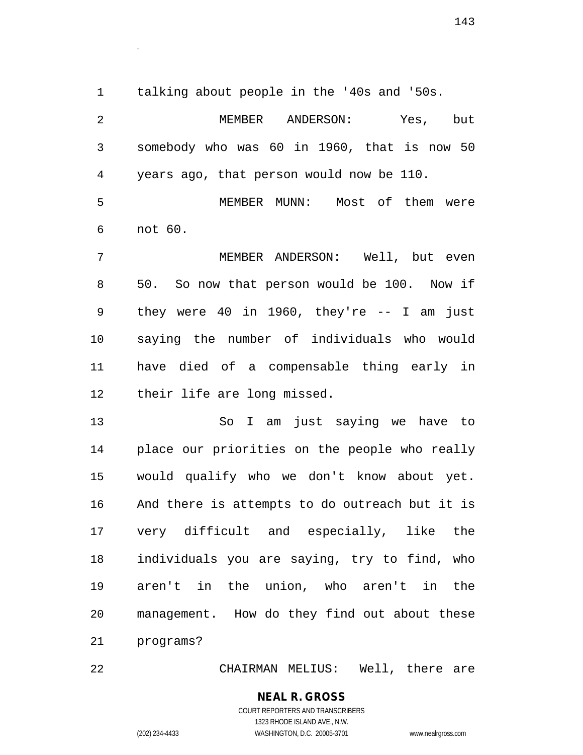talking about people in the '40s and '50s.

.

 MEMBER ANDERSON: Yes, but somebody who was 60 in 1960, that is now 50 years ago, that person would now be 110. MEMBER MUNN: Most of them were not 60. MEMBER ANDERSON: Well, but even 50. So now that person would be 100. Now if they were 40 in 1960, they're -- I am just saying the number of individuals who would have died of a compensable thing early in their life are long missed. So I am just saying we have to place our priorities on the people who really would qualify who we don't know about yet. And there is attempts to do outreach but it is very difficult and especially, like the

 individuals you are saying, try to find, who aren't in the union, who aren't in the management. How do they find out about these programs?

CHAIRMAN MELIUS: Well, there are

## **NEAL R. GROSS**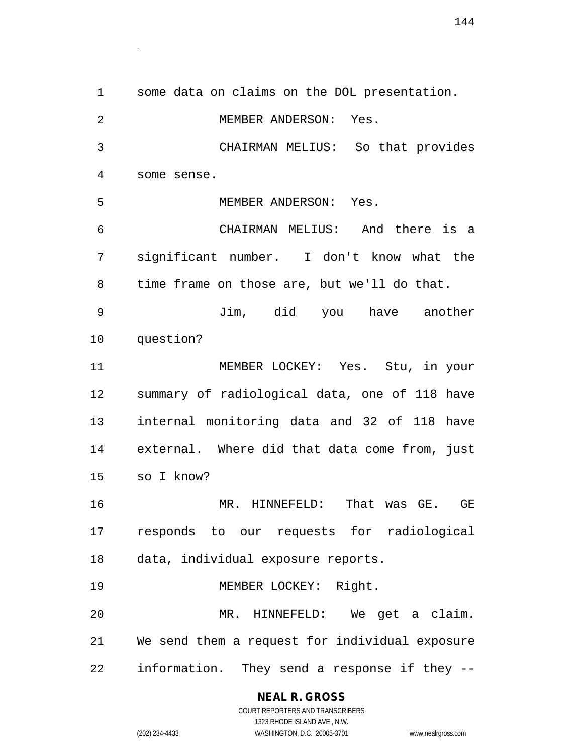some data on claims on the DOL presentation. MEMBER ANDERSON: Yes. CHAIRMAN MELIUS: So that provides some sense. MEMBER ANDERSON: Yes. CHAIRMAN MELIUS: And there is a significant number. I don't know what the time frame on those are, but we'll do that. Jim, did you have another question? MEMBER LOCKEY: Yes. Stu, in your summary of radiological data, one of 118 have internal monitoring data and 32 of 118 have external. Where did that data come from, just so I know? MR. HINNEFELD: That was GE. GE responds to our requests for radiological data, individual exposure reports. 19 MEMBER LOCKEY: Right. MR. HINNEFELD: We get a claim. We send them a request for individual exposure information. They send a response if they --

**NEAL R. GROSS**

.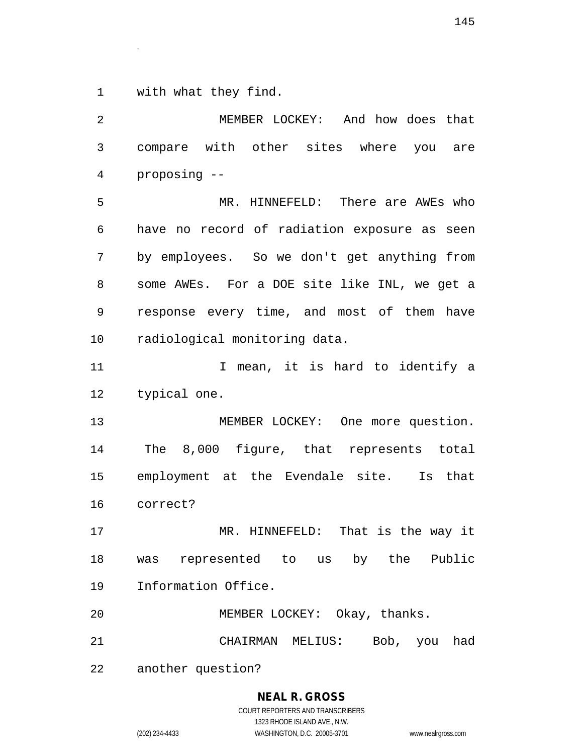with what they find.

.

 MEMBER LOCKEY: And how does that compare with other sites where you are proposing -- MR. HINNEFELD: There are AWEs who have no record of radiation exposure as seen by employees. So we don't get anything from some AWEs. For a DOE site like INL, we get a response every time, and most of them have radiological monitoring data. 11 12 I mean, it is hard to identify a typical one. 13 MEMBER LOCKEY: One more question. The 8,000 figure, that represents total employment at the Evendale site. Is that correct? MR. HINNEFELD: That is the way it was represented to us by the Public Information Office. MEMBER LOCKEY: Okay, thanks. CHAIRMAN MELIUS: Bob, you had another question?

# **NEAL R. GROSS**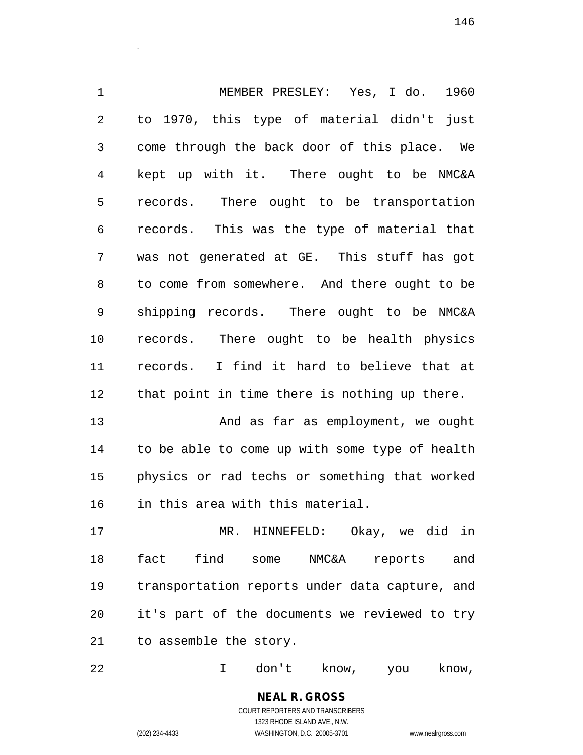MEMBER PRESLEY: Yes, I do. 1960 to 1970, this type of material didn't just come through the back door of this place. We kept up with it. There ought to be NMC&A records. There ought to be transportation records. This was the type of material that was not generated at GE. This stuff has got to come from somewhere. And there ought to be shipping records. There ought to be NMC&A records. There ought to be health physics records. I find it hard to believe that at that point in time there is nothing up there.

 And as far as employment, we ought to be able to come up with some type of health physics or rad techs or something that worked in this area with this material.

 MR. HINNEFELD: Okay, we did in fact find some NMC&A reports and transportation reports under data capture, and it's part of the documents we reviewed to try to assemble the story.

I don't know, you know,

**NEAL R. GROSS** COURT REPORTERS AND TRANSCRIBERS 1323 RHODE ISLAND AVE., N.W. (202) 234-4433 WASHINGTON, D.C. 20005-3701 www.nealrgross.com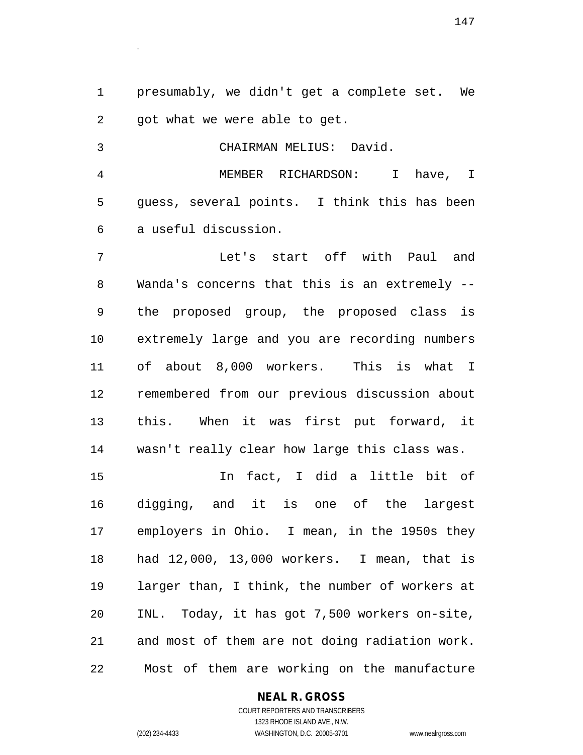presumably, we didn't get a complete set. We got what we were able to get.

 CHAIRMAN MELIUS: David. MEMBER RICHARDSON: I have, I guess, several points. I think this has been a useful discussion. Let's start off with Paul and

 Wanda's concerns that this is an extremely -- the proposed group, the proposed class is extremely large and you are recording numbers of about 8,000 workers. This is what I remembered from our previous discussion about this. When it was first put forward, it wasn't really clear how large this class was.

 In fact, I did a little bit of digging, and it is one of the largest employers in Ohio. I mean, in the 1950s they had 12,000, 13,000 workers. I mean, that is larger than, I think, the number of workers at INL. Today, it has got 7,500 workers on-site, and most of them are not doing radiation work. Most of them are working on the manufacture

# **NEAL R. GROSS**

COURT REPORTERS AND TRANSCRIBERS 1323 RHODE ISLAND AVE., N.W. (202) 234-4433 WASHINGTON, D.C. 20005-3701 www.nealrgross.com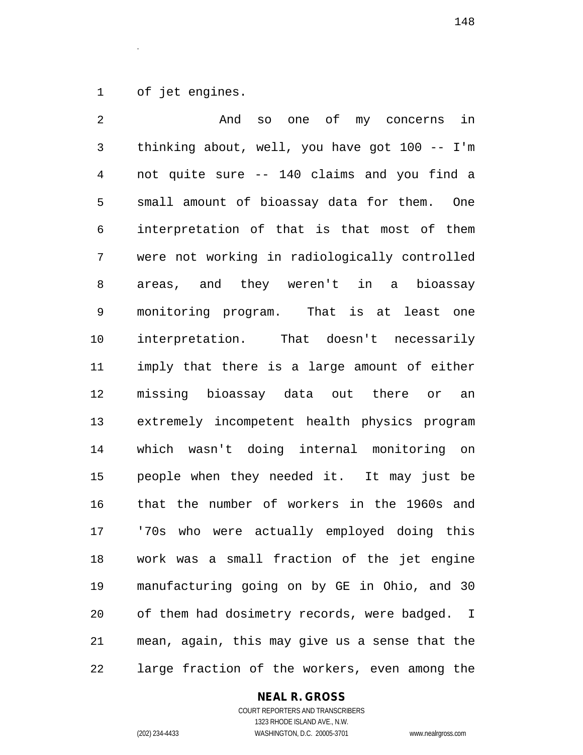of jet engines.

.

 And so one of my concerns in thinking about, well, you have got 100 -- I'm not quite sure -- 140 claims and you find a small amount of bioassay data for them. One interpretation of that is that most of them were not working in radiologically controlled areas, and they weren't in a bioassay monitoring program. That is at least one interpretation. That doesn't necessarily imply that there is a large amount of either missing bioassay data out there or an extremely incompetent health physics program which wasn't doing internal monitoring on people when they needed it. It may just be that the number of workers in the 1960s and '70s who were actually employed doing this work was a small fraction of the jet engine manufacturing going on by GE in Ohio, and 30 of them had dosimetry records, were badged. I mean, again, this may give us a sense that the large fraction of the workers, even among the

# **NEAL R. GROSS**

COURT REPORTERS AND TRANSCRIBERS 1323 RHODE ISLAND AVE., N.W. (202) 234-4433 WASHINGTON, D.C. 20005-3701 www.nealrgross.com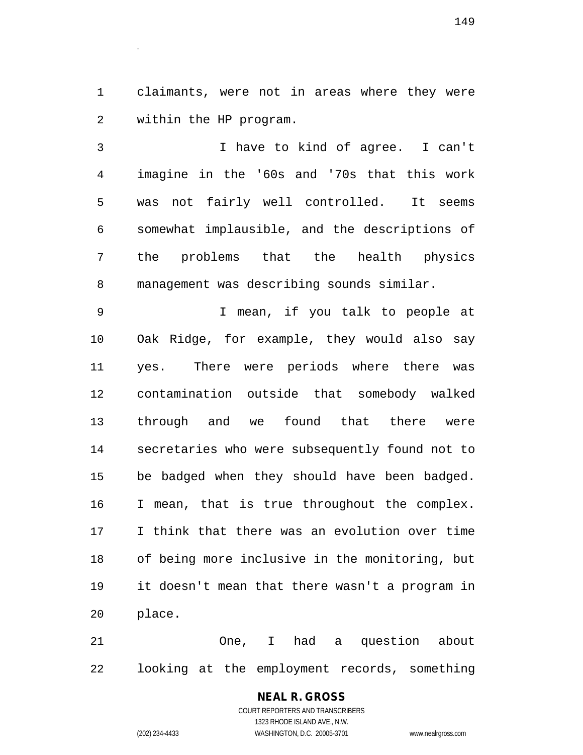claimants, were not in areas where they were within the HP program.

 I have to kind of agree. I can't imagine in the '60s and '70s that this work was not fairly well controlled. It seems somewhat implausible, and the descriptions of the problems that the health physics management was describing sounds similar.

 I mean, if you talk to people at Oak Ridge, for example, they would also say yes. There were periods where there was contamination outside that somebody walked through and we found that there were secretaries who were subsequently found not to be badged when they should have been badged. I mean, that is true throughout the complex. I think that there was an evolution over time of being more inclusive in the monitoring, but it doesn't mean that there wasn't a program in place.

 One, I had a question about looking at the employment records, something

> **NEAL R. GROSS** COURT REPORTERS AND TRANSCRIBERS 1323 RHODE ISLAND AVE., N.W. (202) 234-4433 WASHINGTON, D.C. 20005-3701 www.nealrgross.com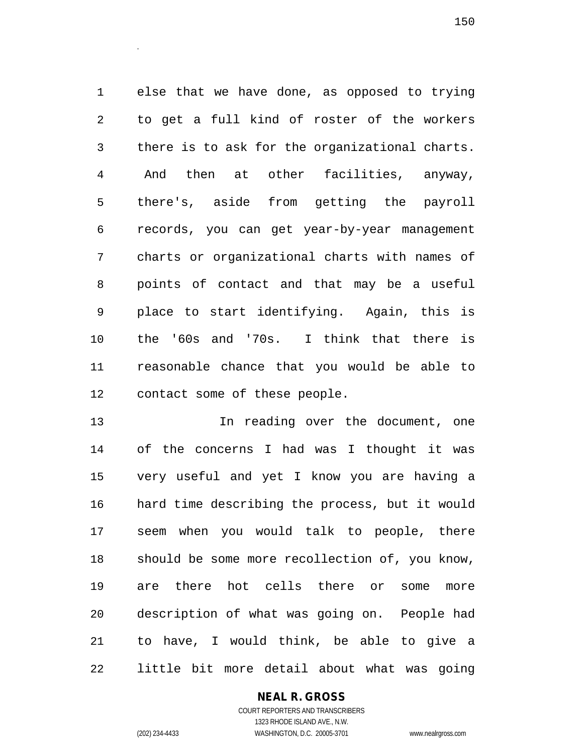else that we have done, as opposed to trying to get a full kind of roster of the workers there is to ask for the organizational charts. And then at other facilities, anyway, there's, aside from getting the payroll records, you can get year-by-year management charts or organizational charts with names of points of contact and that may be a useful place to start identifying. Again, this is the '60s and '70s. I think that there is reasonable chance that you would be able to contact some of these people.

**In reading over the document, one**  of the concerns I had was I thought it was very useful and yet I know you are having a hard time describing the process, but it would seem when you would talk to people, there should be some more recollection of, you know, are there hot cells there or some more description of what was going on. People had to have, I would think, be able to give a little bit more detail about what was going

# **NEAL R. GROSS**

COURT REPORTERS AND TRANSCRIBERS 1323 RHODE ISLAND AVE., N.W. (202) 234-4433 WASHINGTON, D.C. 20005-3701 www.nealrgross.com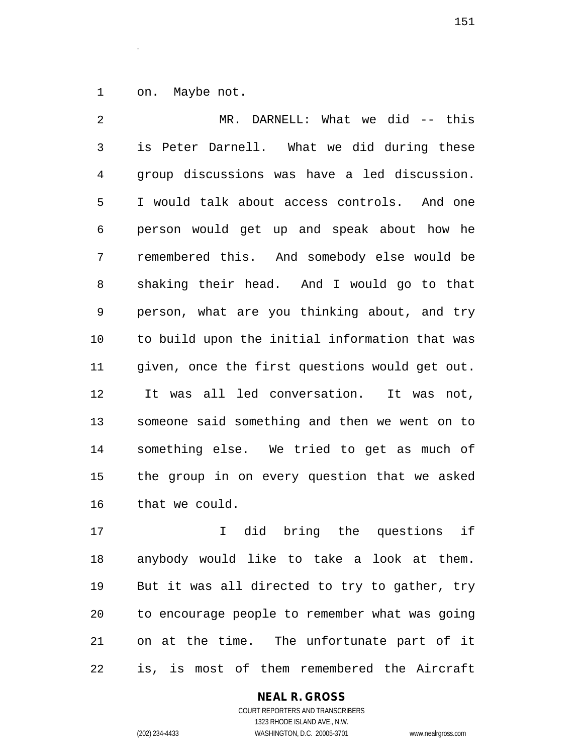on. Maybe not.

.

 MR. DARNELL: What we did -- this is Peter Darnell. What we did during these group discussions was have a led discussion. I would talk about access controls. And one person would get up and speak about how he remembered this. And somebody else would be shaking their head. And I would go to that person, what are you thinking about, and try to build upon the initial information that was given, once the first questions would get out. It was all led conversation. It was not, someone said something and then we went on to something else. We tried to get as much of the group in on every question that we asked that we could.

 I did bring the questions if anybody would like to take a look at them. But it was all directed to try to gather, try to encourage people to remember what was going on at the time. The unfortunate part of it is, is most of them remembered the Aircraft

# **NEAL R. GROSS**

COURT REPORTERS AND TRANSCRIBERS 1323 RHODE ISLAND AVE., N.W. (202) 234-4433 WASHINGTON, D.C. 20005-3701 www.nealrgross.com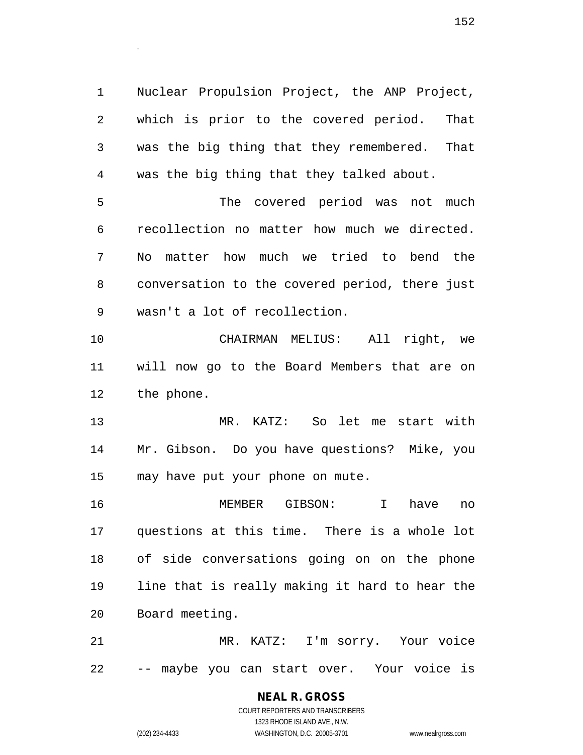Nuclear Propulsion Project, the ANP Project, which is prior to the covered period. That was the big thing that they remembered. That was the big thing that they talked about.

 The covered period was not much recollection no matter how much we directed. No matter how much we tried to bend the conversation to the covered period, there just wasn't a lot of recollection.

 CHAIRMAN MELIUS: All right, we will now go to the Board Members that are on the phone.

 MR. KATZ: So let me start with Mr. Gibson. Do you have questions? Mike, you may have put your phone on mute.

 MEMBER GIBSON: I have no questions at this time. There is a whole lot of side conversations going on on the phone line that is really making it hard to hear the Board meeting.

 MR. KATZ: I'm sorry. Your voice -- maybe you can start over. Your voice is

# **NEAL R. GROSS**

COURT REPORTERS AND TRANSCRIBERS 1323 RHODE ISLAND AVE., N.W. (202) 234-4433 WASHINGTON, D.C. 20005-3701 www.nealrgross.com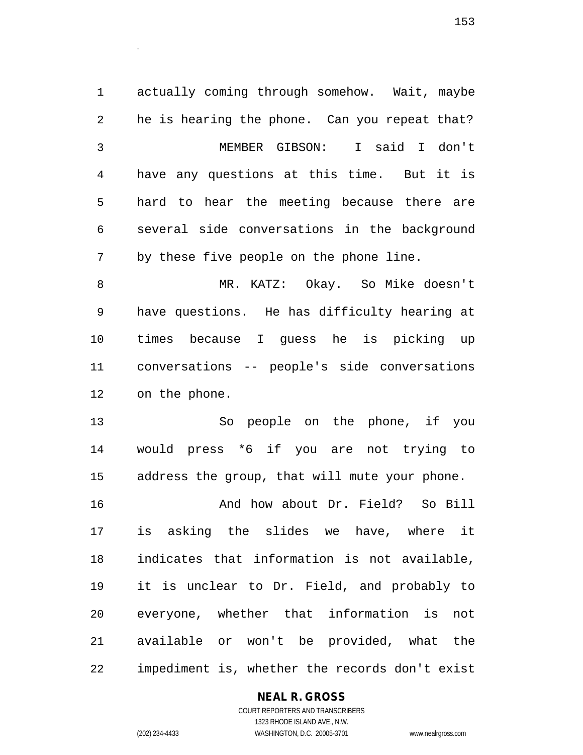actually coming through somehow. Wait, maybe he is hearing the phone. Can you repeat that? MEMBER GIBSON: I said I don't have any questions at this time. But it is hard to hear the meeting because there are several side conversations in the background by these five people on the phone line.

 MR. KATZ: Okay. So Mike doesn't have questions. He has difficulty hearing at times because I guess he is picking up conversations -- people's side conversations on the phone.

 So people on the phone, if you would press \*6 if you are not trying to address the group, that will mute your phone.

 And how about Dr. Field? So Bill is asking the slides we have, where it indicates that information is not available, it is unclear to Dr. Field, and probably to everyone, whether that information is not available or won't be provided, what the impediment is, whether the records don't exist

# **NEAL R. GROSS**

COURT REPORTERS AND TRANSCRIBERS 1323 RHODE ISLAND AVE., N.W. (202) 234-4433 WASHINGTON, D.C. 20005-3701 www.nealrgross.com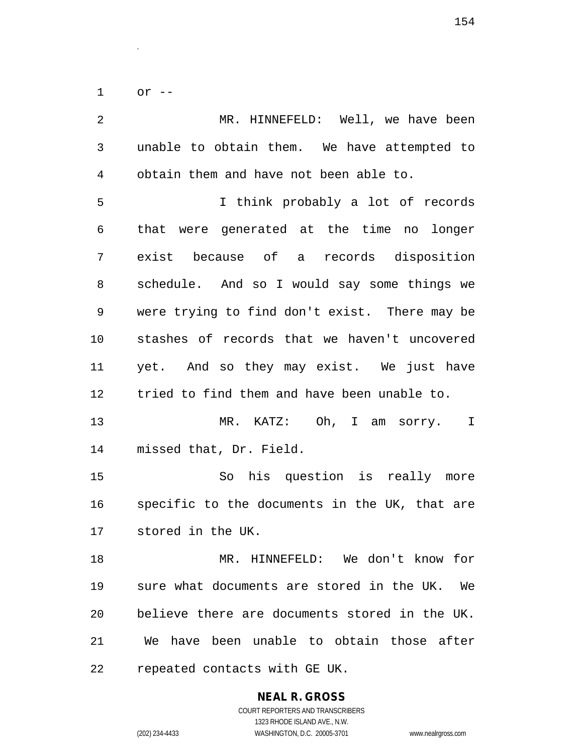or --

.

 MR. HINNEFELD: Well, we have been unable to obtain them. We have attempted to obtain them and have not been able to. I think probably a lot of records that were generated at the time no longer exist because of a records disposition schedule. And so I would say some things we were trying to find don't exist. There may be stashes of records that we haven't uncovered yet. And so they may exist. We just have tried to find them and have been unable to. MR. KATZ: Oh, I am sorry. I missed that, Dr. Field. So his question is really more specific to the documents in the UK, that are stored in the UK. MR. HINNEFELD: We don't know for sure what documents are stored in the UK. We believe there are documents stored in the UK. We have been unable to obtain those after repeated contacts with GE UK.

> **NEAL R. GROSS** COURT REPORTERS AND TRANSCRIBERS 1323 RHODE ISLAND AVE., N.W.

(202) 234-4433 WASHINGTON, D.C. 20005-3701 www.nealrgross.com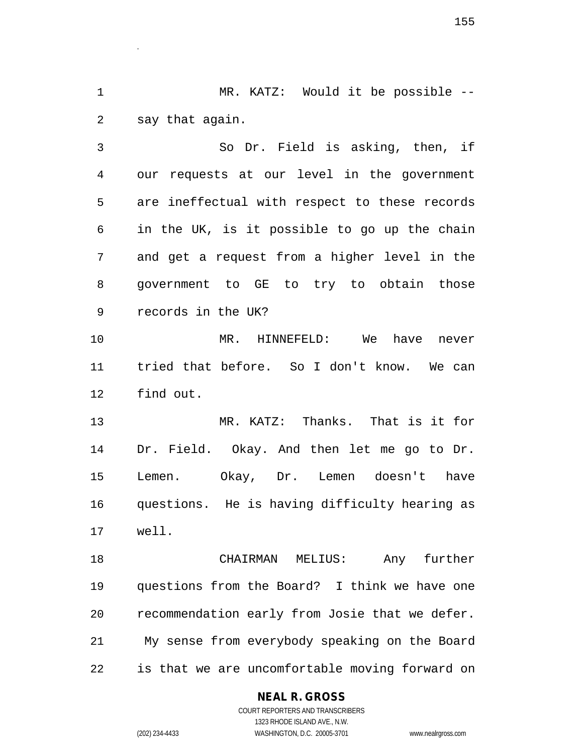MR. KATZ: Would it be possible -- say that again.

.

 So Dr. Field is asking, then, if our requests at our level in the government are ineffectual with respect to these records in the UK, is it possible to go up the chain and get a request from a higher level in the government to GE to try to obtain those records in the UK?

 MR. HINNEFELD: We have never tried that before. So I don't know. We can find out.

 MR. KATZ: Thanks. That is it for Dr. Field. Okay. And then let me go to Dr. Lemen. Okay, Dr. Lemen doesn't have questions. He is having difficulty hearing as well.

 CHAIRMAN MELIUS: Any further questions from the Board? I think we have one recommendation early from Josie that we defer. My sense from everybody speaking on the Board is that we are uncomfortable moving forward on

# **NEAL R. GROSS**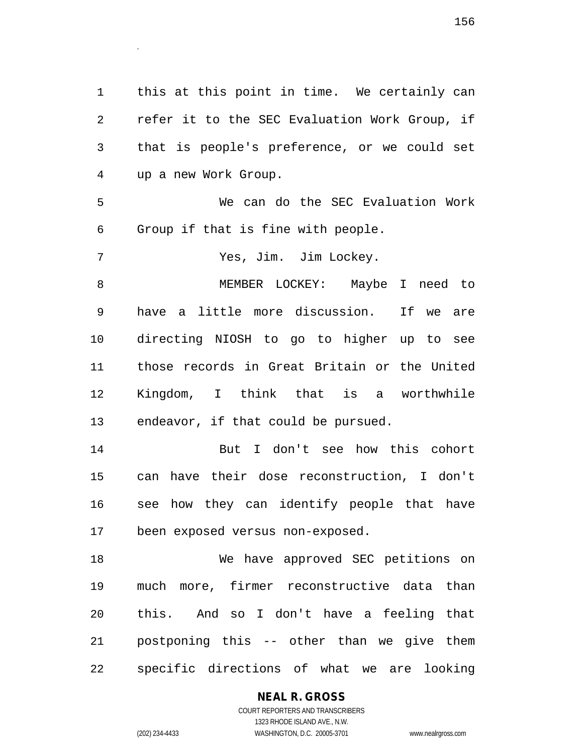this at this point in time. We certainly can refer it to the SEC Evaluation Work Group, if that is people's preference, or we could set up a new Work Group.

 We can do the SEC Evaluation Work Group if that is fine with people.

Yes, Jim. Jim Lockey.

.

 MEMBER LOCKEY: Maybe I need to have a little more discussion. If we are directing NIOSH to go to higher up to see those records in Great Britain or the United Kingdom, I think that is a worthwhile endeavor, if that could be pursued.

 But I don't see how this cohort can have their dose reconstruction, I don't see how they can identify people that have been exposed versus non-exposed.

 We have approved SEC petitions on much more, firmer reconstructive data than this. And so I don't have a feeling that postponing this -- other than we give them specific directions of what we are looking

# **NEAL R. GROSS**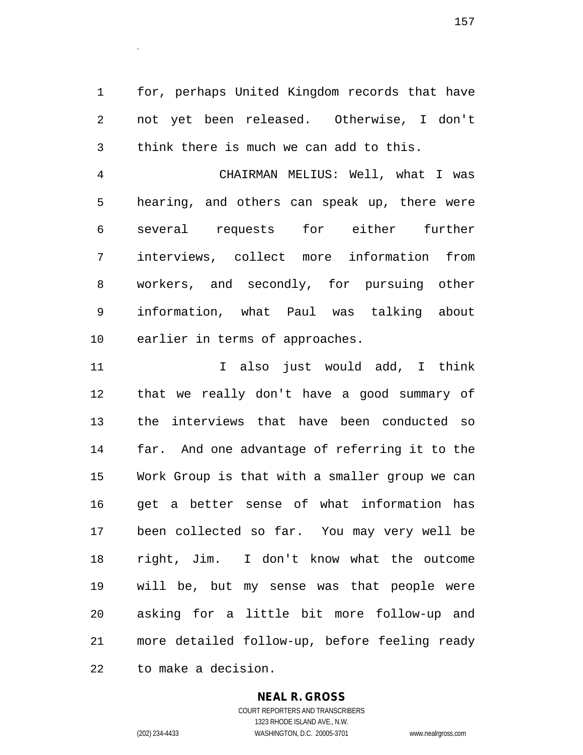for, perhaps United Kingdom records that have not yet been released. Otherwise, I don't think there is much we can add to this.

 CHAIRMAN MELIUS: Well, what I was hearing, and others can speak up, there were several requests for either further interviews, collect more information from workers, and secondly, for pursuing other information, what Paul was talking about earlier in terms of approaches.

11 12 I also just would add, I think that we really don't have a good summary of the interviews that have been conducted so far. And one advantage of referring it to the Work Group is that with a smaller group we can get a better sense of what information has been collected so far. You may very well be right, Jim. I don't know what the outcome will be, but my sense was that people were asking for a little bit more follow-up and more detailed follow-up, before feeling ready to make a decision.

#### **NEAL R. GROSS**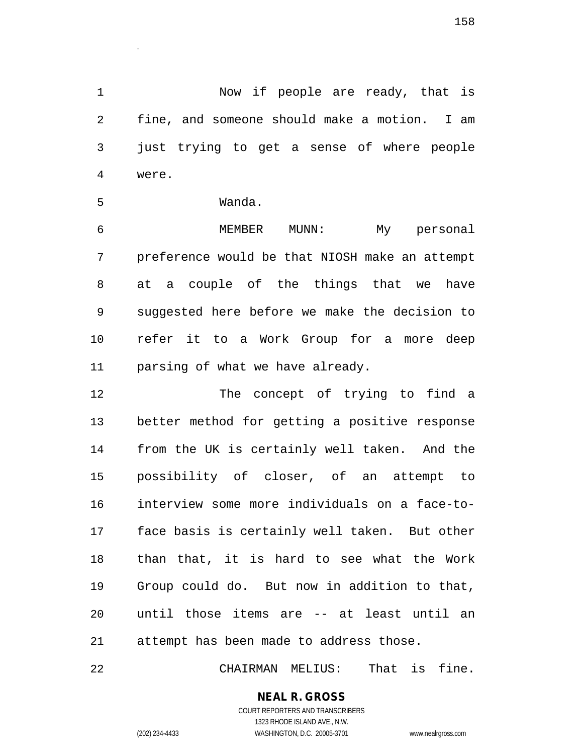Now if people are ready, that is fine, and someone should make a motion. I am just trying to get a sense of where people were.

Wanda.

.

 MEMBER MUNN: My personal preference would be that NIOSH make an attempt at a couple of the things that we have suggested here before we make the decision to refer it to a Work Group for a more deep parsing of what we have already.

 The concept of trying to find a better method for getting a positive response from the UK is certainly well taken. And the possibility of closer, of an attempt to interview some more individuals on a face-to- face basis is certainly well taken. But other than that, it is hard to see what the Work Group could do. But now in addition to that, until those items are -- at least until an attempt has been made to address those.

CHAIRMAN MELIUS: That is fine.

**NEAL R. GROSS** COURT REPORTERS AND TRANSCRIBERS

1323 RHODE ISLAND AVE., N.W. (202) 234-4433 WASHINGTON, D.C. 20005-3701 www.nealrgross.com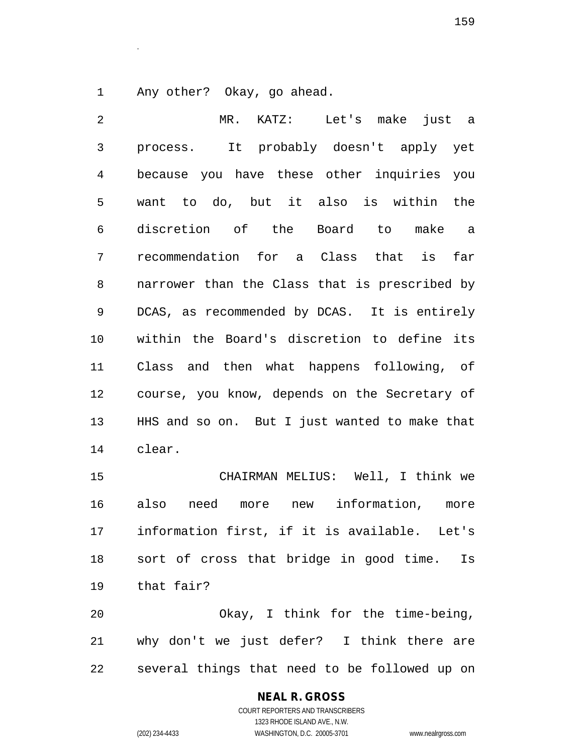Any other? Okay, go ahead.

.

 MR. KATZ: Let's make just a process. It probably doesn't apply yet because you have these other inquiries you want to do, but it also is within the discretion of the Board to make a recommendation for a Class that is far narrower than the Class that is prescribed by DCAS, as recommended by DCAS. It is entirely within the Board's discretion to define its Class and then what happens following, of course, you know, depends on the Secretary of HHS and so on. But I just wanted to make that clear.

 CHAIRMAN MELIUS: Well, I think we also need more new information, more information first, if it is available. Let's sort of cross that bridge in good time. Is that fair?

 Okay, I think for the time-being, why don't we just defer? I think there are several things that need to be followed up on

# **NEAL R. GROSS**

COURT REPORTERS AND TRANSCRIBERS 1323 RHODE ISLAND AVE., N.W. (202) 234-4433 WASHINGTON, D.C. 20005-3701 www.nealrgross.com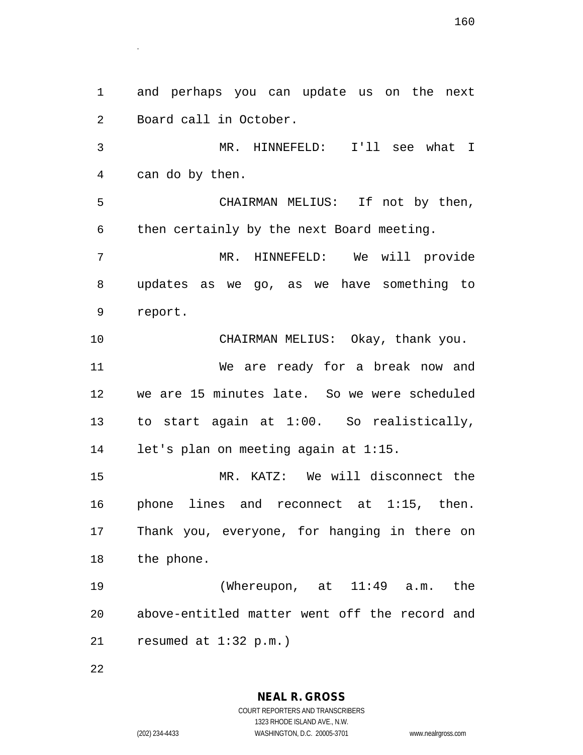and perhaps you can update us on the next Board call in October. MR. HINNEFELD: I'll see what I can do by then. CHAIRMAN MELIUS: If not by then, then certainly by the next Board meeting. MR. HINNEFELD: We will provide updates as we go, as we have something to report. CHAIRMAN MELIUS: Okay, thank you. We are ready for a break now and we are 15 minutes late. So we were scheduled to start again at 1:00. So realistically, let's plan on meeting again at 1:15. MR. KATZ: We will disconnect the phone lines and reconnect at 1:15, then. Thank you, everyone, for hanging in there on the phone. (Whereupon, at 11:49 a.m. the above-entitled matter went off the record and resumed at 1:32 p.m.)

**NEAL R. GROSS** COURT REPORTERS AND TRANSCRIBERS 1323 RHODE ISLAND AVE., N.W. (202) 234-4433 WASHINGTON, D.C. 20005-3701 www.nealrgross.com

.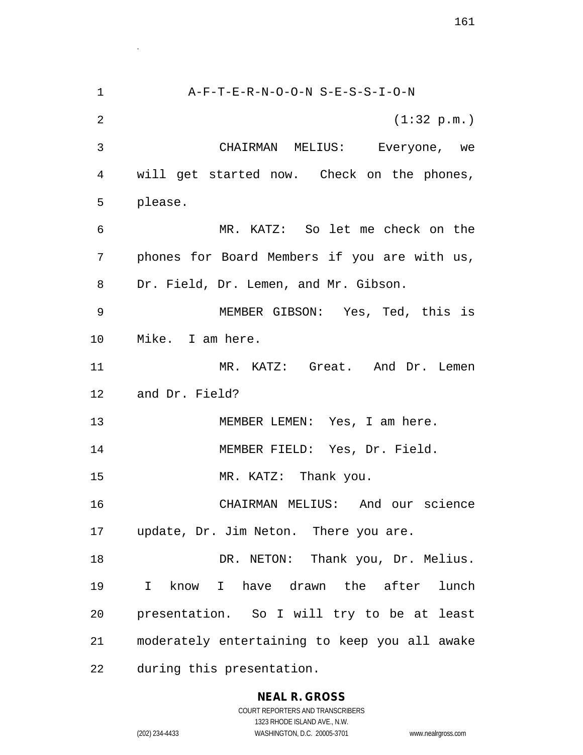A-F-T-E-R-N-O-O-N S-E-S-S-I-O-N (1:32 p.m.) CHAIRMAN MELIUS: Everyone, we will get started now. Check on the phones, please. MR. KATZ: So let me check on the phones for Board Members if you are with us, Dr. Field, Dr. Lemen, and Mr. Gibson. MEMBER GIBSON: Yes, Ted, this is Mike. I am here. 11 MR. KATZ: Great. And Dr. Lemen and Dr. Field? 13 MEMBER LEMEN: Yes, I am here. MEMBER FIELD: Yes, Dr. Field. MR. KATZ: Thank you. CHAIRMAN MELIUS: And our science update, Dr. Jim Neton. There you are. 18 DR. NETON: Thank you, Dr. Melius. I know I have drawn the after lunch presentation. So I will try to be at least moderately entertaining to keep you all awake during this presentation.

# **NEAL R. GROSS**

.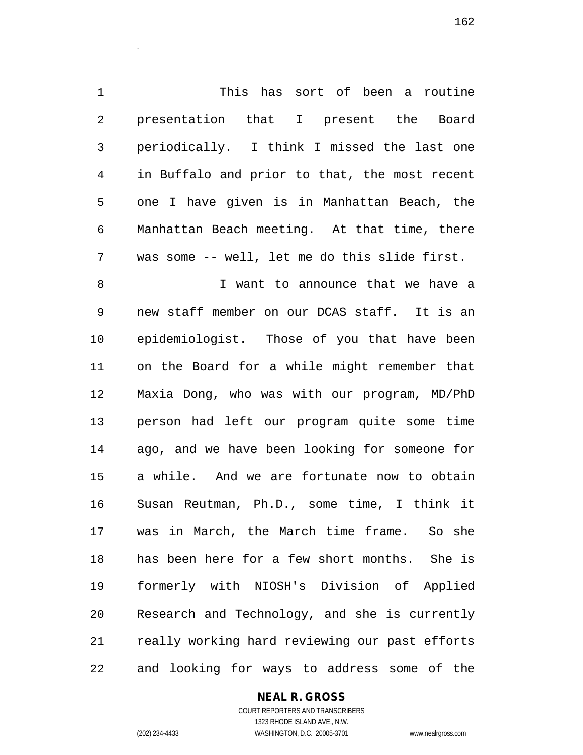This has sort of been a routine presentation that I present the Board periodically. I think I missed the last one in Buffalo and prior to that, the most recent one I have given is in Manhattan Beach, the Manhattan Beach meeting. At that time, there was some -- well, let me do this slide first.

 I want to announce that we have a new staff member on our DCAS staff. It is an epidemiologist. Those of you that have been on the Board for a while might remember that Maxia Dong, who was with our program, MD/PhD person had left our program quite some time ago, and we have been looking for someone for a while. And we are fortunate now to obtain Susan Reutman, Ph.D., some time, I think it was in March, the March time frame. So she has been here for a few short months. She is formerly with NIOSH's Division of Applied Research and Technology, and she is currently really working hard reviewing our past efforts and looking for ways to address some of the

# **NEAL R. GROSS**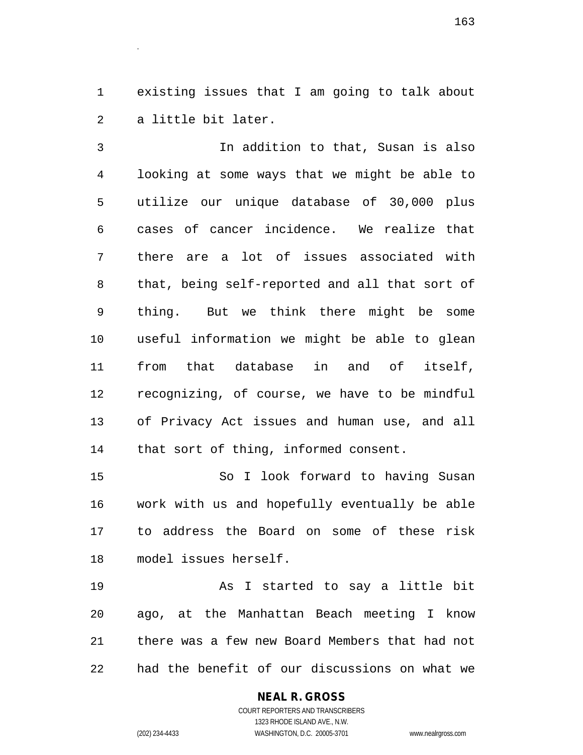existing issues that I am going to talk about a little bit later.

.

 In addition to that, Susan is also looking at some ways that we might be able to utilize our unique database of 30,000 plus cases of cancer incidence. We realize that there are a lot of issues associated with that, being self-reported and all that sort of thing. But we think there might be some useful information we might be able to glean from that database in and of itself, recognizing, of course, we have to be mindful of Privacy Act issues and human use, and all that sort of thing, informed consent.

 So I look forward to having Susan work with us and hopefully eventually be able to address the Board on some of these risk model issues herself.

 As I started to say a little bit ago, at the Manhattan Beach meeting I know there was a few new Board Members that had not had the benefit of our discussions on what we

### **NEAL R. GROSS** COURT REPORTERS AND TRANSCRIBERS

1323 RHODE ISLAND AVE., N.W. (202) 234-4433 WASHINGTON, D.C. 20005-3701 www.nealrgross.com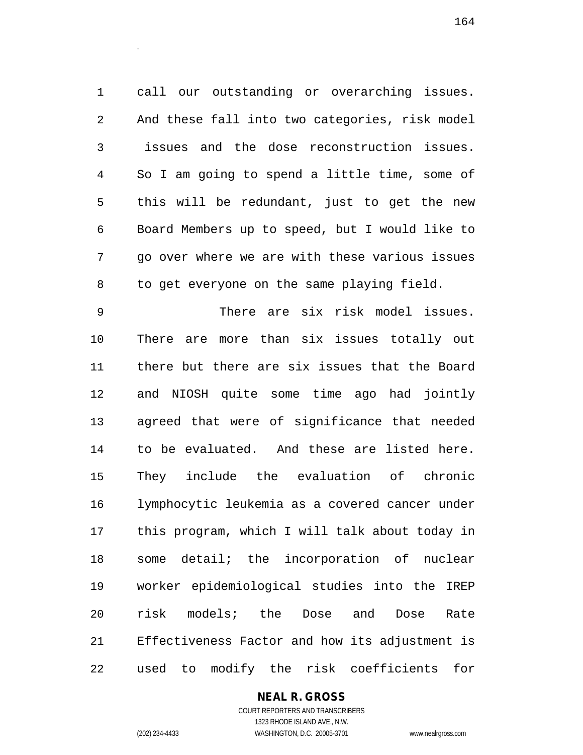call our outstanding or overarching issues. And these fall into two categories, risk model issues and the dose reconstruction issues. So I am going to spend a little time, some of this will be redundant, just to get the new Board Members up to speed, but I would like to go over where we are with these various issues to get everyone on the same playing field.

 There are six risk model issues. There are more than six issues totally out there but there are six issues that the Board and NIOSH quite some time ago had jointly agreed that were of significance that needed to be evaluated. And these are listed here. They include the evaluation of chronic lymphocytic leukemia as a covered cancer under this program, which I will talk about today in some detail; the incorporation of nuclear worker epidemiological studies into the IREP risk models; the Dose and Dose Rate Effectiveness Factor and how its adjustment is used to modify the risk coefficients for

# **NEAL R. GROSS**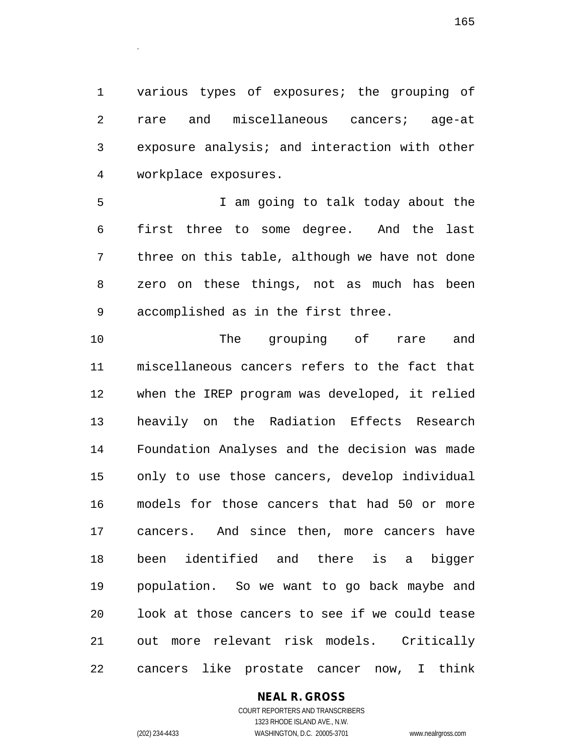various types of exposures; the grouping of rare and miscellaneous cancers; age-at exposure analysis; and interaction with other workplace exposures.

 I am going to talk today about the first three to some degree. And the last three on this table, although we have not done zero on these things, not as much has been accomplished as in the first three.

 The grouping of rare and miscellaneous cancers refers to the fact that when the IREP program was developed, it relied heavily on the Radiation Effects Research Foundation Analyses and the decision was made only to use those cancers, develop individual models for those cancers that had 50 or more cancers. And since then, more cancers have been identified and there is a bigger population. So we want to go back maybe and look at those cancers to see if we could tease out more relevant risk models. Critically cancers like prostate cancer now, I think

# **NEAL R. GROSS**

COURT REPORTERS AND TRANSCRIBERS 1323 RHODE ISLAND AVE., N.W. (202) 234-4433 WASHINGTON, D.C. 20005-3701 www.nealrgross.com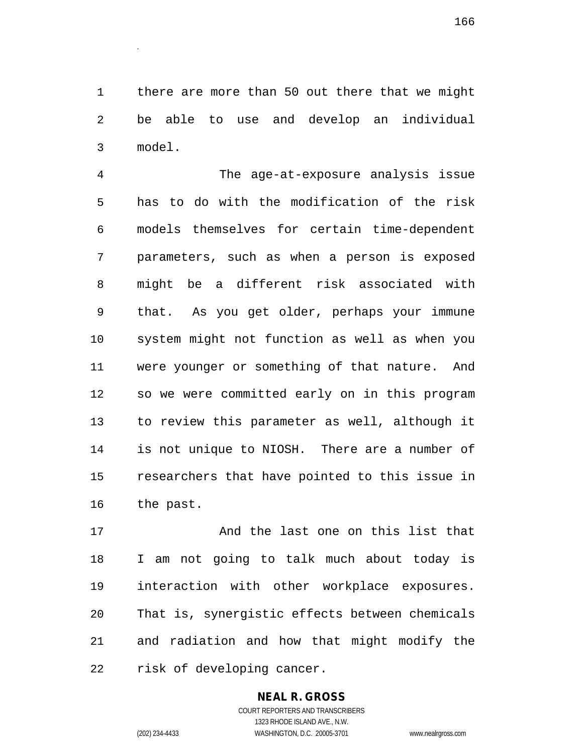there are more than 50 out there that we might be able to use and develop an individual model.

 The age-at-exposure analysis issue has to do with the modification of the risk models themselves for certain time-dependent parameters, such as when a person is exposed might be a different risk associated with that. As you get older, perhaps your immune system might not function as well as when you were younger or something of that nature. And so we were committed early on in this program to review this parameter as well, although it is not unique to NIOSH. There are a number of researchers that have pointed to this issue in the past.

 And the last one on this list that I am not going to talk much about today is interaction with other workplace exposures. That is, synergistic effects between chemicals and radiation and how that might modify the risk of developing cancer.

# **NEAL R. GROSS**

COURT REPORTERS AND TRANSCRIBERS 1323 RHODE ISLAND AVE., N.W. (202) 234-4433 WASHINGTON, D.C. 20005-3701 www.nealrgross.com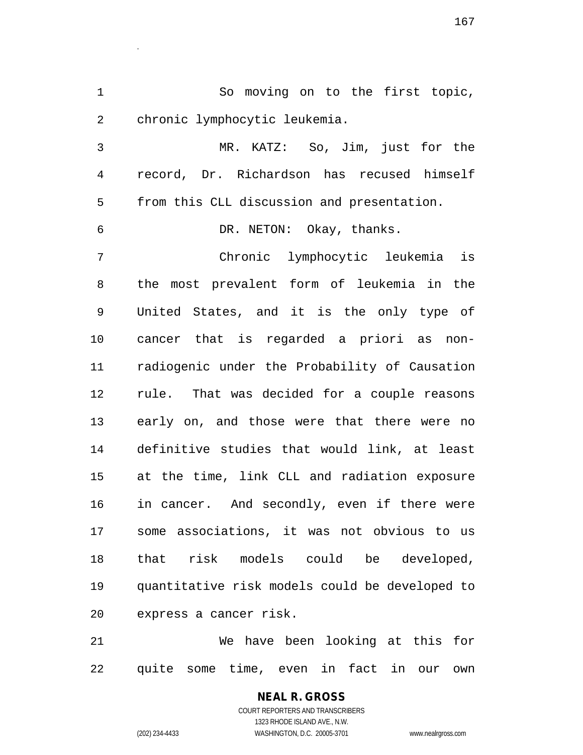So moving on to the first topic, chronic lymphocytic leukemia.

 MR. KATZ: So, Jim, just for the record, Dr. Richardson has recused himself from this CLL discussion and presentation.

DR. NETON: Okay, thanks.

.

 Chronic lymphocytic leukemia is the most prevalent form of leukemia in the United States, and it is the only type of cancer that is regarded a priori as non- radiogenic under the Probability of Causation rule. That was decided for a couple reasons early on, and those were that there were no definitive studies that would link, at least at the time, link CLL and radiation exposure in cancer. And secondly, even if there were some associations, it was not obvious to us that risk models could be developed, quantitative risk models could be developed to express a cancer risk.

 We have been looking at this for quite some time, even in fact in our own

> **NEAL R. GROSS** COURT REPORTERS AND TRANSCRIBERS 1323 RHODE ISLAND AVE., N.W. (202) 234-4433 WASHINGTON, D.C. 20005-3701 www.nealrgross.com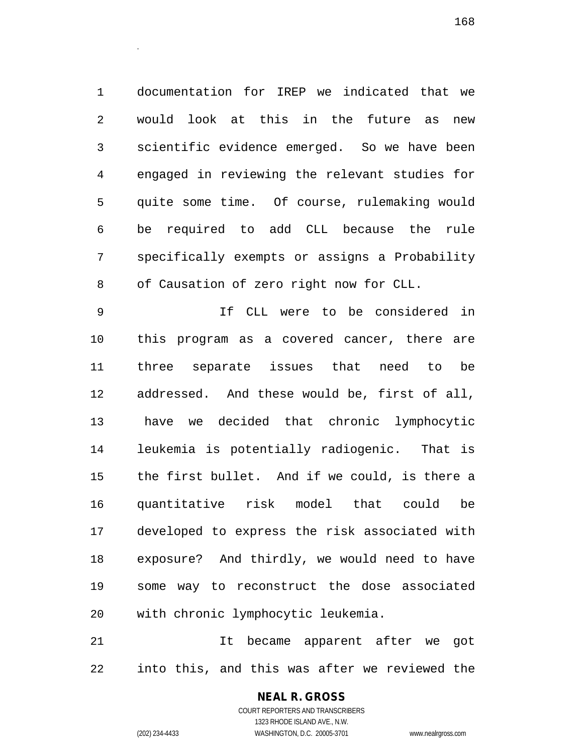documentation for IREP we indicated that we would look at this in the future as new scientific evidence emerged. So we have been engaged in reviewing the relevant studies for quite some time. Of course, rulemaking would be required to add CLL because the rule specifically exempts or assigns a Probability 8 of Causation of zero right now for CLL.

 If CLL were to be considered in this program as a covered cancer, there are three separate issues that need to be addressed. And these would be, first of all, have we decided that chronic lymphocytic leukemia is potentially radiogenic. That is the first bullet. And if we could, is there a quantitative risk model that could be developed to express the risk associated with exposure? And thirdly, we would need to have some way to reconstruct the dose associated with chronic lymphocytic leukemia.

 It became apparent after we got into this, and this was after we reviewed the

# **NEAL R. GROSS**

.

COURT REPORTERS AND TRANSCRIBERS 1323 RHODE ISLAND AVE., N.W. (202) 234-4433 WASHINGTON, D.C. 20005-3701 www.nealrgross.com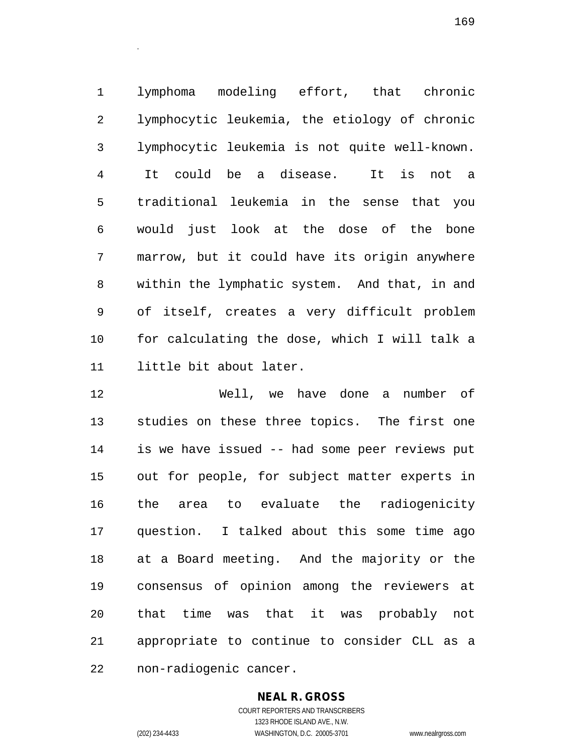lymphoma modeling effort, that chronic lymphocytic leukemia, the etiology of chronic lymphocytic leukemia is not quite well-known. It could be a disease. It is not a traditional leukemia in the sense that you would just look at the dose of the bone marrow, but it could have its origin anywhere within the lymphatic system. And that, in and of itself, creates a very difficult problem for calculating the dose, which I will talk a little bit about later.

 Well, we have done a number of studies on these three topics. The first one is we have issued -- had some peer reviews put out for people, for subject matter experts in the area to evaluate the radiogenicity question. I talked about this some time ago at a Board meeting. And the majority or the consensus of opinion among the reviewers at that time was that it was probably not appropriate to continue to consider CLL as a non-radiogenic cancer.

**NEAL R. GROSS**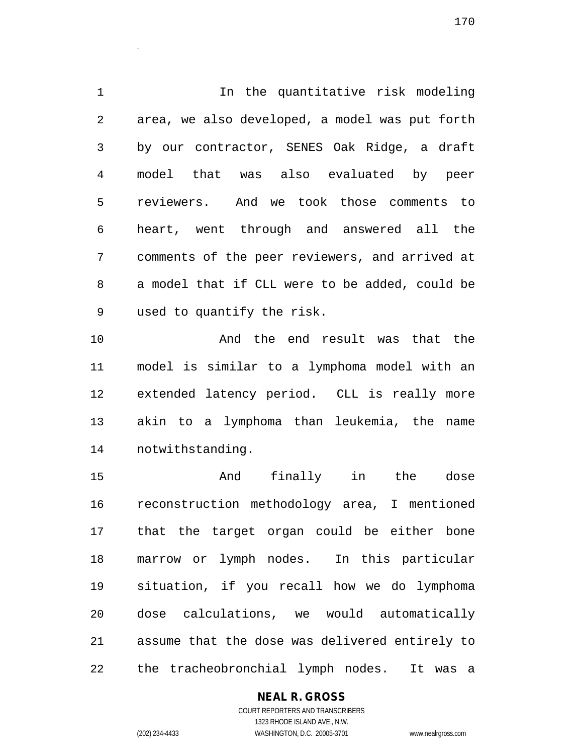In the quantitative risk modeling area, we also developed, a model was put forth by our contractor, SENES Oak Ridge, a draft model that was also evaluated by peer reviewers. And we took those comments to heart, went through and answered all the comments of the peer reviewers, and arrived at a model that if CLL were to be added, could be used to quantify the risk.

 And the end result was that the model is similar to a lymphoma model with an extended latency period. CLL is really more akin to a lymphoma than leukemia, the name notwithstanding.

 And finally in the dose reconstruction methodology area, I mentioned that the target organ could be either bone marrow or lymph nodes. In this particular situation, if you recall how we do lymphoma dose calculations, we would automatically assume that the dose was delivered entirely to the tracheobronchial lymph nodes. It was a

# **NEAL R. GROSS**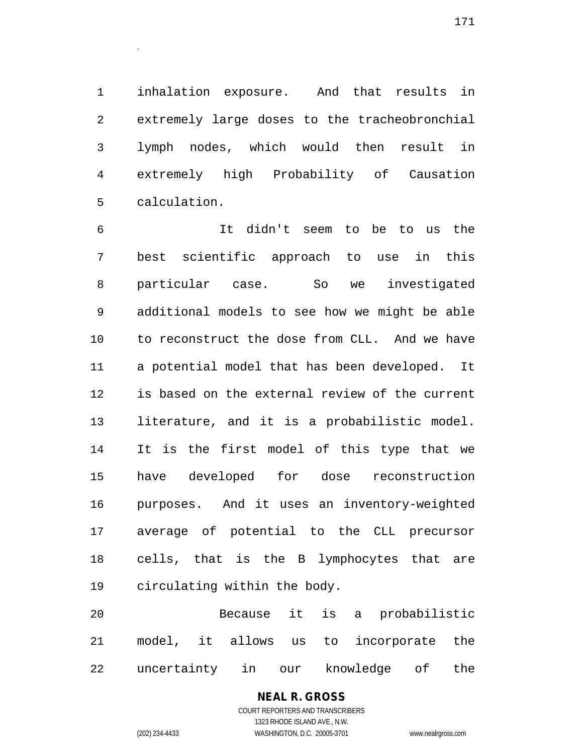inhalation exposure. And that results in extremely large doses to the tracheobronchial lymph nodes, which would then result in extremely high Probability of Causation calculation.

 It didn't seem to be to us the best scientific approach to use in this particular case. So we investigated additional models to see how we might be able to reconstruct the dose from CLL. And we have a potential model that has been developed. It is based on the external review of the current literature, and it is a probabilistic model. It is the first model of this type that we have developed for dose reconstruction purposes. And it uses an inventory-weighted average of potential to the CLL precursor cells, that is the B lymphocytes that are circulating within the body.

 Because it is a probabilistic model, it allows us to incorporate the uncertainty in our knowledge of the

> **NEAL R. GROSS** COURT REPORTERS AND TRANSCRIBERS 1323 RHODE ISLAND AVE., N.W. (202) 234-4433 WASHINGTON, D.C. 20005-3701 www.nealrgross.com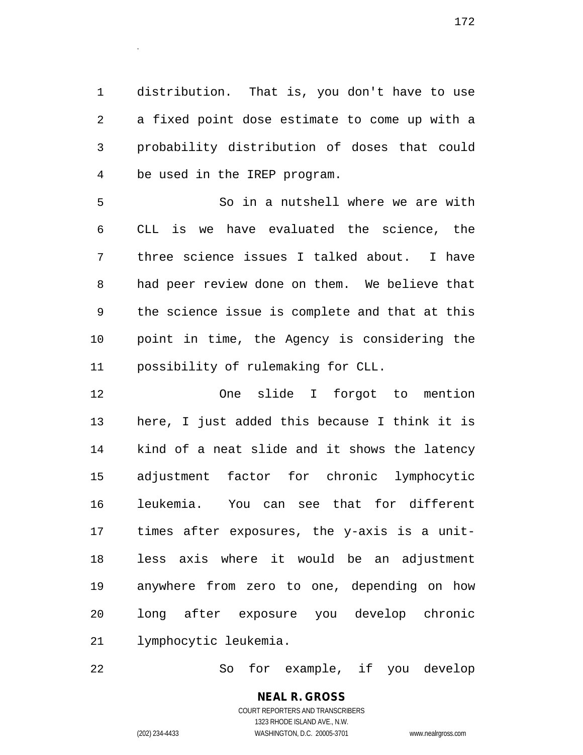distribution. That is, you don't have to use a fixed point dose estimate to come up with a probability distribution of doses that could be used in the IREP program.

 So in a nutshell where we are with CLL is we have evaluated the science, the three science issues I talked about. I have had peer review done on them. We believe that the science issue is complete and that at this point in time, the Agency is considering the possibility of rulemaking for CLL.

 One slide I forgot to mention here, I just added this because I think it is kind of a neat slide and it shows the latency adjustment factor for chronic lymphocytic leukemia. You can see that for different times after exposures, the y-axis is a unit- less axis where it would be an adjustment anywhere from zero to one, depending on how long after exposure you develop chronic lymphocytic leukemia.

So for example, if you develop

**NEAL R. GROSS** COURT REPORTERS AND TRANSCRIBERS 1323 RHODE ISLAND AVE., N.W. (202) 234-4433 WASHINGTON, D.C. 20005-3701 www.nealrgross.com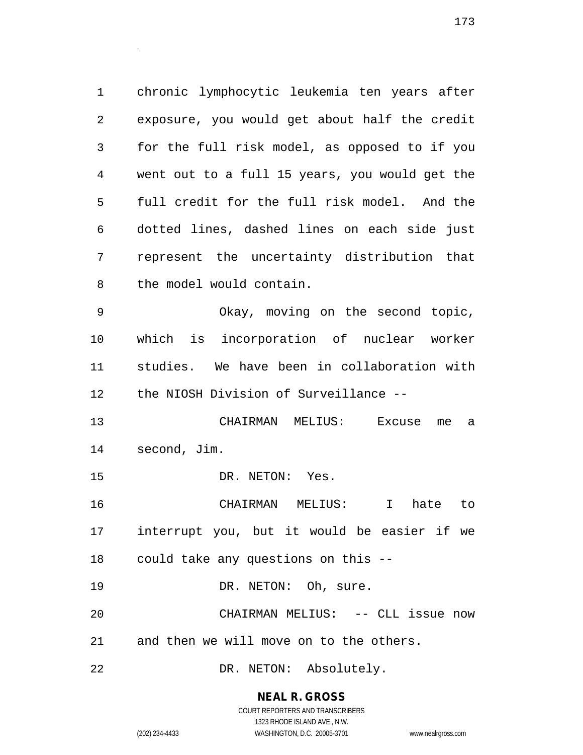chronic lymphocytic leukemia ten years after exposure, you would get about half the credit for the full risk model, as opposed to if you went out to a full 15 years, you would get the full credit for the full risk model. And the dotted lines, dashed lines on each side just represent the uncertainty distribution that the model would contain.

 Okay, moving on the second topic, which is incorporation of nuclear worker studies. We have been in collaboration with the NIOSH Division of Surveillance --

 CHAIRMAN MELIUS: Excuse me a second, Jim.

15 DR. NETON: Yes.

 CHAIRMAN MELIUS: I hate to interrupt you, but it would be easier if we could take any questions on this --

19 DR. NETON: Oh, sure.

 CHAIRMAN MELIUS: -- CLL issue now and then we will move on to the others.

DR. NETON: Absolutely.

**NEAL R. GROSS**

.

COURT REPORTERS AND TRANSCRIBERS 1323 RHODE ISLAND AVE., N.W. (202) 234-4433 WASHINGTON, D.C. 20005-3701 www.nealrgross.com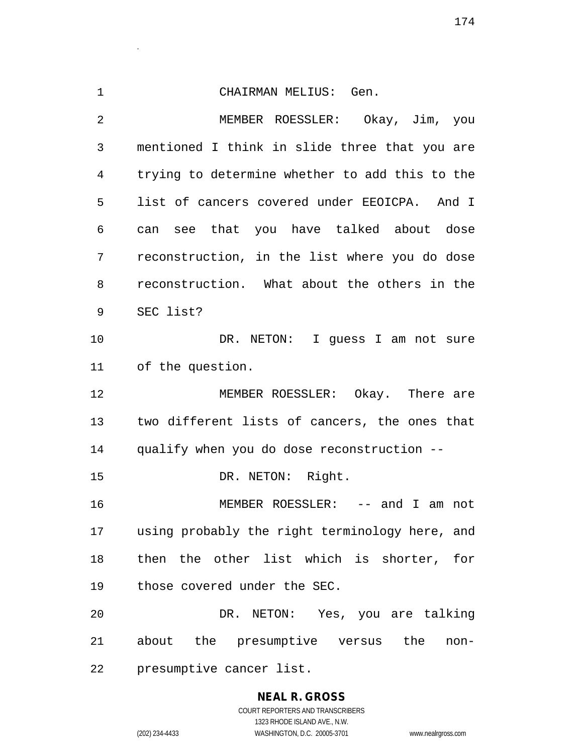CHAIRMAN MELIUS: Gen. MEMBER ROESSLER: Okay, Jim, you mentioned I think in slide three that you are trying to determine whether to add this to the list of cancers covered under EEOICPA. And I can see that you have talked about dose reconstruction, in the list where you do dose reconstruction. What about the others in the SEC list? DR. NETON: I guess I am not sure of the question. MEMBER ROESSLER: Okay. There are two different lists of cancers, the ones that qualify when you do dose reconstruction -- 15 DR. NETON: Right. MEMBER ROESSLER: -- and I am not using probably the right terminology here, and then the other list which is shorter, for those covered under the SEC. DR. NETON: Yes, you are talking about the presumptive versus the non-presumptive cancer list.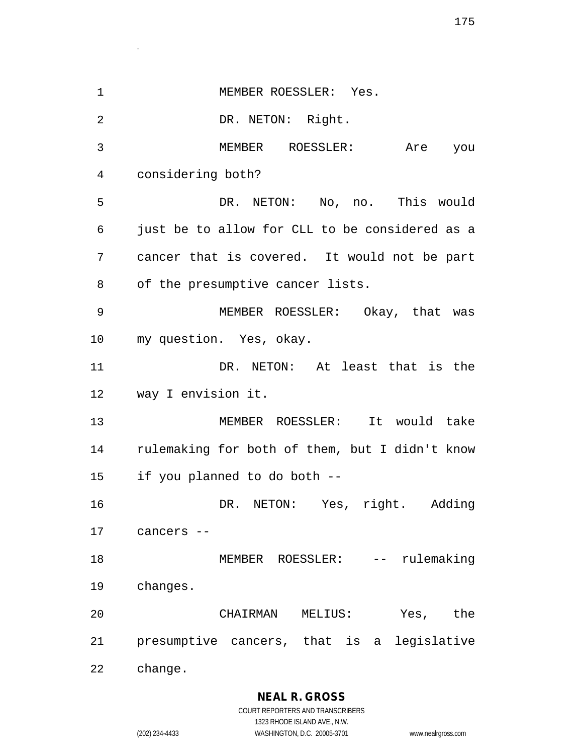| $\mathbf 1$ | MEMBER ROESSLER: Yes.                          |
|-------------|------------------------------------------------|
| 2           | DR. NETON: Right.                              |
| 3           | MEMBER ROESSLER: Are you                       |
| 4           | considering both?                              |
| 5           | DR. NETON: No, no. This would                  |
| 6           | just be to allow for CLL to be considered as a |
| 7           | cancer that is covered. It would not be part   |
| 8           | of the presumptive cancer lists.               |
| 9           | MEMBER ROESSLER: Okay, that was                |
| $10 \,$     | my question. Yes, okay.                        |
| 11          | DR. NETON: At least that is the                |
| 12          | way I envision it.                             |
| 13          | MEMBER ROESSLER: It would take                 |
| 14          | rulemaking for both of them, but I didn't know |
| 15          | if you planned to do both --                   |
| 16          | DR. NETON: Yes, right. Adding                  |
| 17          | cancers --                                     |
| 18          | MEMBER ROESSLER: -- rulemaking                 |
| 19          | changes.                                       |
| 20          | Yes, the<br>CHAIRMAN<br>MELIUS:                |
| 21          | presumptive cancers, that is a legislative     |
| 22          | change.                                        |

**NEAL R. GROSS** COURT REPORTERS AND TRANSCRIBERS 1323 RHODE ISLAND AVE., N.W.

.

(202) 234-4433 WASHINGTON, D.C. 20005-3701 www.nealrgross.com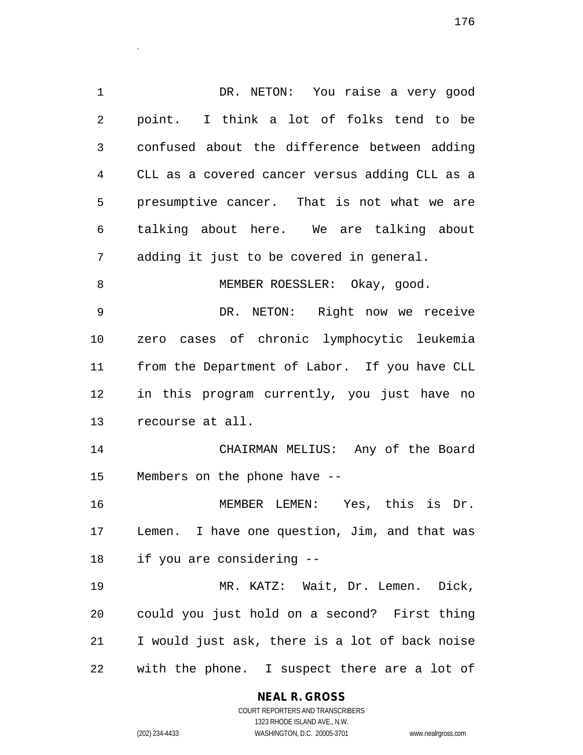DR. NETON: You raise a very good point. I think a lot of folks tend to be confused about the difference between adding CLL as a covered cancer versus adding CLL as a presumptive cancer. That is not what we are talking about here. We are talking about adding it just to be covered in general. 8 MEMBER ROESSLER: Okay, good. DR. NETON: Right now we receive zero cases of chronic lymphocytic leukemia from the Department of Labor. If you have CLL in this program currently, you just have no recourse at all. CHAIRMAN MELIUS: Any of the Board Members on the phone have -- MEMBER LEMEN: Yes, this is Dr. Lemen. I have one question, Jim, and that was if you are considering -- MR. KATZ: Wait, Dr. Lemen. Dick, could you just hold on a second? First thing I would just ask, there is a lot of back noise with the phone. I suspect there are a lot of

**NEAL R. GROSS**

.

COURT REPORTERS AND TRANSCRIBERS 1323 RHODE ISLAND AVE., N.W. (202) 234-4433 WASHINGTON, D.C. 20005-3701 www.nealrgross.com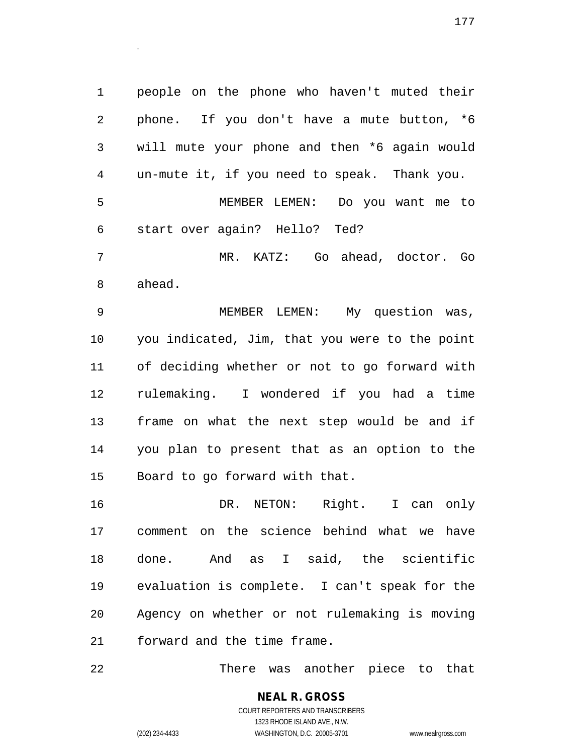people on the phone who haven't muted their phone. If you don't have a mute button, \*6 will mute your phone and then \*6 again would un-mute it, if you need to speak. Thank you. MEMBER LEMEN: Do you want me to start over again? Hello? Ted? MR. KATZ: Go ahead, doctor. Go ahead.

 MEMBER LEMEN: My question was, you indicated, Jim, that you were to the point of deciding whether or not to go forward with rulemaking. I wondered if you had a time frame on what the next step would be and if you plan to present that as an option to the Board to go forward with that.

 DR. NETON: Right. I can only comment on the science behind what we have done. And as I said, the scientific evaluation is complete. I can't speak for the Agency on whether or not rulemaking is moving forward and the time frame.

There was another piece to that

**NEAL R. GROSS** COURT REPORTERS AND TRANSCRIBERS 1323 RHODE ISLAND AVE., N.W. (202) 234-4433 WASHINGTON, D.C. 20005-3701 www.nealrgross.com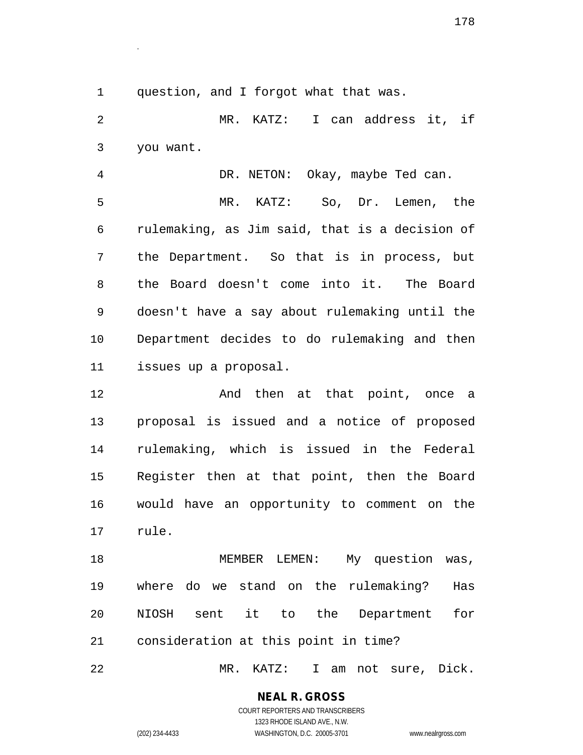question, and I forgot what that was.

.

 MR. KATZ: I can address it, if you want.

 DR. NETON: Okay, maybe Ted can. MR. KATZ: So, Dr. Lemen, the rulemaking, as Jim said, that is a decision of the Department. So that is in process, but the Board doesn't come into it. The Board doesn't have a say about rulemaking until the Department decides to do rulemaking and then issues up a proposal.

**And then at that point, once a**  proposal is issued and a notice of proposed rulemaking, which is issued in the Federal Register then at that point, then the Board would have an opportunity to comment on the rule.

18 MEMBER LEMEN: My question was, where do we stand on the rulemaking? Has NIOSH sent it to the Department for consideration at this point in time?

MR. KATZ: I am not sure, Dick.

**NEAL R. GROSS** COURT REPORTERS AND TRANSCRIBERS

1323 RHODE ISLAND AVE., N.W. (202) 234-4433 WASHINGTON, D.C. 20005-3701 www.nealrgross.com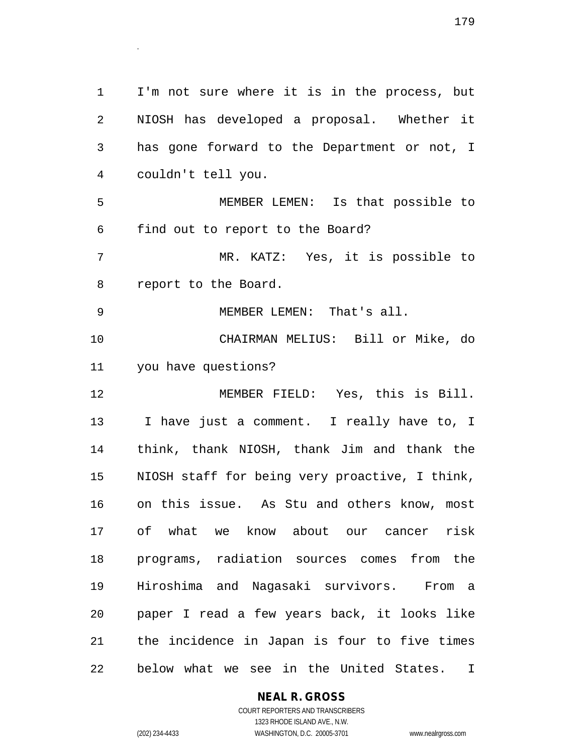I'm not sure where it is in the process, but NIOSH has developed a proposal. Whether it has gone forward to the Department or not, I couldn't tell you. MEMBER LEMEN: Is that possible to find out to report to the Board? MR. KATZ: Yes, it is possible to report to the Board. MEMBER LEMEN: That's all. CHAIRMAN MELIUS: Bill or Mike, do you have questions? MEMBER FIELD: Yes, this is Bill. I have just a comment. I really have to, I think, thank NIOSH, thank Jim and thank the NIOSH staff for being very proactive, I think, on this issue. As Stu and others know, most of what we know about our cancer risk programs, radiation sources comes from the Hiroshima and Nagasaki survivors. From a paper I read a few years back, it looks like the incidence in Japan is four to five times below what we see in the United States. I

#### **NEAL R. GROSS** COURT REPORTERS AND TRANSCRIBERS

1323 RHODE ISLAND AVE., N.W.

(202) 234-4433 WASHINGTON, D.C. 20005-3701 www.nealrgross.com

.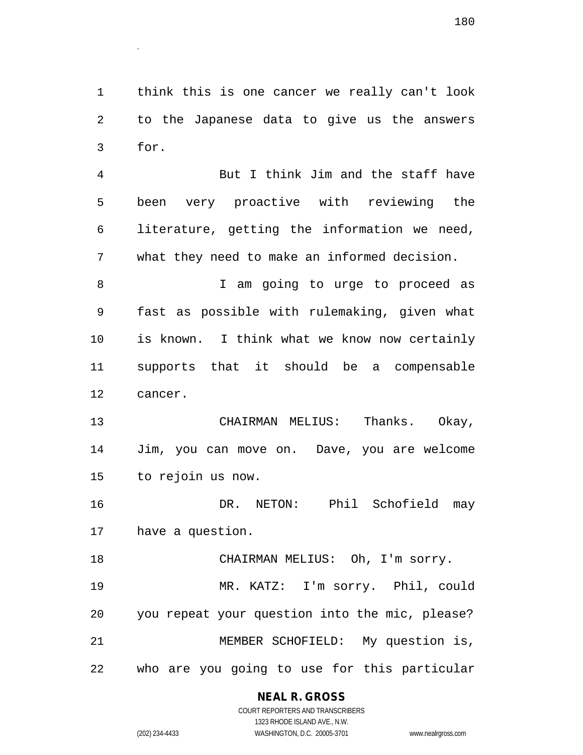think this is one cancer we really can't look to the Japanese data to give us the answers for.

.

 But I think Jim and the staff have been very proactive with reviewing the literature, getting the information we need, what they need to make an informed decision.

8 T am going to urge to proceed as fast as possible with rulemaking, given what is known. I think what we know now certainly supports that it should be a compensable cancer.

 CHAIRMAN MELIUS: Thanks. Okay, Jim, you can move on. Dave, you are welcome to rejoin us now.

 DR. NETON: Phil Schofield may have a question.

 CHAIRMAN MELIUS: Oh, I'm sorry. MR. KATZ: I'm sorry. Phil, could you repeat your question into the mic, please? MEMBER SCHOFIELD: My question is, who are you going to use for this particular

# **NEAL R. GROSS**

COURT REPORTERS AND TRANSCRIBERS 1323 RHODE ISLAND AVE., N.W. (202) 234-4433 WASHINGTON, D.C. 20005-3701 www.nealrgross.com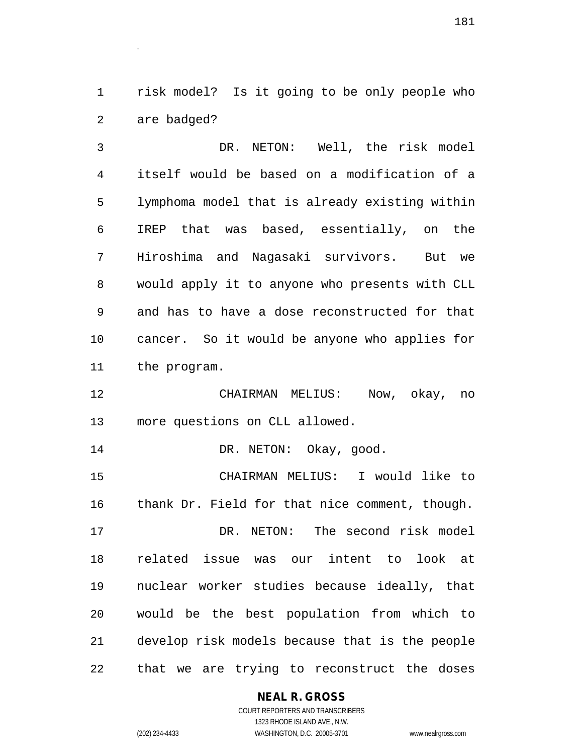risk model? Is it going to be only people who are badged?

.

 DR. NETON: Well, the risk model itself would be based on a modification of a lymphoma model that is already existing within IREP that was based, essentially, on the Hiroshima and Nagasaki survivors. But we would apply it to anyone who presents with CLL and has to have a dose reconstructed for that cancer. So it would be anyone who applies for the program.

 CHAIRMAN MELIUS: Now, okay, no more questions on CLL allowed.

14 DR. NETON: Okay, good.

 CHAIRMAN MELIUS: I would like to thank Dr. Field for that nice comment, though. DR. NETON: The second risk model related issue was our intent to look at nuclear worker studies because ideally, that would be the best population from which to develop risk models because that is the people that we are trying to reconstruct the doses

## **NEAL R. GROSS**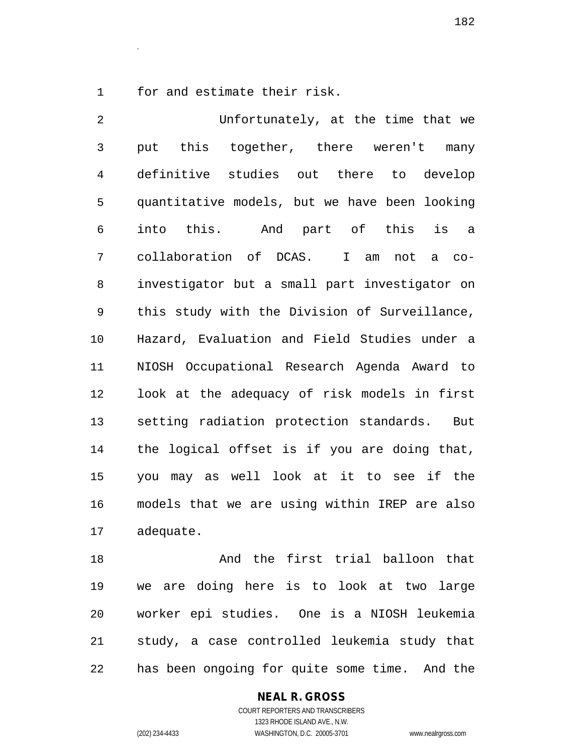for and estimate their risk.

.

 Unfortunately, at the time that we put this together, there weren't many definitive studies out there to develop quantitative models, but we have been looking into this. And part of this is a collaboration of DCAS. I am not a co- investigator but a small part investigator on this study with the Division of Surveillance, Hazard, Evaluation and Field Studies under a NIOSH Occupational Research Agenda Award to look at the adequacy of risk models in first setting radiation protection standards. But the logical offset is if you are doing that, you may as well look at it to see if the models that we are using within IREP are also adequate.

 And the first trial balloon that we are doing here is to look at two large worker epi studies. One is a NIOSH leukemia study, a case controlled leukemia study that has been ongoing for quite some time. And the

> COURT REPORTERS AND TRANSCRIBERS 1323 RHODE ISLAND AVE., N.W. (202) 234-4433 WASHINGTON, D.C. 20005-3701 www.nealrgross.com

**NEAL R. GROSS**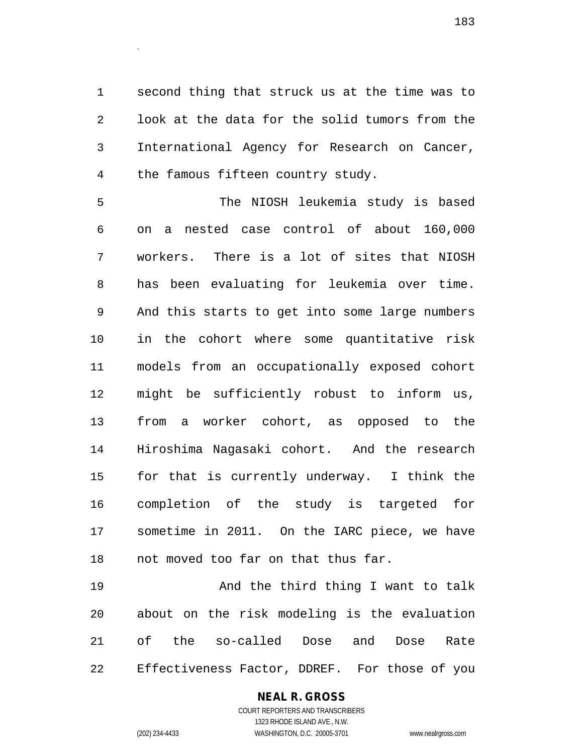second thing that struck us at the time was to look at the data for the solid tumors from the International Agency for Research on Cancer, the famous fifteen country study.

 The NIOSH leukemia study is based on a nested case control of about 160,000 workers. There is a lot of sites that NIOSH has been evaluating for leukemia over time. And this starts to get into some large numbers in the cohort where some quantitative risk models from an occupationally exposed cohort might be sufficiently robust to inform us, from a worker cohort, as opposed to the Hiroshima Nagasaki cohort. And the research for that is currently underway. I think the completion of the study is targeted for sometime in 2011. On the IARC piece, we have not moved too far on that thus far.

19 And the third thing I want to talk about on the risk modeling is the evaluation of the so-called Dose and Dose Rate Effectiveness Factor, DDREF. For those of you

## **NEAL R. GROSS**

.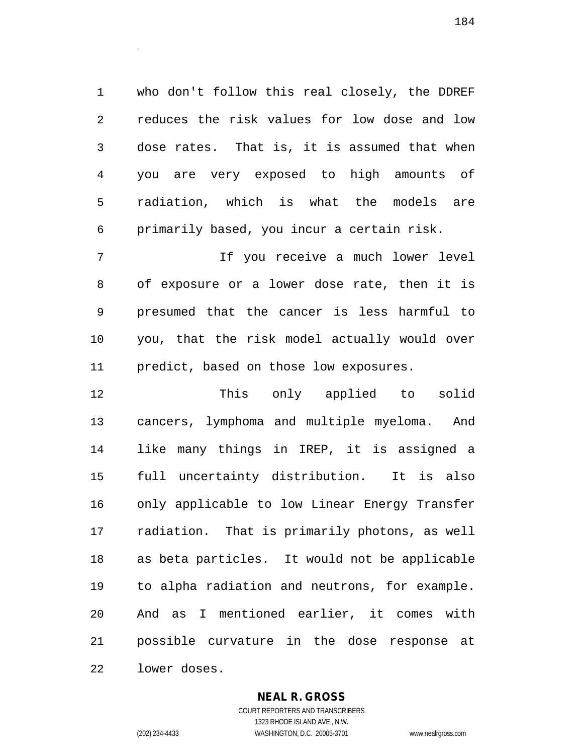who don't follow this real closely, the DDREF reduces the risk values for low dose and low dose rates. That is, it is assumed that when you are very exposed to high amounts of radiation, which is what the models are primarily based, you incur a certain risk.

 If you receive a much lower level of exposure or a lower dose rate, then it is presumed that the cancer is less harmful to you, that the risk model actually would over predict, based on those low exposures.

 This only applied to solid cancers, lymphoma and multiple myeloma. And like many things in IREP, it is assigned a full uncertainty distribution. It is also only applicable to low Linear Energy Transfer radiation. That is primarily photons, as well as beta particles. It would not be applicable to alpha radiation and neutrons, for example. And as I mentioned earlier, it comes with possible curvature in the dose response at lower doses.

> **NEAL R. GROSS** COURT REPORTERS AND TRANSCRIBERS

.

1323 RHODE ISLAND AVE., N.W. (202) 234-4433 WASHINGTON, D.C. 20005-3701 www.nealrgross.com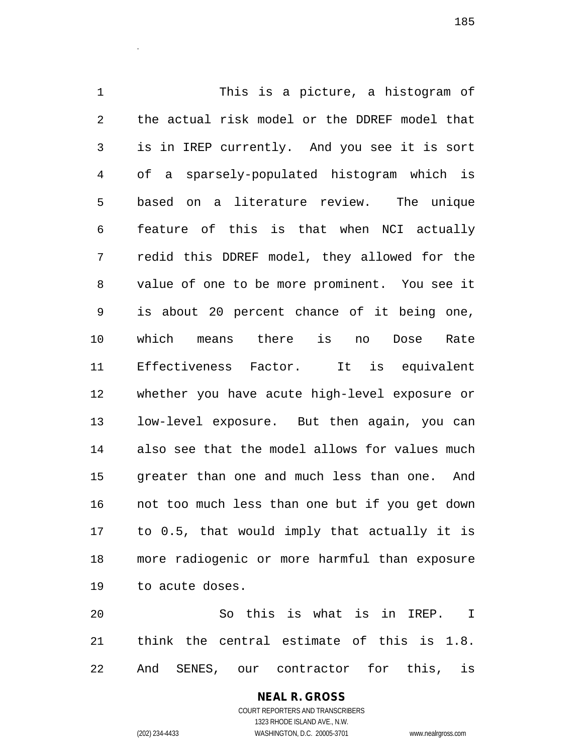This is a picture, a histogram of the actual risk model or the DDREF model that is in IREP currently. And you see it is sort of a sparsely-populated histogram which is based on a literature review. The unique feature of this is that when NCI actually redid this DDREF model, they allowed for the value of one to be more prominent. You see it is about 20 percent chance of it being one, which means there is no Dose Rate Effectiveness Factor. It is equivalent whether you have acute high-level exposure or low-level exposure. But then again, you can also see that the model allows for values much greater than one and much less than one. And not too much less than one but if you get down to 0.5, that would imply that actually it is more radiogenic or more harmful than exposure to acute doses.

 So this is what is in IREP. I think the central estimate of this is 1.8. And SENES, our contractor for this, is

> COURT REPORTERS AND TRANSCRIBERS 1323 RHODE ISLAND AVE., N.W. (202) 234-4433 WASHINGTON, D.C. 20005-3701 www.nealrgross.com

**NEAL R. GROSS**

.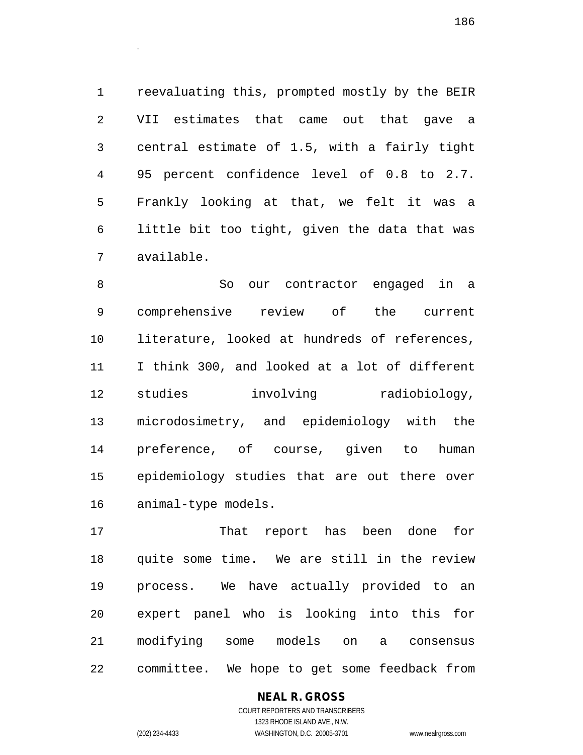reevaluating this, prompted mostly by the BEIR VII estimates that came out that gave a central estimate of 1.5, with a fairly tight 95 percent confidence level of 0.8 to 2.7. Frankly looking at that, we felt it was a little bit too tight, given the data that was available.

.

 So our contractor engaged in a comprehensive review of the current literature, looked at hundreds of references, I think 300, and looked at a lot of different studies involving radiobiology, microdosimetry, and epidemiology with the preference, of course, given to human epidemiology studies that are out there over animal-type models.

 That report has been done for quite some time. We are still in the review process. We have actually provided to an expert panel who is looking into this for modifying some models on a consensus committee. We hope to get some feedback from

# **NEAL R. GROSS**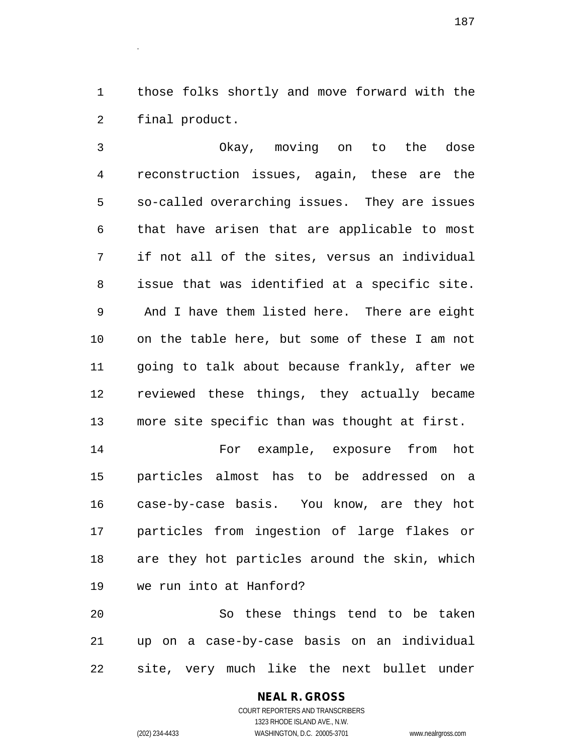those folks shortly and move forward with the final product.

 Okay, moving on to the dose reconstruction issues, again, these are the so-called overarching issues. They are issues that have arisen that are applicable to most if not all of the sites, versus an individual issue that was identified at a specific site. And I have them listed here. There are eight on the table here, but some of these I am not going to talk about because frankly, after we reviewed these things, they actually became more site specific than was thought at first.

 For example, exposure from hot particles almost has to be addressed on a case-by-case basis. You know, are they hot particles from ingestion of large flakes or are they hot particles around the skin, which we run into at Hanford?

 So these things tend to be taken up on a case-by-case basis on an individual site, very much like the next bullet under

# **NEAL R. GROSS**

COURT REPORTERS AND TRANSCRIBERS 1323 RHODE ISLAND AVE., N.W. (202) 234-4433 WASHINGTON, D.C. 20005-3701 www.nealrgross.com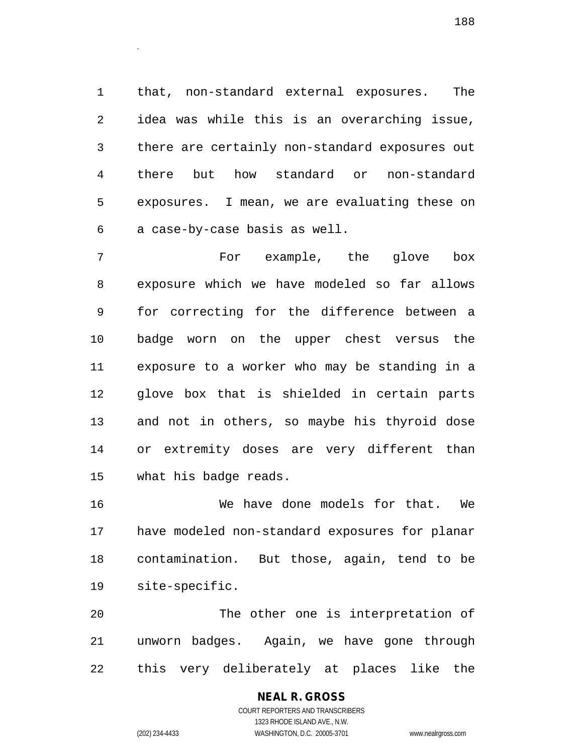that, non-standard external exposures. The idea was while this is an overarching issue, there are certainly non-standard exposures out there but how standard or non-standard exposures. I mean, we are evaluating these on a case-by-case basis as well.

 For example, the glove box exposure which we have modeled so far allows for correcting for the difference between a badge worn on the upper chest versus the exposure to a worker who may be standing in a glove box that is shielded in certain parts and not in others, so maybe his thyroid dose or extremity doses are very different than what his badge reads.

 We have done models for that. We have modeled non-standard exposures for planar contamination. But those, again, tend to be site-specific.

 The other one is interpretation of unworn badges. Again, we have gone through this very deliberately at places like the

### **NEAL R. GROSS** COURT REPORTERS AND TRANSCRIBERS 1323 RHODE ISLAND AVE., N.W. (202) 234-4433 WASHINGTON, D.C. 20005-3701 www.nealrgross.com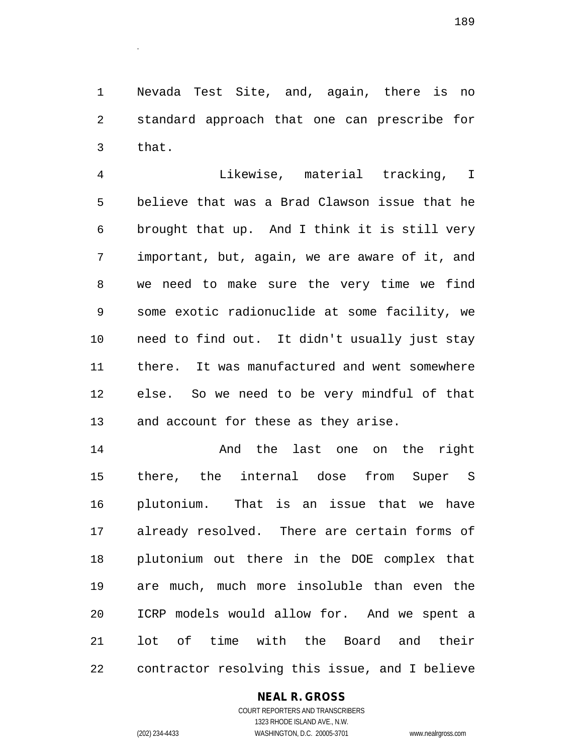Nevada Test Site, and, again, there is no standard approach that one can prescribe for that.

 Likewise, material tracking, I believe that was a Brad Clawson issue that he brought that up. And I think it is still very important, but, again, we are aware of it, and we need to make sure the very time we find some exotic radionuclide at some facility, we need to find out. It didn't usually just stay there. It was manufactured and went somewhere else. So we need to be very mindful of that and account for these as they arise.

**And the last one on the right**  there, the internal dose from Super S plutonium. That is an issue that we have already resolved. There are certain forms of plutonium out there in the DOE complex that are much, much more insoluble than even the ICRP models would allow for. And we spent a lot of time with the Board and their contractor resolving this issue, and I believe

## **NEAL R. GROSS**

COURT REPORTERS AND TRANSCRIBERS 1323 RHODE ISLAND AVE., N.W. (202) 234-4433 WASHINGTON, D.C. 20005-3701 www.nealrgross.com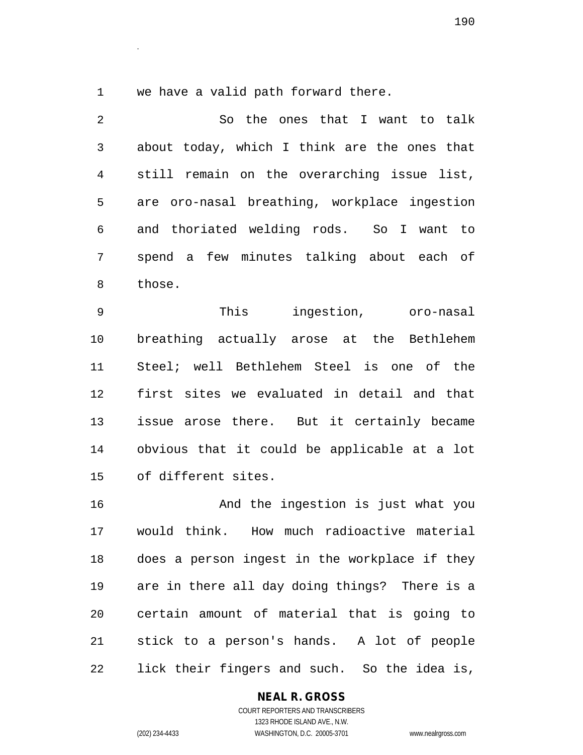we have a valid path forward there.

.

 So the ones that I want to talk about today, which I think are the ones that still remain on the overarching issue list, are oro-nasal breathing, workplace ingestion and thoriated welding rods. So I want to spend a few minutes talking about each of those. This ingestion, oro-nasal breathing actually arose at the Bethlehem Steel; well Bethlehem Steel is one of the first sites we evaluated in detail and that issue arose there. But it certainly became obvious that it could be applicable at a lot of different sites.

 And the ingestion is just what you would think. How much radioactive material does a person ingest in the workplace if they are in there all day doing things? There is a certain amount of material that is going to stick to a person's hands. A lot of people lick their fingers and such. So the idea is,

**NEAL R. GROSS**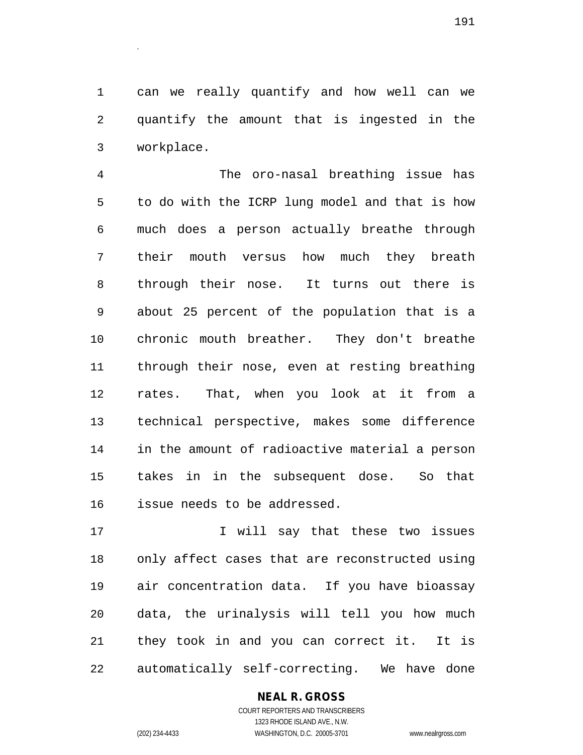can we really quantify and how well can we quantify the amount that is ingested in the workplace.

 The oro-nasal breathing issue has to do with the ICRP lung model and that is how much does a person actually breathe through their mouth versus how much they breath through their nose. It turns out there is about 25 percent of the population that is a chronic mouth breather. They don't breathe through their nose, even at resting breathing rates. That, when you look at it from a technical perspective, makes some difference in the amount of radioactive material a person takes in in the subsequent dose. So that issue needs to be addressed.

 I will say that these two issues only affect cases that are reconstructed using air concentration data. If you have bioassay data, the urinalysis will tell you how much they took in and you can correct it. It is automatically self-correcting. We have done

## **NEAL R. GROSS**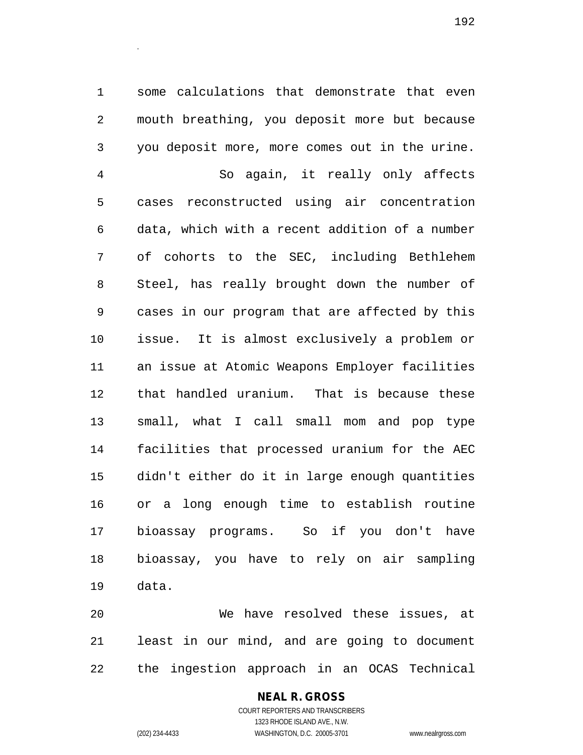some calculations that demonstrate that even mouth breathing, you deposit more but because you deposit more, more comes out in the urine. So again, it really only affects cases reconstructed using air concentration data, which with a recent addition of a number of cohorts to the SEC, including Bethlehem Steel, has really brought down the number of cases in our program that are affected by this issue. It is almost exclusively a problem or an issue at Atomic Weapons Employer facilities that handled uranium. That is because these small, what I call small mom and pop type facilities that processed uranium for the AEC didn't either do it in large enough quantities or a long enough time to establish routine bioassay programs. So if you don't have bioassay, you have to rely on air sampling data.

 We have resolved these issues, at least in our mind, and are going to document the ingestion approach in an OCAS Technical

> **NEAL R. GROSS** COURT REPORTERS AND TRANSCRIBERS 1323 RHODE ISLAND AVE., N.W. (202) 234-4433 WASHINGTON, D.C. 20005-3701 www.nealrgross.com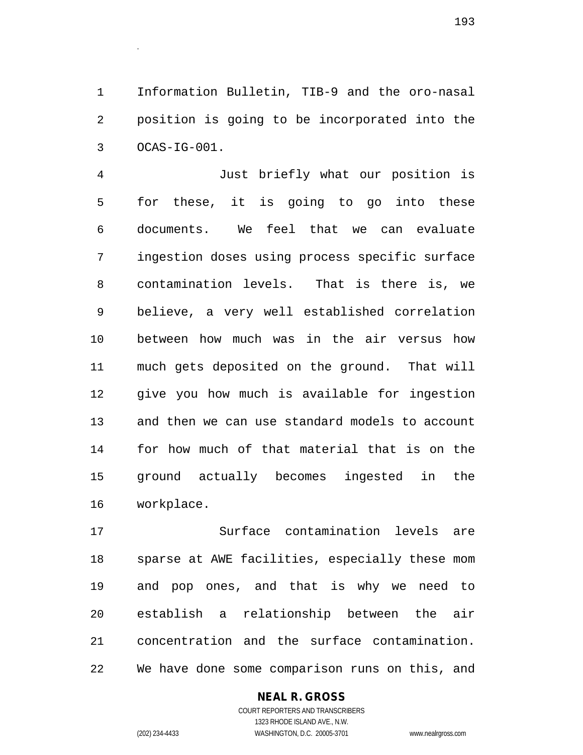Information Bulletin, TIB-9 and the oro-nasal position is going to be incorporated into the OCAS-IG-001.

 Just briefly what our position is for these, it is going to go into these documents. We feel that we can evaluate ingestion doses using process specific surface contamination levels. That is there is, we believe, a very well established correlation between how much was in the air versus how much gets deposited on the ground. That will give you how much is available for ingestion and then we can use standard models to account for how much of that material that is on the ground actually becomes ingested in the workplace.

 Surface contamination levels are sparse at AWE facilities, especially these mom and pop ones, and that is why we need to establish a relationship between the air concentration and the surface contamination. We have done some comparison runs on this, and

## **NEAL R. GROSS**

COURT REPORTERS AND TRANSCRIBERS 1323 RHODE ISLAND AVE., N.W. (202) 234-4433 WASHINGTON, D.C. 20005-3701 www.nealrgross.com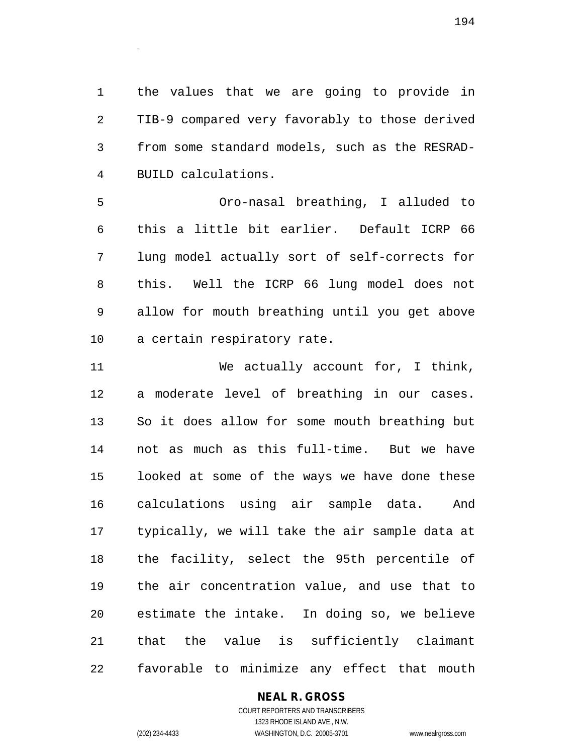the values that we are going to provide in TIB-9 compared very favorably to those derived from some standard models, such as the RESRAD-BUILD calculations.

 Oro-nasal breathing, I alluded to this a little bit earlier. Default ICRP 66 lung model actually sort of self-corrects for this. Well the ICRP 66 lung model does not allow for mouth breathing until you get above a certain respiratory rate.

 We actually account for, I think, a moderate level of breathing in our cases. So it does allow for some mouth breathing but not as much as this full-time. But we have looked at some of the ways we have done these calculations using air sample data. And typically, we will take the air sample data at the facility, select the 95th percentile of the air concentration value, and use that to estimate the intake. In doing so, we believe that the value is sufficiently claimant favorable to minimize any effect that mouth

## **NEAL R. GROSS**

COURT REPORTERS AND TRANSCRIBERS 1323 RHODE ISLAND AVE., N.W. (202) 234-4433 WASHINGTON, D.C. 20005-3701 www.nealrgross.com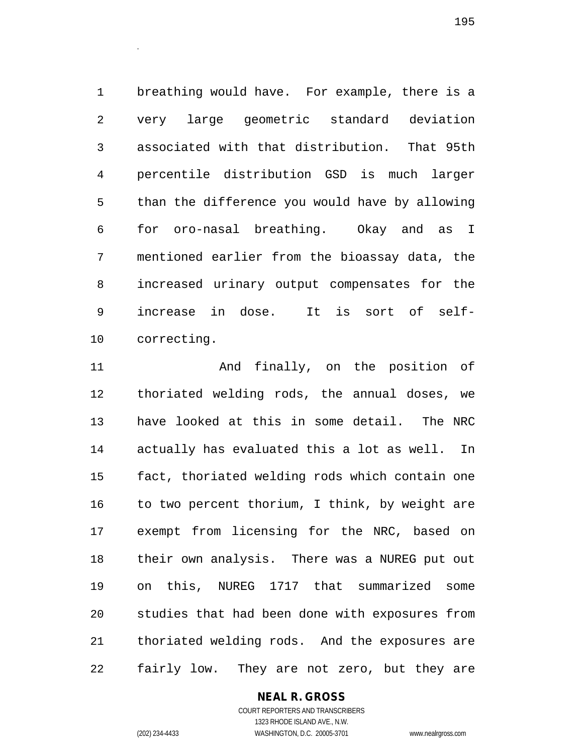breathing would have. For example, there is a very large geometric standard deviation associated with that distribution. That 95th percentile distribution GSD is much larger than the difference you would have by allowing for oro-nasal breathing. Okay and as I mentioned earlier from the bioassay data, the increased urinary output compensates for the increase in dose. It is sort of self-correcting.

 And finally, on the position of thoriated welding rods, the annual doses, we have looked at this in some detail. The NRC actually has evaluated this a lot as well. In fact, thoriated welding rods which contain one 16 to two percent thorium, I think, by weight are exempt from licensing for the NRC, based on their own analysis. There was a NUREG put out on this, NUREG 1717 that summarized some studies that had been done with exposures from thoriated welding rods. And the exposures are fairly low. They are not zero, but they are

## **NEAL R. GROSS**

.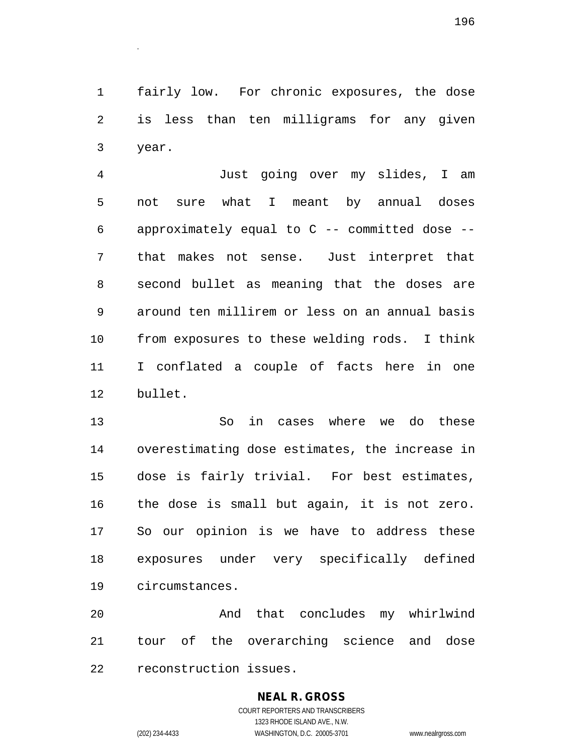fairly low. For chronic exposures, the dose is less than ten milligrams for any given year.

 Just going over my slides, I am not sure what I meant by annual doses approximately equal to C -- committed dose -- that makes not sense. Just interpret that second bullet as meaning that the doses are around ten millirem or less on an annual basis from exposures to these welding rods. I think I conflated a couple of facts here in one bullet.

 So in cases where we do these overestimating dose estimates, the increase in dose is fairly trivial. For best estimates, the dose is small but again, it is not zero. So our opinion is we have to address these exposures under very specifically defined circumstances.

 And that concludes my whirlwind tour of the overarching science and dose reconstruction issues.

## **NEAL R. GROSS**

COURT REPORTERS AND TRANSCRIBERS 1323 RHODE ISLAND AVE., N.W. (202) 234-4433 WASHINGTON, D.C. 20005-3701 www.nealrgross.com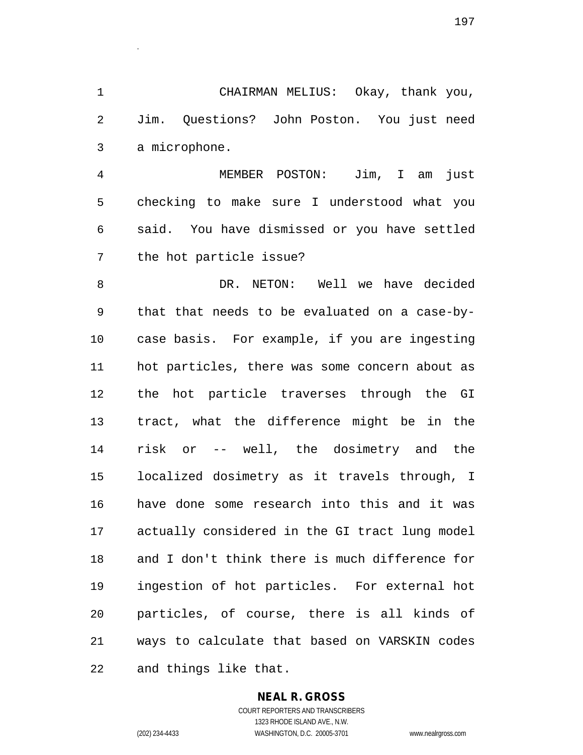CHAIRMAN MELIUS: Okay, thank you, Jim. Questions? John Poston. You just need a microphone.

.

 MEMBER POSTON: Jim, I am just checking to make sure I understood what you said. You have dismissed or you have settled the hot particle issue?

8 B DR. NETON: Well we have decided that that needs to be evaluated on a case-by- case basis. For example, if you are ingesting hot particles, there was some concern about as the hot particle traverses through the GI tract, what the difference might be in the risk or -- well, the dosimetry and the localized dosimetry as it travels through, I have done some research into this and it was actually considered in the GI tract lung model and I don't think there is much difference for ingestion of hot particles. For external hot particles, of course, there is all kinds of ways to calculate that based on VARSKIN codes and things like that.

#### **NEAL R. GROSS** COURT REPORTERS AND TRANSCRIBERS

1323 RHODE ISLAND AVE., N.W. (202) 234-4433 WASHINGTON, D.C. 20005-3701 www.nealrgross.com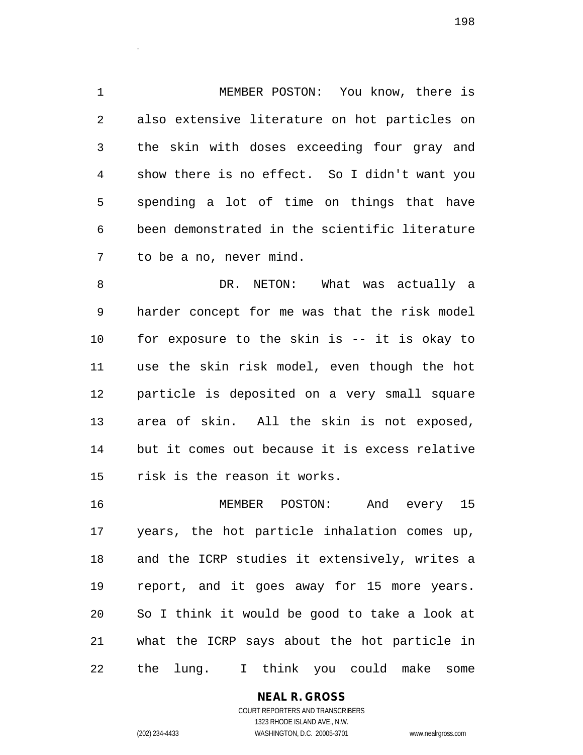MEMBER POSTON: You know, there is also extensive literature on hot particles on the skin with doses exceeding four gray and show there is no effect. So I didn't want you spending a lot of time on things that have been demonstrated in the scientific literature to be a no, never mind.

8 DR. NETON: What was actually a harder concept for me was that the risk model for exposure to the skin is -- it is okay to use the skin risk model, even though the hot particle is deposited on a very small square area of skin. All the skin is not exposed, but it comes out because it is excess relative risk is the reason it works.

 MEMBER POSTON: And every 15 years, the hot particle inhalation comes up, and the ICRP studies it extensively, writes a report, and it goes away for 15 more years. So I think it would be good to take a look at what the ICRP says about the hot particle in the lung. I think you could make some

**NEAL R. GROSS**

.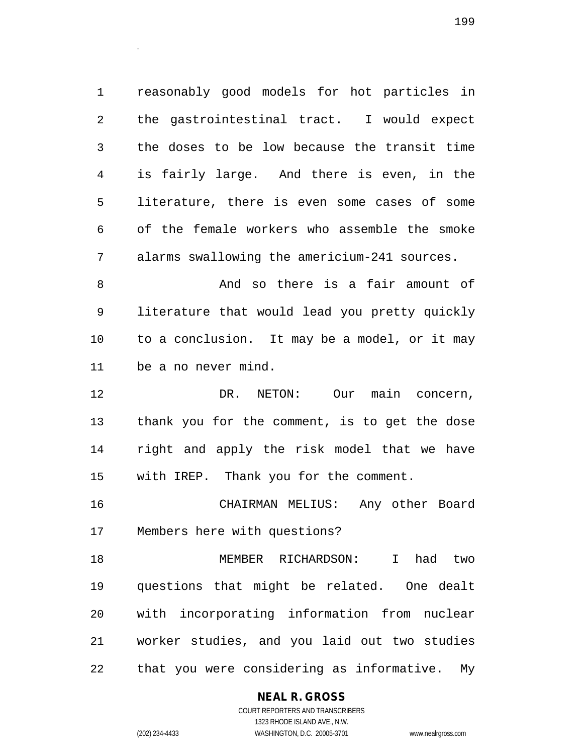reasonably good models for hot particles in the gastrointestinal tract. I would expect the doses to be low because the transit time is fairly large. And there is even, in the literature, there is even some cases of some of the female workers who assemble the smoke alarms swallowing the americium-241 sources.

 And so there is a fair amount of literature that would lead you pretty quickly to a conclusion. It may be a model, or it may be a no never mind.

 DR. NETON: Our main concern, thank you for the comment, is to get the dose right and apply the risk model that we have with IREP. Thank you for the comment.

 CHAIRMAN MELIUS: Any other Board Members here with questions?

 MEMBER RICHARDSON: I had two questions that might be related. One dealt with incorporating information from nuclear worker studies, and you laid out two studies that you were considering as informative. My

## **NEAL R. GROSS**

.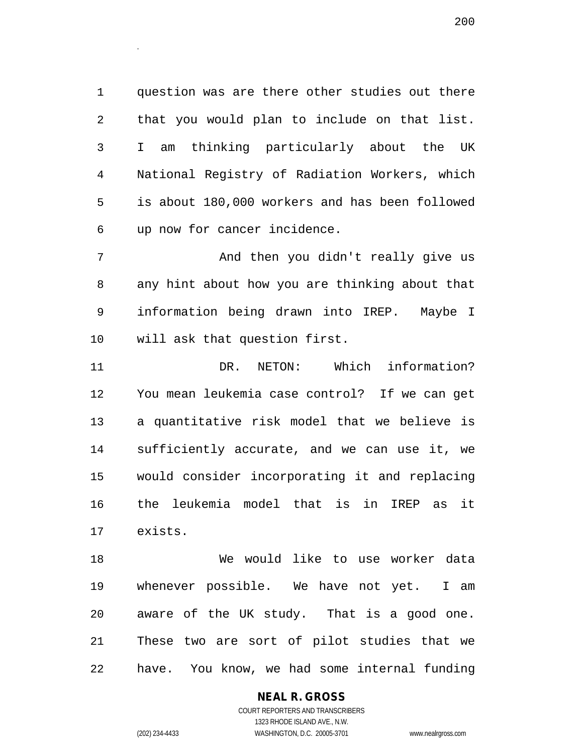question was are there other studies out there that you would plan to include on that list. I am thinking particularly about the UK National Registry of Radiation Workers, which is about 180,000 workers and has been followed up now for cancer incidence.

7 And then you didn't really give us any hint about how you are thinking about that information being drawn into IREP. Maybe I will ask that question first.

 DR. NETON: Which information? You mean leukemia case control? If we can get a quantitative risk model that we believe is sufficiently accurate, and we can use it, we would consider incorporating it and replacing the leukemia model that is in IREP as it exists.

 We would like to use worker data whenever possible. We have not yet. I am aware of the UK study. That is a good one. These two are sort of pilot studies that we have. You know, we had some internal funding

> **NEAL R. GROSS** COURT REPORTERS AND TRANSCRIBERS 1323 RHODE ISLAND AVE., N.W. (202) 234-4433 WASHINGTON, D.C. 20005-3701 www.nealrgross.com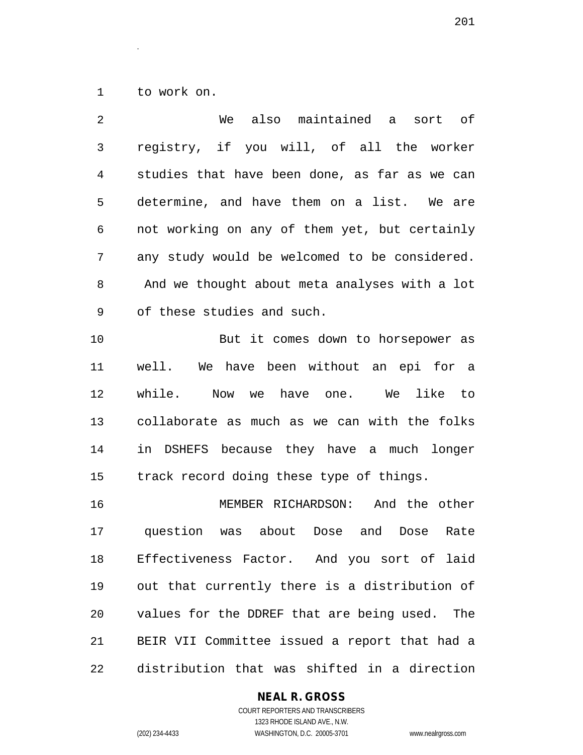to work on.

.

| 2              | maintained<br>also<br>We<br>sort of<br>a       |
|----------------|------------------------------------------------|
| 3              | registry, if you will, of all the worker       |
| $\overline{4}$ | studies that have been done, as far as we can  |
| 5              | determine, and have them on a list. We are     |
| 6              | not working on any of them yet, but certainly  |
| 7              | any study would be welcomed to be considered.  |
| 8              | And we thought about meta analyses with a lot  |
| 9              | of these studies and such.                     |
| 10             | But it comes down to horsepower as             |
| 11             | well. We have been without an epi for a        |
| 12             | while.<br>Now we have one. We like<br>to to    |
| 13             | collaborate as much as we can with the folks   |
| 14             | in DSHEFS because they have a much longer      |
| 15             | track record doing these type of things.       |
| 16             | MEMBER RICHARDSON: And the other               |
| 17             | question was about Dose<br>and<br>Dose<br>Rate |
| 18             | Effectiveness Factor. And you sort of laid     |
| 19             | out that currently there is a distribution of  |
| 20             | values for the DDREF that are being used. The  |
| 21             | BEIR VII Committee issued a report that had a  |
| 22             | distribution that was shifted in a direction   |

# **NEAL R. GROSS**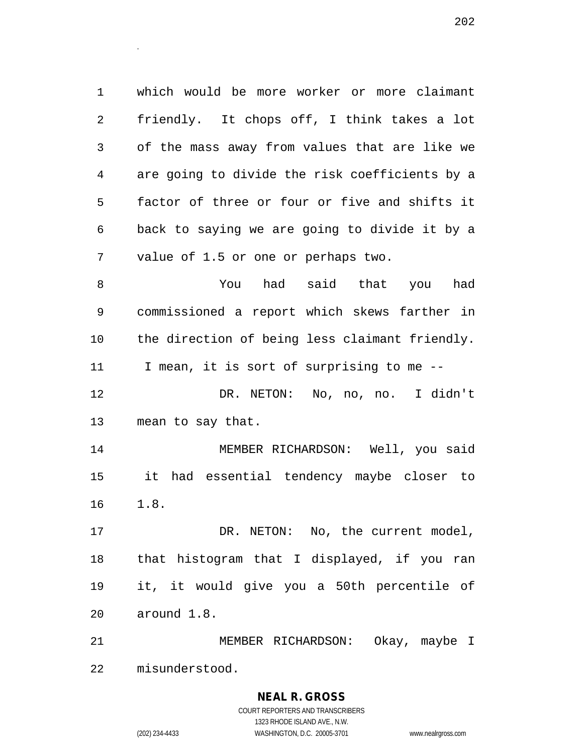which would be more worker or more claimant friendly. It chops off, I think takes a lot of the mass away from values that are like we are going to divide the risk coefficients by a factor of three or four or five and shifts it back to saying we are going to divide it by a value of 1.5 or one or perhaps two.

 You had said that you had commissioned a report which skews farther in the direction of being less claimant friendly. I mean, it is sort of surprising to me -- DR. NETON: No, no, no. I didn't mean to say that.

 MEMBER RICHARDSON: Well, you said it had essential tendency maybe closer to 1.8.

17 DR. NETON: No, the current model, that histogram that I displayed, if you ran it, it would give you a 50th percentile of around 1.8.

 MEMBER RICHARDSON: Okay, maybe I misunderstood.

# **NEAL R. GROSS**

.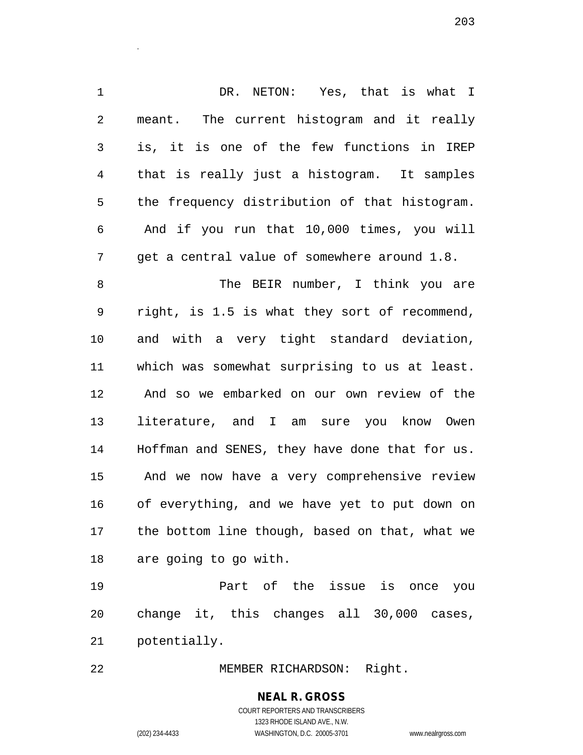DR. NETON: Yes, that is what I meant. The current histogram and it really is, it is one of the few functions in IREP that is really just a histogram. It samples the frequency distribution of that histogram. And if you run that 10,000 times, you will get a central value of somewhere around 1.8. 8 The BEIR number, I think you are right, is 1.5 is what they sort of recommend, and with a very tight standard deviation, which was somewhat surprising to us at least. And so we embarked on our own review of the literature, and I am sure you know Owen Hoffman and SENES, they have done that for us. And we now have a very comprehensive review of everything, and we have yet to put down on the bottom line though, based on that, what we are going to go with.

 Part of the issue is once you change it, this changes all 30,000 cases, potentially.

MEMBER RICHARDSON: Right.

**NEAL R. GROSS** COURT REPORTERS AND TRANSCRIBERS 1323 RHODE ISLAND AVE., N.W.

.

(202) 234-4433 WASHINGTON, D.C. 20005-3701 www.nealrgross.com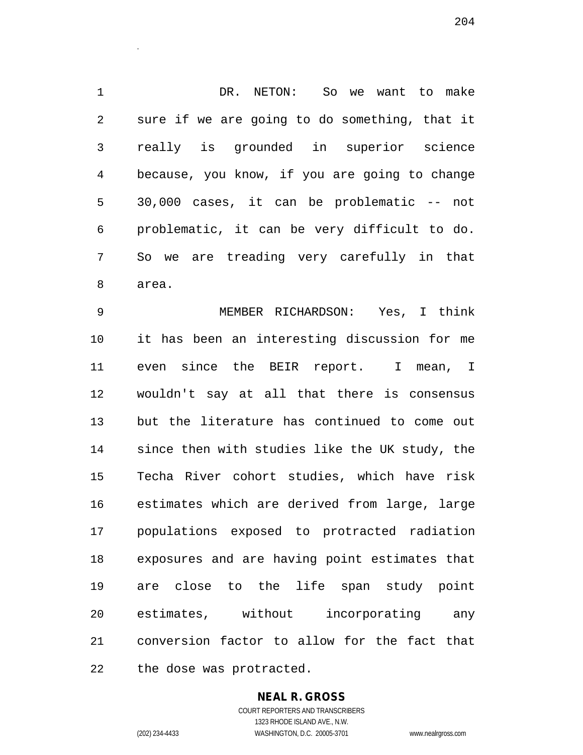DR. NETON: So we want to make sure if we are going to do something, that it really is grounded in superior science because, you know, if you are going to change 30,000 cases, it can be problematic -- not problematic, it can be very difficult to do. So we are treading very carefully in that area.

 MEMBER RICHARDSON: Yes, I think it has been an interesting discussion for me even since the BEIR report. I mean, I wouldn't say at all that there is consensus but the literature has continued to come out since then with studies like the UK study, the Techa River cohort studies, which have risk estimates which are derived from large, large populations exposed to protracted radiation exposures and are having point estimates that are close to the life span study point estimates, without incorporating any conversion factor to allow for the fact that the dose was protracted.

# **NEAL R. GROSS**

COURT REPORTERS AND TRANSCRIBERS 1323 RHODE ISLAND AVE., N.W. (202) 234-4433 WASHINGTON, D.C. 20005-3701 www.nealrgross.com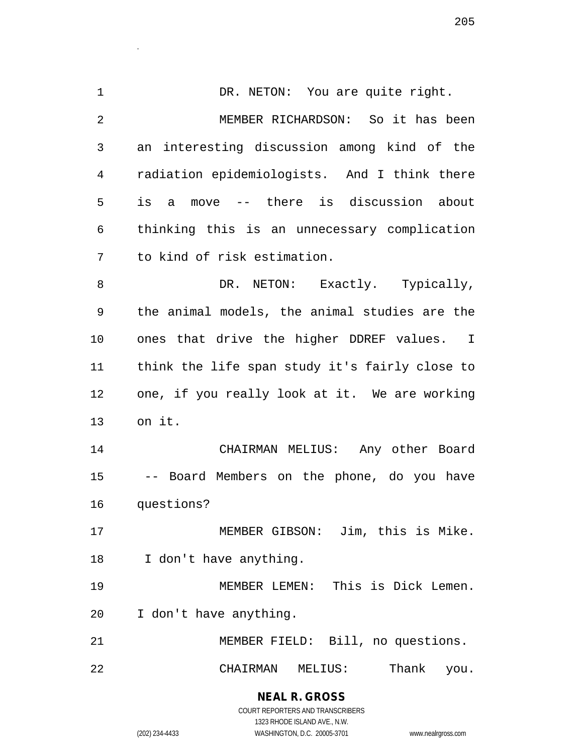1 DR. NETON: You are quite right. MEMBER RICHARDSON: So it has been an interesting discussion among kind of the radiation epidemiologists. And I think there is a move -- there is discussion about thinking this is an unnecessary complication to kind of risk estimation. 8 DR. NETON: Exactly. Typically, the animal models, the animal studies are the ones that drive the higher DDREF values. I think the life span study it's fairly close to one, if you really look at it. We are working on it. CHAIRMAN MELIUS: Any other Board -- Board Members on the phone, do you have questions? MEMBER GIBSON: Jim, this is Mike. I don't have anything. MEMBER LEMEN: This is Dick Lemen. I don't have anything. MEMBER FIELD: Bill, no questions. CHAIRMAN MELIUS: Thank you.

> **NEAL R. GROSS** COURT REPORTERS AND TRANSCRIBERS 1323 RHODE ISLAND AVE., N.W. (202) 234-4433 WASHINGTON, D.C. 20005-3701 www.nealrgross.com

.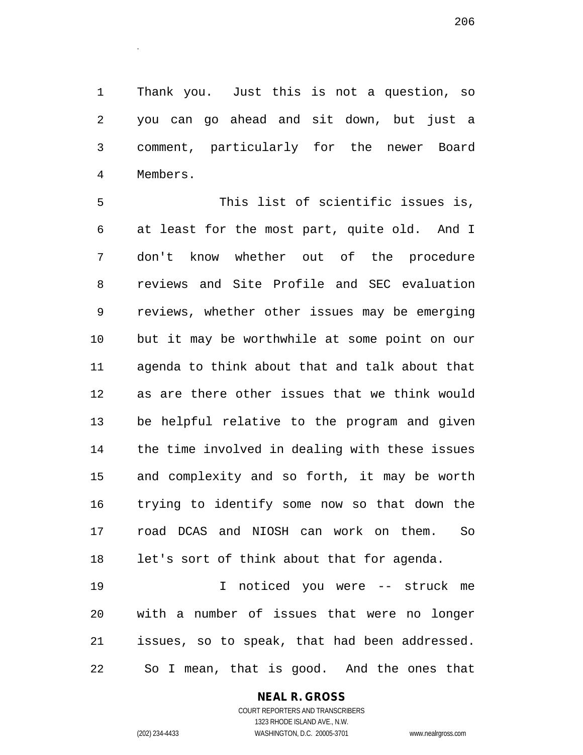Thank you. Just this is not a question, so you can go ahead and sit down, but just a comment, particularly for the newer Board Members.

 This list of scientific issues is, at least for the most part, quite old. And I don't know whether out of the procedure reviews and Site Profile and SEC evaluation reviews, whether other issues may be emerging but it may be worthwhile at some point on our agenda to think about that and talk about that as are there other issues that we think would be helpful relative to the program and given the time involved in dealing with these issues and complexity and so forth, it may be worth trying to identify some now so that down the road DCAS and NIOSH can work on them. So let's sort of think about that for agenda.

 I noticed you were -- struck me with a number of issues that were no longer issues, so to speak, that had been addressed. So I mean, that is good. And the ones that

## **NEAL R. GROSS**

COURT REPORTERS AND TRANSCRIBERS 1323 RHODE ISLAND AVE., N.W. (202) 234-4433 WASHINGTON, D.C. 20005-3701 www.nealrgross.com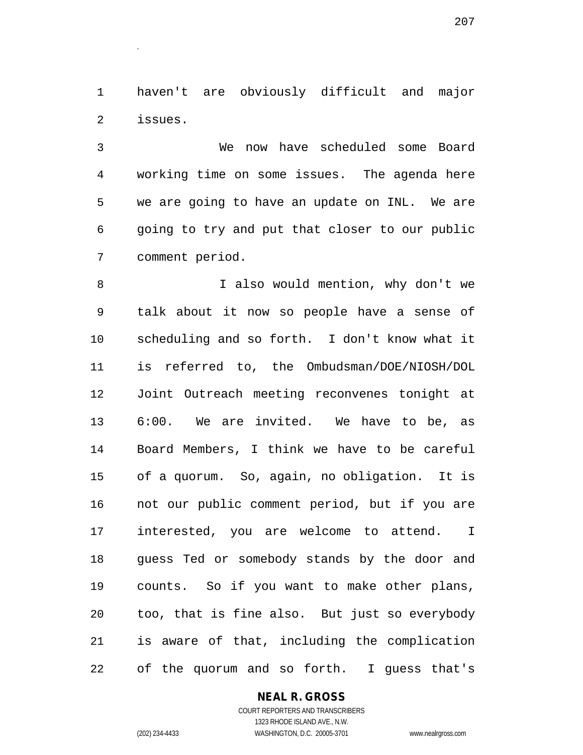haven't are obviously difficult and major issues.

.

 We now have scheduled some Board working time on some issues. The agenda here we are going to have an update on INL. We are going to try and put that closer to our public comment period.

 I also would mention, why don't we talk about it now so people have a sense of scheduling and so forth. I don't know what it is referred to, the Ombudsman/DOE/NIOSH/DOL Joint Outreach meeting reconvenes tonight at 6:00. We are invited. We have to be, as Board Members, I think we have to be careful of a quorum. So, again, no obligation. It is not our public comment period, but if you are interested, you are welcome to attend. I guess Ted or somebody stands by the door and counts. So if you want to make other plans, too, that is fine also. But just so everybody is aware of that, including the complication of the quorum and so forth. I guess that's

**NEAL R. GROSS**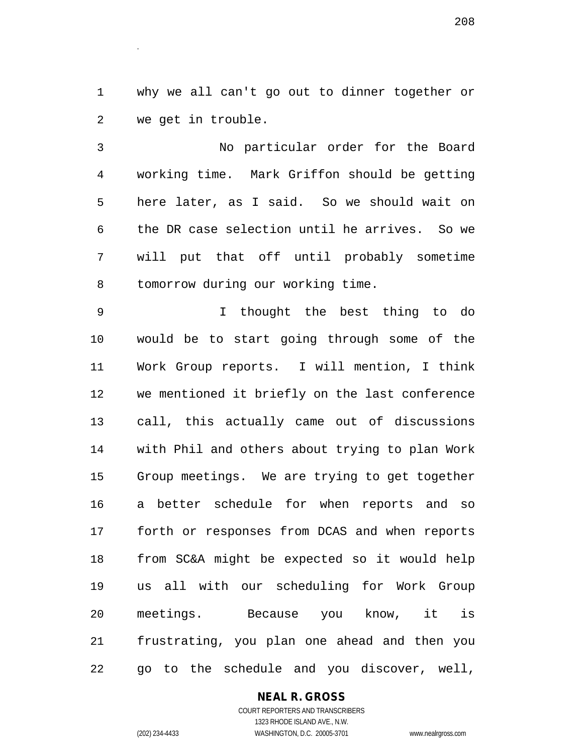why we all can't go out to dinner together or we get in trouble.

 No particular order for the Board working time. Mark Griffon should be getting here later, as I said. So we should wait on the DR case selection until he arrives. So we will put that off until probably sometime tomorrow during our working time.

 I thought the best thing to do would be to start going through some of the Work Group reports. I will mention, I think we mentioned it briefly on the last conference call, this actually came out of discussions with Phil and others about trying to plan Work Group meetings. We are trying to get together a better schedule for when reports and so forth or responses from DCAS and when reports from SC&A might be expected so it would help us all with our scheduling for Work Group meetings. Because you know, it is frustrating, you plan one ahead and then you go to the schedule and you discover, well,

#### **NEAL R. GROSS**

COURT REPORTERS AND TRANSCRIBERS 1323 RHODE ISLAND AVE., N.W. (202) 234-4433 WASHINGTON, D.C. 20005-3701 www.nealrgross.com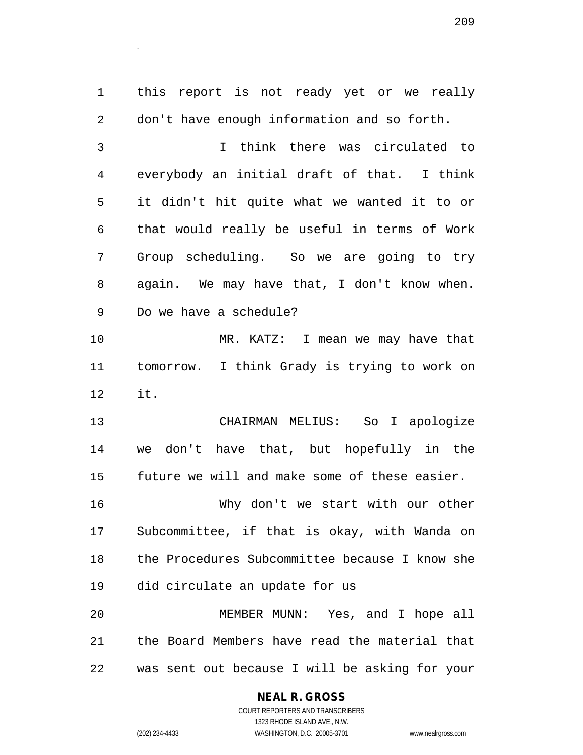this report is not ready yet or we really don't have enough information and so forth. I think there was circulated to everybody an initial draft of that. I think it didn't hit quite what we wanted it to or that would really be useful in terms of Work Group scheduling. So we are going to try again. We may have that, I don't know when. Do we have a schedule? MR. KATZ: I mean we may have that tomorrow. I think Grady is trying to work on it. CHAIRMAN MELIUS: So I apologize we don't have that, but hopefully in the future we will and make some of these easier. Why don't we start with our other

 Subcommittee, if that is okay, with Wanda on the Procedures Subcommittee because I know she did circulate an update for us

 MEMBER MUNN: Yes, and I hope all the Board Members have read the material that was sent out because I will be asking for your

## **NEAL R. GROSS**

.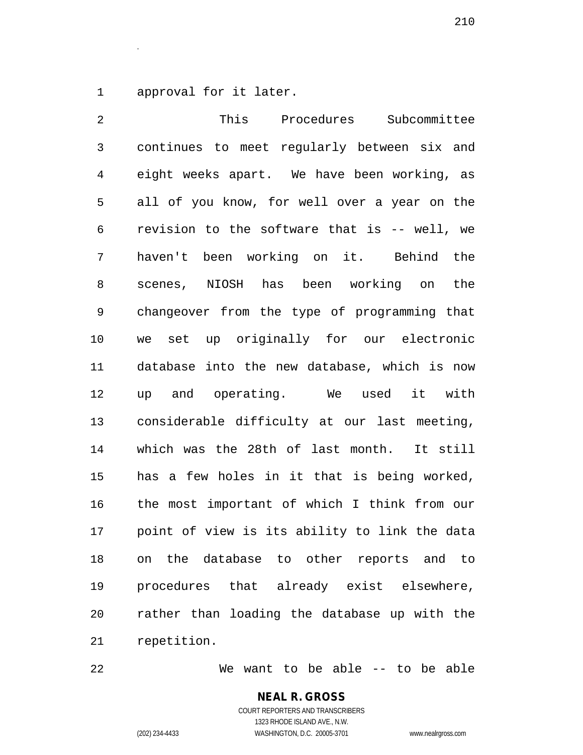approval for it later.

.

 This Procedures Subcommittee continues to meet regularly between six and eight weeks apart. We have been working, as all of you know, for well over a year on the revision to the software that is -- well, we haven't been working on it. Behind the scenes, NIOSH has been working on the changeover from the type of programming that we set up originally for our electronic database into the new database, which is now up and operating. We used it with considerable difficulty at our last meeting, which was the 28th of last month. It still has a few holes in it that is being worked, the most important of which I think from our point of view is its ability to link the data on the database to other reports and to procedures that already exist elsewhere, rather than loading the database up with the repetition.

We want to be able -- to be able

### **NEAL R. GROSS** COURT REPORTERS AND TRANSCRIBERS

1323 RHODE ISLAND AVE., N.W.

(202) 234-4433 WASHINGTON, D.C. 20005-3701 www.nealrgross.com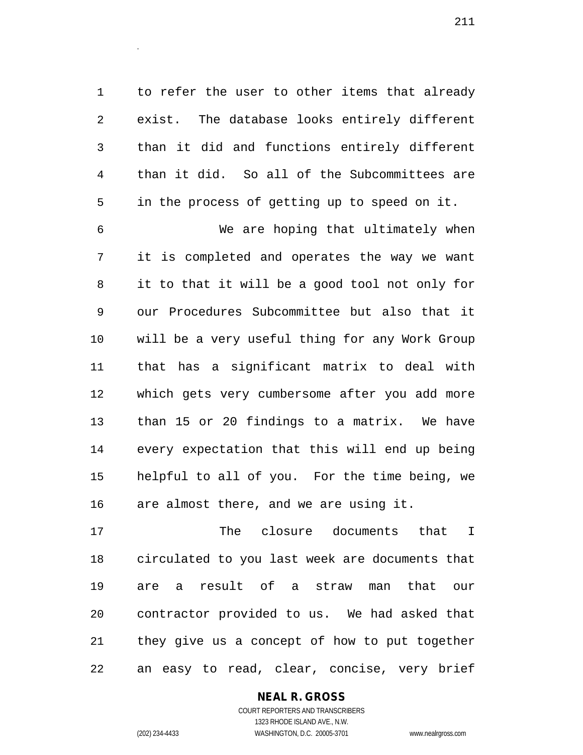to refer the user to other items that already exist. The database looks entirely different than it did and functions entirely different than it did. So all of the Subcommittees are in the process of getting up to speed on it.

 We are hoping that ultimately when it is completed and operates the way we want it to that it will be a good tool not only for our Procedures Subcommittee but also that it will be a very useful thing for any Work Group that has a significant matrix to deal with which gets very cumbersome after you add more than 15 or 20 findings to a matrix. We have every expectation that this will end up being helpful to all of you. For the time being, we are almost there, and we are using it.

 The closure documents that I circulated to you last week are documents that are a result of a straw man that our contractor provided to us. We had asked that they give us a concept of how to put together an easy to read, clear, concise, very brief

## **NEAL R. GROSS**

COURT REPORTERS AND TRANSCRIBERS 1323 RHODE ISLAND AVE., N.W. (202) 234-4433 WASHINGTON, D.C. 20005-3701 www.nealrgross.com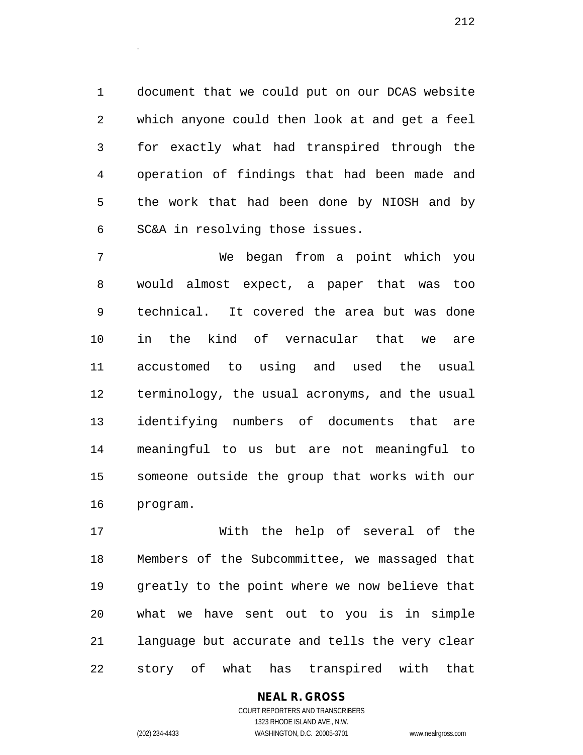document that we could put on our DCAS website which anyone could then look at and get a feel for exactly what had transpired through the operation of findings that had been made and the work that had been done by NIOSH and by SC&A in resolving those issues.

 We began from a point which you would almost expect, a paper that was too technical. It covered the area but was done in the kind of vernacular that we are accustomed to using and used the usual terminology, the usual acronyms, and the usual identifying numbers of documents that are meaningful to us but are not meaningful to someone outside the group that works with our program.

 With the help of several of the Members of the Subcommittee, we massaged that greatly to the point where we now believe that what we have sent out to you is in simple language but accurate and tells the very clear story of what has transpired with that

## **NEAL R. GROSS**

COURT REPORTERS AND TRANSCRIBERS 1323 RHODE ISLAND AVE., N.W. (202) 234-4433 WASHINGTON, D.C. 20005-3701 www.nealrgross.com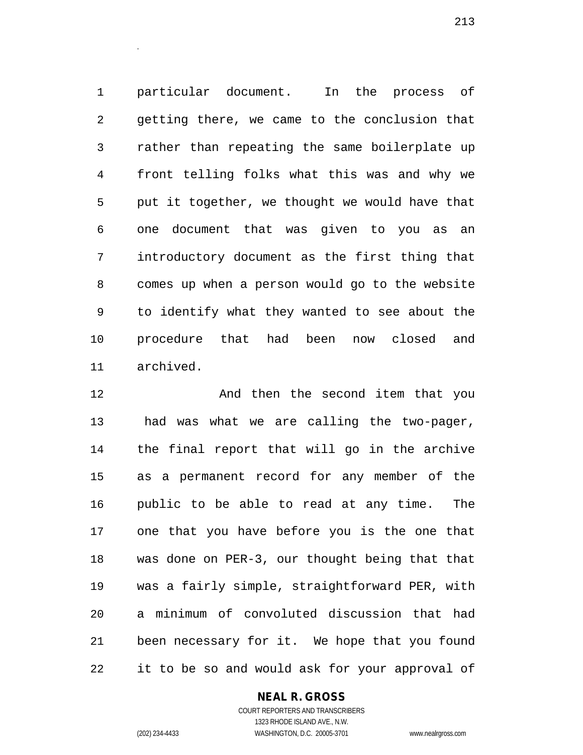particular document. In the process of getting there, we came to the conclusion that rather than repeating the same boilerplate up front telling folks what this was and why we put it together, we thought we would have that one document that was given to you as an introductory document as the first thing that comes up when a person would go to the website to identify what they wanted to see about the procedure that had been now closed and archived.

 And then the second item that you had was what we are calling the two-pager, the final report that will go in the archive as a permanent record for any member of the public to be able to read at any time. The one that you have before you is the one that was done on PER-3, our thought being that that was a fairly simple, straightforward PER, with a minimum of convoluted discussion that had been necessary for it. We hope that you found it to be so and would ask for your approval of

## **NEAL R. GROSS**

COURT REPORTERS AND TRANSCRIBERS 1323 RHODE ISLAND AVE., N.W. (202) 234-4433 WASHINGTON, D.C. 20005-3701 www.nealrgross.com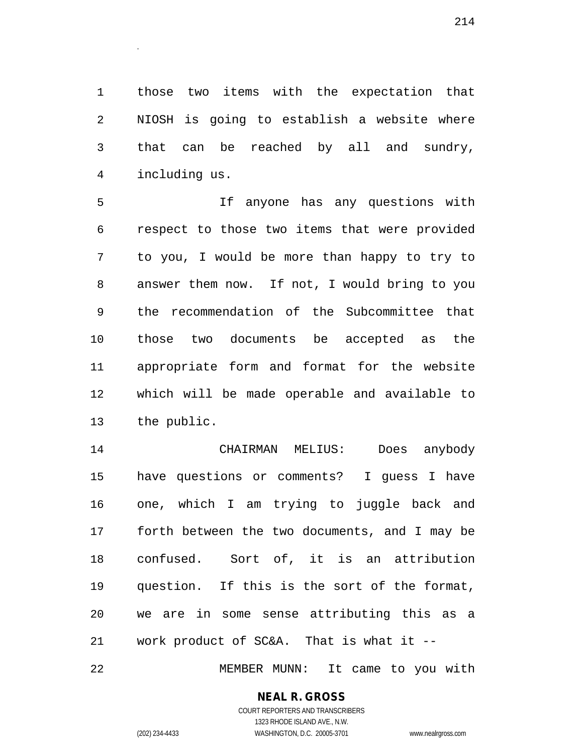those two items with the expectation that NIOSH is going to establish a website where that can be reached by all and sundry, including us.

 If anyone has any questions with respect to those two items that were provided to you, I would be more than happy to try to answer them now. If not, I would bring to you the recommendation of the Subcommittee that those two documents be accepted as the appropriate form and format for the website which will be made operable and available to the public.

 CHAIRMAN MELIUS: Does anybody have questions or comments? I guess I have one, which I am trying to juggle back and forth between the two documents, and I may be confused. Sort of, it is an attribution question. If this is the sort of the format, we are in some sense attributing this as a work product of SC&A. That is what it --

MEMBER MUNN: It came to you with

# **NEAL R. GROSS**

.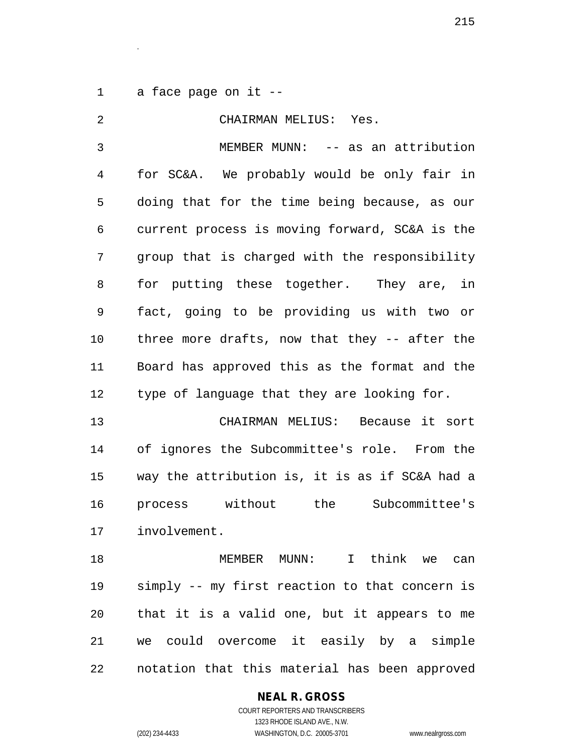a face page on it --

.

| 2  | CHAIRMAN MELIUS: Yes.                          |
|----|------------------------------------------------|
| 3  | MEMBER MUNN: -- as an attribution              |
| 4  | for SC&A. We probably would be only fair in    |
| 5  | doing that for the time being because, as our  |
| 6  | current process is moving forward, SC&A is the |
| 7  | group that is charged with the responsibility  |
| 8  | for putting these together. They are, in       |
| 9  | fact, going to be providing us with two or     |
| 10 | three more drafts, now that they -- after the  |
| 11 | Board has approved this as the format and the  |
| 12 | type of language that they are looking for.    |
| 13 | CHAIRMAN MELIUS: Because it sort               |
| 14 | of ignores the Subcommittee's role. From the   |
| 15 | way the attribution is, it is as if SC&A had a |
| 16 | process without the Subcommittee's             |
| 17 | involvement.                                   |
| 18 | MEMBER MUNN: I think we can                    |
| 19 | simply -- my first reaction to that concern is |
| 20 | that it is a valid one, but it appears to me   |
| 21 | we could overcome it easily by a simple        |
| 22 | notation that this material has been approved  |

**NEAL R. GROSS**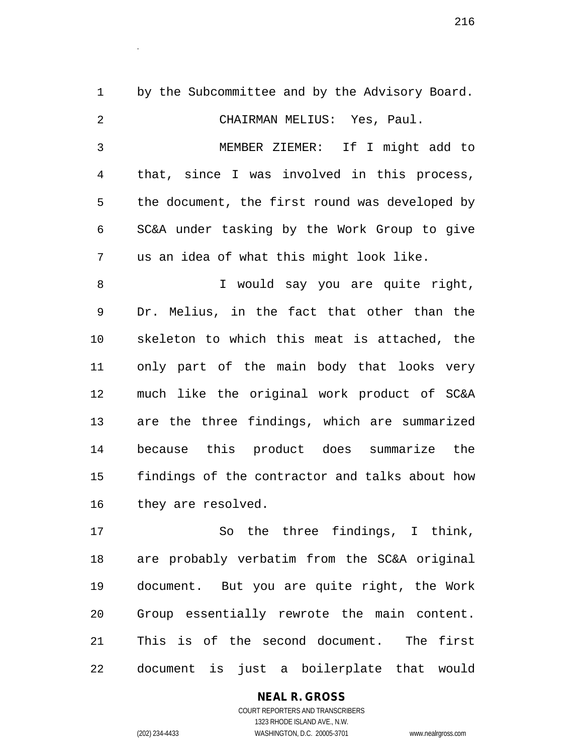1 by the Subcommittee and by the Advisory Board. CHAIRMAN MELIUS: Yes, Paul. MEMBER ZIEMER: If I might add to that, since I was involved in this process, the document, the first round was developed by SC&A under tasking by the Work Group to give us an idea of what this might look like. I would say you are quite right, Dr. Melius, in the fact that other than the skeleton to which this meat is attached, the only part of the main body that looks very much like the original work product of SC&A are the three findings, which are summarized because this product does summarize the findings of the contractor and talks about how they are resolved. So the three findings, I think,

 are probably verbatim from the SC&A original document. But you are quite right, the Work Group essentially rewrote the main content. This is of the second document. The first document is just a boilerplate that would

# **NEAL R. GROSS**

.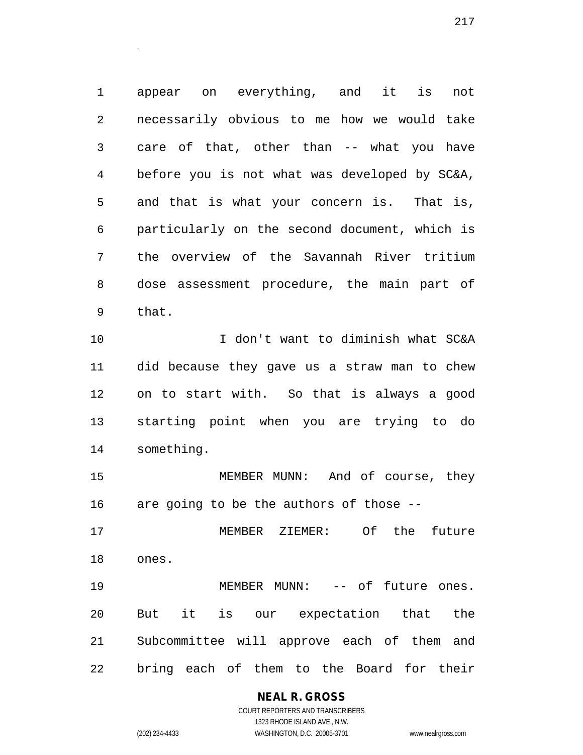appear on everything, and it is not necessarily obvious to me how we would take care of that, other than -- what you have before you is not what was developed by SC&A, and that is what your concern is. That is, particularly on the second document, which is the overview of the Savannah River tritium dose assessment procedure, the main part of that.

.

 I don't want to diminish what SC&A did because they gave us a straw man to chew on to start with. So that is always a good starting point when you are trying to do something.

 MEMBER MUNN: And of course, they are going to be the authors of those --

 MEMBER ZIEMER: Of the future ones.

 MEMBER MUNN: -- of future ones. But it is our expectation that the Subcommittee will approve each of them and bring each of them to the Board for their

### **NEAL R. GROSS**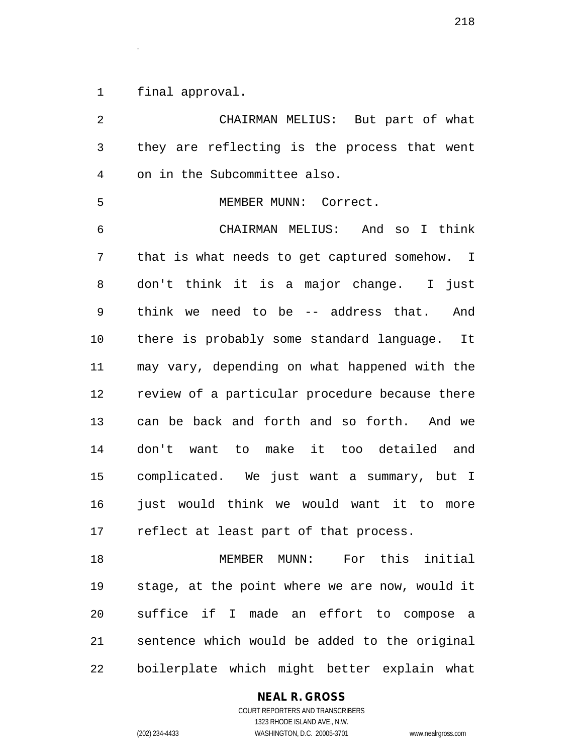final approval.

.

 CHAIRMAN MELIUS: But part of what they are reflecting is the process that went on in the Subcommittee also. MEMBER MUNN: Correct. CHAIRMAN MELIUS: And so I think that is what needs to get captured somehow. I don't think it is a major change. I just think we need to be -- address that. And there is probably some standard language. It may vary, depending on what happened with the review of a particular procedure because there can be back and forth and so forth. And we don't want to make it too detailed and complicated. We just want a summary, but I 16 just would think we would want it to more reflect at least part of that process. MEMBER MUNN: For this initial stage, at the point where we are now, would it

 suffice if I made an effort to compose a sentence which would be added to the original boilerplate which might better explain what

### **NEAL R. GROSS**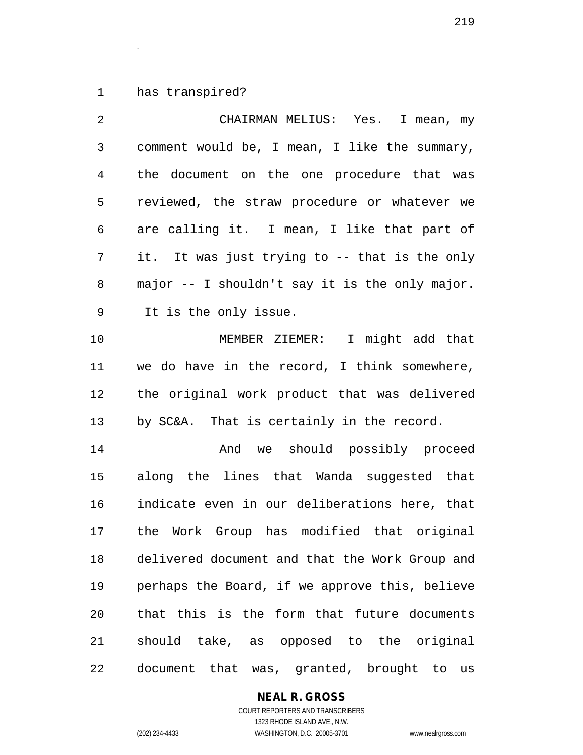has transpired?

.

 CHAIRMAN MELIUS: Yes. I mean, my comment would be, I mean, I like the summary, the document on the one procedure that was reviewed, the straw procedure or whatever we are calling it. I mean, I like that part of it. It was just trying to -- that is the only major -- I shouldn't say it is the only major. It is the only issue. MEMBER ZIEMER: I might add that we do have in the record, I think somewhere, the original work product that was delivered by SC&A. That is certainly in the record. And we should possibly proceed along the lines that Wanda suggested that indicate even in our deliberations here, that the Work Group has modified that original delivered document and that the Work Group and perhaps the Board, if we approve this, believe that this is the form that future documents should take, as opposed to the original document that was, granted, brought to us

### **NEAL R. GROSS**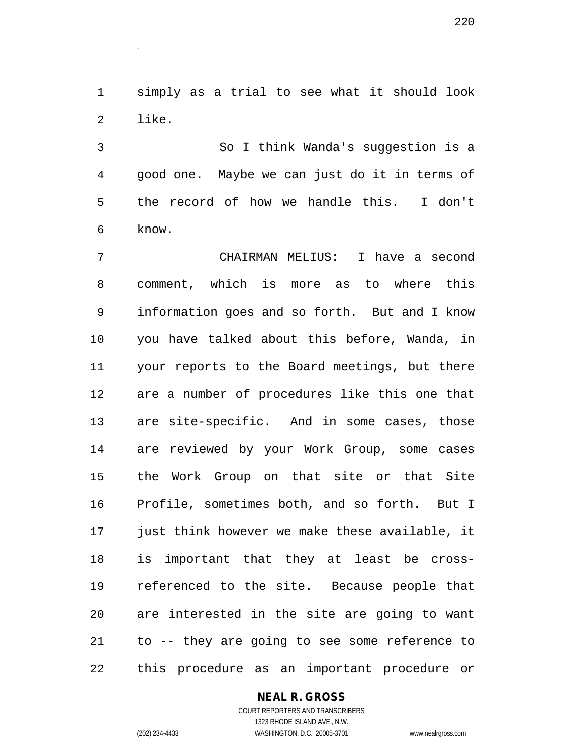simply as a trial to see what it should look like.

.

 So I think Wanda's suggestion is a good one. Maybe we can just do it in terms of the record of how we handle this. I don't know.

 CHAIRMAN MELIUS: I have a second comment, which is more as to where this information goes and so forth. But and I know you have talked about this before, Wanda, in your reports to the Board meetings, but there are a number of procedures like this one that are site-specific. And in some cases, those are reviewed by your Work Group, some cases the Work Group on that site or that Site Profile, sometimes both, and so forth. But I just think however we make these available, it is important that they at least be cross- referenced to the site. Because people that are interested in the site are going to want to -- they are going to see some reference to this procedure as an important procedure or

#### **NEAL R. GROSS** COURT REPORTERS AND TRANSCRIBERS

1323 RHODE ISLAND AVE., N.W. (202) 234-4433 WASHINGTON, D.C. 20005-3701 www.nealrgross.com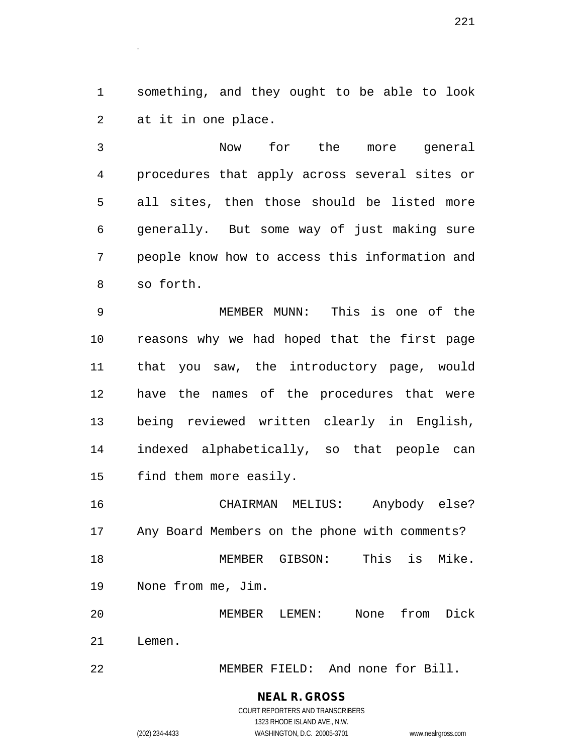something, and they ought to be able to look at it in one place.

.

 Now for the more general procedures that apply across several sites or all sites, then those should be listed more generally. But some way of just making sure people know how to access this information and so forth.

 MEMBER MUNN: This is one of the reasons why we had hoped that the first page that you saw, the introductory page, would have the names of the procedures that were being reviewed written clearly in English, indexed alphabetically, so that people can find them more easily.

 CHAIRMAN MELIUS: Anybody else? Any Board Members on the phone with comments? MEMBER GIBSON: This is Mike. None from me, Jim.

 MEMBER LEMEN: None from Dick Lemen.

MEMBER FIELD: And none for Bill.

### **NEAL R. GROSS** COURT REPORTERS AND TRANSCRIBERS

1323 RHODE ISLAND AVE., N.W. (202) 234-4433 WASHINGTON, D.C. 20005-3701 www.nealrgross.com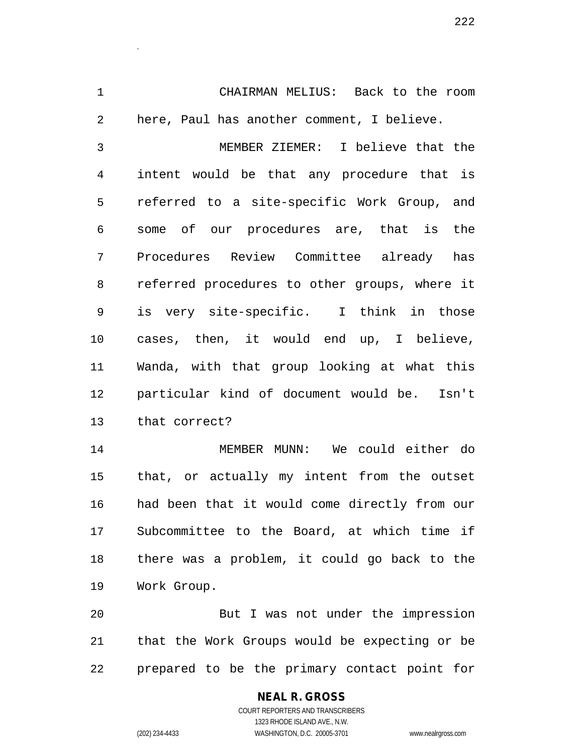CHAIRMAN MELIUS: Back to the room here, Paul has another comment, I believe.

 MEMBER ZIEMER: I believe that the intent would be that any procedure that is referred to a site-specific Work Group, and some of our procedures are, that is the Procedures Review Committee already has referred procedures to other groups, where it is very site-specific. I think in those cases, then, it would end up, I believe, Wanda, with that group looking at what this particular kind of document would be. Isn't that correct?

 MEMBER MUNN: We could either do that, or actually my intent from the outset had been that it would come directly from our Subcommittee to the Board, at which time if there was a problem, it could go back to the Work Group.

 But I was not under the impression that the Work Groups would be expecting or be prepared to be the primary contact point for

# **NEAL R. GROSS**

.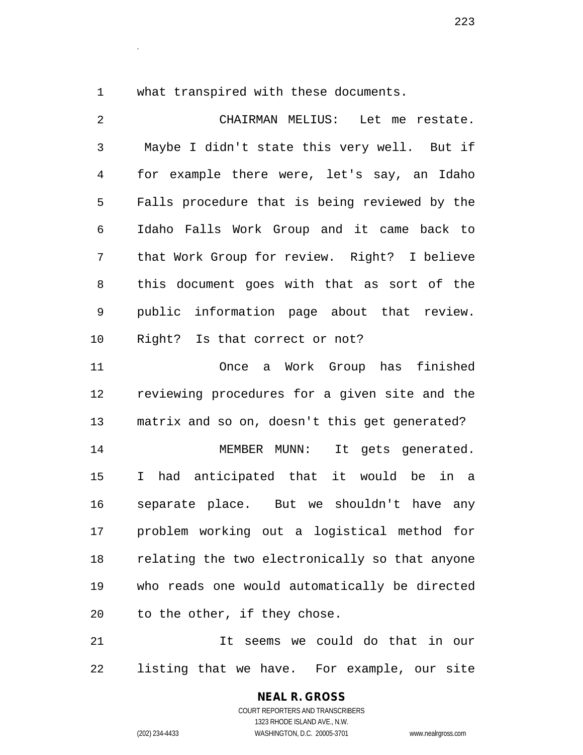what transpired with these documents.

.

 CHAIRMAN MELIUS: Let me restate. Maybe I didn't state this very well. But if for example there were, let's say, an Idaho Falls procedure that is being reviewed by the Idaho Falls Work Group and it came back to that Work Group for review. Right? I believe this document goes with that as sort of the public information page about that review. Right? Is that correct or not? Once a Work Group has finished reviewing procedures for a given site and the matrix and so on, doesn't this get generated? 14 MEMBER MUNN: It gets generated. I had anticipated that it would be in a separate place. But we shouldn't have any problem working out a logistical method for relating the two electronically so that anyone who reads one would automatically be directed to the other, if they chose. It seems we could do that in our

listing that we have. For example, our site

**NEAL R. GROSS** COURT REPORTERS AND TRANSCRIBERS

1323 RHODE ISLAND AVE., N.W. (202) 234-4433 WASHINGTON, D.C. 20005-3701 www.nealrgross.com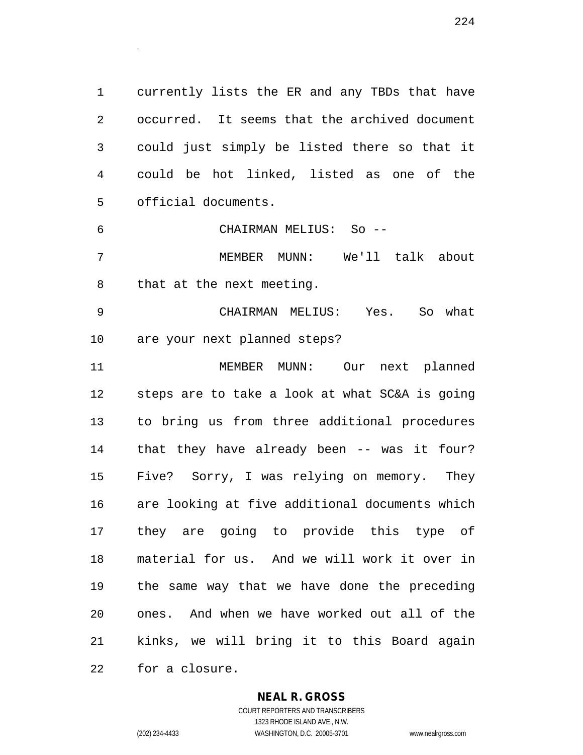currently lists the ER and any TBDs that have occurred. It seems that the archived document could just simply be listed there so that it could be hot linked, listed as one of the official documents.

 CHAIRMAN MELIUS: So -- MEMBER MUNN: We'll talk about

that at the next meeting.

.

 CHAIRMAN MELIUS: Yes. So what are your next planned steps?

 MEMBER MUNN: Our next planned steps are to take a look at what SC&A is going to bring us from three additional procedures that they have already been -- was it four? Five? Sorry, I was relying on memory. They are looking at five additional documents which they are going to provide this type of material for us. And we will work it over in the same way that we have done the preceding ones. And when we have worked out all of the kinks, we will bring it to this Board again for a closure.

### **NEAL R. GROSS**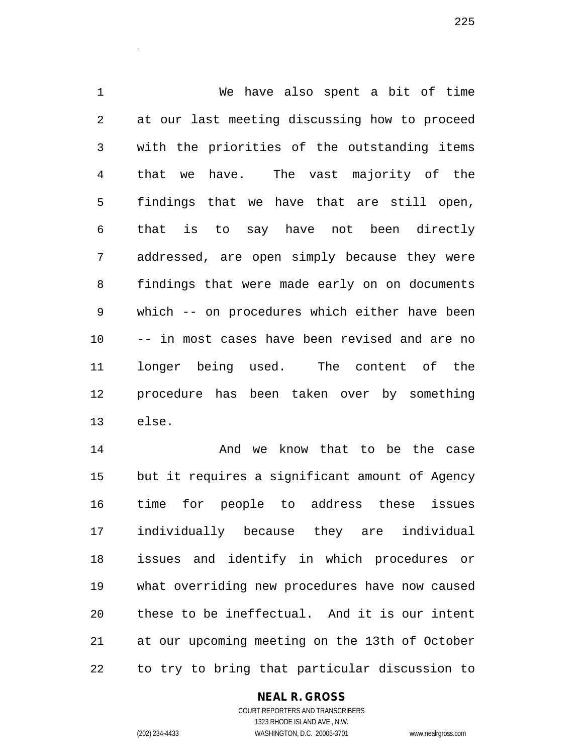We have also spent a bit of time at our last meeting discussing how to proceed with the priorities of the outstanding items that we have. The vast majority of the findings that we have that are still open, that is to say have not been directly addressed, are open simply because they were findings that were made early on on documents which -- on procedures which either have been -- in most cases have been revised and are no longer being used. The content of the procedure has been taken over by something else.

**And we know that to be the case**  but it requires a significant amount of Agency time for people to address these issues individually because they are individual issues and identify in which procedures or what overriding new procedures have now caused these to be ineffectual. And it is our intent at our upcoming meeting on the 13th of October to try to bring that particular discussion to

### **NEAL R. GROSS**

.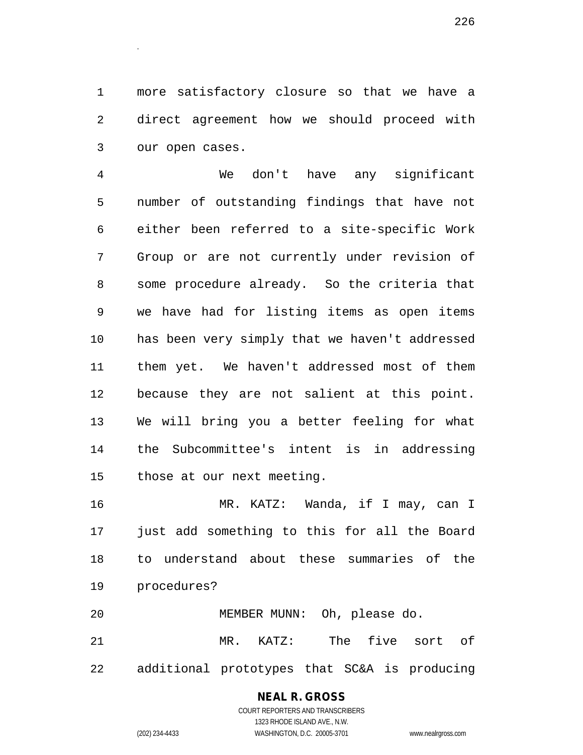more satisfactory closure so that we have a direct agreement how we should proceed with our open cases.

.

 We don't have any significant number of outstanding findings that have not either been referred to a site-specific Work Group or are not currently under revision of some procedure already. So the criteria that we have had for listing items as open items has been very simply that we haven't addressed them yet. We haven't addressed most of them because they are not salient at this point. We will bring you a better feeling for what the Subcommittee's intent is in addressing those at our next meeting.

 MR. KATZ: Wanda, if I may, can I just add something to this for all the Board to understand about these summaries of the procedures?

 MEMBER MUNN: Oh, please do. MR. KATZ: The five sort of additional prototypes that SC&A is producing

# **NEAL R. GROSS**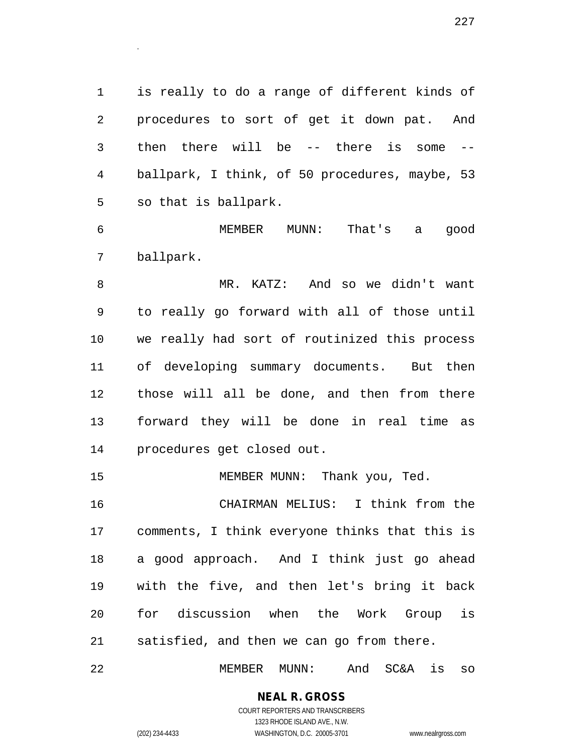is really to do a range of different kinds of procedures to sort of get it down pat. And then there will be -- there is some -- ballpark, I think, of 50 procedures, maybe, 53 so that is ballpark.

 MEMBER MUNN: That's a good ballpark.

 MR. KATZ: And so we didn't want to really go forward with all of those until we really had sort of routinized this process of developing summary documents. But then those will all be done, and then from there forward they will be done in real time as procedures get closed out.

15 MEMBER MUNN: Thank you, Ted.

 CHAIRMAN MELIUS: I think from the comments, I think everyone thinks that this is a good approach. And I think just go ahead with the five, and then let's bring it back for discussion when the Work Group is satisfied, and then we can go from there.

MEMBER MUNN: And SC&A is so

# **NEAL R. GROSS**

.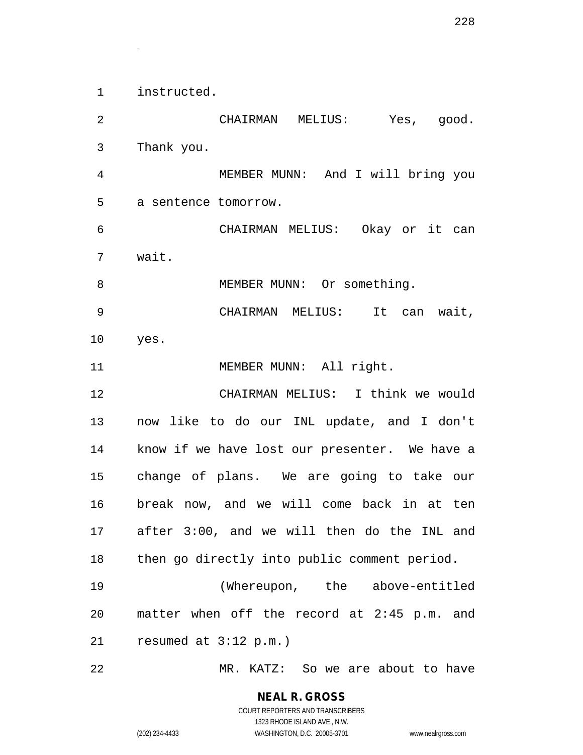instructed.

.

 CHAIRMAN MELIUS: Yes, good. Thank you. MEMBER MUNN: And I will bring you a sentence tomorrow. CHAIRMAN MELIUS: Okay or it can wait. 8 MEMBER MUNN: Or something. CHAIRMAN MELIUS: It can wait, yes. 11 MEMBER MUNN: All right. CHAIRMAN MELIUS: I think we would now like to do our INL update, and I don't know if we have lost our presenter. We have a change of plans. We are going to take our break now, and we will come back in at ten after 3:00, and we will then do the INL and then go directly into public comment period. (Whereupon, the above-entitled matter when off the record at 2:45 p.m. and resumed at 3:12 p.m.) MR. KATZ: So we are about to have

COURT REPORTERS AND TRANSCRIBERS 1323 RHODE ISLAND AVE., N.W. (202) 234-4433 WASHINGTON, D.C. 20005-3701 www.nealrgross.com

**NEAL R. GROSS**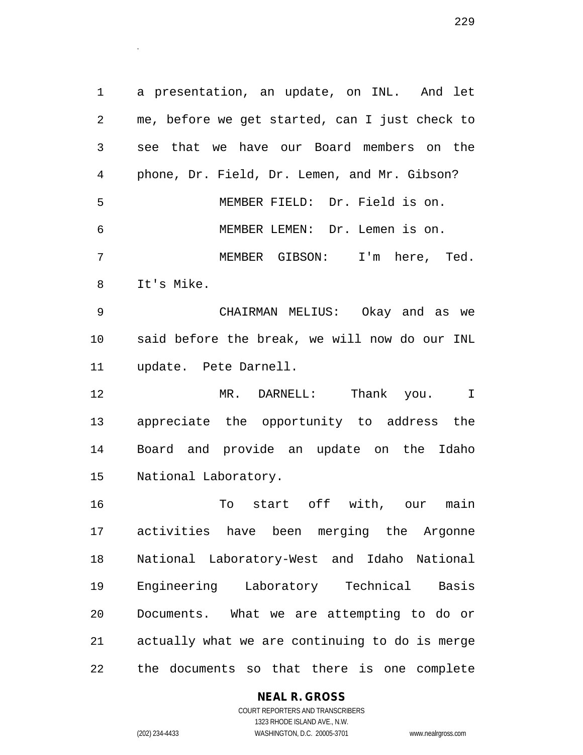a presentation, an update, on INL. And let me, before we get started, can I just check to see that we have our Board members on the phone, Dr. Field, Dr. Lemen, and Mr. Gibson? MEMBER FIELD: Dr. Field is on. MEMBER LEMEN: Dr. Lemen is on. MEMBER GIBSON: I'm here, Ted. It's Mike. CHAIRMAN MELIUS: Okay and as we said before the break, we will now do our INL

update. Pete Darnell.

 MR. DARNELL: Thank you. I appreciate the opportunity to address the Board and provide an update on the Idaho National Laboratory.

 To start off with, our main activities have been merging the Argonne National Laboratory-West and Idaho National Engineering Laboratory Technical Basis Documents. What we are attempting to do or actually what we are continuing to do is merge the documents so that there is one complete

**NEAL R. GROSS**

.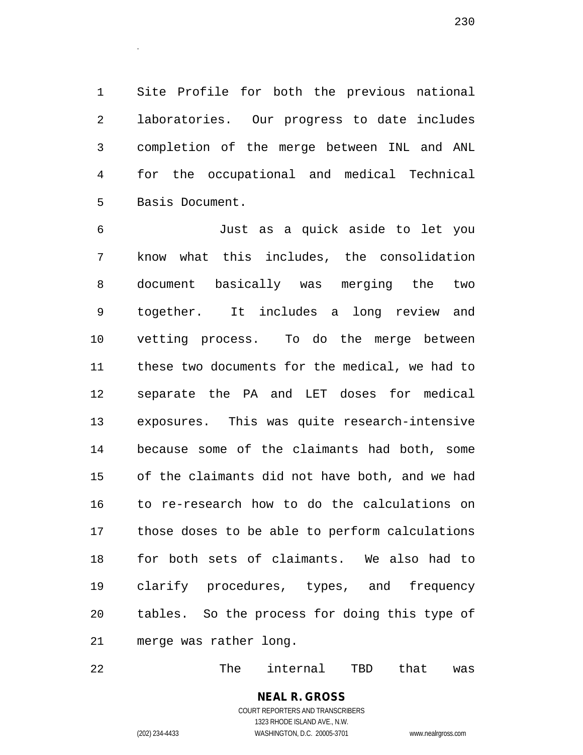Site Profile for both the previous national laboratories. Our progress to date includes completion of the merge between INL and ANL for the occupational and medical Technical Basis Document.

 Just as a quick aside to let you know what this includes, the consolidation document basically was merging the two together. It includes a long review and vetting process. To do the merge between these two documents for the medical, we had to separate the PA and LET doses for medical exposures. This was quite research-intensive because some of the claimants had both, some of the claimants did not have both, and we had to re-research how to do the calculations on those doses to be able to perform calculations for both sets of claimants. We also had to clarify procedures, types, and frequency tables. So the process for doing this type of merge was rather long.

22 The internal TBD that was

**NEAL R. GROSS** COURT REPORTERS AND TRANSCRIBERS 1323 RHODE ISLAND AVE., N.W.

.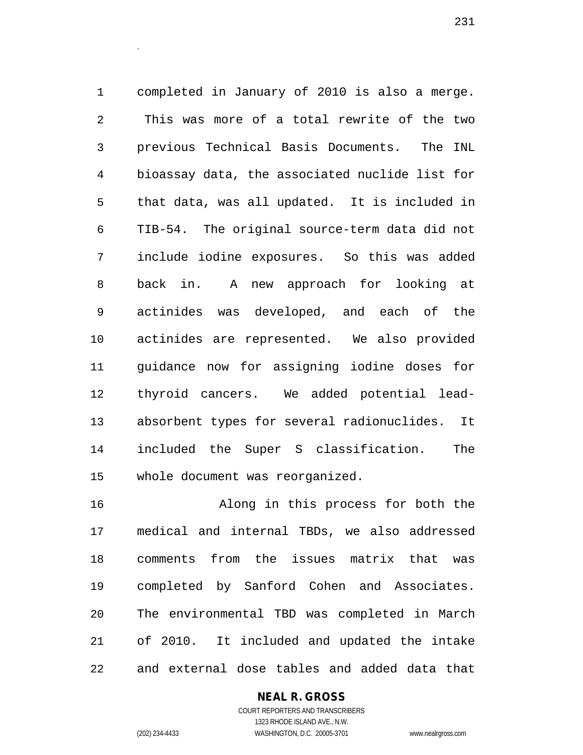completed in January of 2010 is also a merge. This was more of a total rewrite of the two previous Technical Basis Documents. The INL bioassay data, the associated nuclide list for that data, was all updated. It is included in TIB-54. The original source-term data did not include iodine exposures. So this was added back in. A new approach for looking at actinides was developed, and each of the actinides are represented. We also provided guidance now for assigning iodine doses for thyroid cancers. We added potential lead- absorbent types for several radionuclides. It included the Super S classification. The whole document was reorganized.

 Along in this process for both the medical and internal TBDs, we also addressed comments from the issues matrix that was completed by Sanford Cohen and Associates. The environmental TBD was completed in March of 2010. It included and updated the intake and external dose tables and added data that

#### **NEAL R. GROSS**

.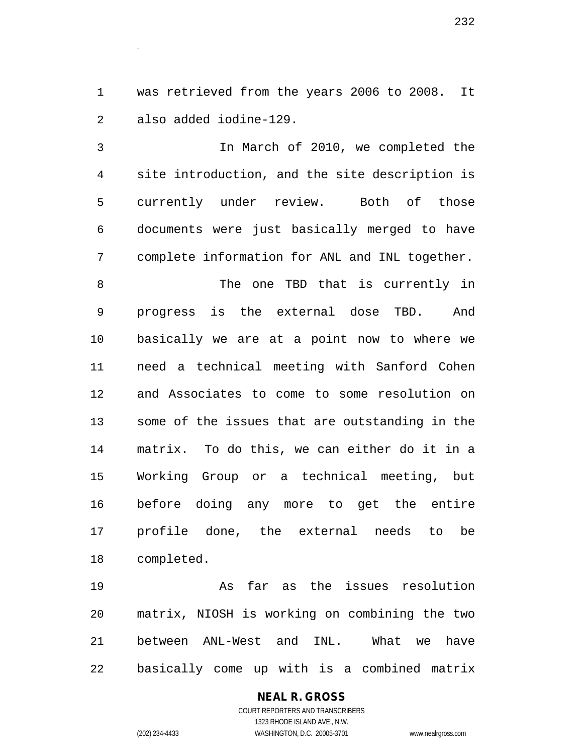was retrieved from the years 2006 to 2008. It also added iodine-129.

 In March of 2010, we completed the site introduction, and the site description is currently under review. Both of those documents were just basically merged to have complete information for ANL and INL together.

8 The one TBD that is currently in progress is the external dose TBD. And basically we are at a point now to where we need a technical meeting with Sanford Cohen and Associates to come to some resolution on some of the issues that are outstanding in the matrix. To do this, we can either do it in a Working Group or a technical meeting, but before doing any more to get the entire profile done, the external needs to be completed.

 As far as the issues resolution matrix, NIOSH is working on combining the two between ANL-West and INL. What we have basically come up with is a combined matrix

### **NEAL R. GROSS** COURT REPORTERS AND TRANSCRIBERS 1323 RHODE ISLAND AVE., N.W. (202) 234-4433 WASHINGTON, D.C. 20005-3701 www.nealrgross.com

.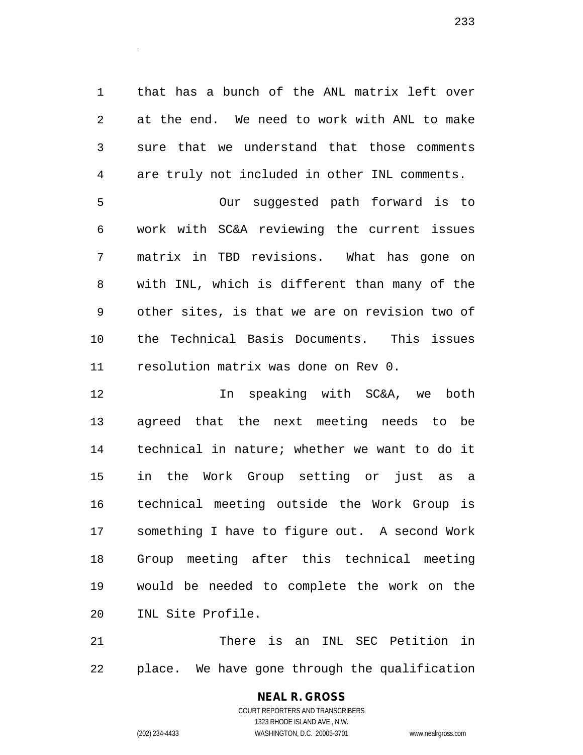that has a bunch of the ANL matrix left over at the end. We need to work with ANL to make sure that we understand that those comments are truly not included in other INL comments.

 Our suggested path forward is to work with SC&A reviewing the current issues matrix in TBD revisions. What has gone on with INL, which is different than many of the other sites, is that we are on revision two of the Technical Basis Documents. This issues resolution matrix was done on Rev 0.

 In speaking with SC&A, we both agreed that the next meeting needs to be technical in nature; whether we want to do it in the Work Group setting or just as a technical meeting outside the Work Group is something I have to figure out. A second Work Group meeting after this technical meeting would be needed to complete the work on the INL Site Profile.

 There is an INL SEC Petition in place. We have gone through the qualification

# **NEAL R. GROSS**

.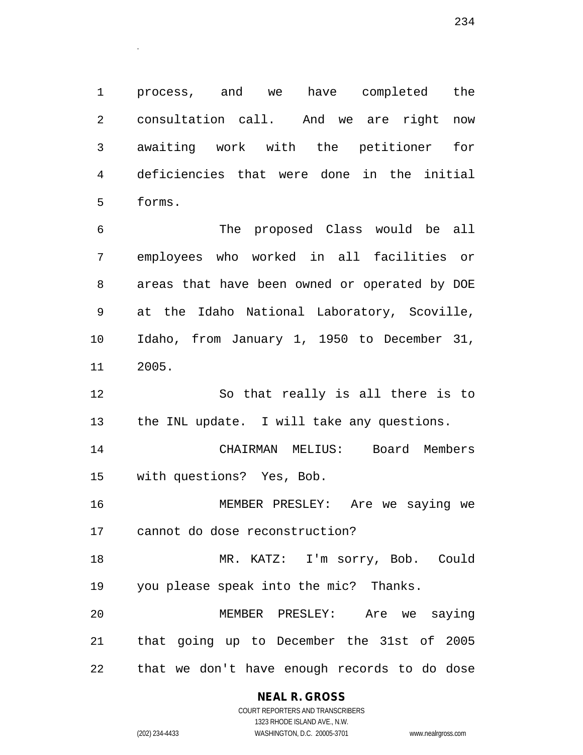process, and we have completed the consultation call. And we are right now awaiting work with the petitioner for deficiencies that were done in the initial forms.

 The proposed Class would be all employees who worked in all facilities or areas that have been owned or operated by DOE at the Idaho National Laboratory, Scoville, Idaho, from January 1, 1950 to December 31, 2005.

 So that really is all there is to the INL update. I will take any questions.

 CHAIRMAN MELIUS: Board Members with questions? Yes, Bob.

 MEMBER PRESLEY: Are we saying we cannot do dose reconstruction?

 MR. KATZ: I'm sorry, Bob. Could you please speak into the mic? Thanks.

 MEMBER PRESLEY: Are we saying that going up to December the 31st of 2005 that we don't have enough records to do dose

**NEAL R. GROSS**

.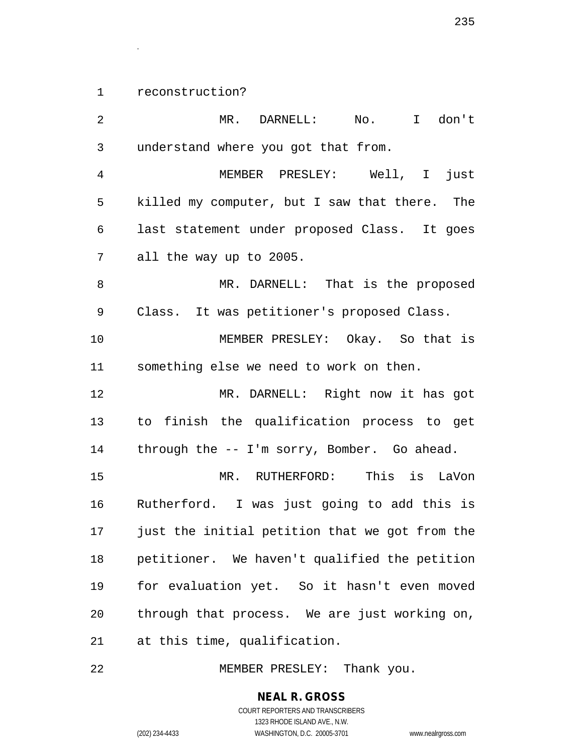reconstruction?

.

 MR. DARNELL: No. I don't understand where you got that from. MEMBER PRESLEY: Well, I just killed my computer, but I saw that there. The last statement under proposed Class. It goes all the way up to 2005. MR. DARNELL: That is the proposed Class. It was petitioner's proposed Class. MEMBER PRESLEY: Okay. So that is something else we need to work on then. MR. DARNELL: Right now it has got to finish the qualification process to get through the -- I'm sorry, Bomber. Go ahead. MR. RUTHERFORD: This is LaVon Rutherford. I was just going to add this is just the initial petition that we got from the petitioner. We haven't qualified the petition for evaluation yet. So it hasn't even moved through that process. We are just working on, at this time, qualification.

MEMBER PRESLEY: Thank you.

**NEAL R. GROSS**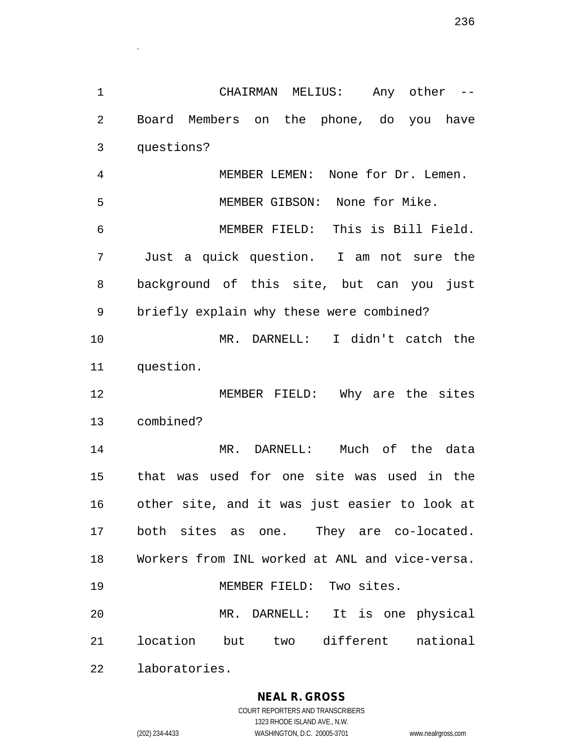CHAIRMAN MELIUS: Any other -- Board Members on the phone, do you have questions?

 MEMBER LEMEN: None for Dr. Lemen. MEMBER GIBSON: None for Mike. MEMBER FIELD: This is Bill Field. Just a quick question. I am not sure the background of this site, but can you just briefly explain why these were combined?

 MR. DARNELL: I didn't catch the question.

 MEMBER FIELD: Why are the sites combined?

 MR. DARNELL: Much of the data that was used for one site was used in the other site, and it was just easier to look at both sites as one. They are co-located. Workers from INL worked at ANL and vice-versa. MEMBER FIELD: Two sites. MR. DARNELL: It is one physical location but two different national

laboratories.

.

### **NEAL R. GROSS**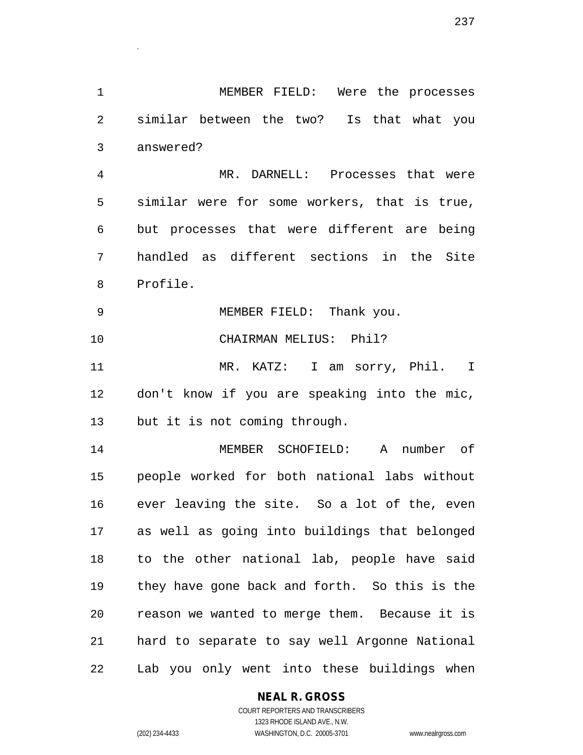MEMBER FIELD: Were the processes similar between the two? Is that what you answered?

.

 MR. DARNELL: Processes that were similar were for some workers, that is true, but processes that were different are being handled as different sections in the Site Profile.

 MEMBER FIELD: Thank you. CHAIRMAN MELIUS: Phil? MR. KATZ: I am sorry, Phil. I don't know if you are speaking into the mic,

but it is not coming through.

 MEMBER SCHOFIELD: A number of people worked for both national labs without ever leaving the site. So a lot of the, even as well as going into buildings that belonged to the other national lab, people have said they have gone back and forth. So this is the reason we wanted to merge them. Because it is hard to separate to say well Argonne National Lab you only went into these buildings when

**NEAL R. GROSS**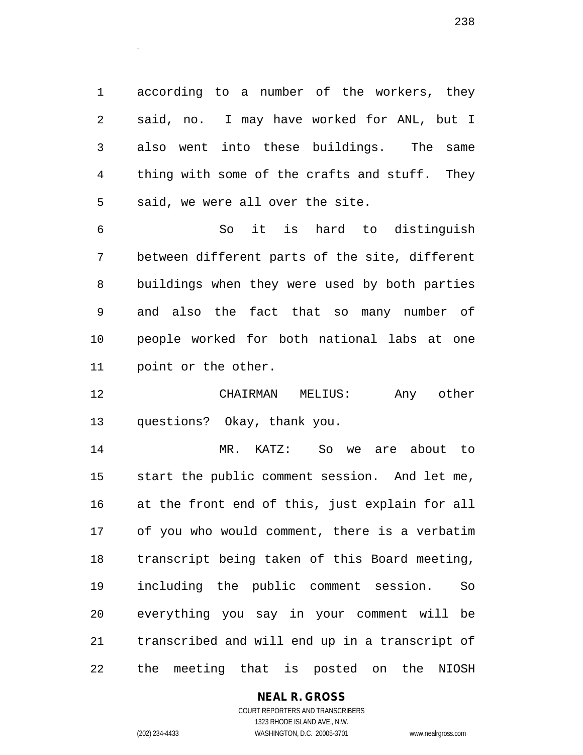according to a number of the workers, they said, no. I may have worked for ANL, but I also went into these buildings. The same thing with some of the crafts and stuff. They said, we were all over the site.

.

 So it is hard to distinguish between different parts of the site, different buildings when they were used by both parties and also the fact that so many number of people worked for both national labs at one point or the other.

 CHAIRMAN MELIUS: Any other questions? Okay, thank you.

 MR. KATZ: So we are about to start the public comment session. And let me, at the front end of this, just explain for all of you who would comment, there is a verbatim transcript being taken of this Board meeting, including the public comment session. So everything you say in your comment will be transcribed and will end up in a transcript of the meeting that is posted on the NIOSH

### **NEAL R. GROSS**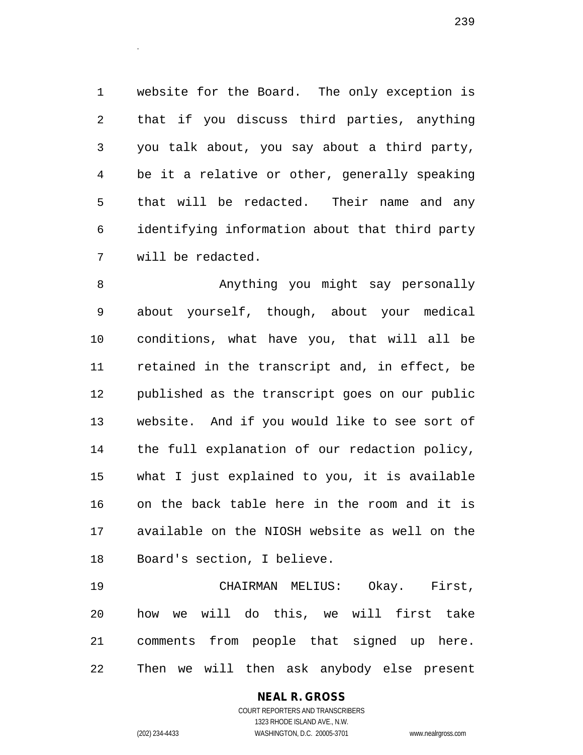website for the Board. The only exception is that if you discuss third parties, anything you talk about, you say about a third party, be it a relative or other, generally speaking that will be redacted. Their name and any identifying information about that third party will be redacted.

 Anything you might say personally about yourself, though, about your medical conditions, what have you, that will all be retained in the transcript and, in effect, be published as the transcript goes on our public website. And if you would like to see sort of the full explanation of our redaction policy, what I just explained to you, it is available on the back table here in the room and it is available on the NIOSH website as well on the Board's section, I believe.

 CHAIRMAN MELIUS: Okay. First, how we will do this, we will first take comments from people that signed up here. Then we will then ask anybody else present

> COURT REPORTERS AND TRANSCRIBERS 1323 RHODE ISLAND AVE., N.W. (202) 234-4433 WASHINGTON, D.C. 20005-3701 www.nealrgross.com

**NEAL R. GROSS**

.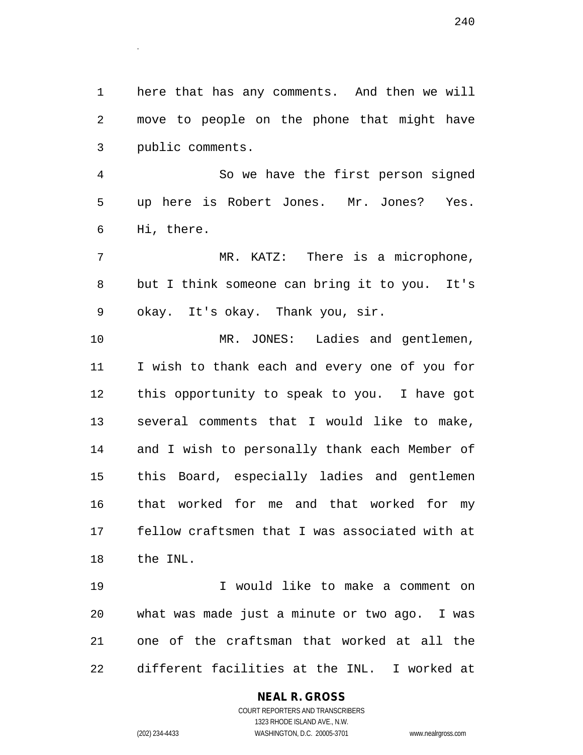here that has any comments. And then we will move to people on the phone that might have public comments.

.

 So we have the first person signed up here is Robert Jones. Mr. Jones? Yes. Hi, there.

 MR. KATZ: There is a microphone, but I think someone can bring it to you. It's okay. It's okay. Thank you, sir.

 MR. JONES: Ladies and gentlemen, I wish to thank each and every one of you for this opportunity to speak to you. I have got several comments that I would like to make, and I wish to personally thank each Member of this Board, especially ladies and gentlemen that worked for me and that worked for my fellow craftsmen that I was associated with at the INL.

 I would like to make a comment on what was made just a minute or two ago. I was one of the craftsman that worked at all the different facilities at the INL. I worked at

### **NEAL R. GROSS**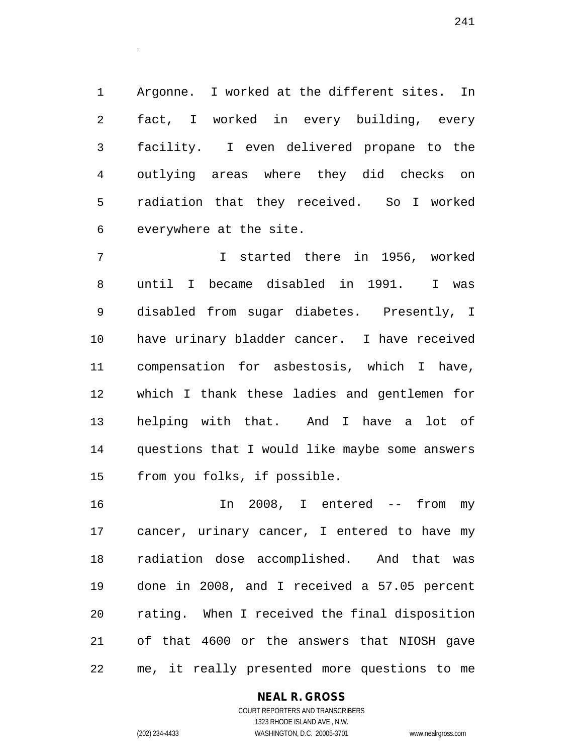Argonne. I worked at the different sites. In fact, I worked in every building, every facility. I even delivered propane to the outlying areas where they did checks on radiation that they received. So I worked everywhere at the site.

 I started there in 1956, worked until I became disabled in 1991. I was disabled from sugar diabetes. Presently, I have urinary bladder cancer. I have received compensation for asbestosis, which I have, which I thank these ladies and gentlemen for helping with that. And I have a lot of questions that I would like maybe some answers from you folks, if possible.

 In 2008, I entered -- from my cancer, urinary cancer, I entered to have my radiation dose accomplished. And that was done in 2008, and I received a 57.05 percent rating. When I received the final disposition of that 4600 or the answers that NIOSH gave me, it really presented more questions to me

### **NEAL R. GROSS**

.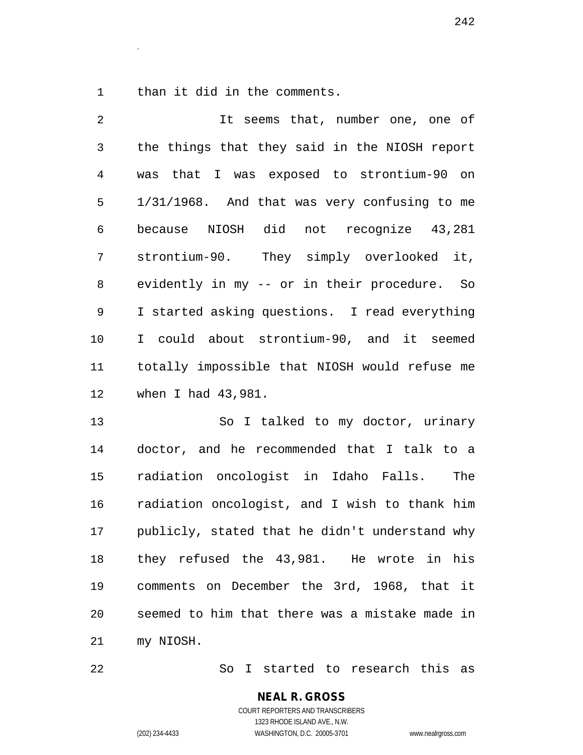than it did in the comments.

.

| $\overline{2}$ | It seems that, number one, one of             |
|----------------|-----------------------------------------------|
| 3              | the things that they said in the NIOSH report |
| 4              | was that I was exposed to strontium-90 on     |
| 5              | 1/31/1968. And that was very confusing to me  |
| 6              | because NIOSH did not recognize 43,281        |
| 7              | strontium-90. They simply overlooked it,      |
| 8              | evidently in my -- or in their procedure. So  |
| 9              | I started asking questions. I read everything |
| 10             | I could about strontium-90, and it seemed     |
| 11 —           | totally impossible that NIOSH would refuse me |
| 12             | when I had 43,981.                            |

 So I talked to my doctor, urinary doctor, and he recommended that I talk to a radiation oncologist in Idaho Falls. The radiation oncologist, and I wish to thank him publicly, stated that he didn't understand why they refused the 43,981. He wrote in his comments on December the 3rd, 1968, that it seemed to him that there was a mistake made in my NIOSH.

So I started to research this as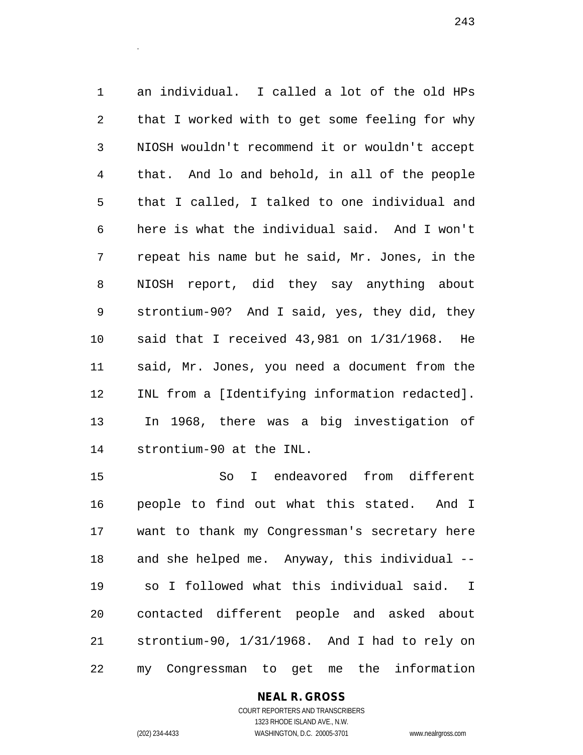an individual. I called a lot of the old HPs that I worked with to get some feeling for why NIOSH wouldn't recommend it or wouldn't accept that. And lo and behold, in all of the people that I called, I talked to one individual and here is what the individual said. And I won't repeat his name but he said, Mr. Jones, in the NIOSH report, did they say anything about strontium-90? And I said, yes, they did, they said that I received 43,981 on 1/31/1968. He said, Mr. Jones, you need a document from the INL from a [Identifying information redacted]. In 1968, there was a big investigation of strontium-90 at the INL.

 So I endeavored from different people to find out what this stated. And I want to thank my Congressman's secretary here and she helped me. Anyway, this individual -- so I followed what this individual said. I contacted different people and asked about strontium-90, 1/31/1968. And I had to rely on my Congressman to get me the information

> **NEAL R. GROSS** COURT REPORTERS AND TRANSCRIBERS 1323 RHODE ISLAND AVE., N.W.

.

(202) 234-4433 WASHINGTON, D.C. 20005-3701 www.nealrgross.com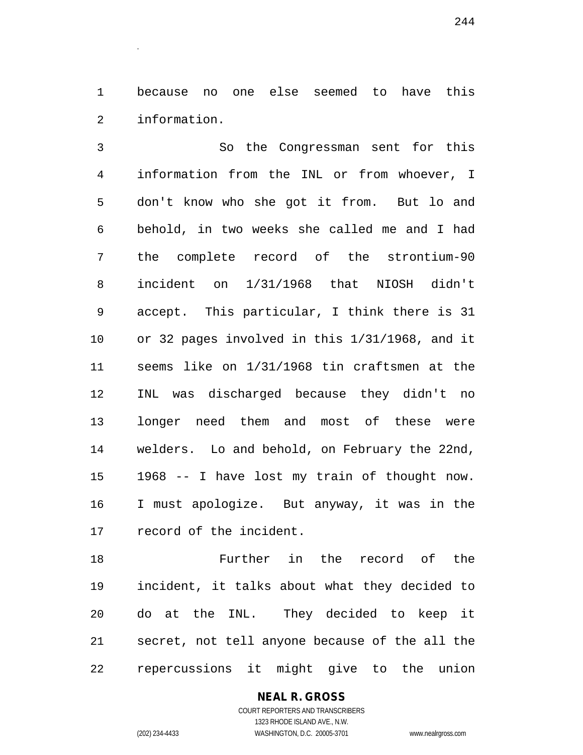because no one else seemed to have this information.

 So the Congressman sent for this information from the INL or from whoever, I don't know who she got it from. But lo and behold, in two weeks she called me and I had the complete record of the strontium-90 incident on 1/31/1968 that NIOSH didn't accept. This particular, I think there is 31 or 32 pages involved in this 1/31/1968, and it seems like on 1/31/1968 tin craftsmen at the INL was discharged because they didn't no longer need them and most of these were welders. Lo and behold, on February the 22nd, 1968 -- I have lost my train of thought now. I must apologize. But anyway, it was in the record of the incident.

 Further in the record of the incident, it talks about what they decided to do at the INL. They decided to keep it secret, not tell anyone because of the all the repercussions it might give to the union

## **NEAL R. GROSS**

COURT REPORTERS AND TRANSCRIBERS 1323 RHODE ISLAND AVE., N.W. (202) 234-4433 WASHINGTON, D.C. 20005-3701 www.nealrgross.com

.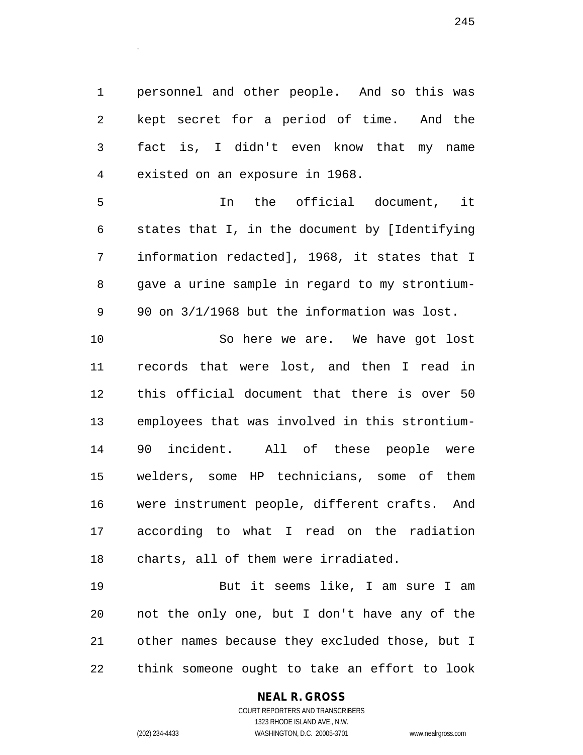personnel and other people. And so this was kept secret for a period of time. And the fact is, I didn't even know that my name existed on an exposure in 1968.

 In the official document, it states that I, in the document by [Identifying information redacted], 1968, it states that I gave a urine sample in regard to my strontium-90 on 3/1/1968 but the information was lost.

 So here we are. We have got lost records that were lost, and then I read in this official document that there is over 50 employees that was involved in this strontium- 90 incident. All of these people were welders, some HP technicians, some of them were instrument people, different crafts. And according to what I read on the radiation charts, all of them were irradiated.

 But it seems like, I am sure I am not the only one, but I don't have any of the other names because they excluded those, but I think someone ought to take an effort to look

### **NEAL R. GROSS**

.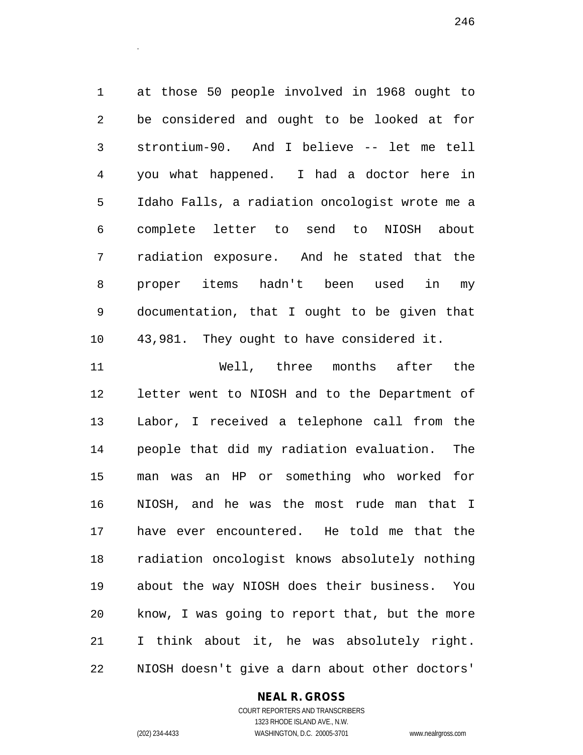at those 50 people involved in 1968 ought to be considered and ought to be looked at for strontium-90. And I believe -- let me tell you what happened. I had a doctor here in Idaho Falls, a radiation oncologist wrote me a complete letter to send to NIOSH about radiation exposure. And he stated that the proper items hadn't been used in my documentation, that I ought to be given that 43,981. They ought to have considered it.

.

 Well, three months after the letter went to NIOSH and to the Department of Labor, I received a telephone call from the people that did my radiation evaluation. The man was an HP or something who worked for NIOSH, and he was the most rude man that I have ever encountered. He told me that the radiation oncologist knows absolutely nothing about the way NIOSH does their business. You know, I was going to report that, but the more I think about it, he was absolutely right. NIOSH doesn't give a darn about other doctors'

### **NEAL R. GROSS**

COURT REPORTERS AND TRANSCRIBERS 1323 RHODE ISLAND AVE., N.W. (202) 234-4433 WASHINGTON, D.C. 20005-3701 www.nealrgross.com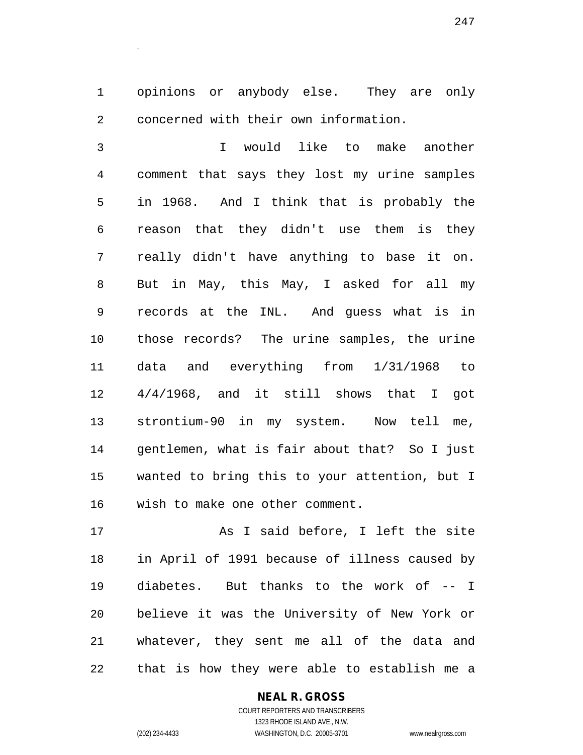opinions or anybody else. They are only concerned with their own information.

 I would like to make another comment that says they lost my urine samples in 1968. And I think that is probably the reason that they didn't use them is they really didn't have anything to base it on. But in May, this May, I asked for all my records at the INL. And guess what is in those records? The urine samples, the urine data and everything from 1/31/1968 to 4/4/1968, and it still shows that I got strontium-90 in my system. Now tell me, gentlemen, what is fair about that? So I just wanted to bring this to your attention, but I wish to make one other comment.

 As I said before, I left the site in April of 1991 because of illness caused by diabetes. But thanks to the work of -- I believe it was the University of New York or whatever, they sent me all of the data and that is how they were able to establish me a

### **NEAL R. GROSS**

COURT REPORTERS AND TRANSCRIBERS 1323 RHODE ISLAND AVE., N.W. (202) 234-4433 WASHINGTON, D.C. 20005-3701 www.nealrgross.com

.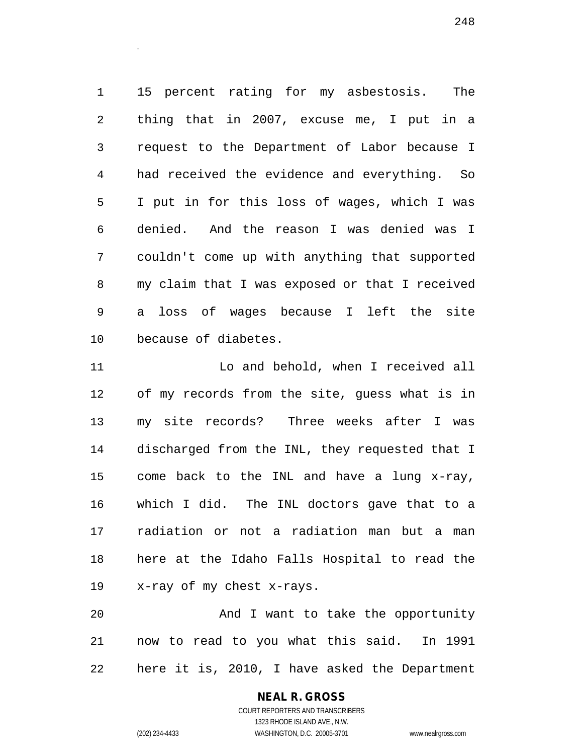15 percent rating for my asbestosis. The thing that in 2007, excuse me, I put in a request to the Department of Labor because I had received the evidence and everything. So I put in for this loss of wages, which I was denied. And the reason I was denied was I couldn't come up with anything that supported my claim that I was exposed or that I received a loss of wages because I left the site because of diabetes.

 Lo and behold, when I received all of my records from the site, guess what is in my site records? Three weeks after I was discharged from the INL, they requested that I come back to the INL and have a lung x-ray, which I did. The INL doctors gave that to a radiation or not a radiation man but a man here at the Idaho Falls Hospital to read the x-ray of my chest x-rays.

 And I want to take the opportunity now to read to you what this said. In 1991 here it is, 2010, I have asked the Department

> COURT REPORTERS AND TRANSCRIBERS 1323 RHODE ISLAND AVE., N.W. (202) 234-4433 WASHINGTON, D.C. 20005-3701 www.nealrgross.com

**NEAL R. GROSS**

.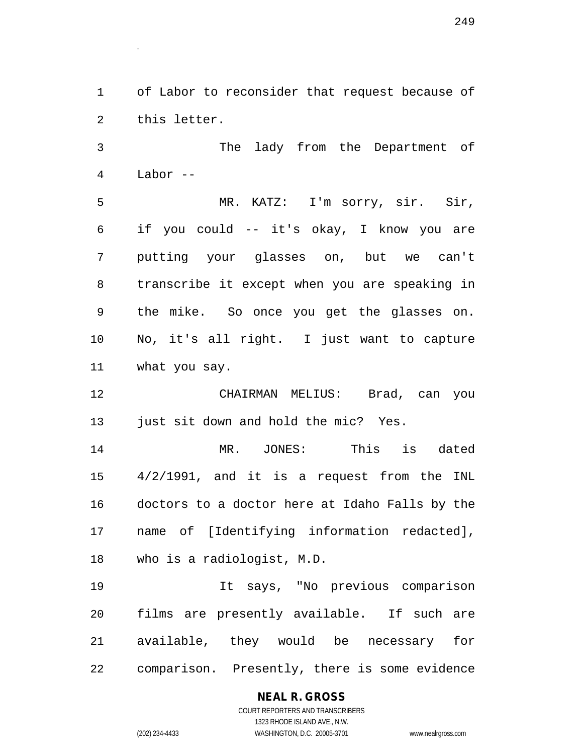of Labor to reconsider that request because of this letter.

 The lady from the Department of Labor --

 MR. KATZ: I'm sorry, sir. Sir, if you could -- it's okay, I know you are putting your glasses on, but we can't transcribe it except when you are speaking in the mike. So once you get the glasses on. No, it's all right. I just want to capture what you say.

 CHAIRMAN MELIUS: Brad, can you 13 just sit down and hold the mic? Yes.

 MR. JONES: This is dated 4/2/1991, and it is a request from the INL doctors to a doctor here at Idaho Falls by the name of [Identifying information redacted], who is a radiologist, M.D.

 It says, "No previous comparison films are presently available. If such are available, they would be necessary for comparison. Presently, there is some evidence

### **NEAL R. GROSS** COURT REPORTERS AND TRANSCRIBERS 1323 RHODE ISLAND AVE., N.W.

.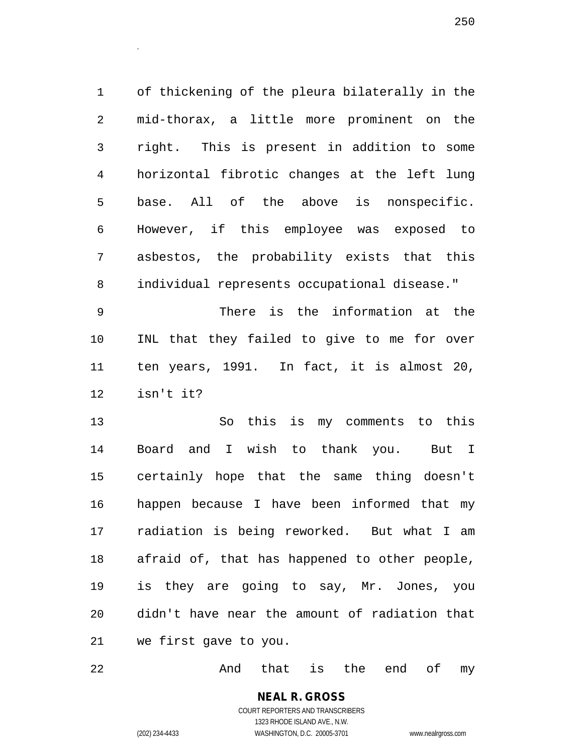of thickening of the pleura bilaterally in the mid-thorax, a little more prominent on the right. This is present in addition to some horizontal fibrotic changes at the left lung base. All of the above is nonspecific. However, if this employee was exposed to asbestos, the probability exists that this individual represents occupational disease."

 There is the information at the INL that they failed to give to me for over ten years, 1991. In fact, it is almost 20, isn't it?

 So this is my comments to this Board and I wish to thank you. But I certainly hope that the same thing doesn't happen because I have been informed that my radiation is being reworked. But what I am afraid of, that has happened to other people, is they are going to say, Mr. Jones, you didn't have near the amount of radiation that we first gave to you.

22 And that is the end of my

**NEAL R. GROSS** COURT REPORTERS AND TRANSCRIBERS 1323 RHODE ISLAND AVE., N.W.

.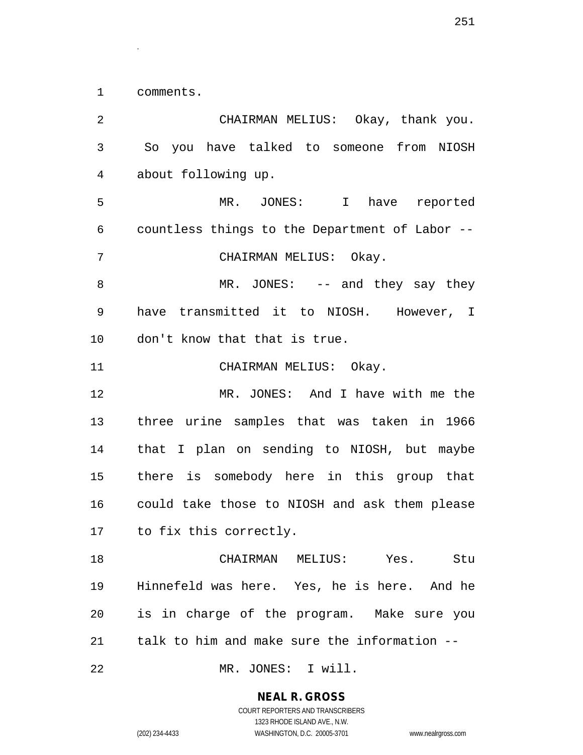comments.

.

 CHAIRMAN MELIUS: Okay, thank you. So you have talked to someone from NIOSH about following up. MR. JONES: I have reported countless things to the Department of Labor -- CHAIRMAN MELIUS: Okay. 8 MR. JONES: -- and they say they have transmitted it to NIOSH. However, I don't know that that is true. 11 CHAIRMAN MELIUS: Okay. MR. JONES: And I have with me the three urine samples that was taken in 1966 that I plan on sending to NIOSH, but maybe there is somebody here in this group that could take those to NIOSH and ask them please to fix this correctly. CHAIRMAN MELIUS: Yes. Stu Hinnefeld was here. Yes, he is here. And he is in charge of the program. Make sure you talk to him and make sure the information -- MR. JONES: I will.

1323 RHODE ISLAND AVE., N.W.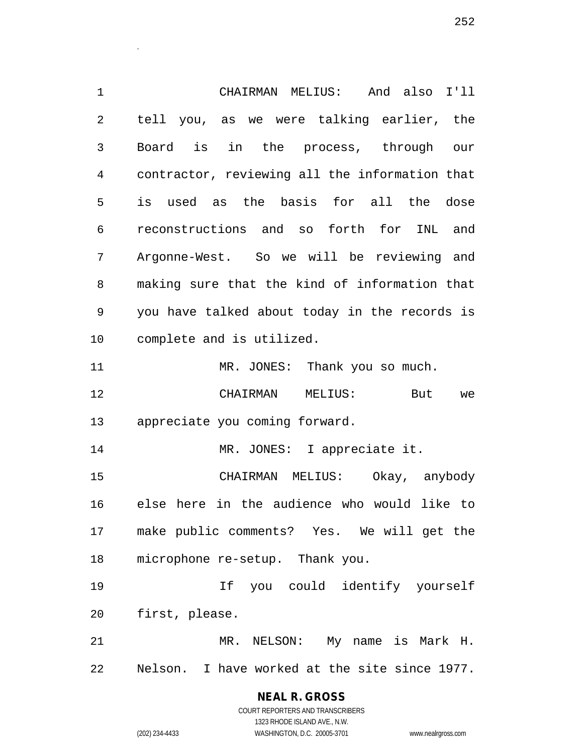CHAIRMAN MELIUS: And also I'll tell you, as we were talking earlier, the Board is in the process, through our contractor, reviewing all the information that is used as the basis for all the dose reconstructions and so forth for INL and Argonne-West. So we will be reviewing and making sure that the kind of information that you have talked about today in the records is complete and is utilized. 11 MR. JONES: Thank you so much. CHAIRMAN MELIUS: But we appreciate you coming forward. MR. JONES: I appreciate it. CHAIRMAN MELIUS: Okay, anybody else here in the audience who would like to make public comments? Yes. We will get the microphone re-setup. Thank you. If you could identify yourself first, please. MR. NELSON: My name is Mark H.

Nelson. I have worked at the site since 1977.

**NEAL R. GROSS** COURT REPORTERS AND TRANSCRIBERS

1323 RHODE ISLAND AVE., N.W.

.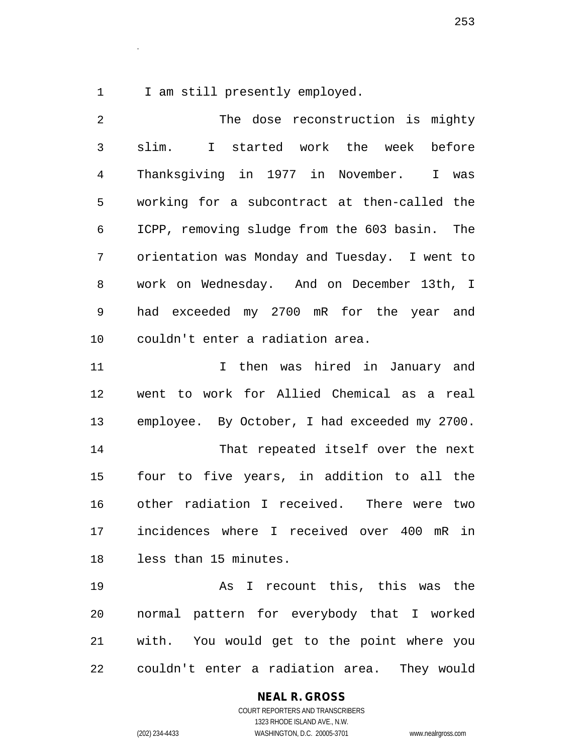1 I am still presently employed.

.

| 2            | The dose reconstruction is mighty             |
|--------------|-----------------------------------------------|
| $\mathsf{3}$ | slim. I started work the week before          |
| 4            | Thanksgiving in 1977 in November.<br>I was    |
| 5            | working for a subcontract at then-called the  |
| 6            | ICPP, removing sludge from the 603 basin. The |
| 7            | orientation was Monday and Tuesday. I went to |
| 8            | work on Wednesday. And on December 13th, I    |
| 9            | had exceeded my 2700 mR for the year and      |
| 10           | couldn't enter a radiation area.              |
| 11           | I then was hired in January and               |
| 12           | went to work for Allied Chemical as a real    |
| 13           | employee. By October, I had exceeded my 2700. |
| 14           | That repeated itself over the next            |
| 15           | four to five years, in addition to all the    |
| 16           | other radiation I received. There were two    |
| 17           | incidences where I received over 400 mR in    |
| 18           | less than 15 minutes.                         |
| 19           | As I recount this, this was the               |
| 20           | normal pattern for everybody that I worked    |
| 21           | with. You would get to the point where you    |
| 22           | couldn't enter a radiation area. They would   |

#### **NEAL R. GROSS**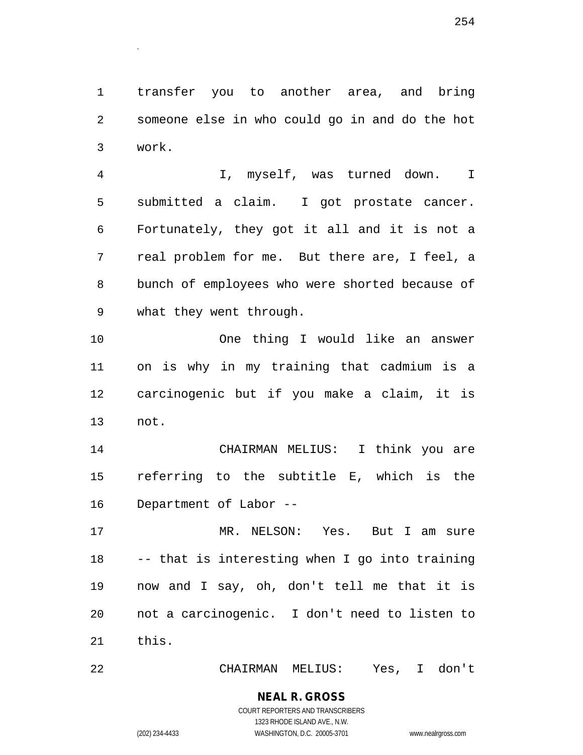transfer you to another area, and bring someone else in who could go in and do the hot work.

 I, myself, was turned down. I submitted a claim. I got prostate cancer. Fortunately, they got it all and it is not a real problem for me. But there are, I feel, a bunch of employees who were shorted because of what they went through.

 One thing I would like an answer on is why in my training that cadmium is a carcinogenic but if you make a claim, it is not.

 CHAIRMAN MELIUS: I think you are referring to the subtitle E, which is the Department of Labor --

 MR. NELSON: Yes. But I am sure -- that is interesting when I go into training now and I say, oh, don't tell me that it is not a carcinogenic. I don't need to listen to this.

CHAIRMAN MELIUS: Yes, I don't

#### **NEAL R. GROSS** COURT REPORTERS AND TRANSCRIBERS 1323 RHODE ISLAND AVE., N.W.

.

(202) 234-4433 WASHINGTON, D.C. 20005-3701 www.nealrgross.com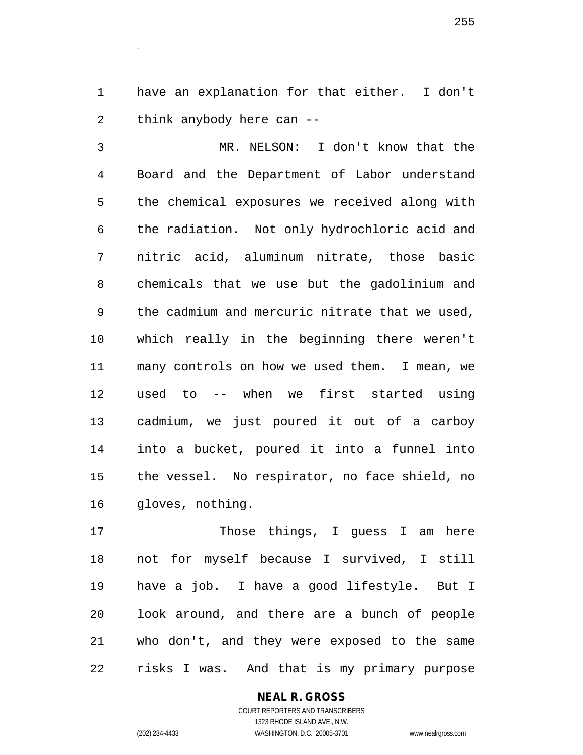have an explanation for that either. I don't think anybody here can --

 MR. NELSON: I don't know that the Board and the Department of Labor understand the chemical exposures we received along with the radiation. Not only hydrochloric acid and nitric acid, aluminum nitrate, those basic chemicals that we use but the gadolinium and the cadmium and mercuric nitrate that we used, which really in the beginning there weren't many controls on how we used them. I mean, we used to -- when we first started using cadmium, we just poured it out of a carboy into a bucket, poured it into a funnel into the vessel. No respirator, no face shield, no gloves, nothing.

 Those things, I guess I am here not for myself because I survived, I still have a job. I have a good lifestyle. But I look around, and there are a bunch of people who don't, and they were exposed to the same risks I was. And that is my primary purpose

> **NEAL R. GROSS** COURT REPORTERS AND TRANSCRIBERS 1323 RHODE ISLAND AVE., N.W.

.

(202) 234-4433 WASHINGTON, D.C. 20005-3701 www.nealrgross.com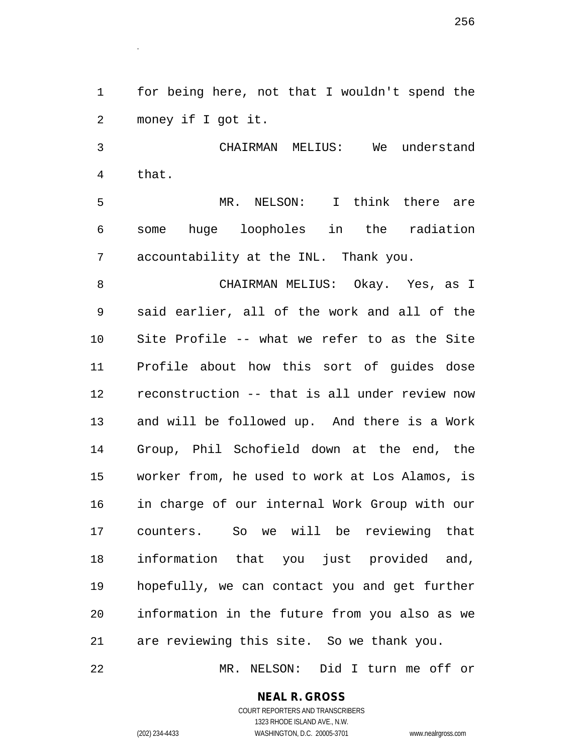for being here, not that I wouldn't spend the money if I got it.

 CHAIRMAN MELIUS: We understand that.

 MR. NELSON: I think there are some huge loopholes in the radiation accountability at the INL. Thank you.

 CHAIRMAN MELIUS: Okay. Yes, as I said earlier, all of the work and all of the Site Profile -- what we refer to as the Site Profile about how this sort of guides dose reconstruction -- that is all under review now and will be followed up. And there is a Work Group, Phil Schofield down at the end, the worker from, he used to work at Los Alamos, is in charge of our internal Work Group with our counters. So we will be reviewing that information that you just provided and, hopefully, we can contact you and get further information in the future from you also as we are reviewing this site. So we thank you.

MR. NELSON: Did I turn me off or

### **NEAL R. GROSS**

.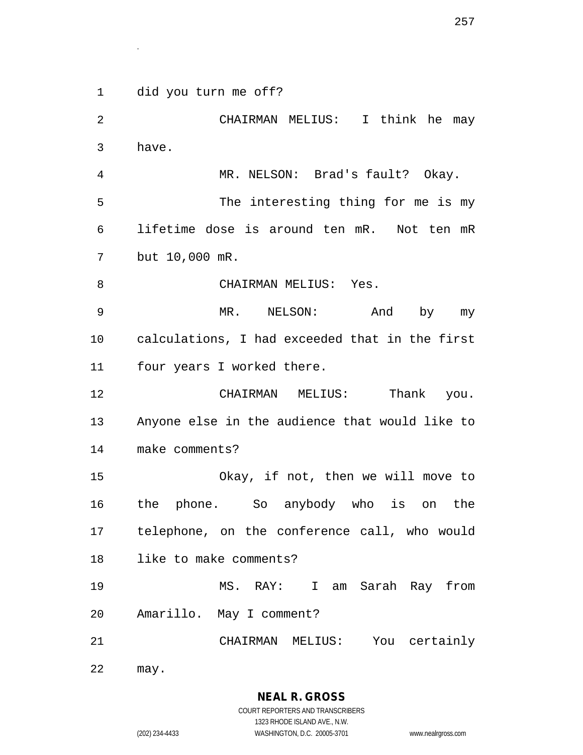did you turn me off?

.

 CHAIRMAN MELIUS: I think he may have. MR. NELSON: Brad's fault? Okay. The interesting thing for me is my lifetime dose is around ten mR. Not ten mR but 10,000 mR. 8 CHAIRMAN MELIUS: Yes. MR. NELSON: And by my calculations, I had exceeded that in the first four years I worked there. 12 CHAIRMAN MELIUS: Thank you. Anyone else in the audience that would like to make comments? Okay, if not, then we will move to the phone. So anybody who is on the telephone, on the conference call, who would like to make comments? MS. RAY: I am Sarah Ray from Amarillo. May I comment? CHAIRMAN MELIUS: You certainly may.

1323 RHODE ISLAND AVE., N.W.

(202) 234-4433 WASHINGTON, D.C. 20005-3701 www.nealrgross.com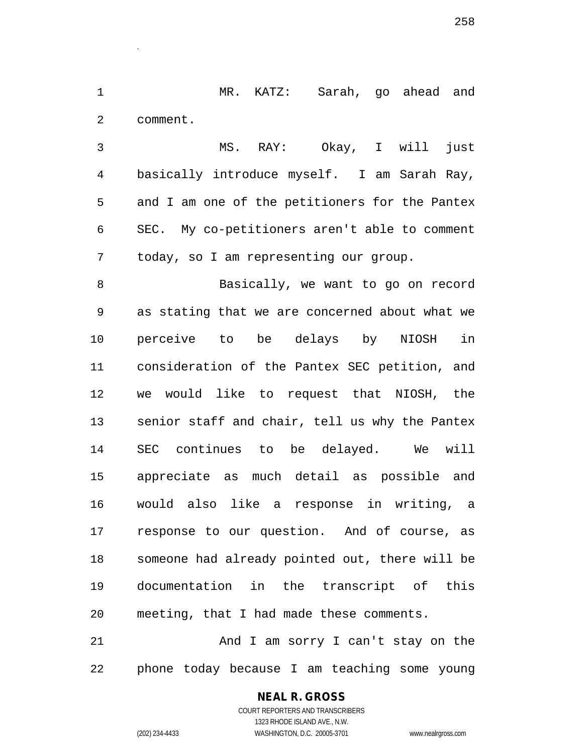MR. KATZ: Sarah, go ahead and comment.

 MS. RAY: Okay, I will just basically introduce myself. I am Sarah Ray, and I am one of the petitioners for the Pantex SEC. My co-petitioners aren't able to comment today, so I am representing our group.

 Basically, we want to go on record as stating that we are concerned about what we perceive to be delays by NIOSH in consideration of the Pantex SEC petition, and we would like to request that NIOSH, the senior staff and chair, tell us why the Pantex SEC continues to be delayed. We will appreciate as much detail as possible and would also like a response in writing, a response to our question. And of course, as someone had already pointed out, there will be documentation in the transcript of this meeting, that I had made these comments.

21 And I am sorry I can't stay on the phone today because I am teaching some young

## **NEAL R. GROSS**

.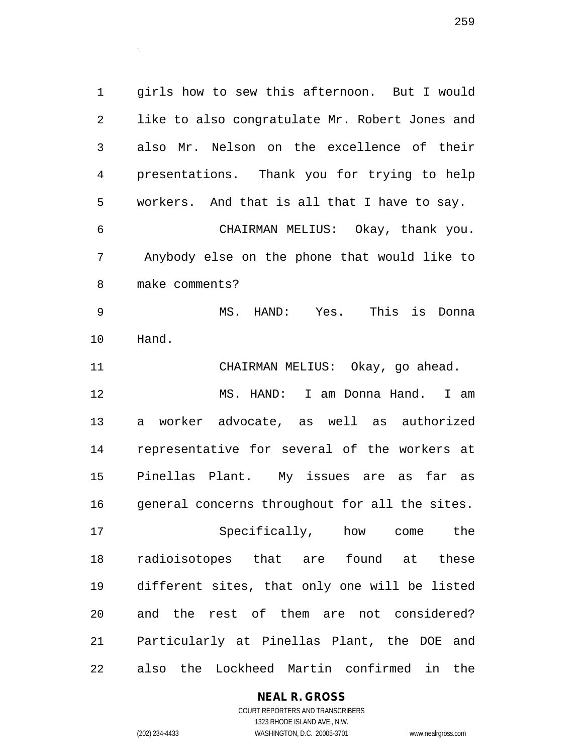girls how to sew this afternoon. But I would like to also congratulate Mr. Robert Jones and also Mr. Nelson on the excellence of their presentations. Thank you for trying to help workers. And that is all that I have to say. CHAIRMAN MELIUS: Okay, thank you. Anybody else on the phone that would like to make comments? MS. HAND: Yes. This is Donna Hand. CHAIRMAN MELIUS: Okay, go ahead. MS. HAND: I am Donna Hand. I am a worker advocate, as well as authorized representative for several of the workers at Pinellas Plant. My issues are as far as general concerns throughout for all the sites. Specifically, how come the radioisotopes that are found at these

 different sites, that only one will be listed and the rest of them are not considered? Particularly at Pinellas Plant, the DOE and also the Lockheed Martin confirmed in the

**NEAL R. GROSS**

COURT REPORTERS AND TRANSCRIBERS 1323 RHODE ISLAND AVE., N.W. (202) 234-4433 WASHINGTON, D.C. 20005-3701 www.nealrgross.com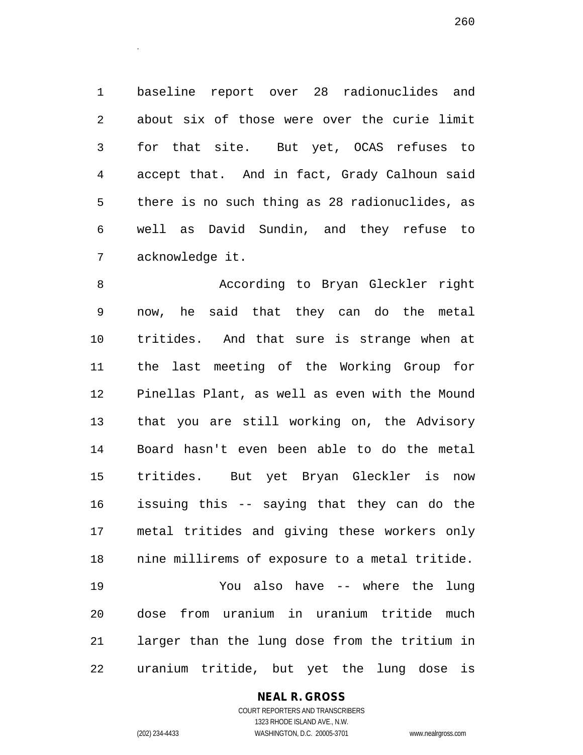baseline report over 28 radionuclides and about six of those were over the curie limit for that site. But yet, OCAS refuses to accept that. And in fact, Grady Calhoun said there is no such thing as 28 radionuclides, as well as David Sundin, and they refuse to acknowledge it.

 According to Bryan Gleckler right now, he said that they can do the metal tritides. And that sure is strange when at the last meeting of the Working Group for Pinellas Plant, as well as even with the Mound that you are still working on, the Advisory Board hasn't even been able to do the metal tritides. But yet Bryan Gleckler is now issuing this -- saying that they can do the metal tritides and giving these workers only nine millirems of exposure to a metal tritide. You also have -- where the lung dose from uranium in uranium tritide much larger than the lung dose from the tritium in uranium tritide, but yet the lung dose is

#### **NEAL R. GROSS**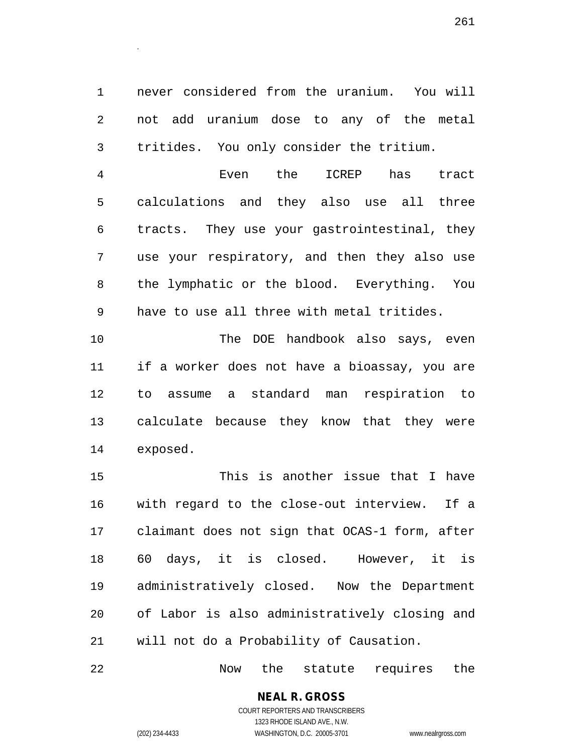never considered from the uranium. You will not add uranium dose to any of the metal tritides. You only consider the tritium.

 Even the ICREP has tract calculations and they also use all three tracts. They use your gastrointestinal, they use your respiratory, and then they also use the lymphatic or the blood. Everything. You have to use all three with metal tritides.

 The DOE handbook also says, even if a worker does not have a bioassay, you are to assume a standard man respiration to calculate because they know that they were exposed.

 This is another issue that I have with regard to the close-out interview. If a claimant does not sign that OCAS-1 form, after 60 days, it is closed. However, it is administratively closed. Now the Department of Labor is also administratively closing and will not do a Probability of Causation.

Now the statute requires the

# **NEAL R. GROSS**

.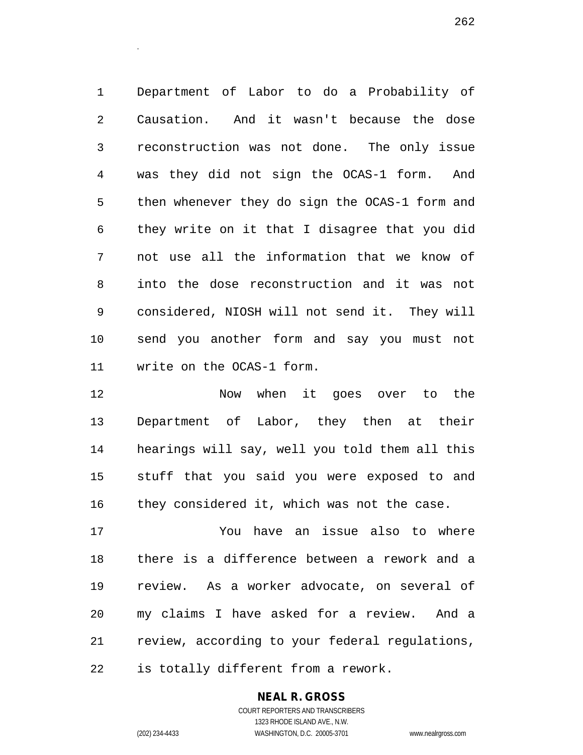Department of Labor to do a Probability of Causation. And it wasn't because the dose reconstruction was not done. The only issue was they did not sign the OCAS-1 form. And then whenever they do sign the OCAS-1 form and they write on it that I disagree that you did not use all the information that we know of into the dose reconstruction and it was not considered, NIOSH will not send it. They will send you another form and say you must not write on the OCAS-1 form.

12 Now when it goes over to the Department of Labor, they then at their hearings will say, well you told them all this stuff that you said you were exposed to and they considered it, which was not the case.

 You have an issue also to where there is a difference between a rework and a review. As a worker advocate, on several of my claims I have asked for a review. And a review, according to your federal regulations, is totally different from a rework.

#### **NEAL R. GROSS**

COURT REPORTERS AND TRANSCRIBERS 1323 RHODE ISLAND AVE., N.W. (202) 234-4433 WASHINGTON, D.C. 20005-3701 www.nealrgross.com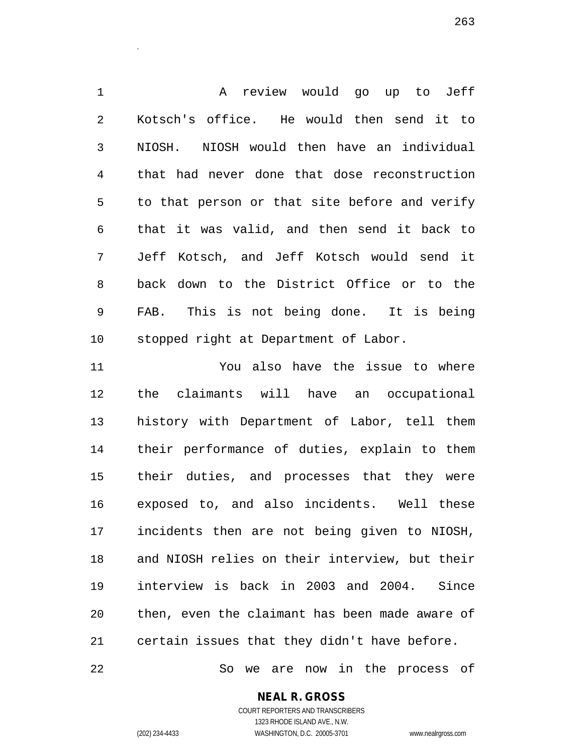A review would go up to Jeff Kotsch's office. He would then send it to NIOSH. NIOSH would then have an individual that had never done that dose reconstruction to that person or that site before and verify that it was valid, and then send it back to Jeff Kotsch, and Jeff Kotsch would send it back down to the District Office or to the FAB. This is not being done. It is being stopped right at Department of Labor.

 You also have the issue to where the claimants will have an occupational history with Department of Labor, tell them their performance of duties, explain to them their duties, and processes that they were exposed to, and also incidents. Well these incidents then are not being given to NIOSH, and NIOSH relies on their interview, but their interview is back in 2003 and 2004. Since then, even the claimant has been made aware of certain issues that they didn't have before.

So we are now in the process of

**NEAL R. GROSS**

.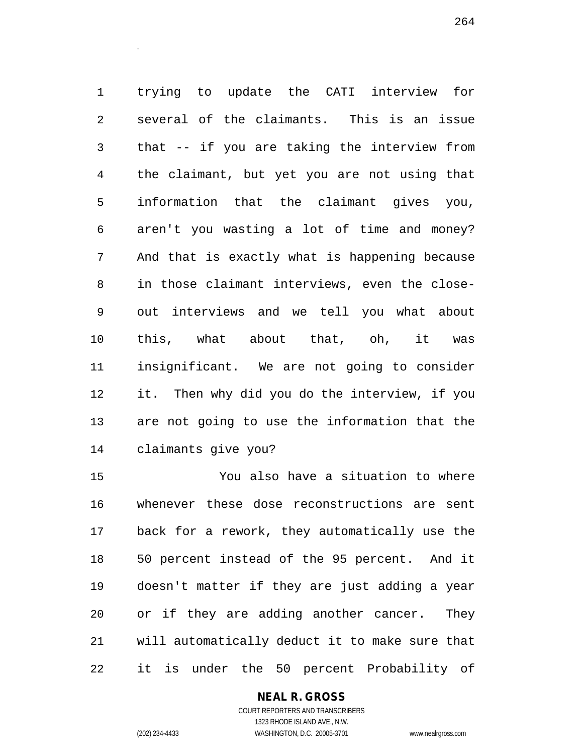trying to update the CATI interview for several of the claimants. This is an issue that -- if you are taking the interview from the claimant, but yet you are not using that information that the claimant gives you, aren't you wasting a lot of time and money? And that is exactly what is happening because in those claimant interviews, even the close- out interviews and we tell you what about this, what about that, oh, it was insignificant. We are not going to consider it. Then why did you do the interview, if you are not going to use the information that the claimants give you?

 You also have a situation to where whenever these dose reconstructions are sent back for a rework, they automatically use the 50 percent instead of the 95 percent. And it doesn't matter if they are just adding a year or if they are adding another cancer. They will automatically deduct it to make sure that it is under the 50 percent Probability of

#### **NEAL R. GROSS**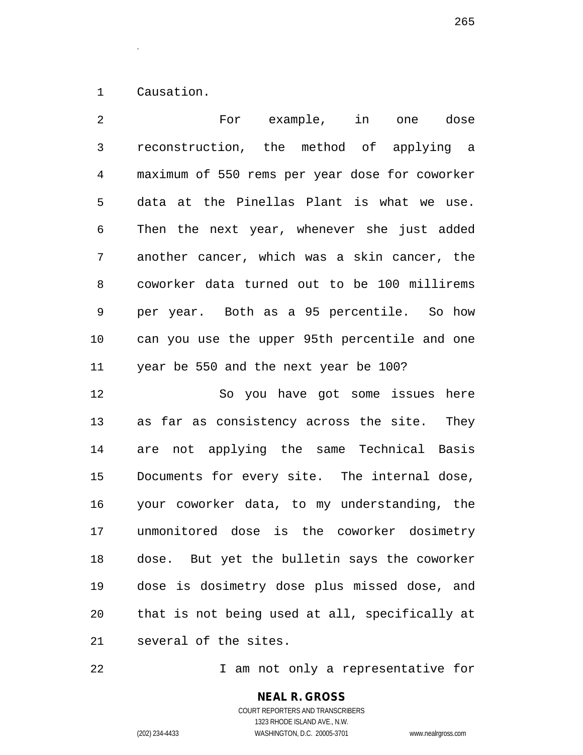Causation.

.

 For example, in one dose reconstruction, the method of applying a maximum of 550 rems per year dose for coworker data at the Pinellas Plant is what we use. Then the next year, whenever she just added another cancer, which was a skin cancer, the coworker data turned out to be 100 millirems per year. Both as a 95 percentile. So how can you use the upper 95th percentile and one year be 550 and the next year be 100? So you have got some issues here as far as consistency across the site. They are not applying the same Technical Basis Documents for every site. The internal dose, your coworker data, to my understanding, the unmonitored dose is the coworker dosimetry dose. But yet the bulletin says the coworker dose is dosimetry dose plus missed dose, and that is not being used at all, specifically at

several of the sites.

22 1 am not only a representative for

COURT REPORTERS AND TRANSCRIBERS 1323 RHODE ISLAND AVE., N.W. (202) 234-4433 WASHINGTON, D.C. 20005-3701 www.nealrgross.com

**NEAL R. GROSS**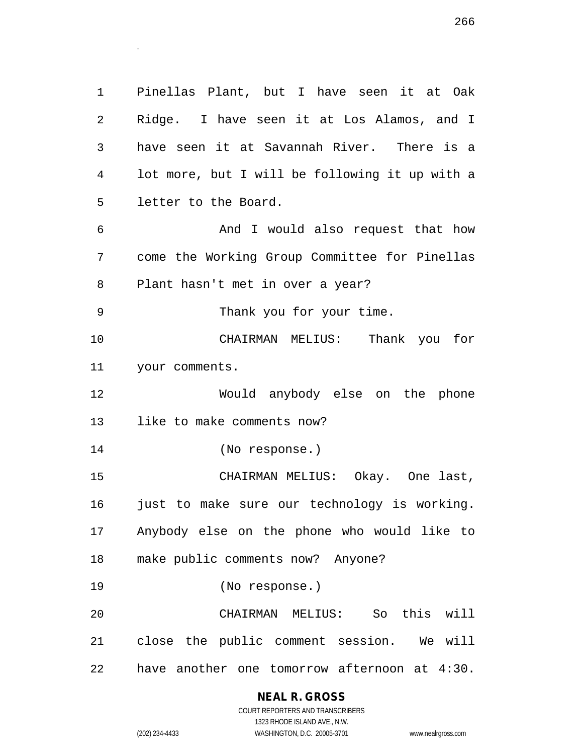Pinellas Plant, but I have seen it at Oak Ridge. I have seen it at Los Alamos, and I have seen it at Savannah River. There is a lot more, but I will be following it up with a letter to the Board. And I would also request that how come the Working Group Committee for Pinellas Plant hasn't met in over a year? Thank you for your time. CHAIRMAN MELIUS: Thank you for your comments. Would anybody else on the phone like to make comments now? (No response.) CHAIRMAN MELIUS: Okay. One last, 16 just to make sure our technology is working. Anybody else on the phone who would like to make public comments now? Anyone? (No response.) CHAIRMAN MELIUS: So this will close the public comment session. We will have another one tomorrow afternoon at 4:30.

#### **NEAL R. GROSS**

.

COURT REPORTERS AND TRANSCRIBERS 1323 RHODE ISLAND AVE., N.W. (202) 234-4433 WASHINGTON, D.C. 20005-3701 www.nealrgross.com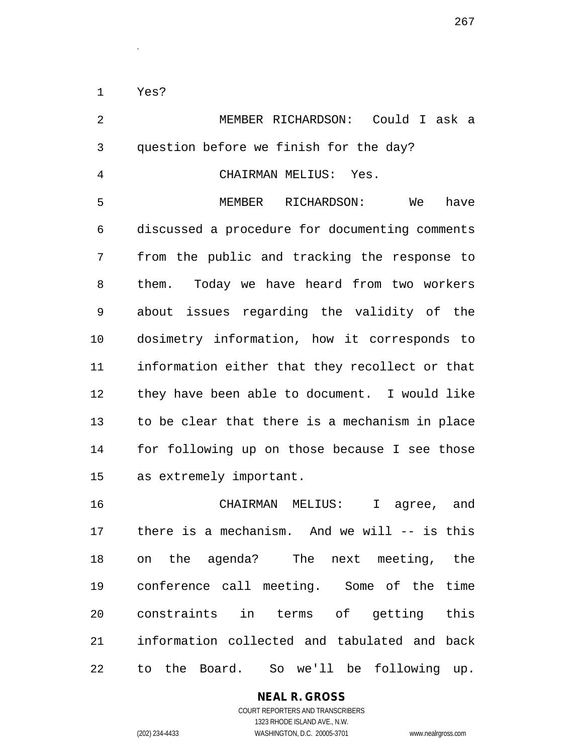Yes?

.

| $\overline{2}$ | MEMBER RICHARDSON: Could I ask a                 |
|----------------|--------------------------------------------------|
| $\mathfrak{Z}$ | question before we finish for the day?           |
| $\overline{4}$ | CHAIRMAN MELIUS: Yes.                            |
| 5              | MEMBER RICHARDSON:<br>have<br>We                 |
| 6              | discussed a procedure for documenting comments   |
| 7              | from the public and tracking the response to     |
| 8              | them. Today we have heard from two workers       |
| 9              | about issues regarding the validity of the       |
| 10             | dosimetry information, how it corresponds to     |
| 11             | information either that they recollect or that   |
| 12             | they have been able to document. I would like    |
| 13             | to be clear that there is a mechanism in place   |
| 14             | for following up on those because I see those    |
| 15             | as extremely important.                          |
| 16             | CHAIRMAN MELIUS:<br>I agree, and                 |
| 17             | there is a mechanism. And we will $--$ is this   |
| 18             | on the agenda? The next meeting, the             |
| 19             | conference call meeting. Some of the time        |
| 20             | constraints in terms of getting<br>this          |
| 21             | information collected and tabulated and back     |
| 22             | Board.<br>So we'll be following up.<br>the<br>to |

## **NEAL R. GROSS**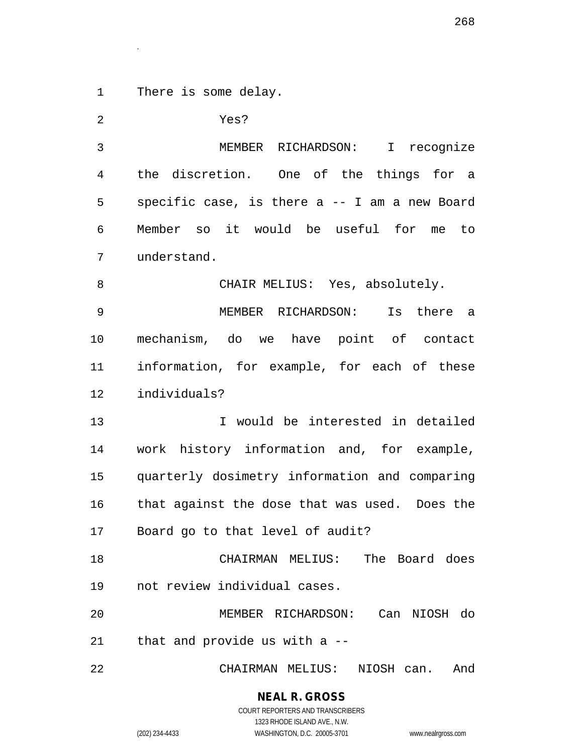There is some delay.

.

 Yes? MEMBER RICHARDSON: I recognize the discretion. One of the things for a specific case, is there a -- I am a new Board Member so it would be useful for me to understand. 8 CHAIR MELIUS: Yes, absolutely. MEMBER RICHARDSON: Is there a mechanism, do we have point of contact information, for example, for each of these individuals? I would be interested in detailed work history information and, for example, quarterly dosimetry information and comparing that against the dose that was used. Does the Board go to that level of audit? CHAIRMAN MELIUS: The Board does not review individual cases. MEMBER RICHARDSON: Can NIOSH do that and provide us with a -- CHAIRMAN MELIUS: NIOSH can. And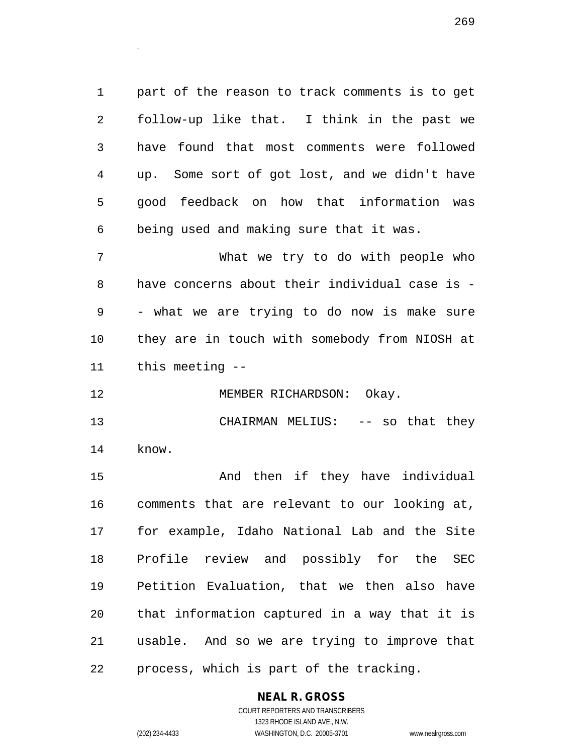part of the reason to track comments is to get follow-up like that. I think in the past we have found that most comments were followed up. Some sort of got lost, and we didn't have good feedback on how that information was being used and making sure that it was.

 What we try to do with people who have concerns about their individual case is - - what we are trying to do now is make sure they are in touch with somebody from NIOSH at this meeting --

12 MEMBER RICHARDSON: Okay.

13 CHAIRMAN MELIUS: -- so that they know.

15 And then if they have individual comments that are relevant to our looking at, for example, Idaho National Lab and the Site Profile review and possibly for the SEC Petition Evaluation, that we then also have that information captured in a way that it is usable. And so we are trying to improve that process, which is part of the tracking.

#### **NEAL R. GROSS**

.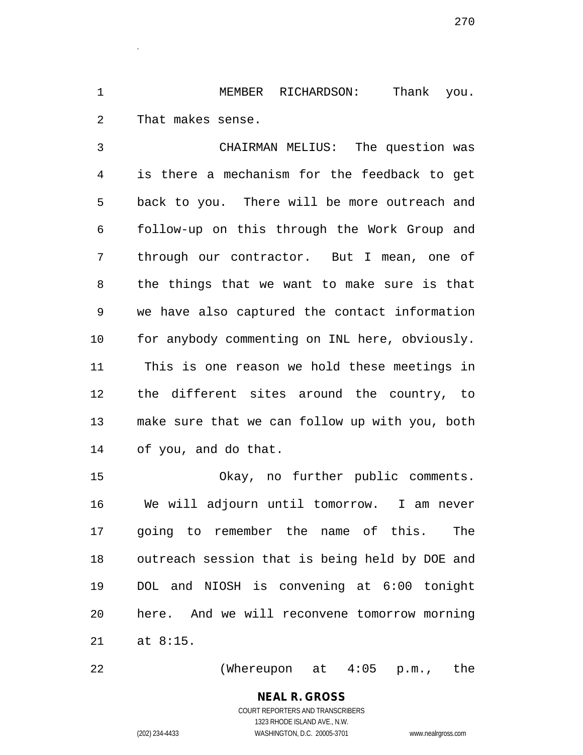MEMBER RICHARDSON: Thank you. That makes sense.

.

 CHAIRMAN MELIUS: The question was is there a mechanism for the feedback to get back to you. There will be more outreach and follow-up on this through the Work Group and through our contractor. But I mean, one of the things that we want to make sure is that we have also captured the contact information for anybody commenting on INL here, obviously. This is one reason we hold these meetings in the different sites around the country, to make sure that we can follow up with you, both of you, and do that.

 Okay, no further public comments. We will adjourn until tomorrow. I am never going to remember the name of this. The outreach session that is being held by DOE and DOL and NIOSH is convening at 6:00 tonight here. And we will reconvene tomorrow morning at 8:15.

(Whereupon at 4:05 p.m., the

## **NEAL R. GROSS**